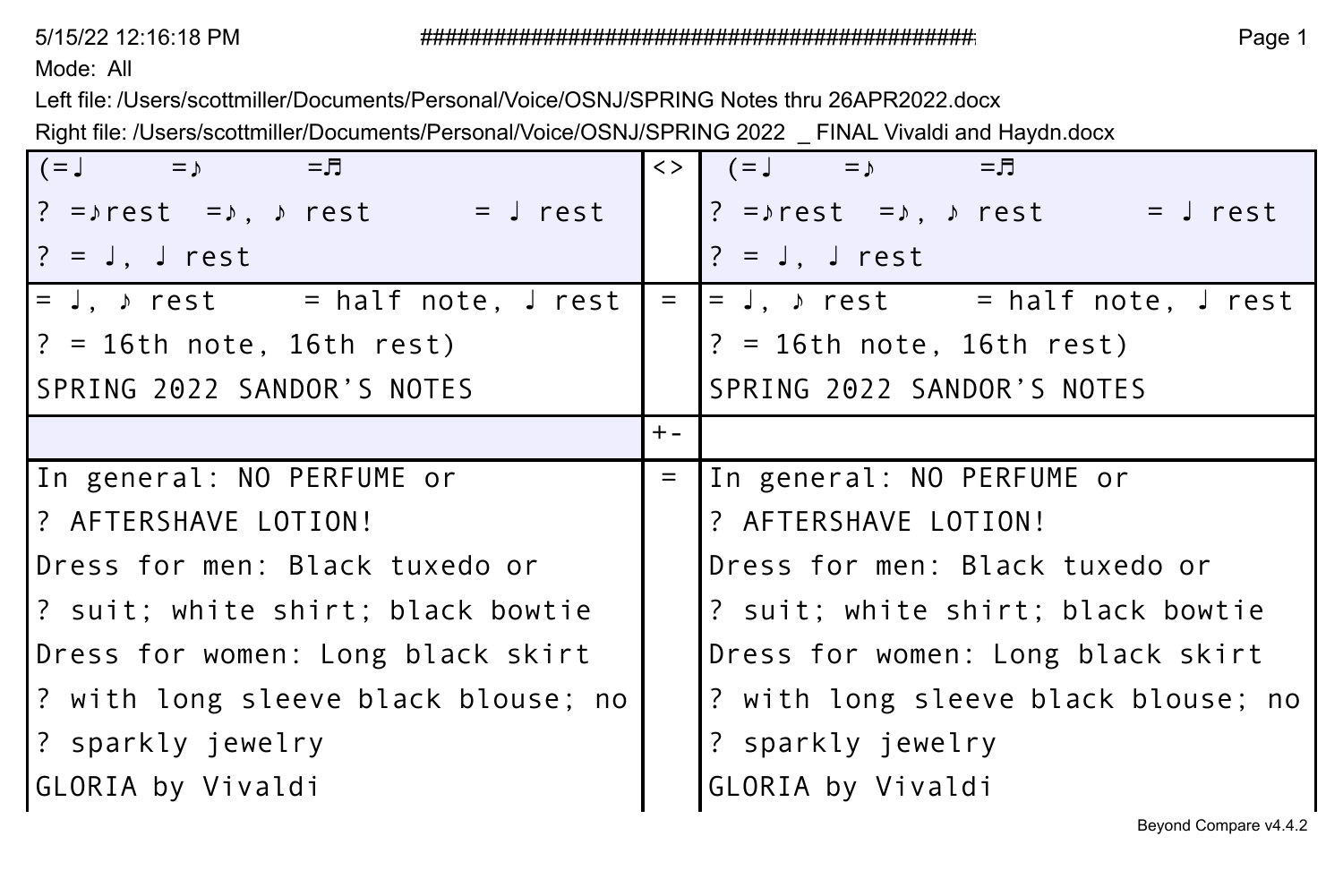Mode: All

Left file: /Users/scottmiller/Documents/Personal/Voice/OSNJ/SPRING Notes thru 26APR2022.docx Right file: /Users/scottmiller/Documents/Personal/Voice/OSNJ/SPRING 2022 \_ FINAL Vivaldi and Haydn.docx

| $(=$ $\downarrow$ $=$ $\downarrow$<br>$=$ $\Box$       | $\langle \rangle$ | てー ニュー (ニュ) ニュラ                                                                                                                                                                                                                                                                                 |  |  |  |  |
|--------------------------------------------------------|-------------------|-------------------------------------------------------------------------------------------------------------------------------------------------------------------------------------------------------------------------------------------------------------------------------------------------|--|--|--|--|
| $?$ = $\rho$ rest = $\rho$ , $\rho$ rest = $\int$ rest |                   | ? = $\sqrt{1}$ = $\sqrt{1}$ = $\sqrt{1}$ = $\sqrt{1}$ = $\sqrt{1}$ = $\sqrt{1}$ = $\sqrt{1}$ = $\sqrt{1}$ = $\sqrt{1}$ = $\sqrt{1}$ = $\sqrt{1}$ = $\sqrt{1}$ = $\sqrt{1}$ = $\sqrt{1}$ = $\sqrt{1}$ = $\sqrt{1}$ = $\sqrt{1}$ = $\sqrt{1}$ = $\sqrt{1}$ = $\sqrt{1}$ = $\sqrt{1}$ = $\sqrt{1}$ |  |  |  |  |
| $? = J$ . J rest                                       |                   | $? = J$ , J rest                                                                                                                                                                                                                                                                                |  |  |  |  |
| $=$ J, $\sqrt{1}$ rest $=$ half note, J rest           | $=$               | $\vert$ = J, $\vert$ rest = half note, J rest                                                                                                                                                                                                                                                   |  |  |  |  |
| $? = 16th$ note, 16th rest)                            |                   | $? = 16th$ note, 16th rest)                                                                                                                                                                                                                                                                     |  |  |  |  |
| SPRING 2022 SANDOR'S NOTES                             |                   | SPRING 2022 SANDOR'S NOTES                                                                                                                                                                                                                                                                      |  |  |  |  |
|                                                        | $+ -$             |                                                                                                                                                                                                                                                                                                 |  |  |  |  |
| In general: NO PERFUME or                              | $=$               | In general: NO PERFUME or                                                                                                                                                                                                                                                                       |  |  |  |  |
| ? AFTERSHAVE LOTION!                                   |                   | ? AFTERSHAVE LOTION!                                                                                                                                                                                                                                                                            |  |  |  |  |
| Dress for men: Black tuxedo or                         |                   | Dress for men: Black tuxedo or                                                                                                                                                                                                                                                                  |  |  |  |  |
| ? suit; white shirt; black bowtie                      |                   | ? suit; white shirt; black bowtie                                                                                                                                                                                                                                                               |  |  |  |  |
| Dress for women: Long black skirt                      |                   | Dress for women: Long black skirt                                                                                                                                                                                                                                                               |  |  |  |  |
| ? with long sleeve black blouse; no                    |                   | ? with long sleeve black blouse; no                                                                                                                                                                                                                                                             |  |  |  |  |
| ? sparkly jewelry                                      |                   | ? sparkly jewelry                                                                                                                                                                                                                                                                               |  |  |  |  |
| GLORIA by Vivaldi                                      |                   | GLORIA by Vivaldi                                                                                                                                                                                                                                                                               |  |  |  |  |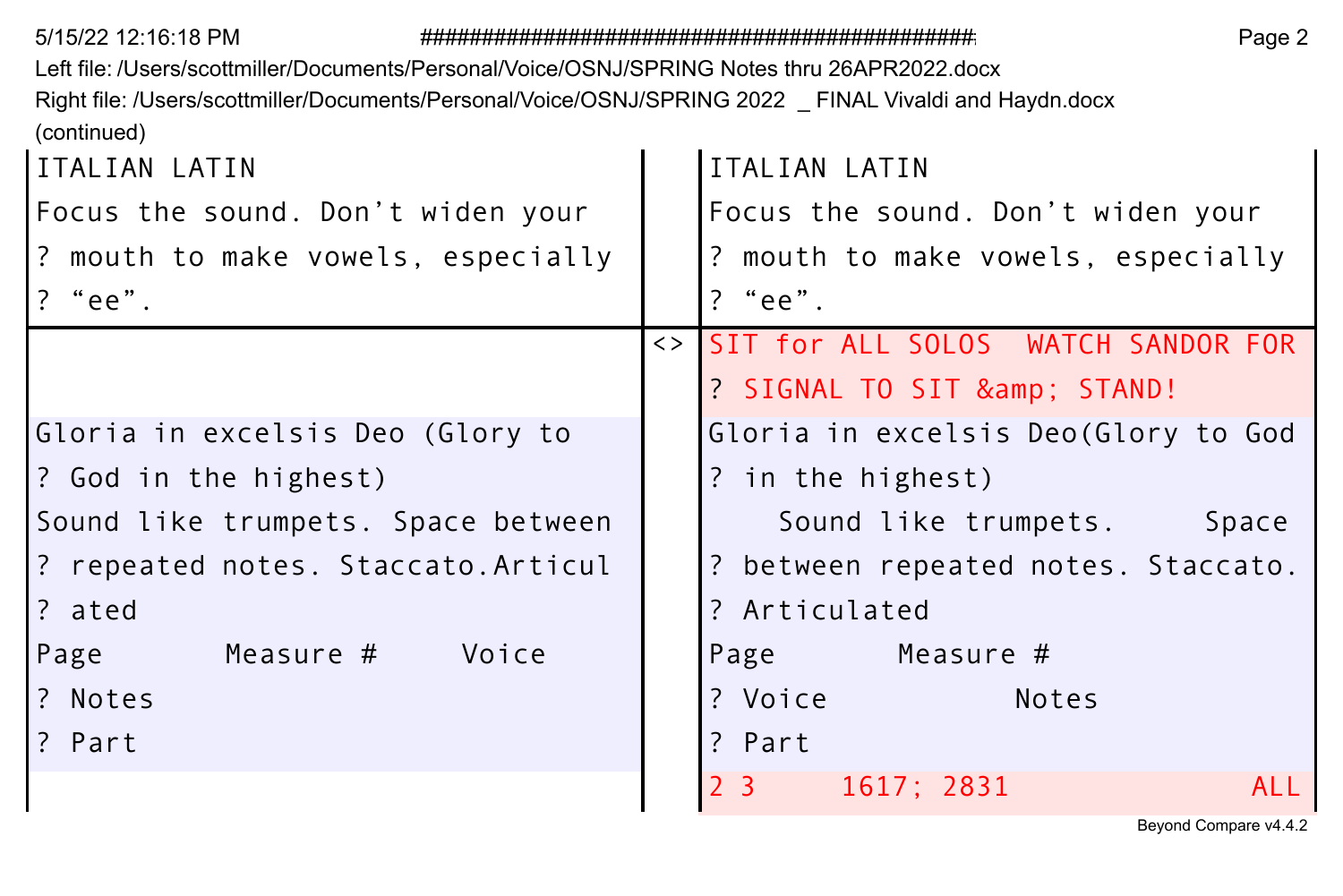| 5/15/22 12:16:18 PM                                                                                   | Page 2 |                                       |  |  |  |  |
|-------------------------------------------------------------------------------------------------------|--------|---------------------------------------|--|--|--|--|
| Left file: /Users/scottmiller/Documents/Personal/Voice/OSNJ/SPRING Notes thru 26APR2022.docx          |        |                                       |  |  |  |  |
| Right file: /Users/scottmiller/Documents/Personal/Voice/OSNJ/SPRING 2022 FINAL Vivaldi and Haydn.docx |        |                                       |  |  |  |  |
| (continued)                                                                                           |        |                                       |  |  |  |  |
| ITALIAN LATIN                                                                                         |        | ITALIAN LATIN                         |  |  |  |  |
| Focus the sound. Don't widen your                                                                     |        | Focus the sound. Don't widen your     |  |  |  |  |
| ? mouth to make vowels, especially                                                                    |        | ? mouth to make vowels, especially    |  |  |  |  |
| $?$ "ee".                                                                                             |        | $?$ "ee".                             |  |  |  |  |
|                                                                                                       |        | <> SIT for ALL SOLOS WATCH SANDOR FOR |  |  |  |  |
|                                                                                                       |        | ? SIGNAL TO SIT & STAND!              |  |  |  |  |
| Gloria in excelsis Deo (Glory to                                                                      |        | Gloria in excelsis Deo(Glory to God   |  |  |  |  |
| ? God in the highest)                                                                                 |        | ? in the highest)                     |  |  |  |  |
| Sound like trumpets. Space between                                                                    |        | Sound like trumpets.<br>Space         |  |  |  |  |
| ? repeated notes. Staccato.Articul                                                                    |        | ? between repeated notes. Staccato.   |  |  |  |  |
| ? ated                                                                                                |        | ? Articulated                         |  |  |  |  |
| Measure # Voice<br>Page                                                                               |        | Page Measure #                        |  |  |  |  |
| ? Notes                                                                                               |        | ? Voice<br>Notes                      |  |  |  |  |
| ? Part                                                                                                |        | ? Part                                |  |  |  |  |
|                                                                                                       |        | 2 3 1617; 2831<br>AII                 |  |  |  |  |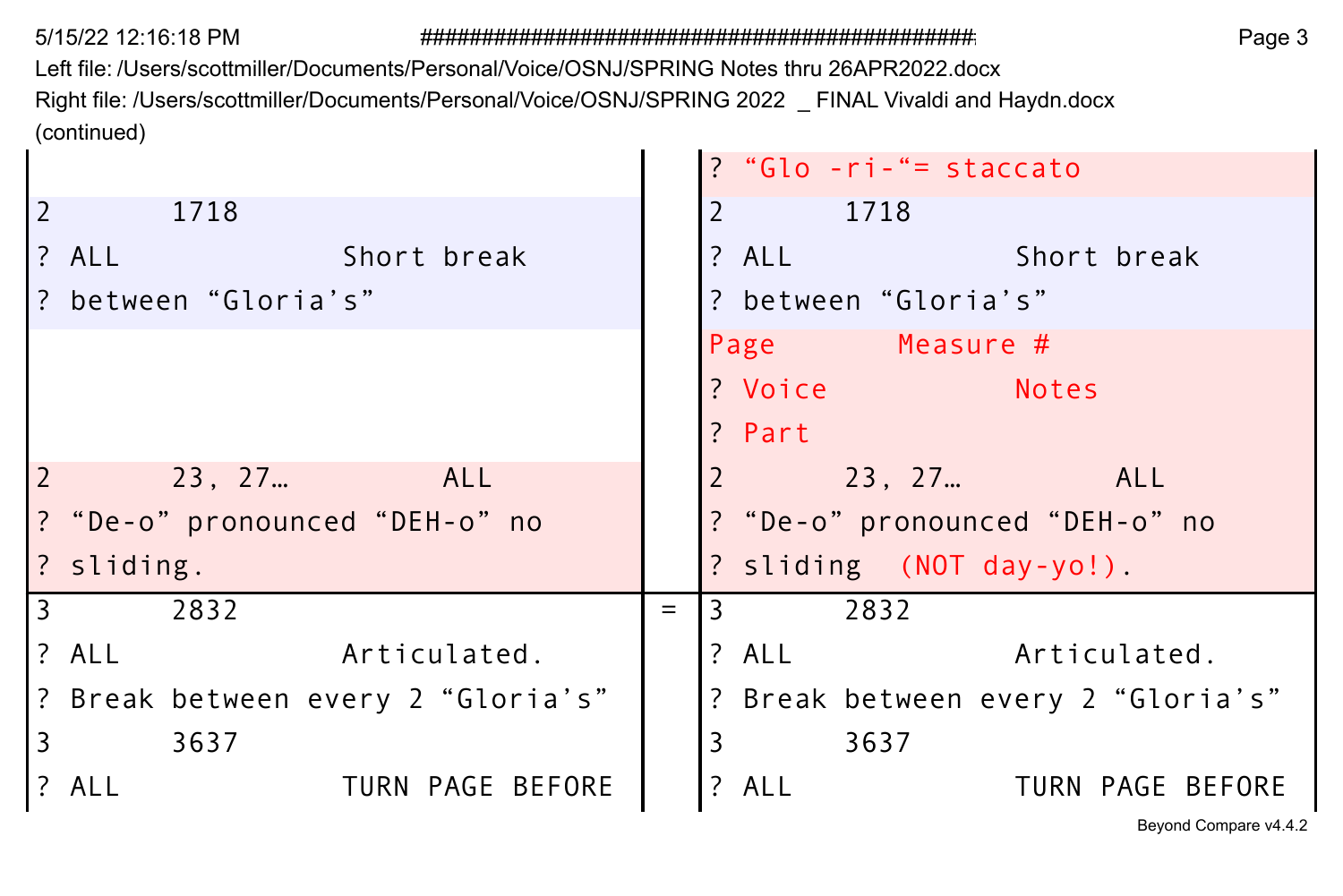$\blacksquare$  $\blacksquare$ 

Left file: /Users/scottmiller/Documents/Personal/Voice/OSNJ/SPRING Notes thru 26APR2022.docx Right file: /Users/scottmiller/Documents/Personal/Voice/OSNJ/SPRING 2022 \_ FINAL Vivaldi and Haydn.docx (continued)

|                |                                   |     | ? "Glo -ri-"= staccato                 |
|----------------|-----------------------------------|-----|----------------------------------------|
| $\overline{2}$ | 1718                              |     | 1718                                   |
|                | ? ALL<br>Short break              |     | $?$ ALL $\qquad \qquad$<br>Short break |
|                | l? between "Gloria's"             |     | ? between "Gloria's"                   |
|                |                                   |     | Page Measure #                         |
|                |                                   |     | ? Voice<br><b>Notes</b>                |
|                |                                   |     | ? Part                                 |
| $\vert$ 2      | 23.27<br>ALL                      |     | ALL<br>23.27                           |
|                | ? "De-o" pronounced "DEH-o" no    |     | ? "De-o" pronounced "DEH-o" no         |
|                | ? sliding.                        |     | ? sliding (NOT day-yo!).               |
| <u>3</u>       | 2832                              | $=$ | 2832<br>l 3                            |
|                | ? ALL<br>Articulated.             |     | ? ALL<br>Articulated.                  |
|                | ? Break between every 2"Gloria's" |     | ? Break between every 2 "Gloria's"     |
| l 3            | 3637                              |     | 3<br>3637                              |
|                | 1? ALL<br>TURN PAGE BEFORE        |     | ? ALL<br>TURN PAGE BEFORE              |
|                |                                   |     | Beyond Compare v4.4.2                  |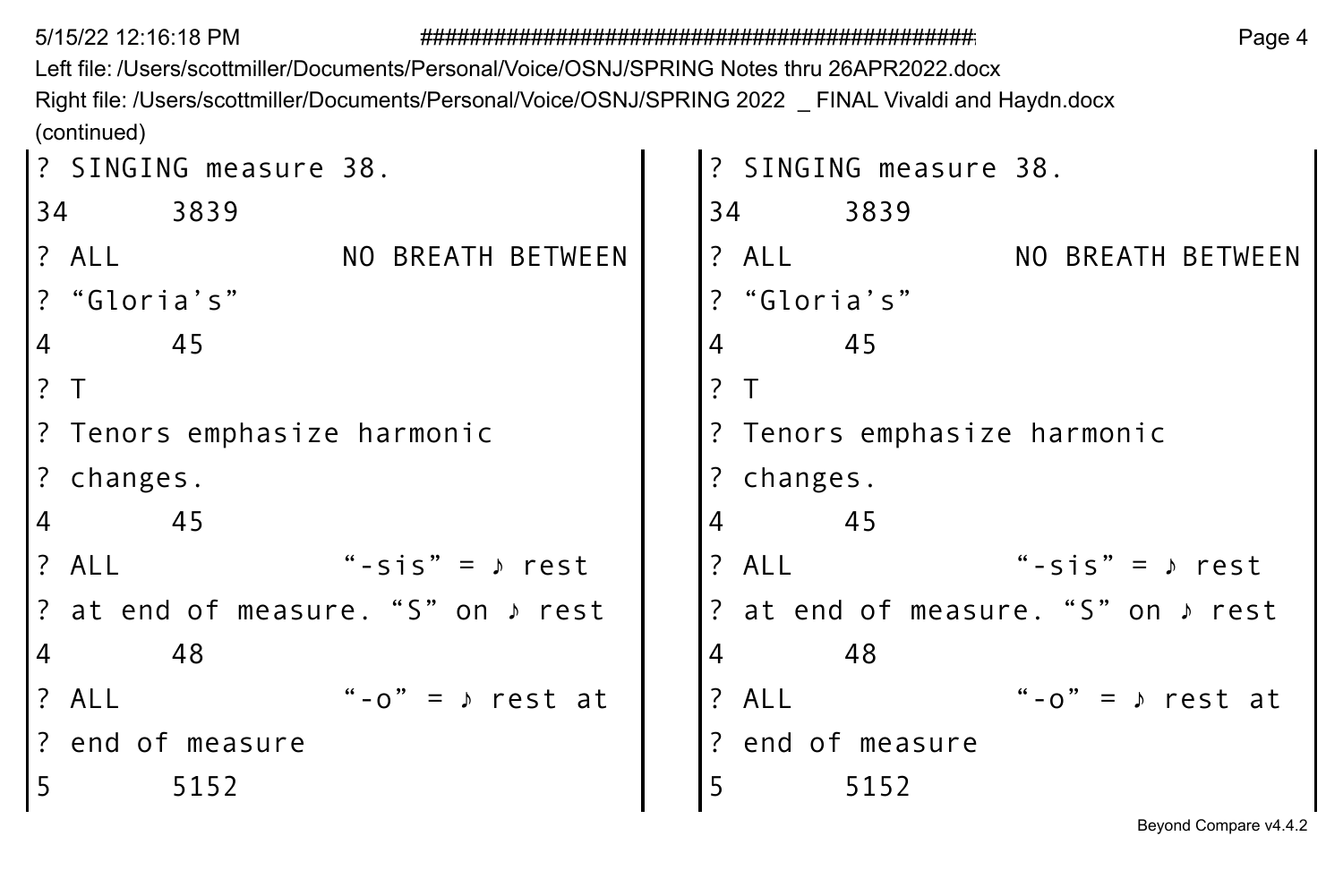Left file: /Users/scottmiller/Documents/Personal/Voice/OSNJ/SPRING Notes thru 26APR2022.docx Right file: /Users/scottmiller/Documents/Personal/Voice/OSNJ/SPRING 2022 \_ FINAL Vivaldi and Haydn.docx (continued)

```
? SINGING measure 38. 2012 1: SINGING measure 38.
34 3839 34 3839 
? ALL NO BREATH BETWEEN ? ALL NO BREATH BETWEEN
 ? "Gloria's" ? "Gloria's"
4 45 | 4 45
? T | | ? T
? Tenors emphasize harmonic 2. Tenors emphasize harmonic
? changes. ? changes.
4 45 45 45
? ALL "-sis" = ♪ rest | |? ALL "-sis" = ♪ rest
 at end of measure. "S" on ♪ rest | |? at end of measure. "S" on ♪ rest
4 48 48 48
? All "-o" = → rest at \begin{vmatrix} 2 \\ 1 \end{vmatrix}? ALL "-o" = → rest at
 end of measure and in the case of the contract of measure
5 5152 5 5152
```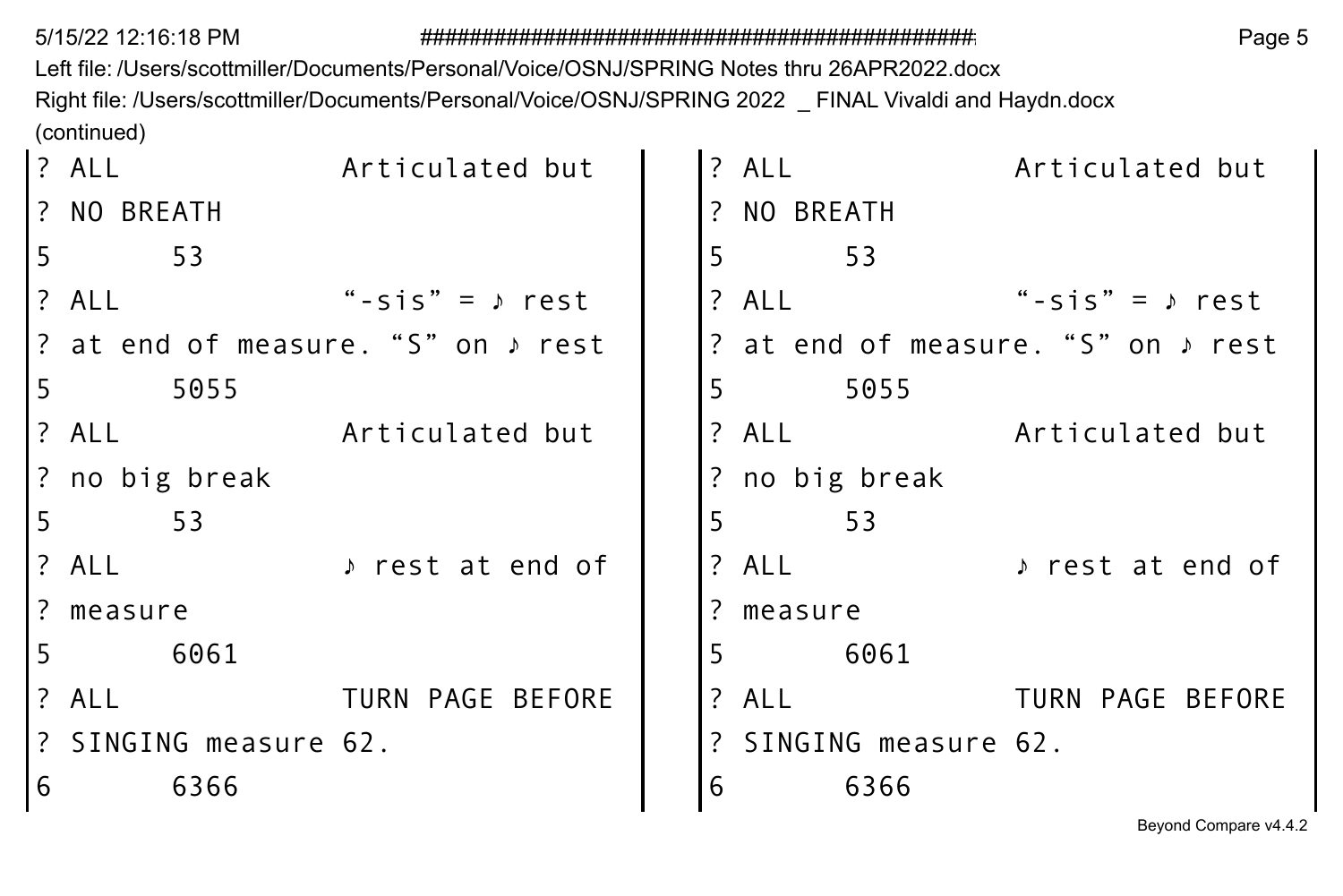Left file: /Users/scottmiller/Documents/Personal/Voice/OSNJ/SPRING Notes thru 26APR2022.docx Right file: /Users/scottmiller/Documents/Personal/Voice/OSNJ/SPRING 2022 \_ FINAL Vivaldi and Haydn.docx (continued)

|   | ? ALL                 | Articulated but                             |   | ? ALL          |                     | Articulated but                             |  |
|---|-----------------------|---------------------------------------------|---|----------------|---------------------|---------------------------------------------|--|
|   | ? NO BREATH           |                                             |   | ? NO BREATH    |                     |                                             |  |
| 5 | 53                    |                                             | 5 |                | 53                  |                                             |  |
|   | ? ALL                 | "-sis" = $\triangle$ rest                   |   | ? ALL          |                     | "-sis" = $\sqrt{ }$ rest                    |  |
|   |                       | ? at end of measure. "S" on $\sqrt{ }$ rest |   |                |                     | ? at end of measure. "S" on $\sqrt{ }$ rest |  |
| 5 | 5055                  |                                             | 5 |                | 5055                |                                             |  |
|   | ? ALL                 | Articulated but                             |   | ? ALL          |                     | Articulated but                             |  |
|   | ? no big break        |                                             |   | ? no big break |                     |                                             |  |
| 5 | -53                   |                                             | 5 |                | 53                  |                                             |  |
|   | ? ALL                 | ♪ rest at end of                            |   | ? ALL          |                     | ♪ rest at end of                            |  |
|   | ? measure             |                                             |   | ? measure      |                     |                                             |  |
| 5 | 6061                  |                                             | 5 |                | 6061                |                                             |  |
|   | ? ALL                 | TURN PAGE BEFORE                            |   | ? ALL          |                     | TURN PAGE BEFORE                            |  |
|   | ? SINGING measure 62. |                                             |   |                | SINGING measure 62. |                                             |  |
| 6 | 6366                  |                                             | 6 |                | 6366                |                                             |  |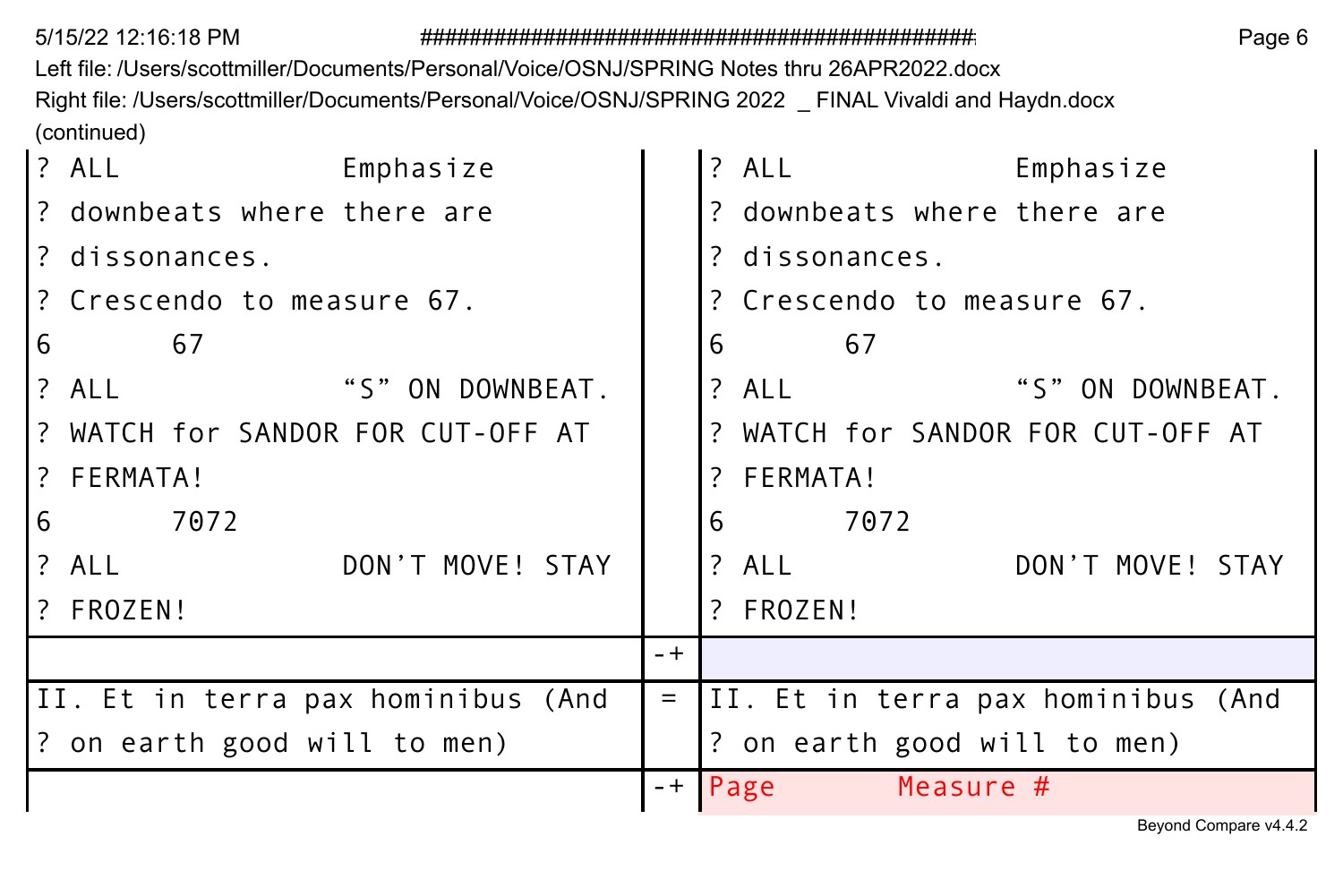Left file: /Users/scottmiller/Documents/Personal/Voice/OSNJ/SPRING Notes thru 26APR2022.docx Right file: /Users/scottmiller/Documents/Personal/Voice/OSNJ/SPRING 2022 \_ FINAL Vivaldi and Haydn.docx (continued)

| ? ALL<br>Emphasize                  | ? ALL<br>Emphasize                             |
|-------------------------------------|------------------------------------------------|
| ? downbeats where there are         | ? downbeats where there are                    |
| ? dissonances.                      | ? dissonances.                                 |
| ? Crescendo to measure 67.          | ? Crescendo to measure 67.                     |
| 6<br>67                             | 6<br>67                                        |
| "S" ON DOWNBEAT.<br>? ALL           | "S" ON DOWNBEAT.<br>? ALL                      |
| ? WATCH for SANDOR FOR CUT-OFF AT   | ? WATCH for SANDOR FOR CUT-OFF AT              |
| ? FERMATA!                          | ? FERMATA!                                     |
| 7072<br>6                           | 6<br>7072                                      |
| DON'T MOVE! STAY<br>? ALL           | ? ALL<br>DON'T MOVE! STAY                      |
| ? FROZEN!                           | ? FROZEN!                                      |
|                                     | $- +$                                          |
| III. Et in terra pax hominibus (And | II. Et in terra pax hominibus (And<br>$\equiv$ |
| ? on earth good will to men)        | ? on earth good will to men)                   |
|                                     | Measure #<br>$-+$ Page                         |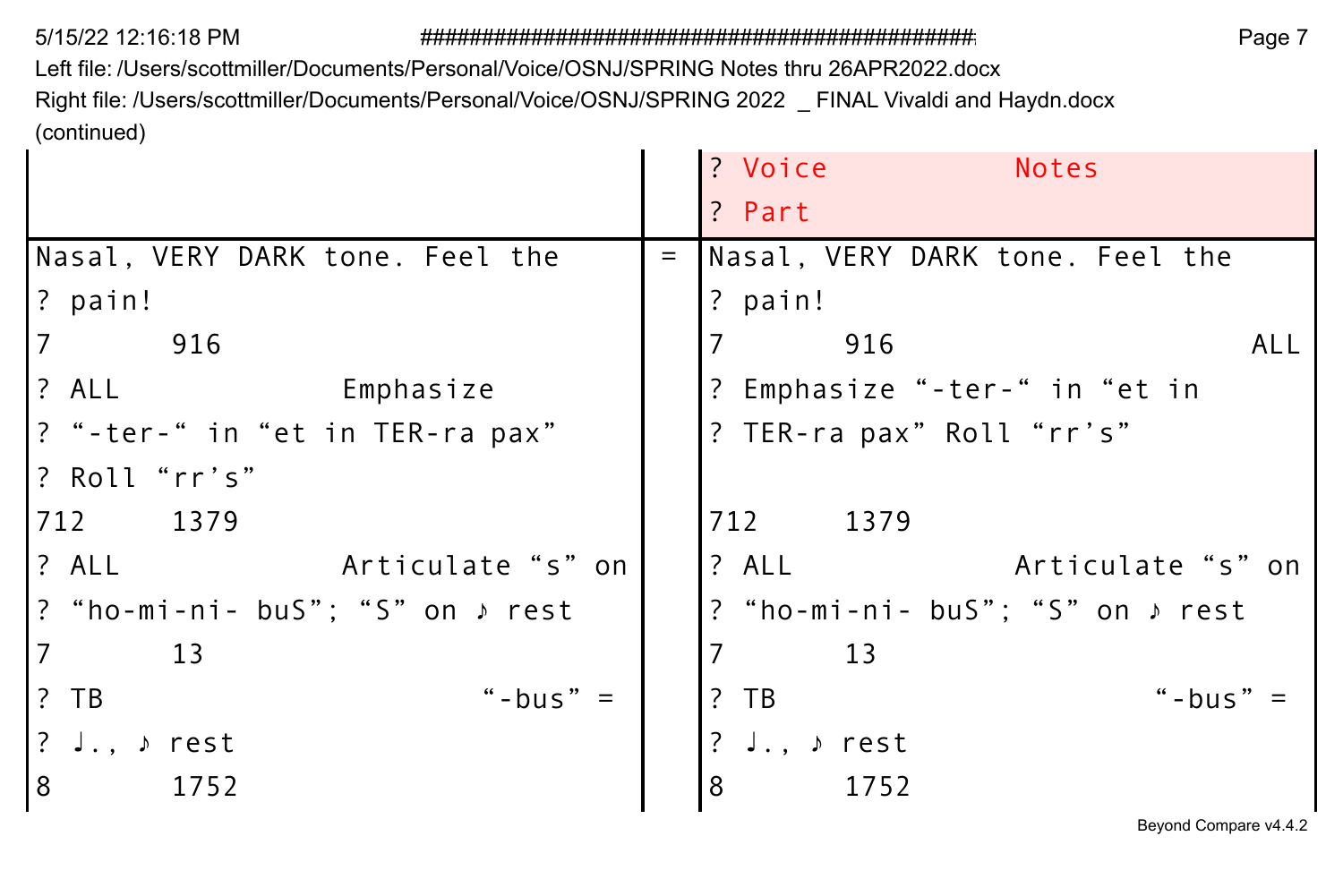Left file: /Users/scottmiller/Documents/Personal/Voice/OSNJ/SPRING Notes thru 26APR2022.docx Right file: /Users/scottmiller/Documents/Personal/Voice/OSNJ/SPRING 2022 \_ FINAL Vivaldi and Haydn.docx (continued)

|     | ? Voice<br><b>Notes</b>                         |
|-----|-------------------------------------------------|
|     | ? Part                                          |
| $=$ | Nasal, VERY DARK tone. Feel the                 |
|     | ? pain!                                         |
|     | 916<br>AL L                                     |
|     | ? Emphasize "-ter-" in "et in                   |
|     | ? TER-ra pax" Roll "rr's"                       |
|     |                                                 |
|     | 712<br>1379                                     |
|     | ? ALL<br>Articulate "s" on                      |
|     | ? "ho-mi-ni- buS"; "S" on $\triangleright$ rest |
|     | 13                                              |
|     | "-bus"<br>$?$ TB                                |
|     | $J.$ , $\rho$ rest                              |
|     | 8<br>1752                                       |
|     | Articulate "s" on                               |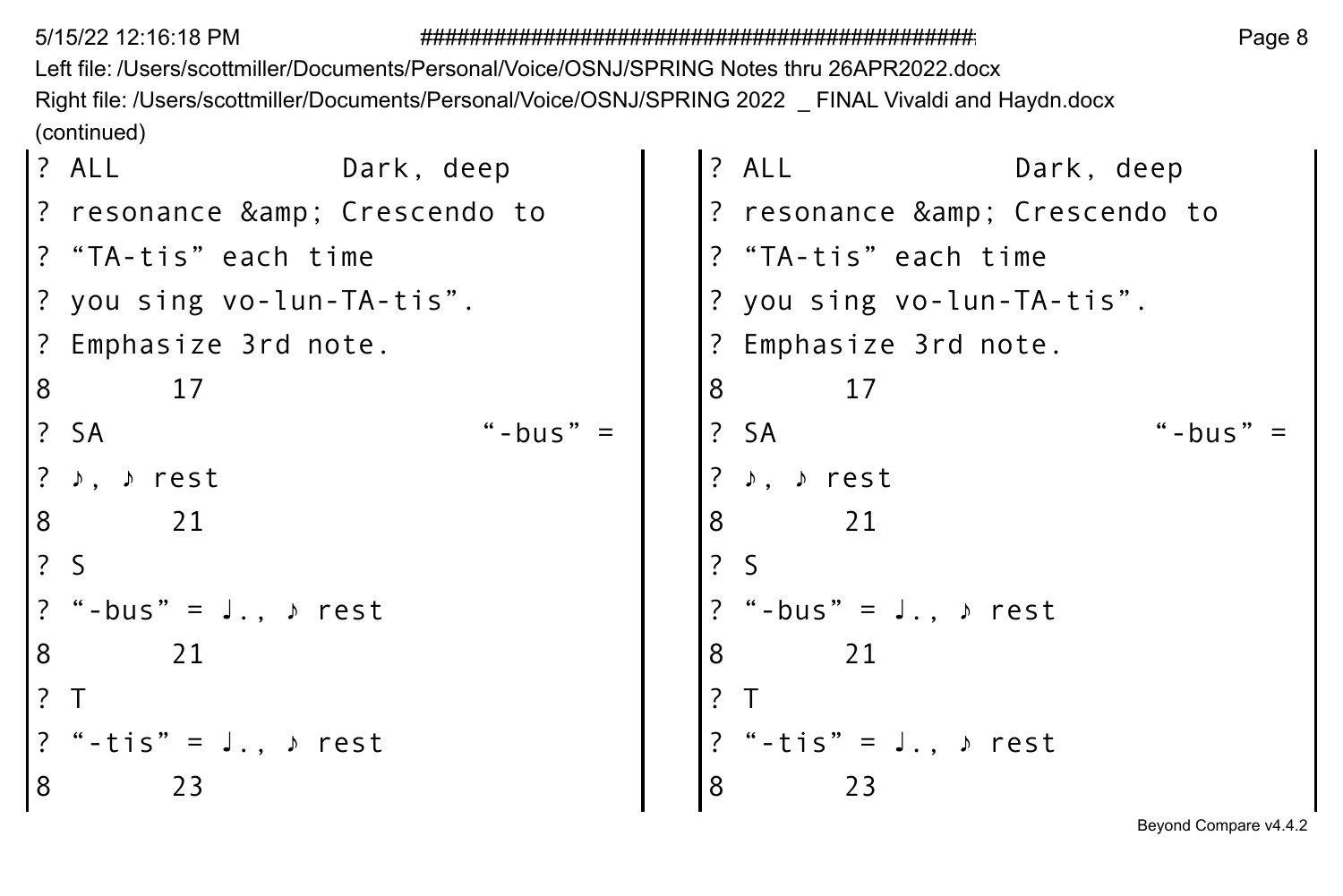Left file: /Users/scottmiller/Documents/Personal/Voice/OSNJ/SPRING Notes thru 26APR2022.docx Right file: /Users/scottmiller/Documents/Personal/Voice/OSNJ/SPRING 2022 \_ FINAL Vivaldi and Haydn.docx (continued)

|   | ? ALL                                    | Dark, deep |   | ? ALL           | Dark, deep                         |        |
|---|------------------------------------------|------------|---|-----------------|------------------------------------|--------|
|   | ? resonance & Crescendo to               |            |   |                 | ? resonance & Crescendo to         |        |
|   | ? "TA-tis" each time                     |            |   |                 | ? "TA-tis" each time               |        |
|   | ? you sing vo-lun-TA-tis".               |            |   |                 | ? you sing vo-lun-TA-tis".         |        |
|   | ? Emphasize 3rd note.                    |            |   |                 | ? Emphasize 3rd note.              |        |
| 8 | 17                                       |            | 8 |                 | 17                                 |        |
|   | ? SA                                     | "-bus"     |   | ? SA            |                                    | "-bus" |
|   | $?$ $\rightarrow$ $.$ $\rightarrow$ rest |            |   | ♪, ♪ rest       |                                    |        |
| 8 | 21                                       |            | 8 |                 | 21                                 |        |
|   | 2S                                       |            |   | $\frac{1}{2}$ S |                                    |        |
|   | ? "-bus" = $J.$ , $\rho$ rest            |            |   |                 | "-bus" = J., $\triangleright$ rest |        |
| 8 | 21                                       |            | 8 | 21              |                                    |        |
|   | ?T                                       |            |   |                 |                                    |        |
|   | ? "-tis" = $J.$ , $\rho$ rest            |            |   |                 | ? "-tis" = $J.$ , $\rho$ rest      |        |
| 8 | 23                                       |            | 8 |                 | 23                                 |        |
|   |                                          |            |   |                 |                                    |        |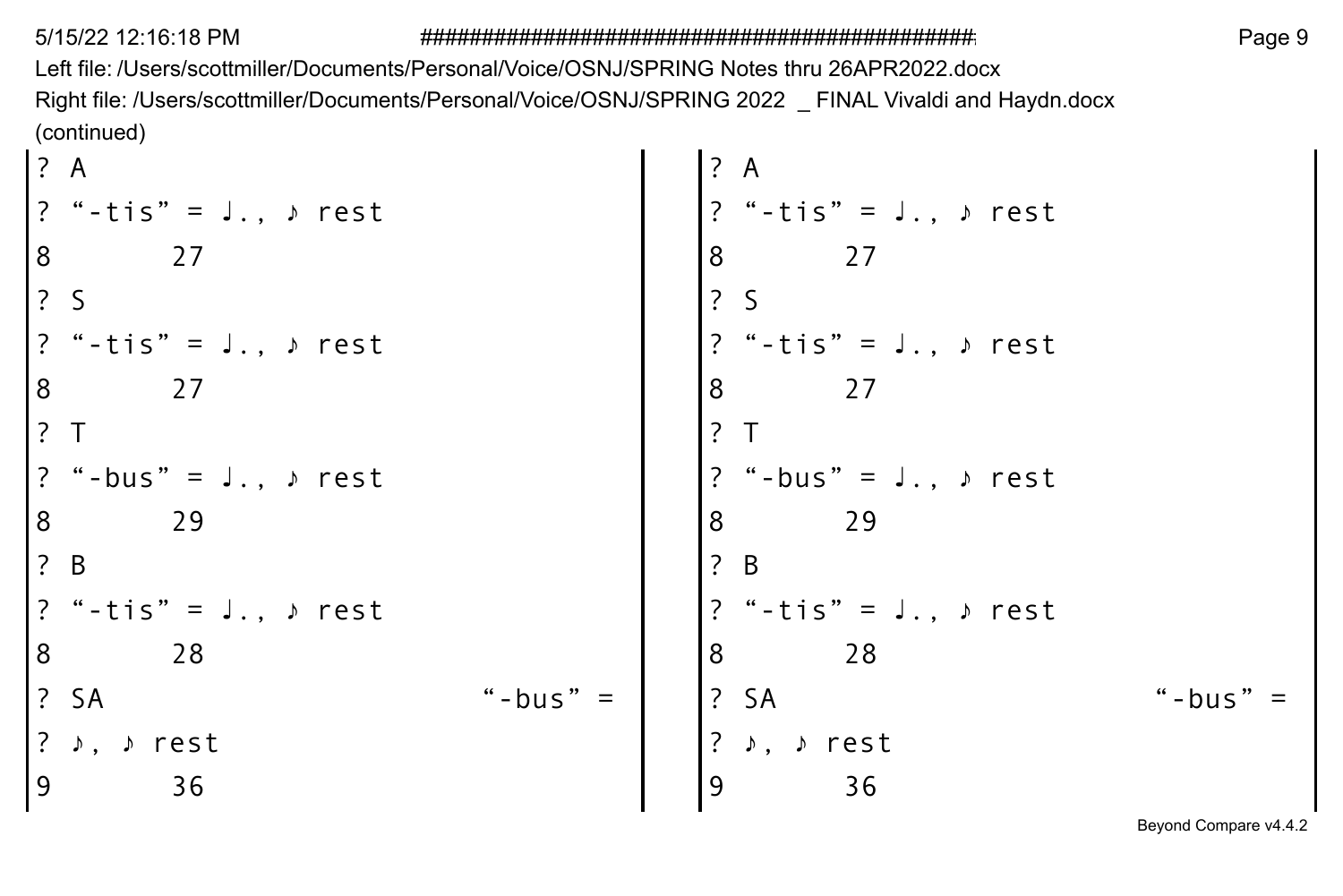Left file: /Users/scottmiller/Documents/Personal/Voice/OSNJ/SPRING Notes thru 26APR2022.docx Right file: /Users/scottmiller/Documents/Personal/Voice/OSNJ/SPRING 2022 \_ FINAL Vivaldi and Haydn.docx (continued)  $\mathbf{r}$ 

| 1? A                                                 |                                                       |            | ? A                                                                  |  |
|------------------------------------------------------|-------------------------------------------------------|------------|----------------------------------------------------------------------|--|
|                                                      | $?$ "-tis" = J., $\triangleright$ rest                |            | $? " - t is" = J., \text{ } s$ rest                                  |  |
| 8                                                    | 27                                                    |            | 8<br>27                                                              |  |
| $\begin{array}{ccc} \text{?} & \text{S} \end{array}$ |                                                       |            | 2S                                                                   |  |
|                                                      | $?$ "-tis" = J., $\triangleright$ rest                |            | $ ?$ "-tis" = J., » rest                                             |  |
| l 8                                                  | 27                                                    |            | 8<br>27                                                              |  |
| 1? T                                                 |                                                       |            | $\overline{?}$ T                                                     |  |
|                                                      | $?$ "-bus" = J., $\triangleright$ rest                |            | $?$ "-bus" = J., $\triangleright$ rest                               |  |
| 8                                                    | 29                                                    |            | 8<br>29                                                              |  |
| $\left  \begin{array}{cc} ? & B \end{array} \right $ |                                                       |            | $\left  \begin{array}{cc} 2 & B \end{array} \right $                 |  |
|                                                      | ? "-tis" = J., ♪ rest                                 |            | $ ?$ "-tis" = J., $\triangleright$ rest                              |  |
| 8                                                    | 28                                                    |            | 8<br>28                                                              |  |
|                                                      | $\left  \begin{array}{cc} 2 & 5A \end{array} \right $ | "-bus" $=$ | $\left  \begin{array}{cc} ? & S A \end{array} \right $<br>"-bus" $=$ |  |
|                                                      | ? ♪, ♪ rest                                           |            | ? ♪, ♪ rest                                                          |  |
| و                                                    | 36                                                    |            | 36<br>۹                                                              |  |
|                                                      |                                                       |            |                                                                      |  |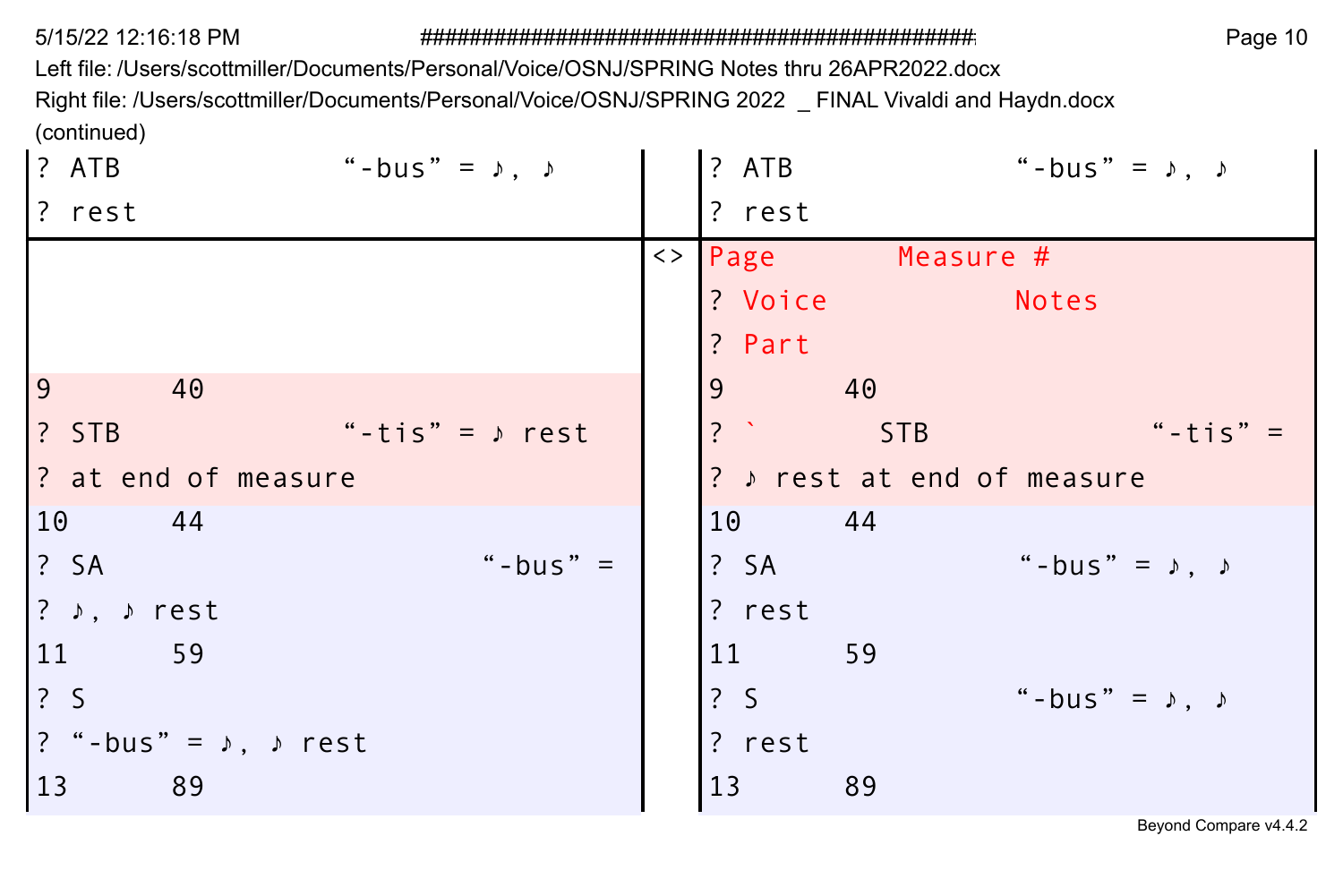Left file: /Users/scottmiller/Documents/Personal/Voice/OSNJ/SPRING Notes thru 26APR2022.docx

Right file: /Users/scottmiller/Documents/Personal/Voice/OSNJ/SPRING 2022 \_ FINAL Vivaldi and Haydn.docx (continued)

| ? ATB                                 | "-bus" = $\uparrow$ , $\uparrow$ | ? ATB          |                     | "-bus" = $\lambda$ , $\lambda$ |            |
|---------------------------------------|----------------------------------|----------------|---------------------|--------------------------------|------------|
| ? rest                                |                                  | ? rest         |                     |                                |            |
|                                       |                                  |                | <>   Page Measure # |                                |            |
|                                       |                                  | ? Voice        |                     | Notes                          |            |
|                                       |                                  | ? Part         |                     |                                |            |
| $\overline{9}$<br>40                  |                                  | $\overline{9}$ | 40                  |                                |            |
| ? STB                                 | "-tis" = $\rangle$ rest          | ?              | STB                 |                                | "-tis" $=$ |
| ? at end of measure                   |                                  |                |                     | ? » rest at end of measure     |            |
| 10 44                                 |                                  | 10 44          |                     |                                |            |
| $\frac{1}{2}$ SA                      | "-bus" $=$                       | ? SA           |                     | "-bus" = $\lambda$ , $\lambda$ |            |
| ? $\rightarrow$ , $\rho$ rest         |                                  | ? rest         |                     |                                |            |
| 59<br>11                              |                                  | 11 \,          | 59                  |                                |            |
| $\frac{1}{2}$ S                       |                                  | 2S             |                     | "-bus" = $\lambda$ , $\lambda$ |            |
| ? "-bus" = $\lambda$ , $\lambda$ rest |                                  | ? rest         |                     |                                |            |
| 13<br>89                              |                                  | 13             | 89                  |                                |            |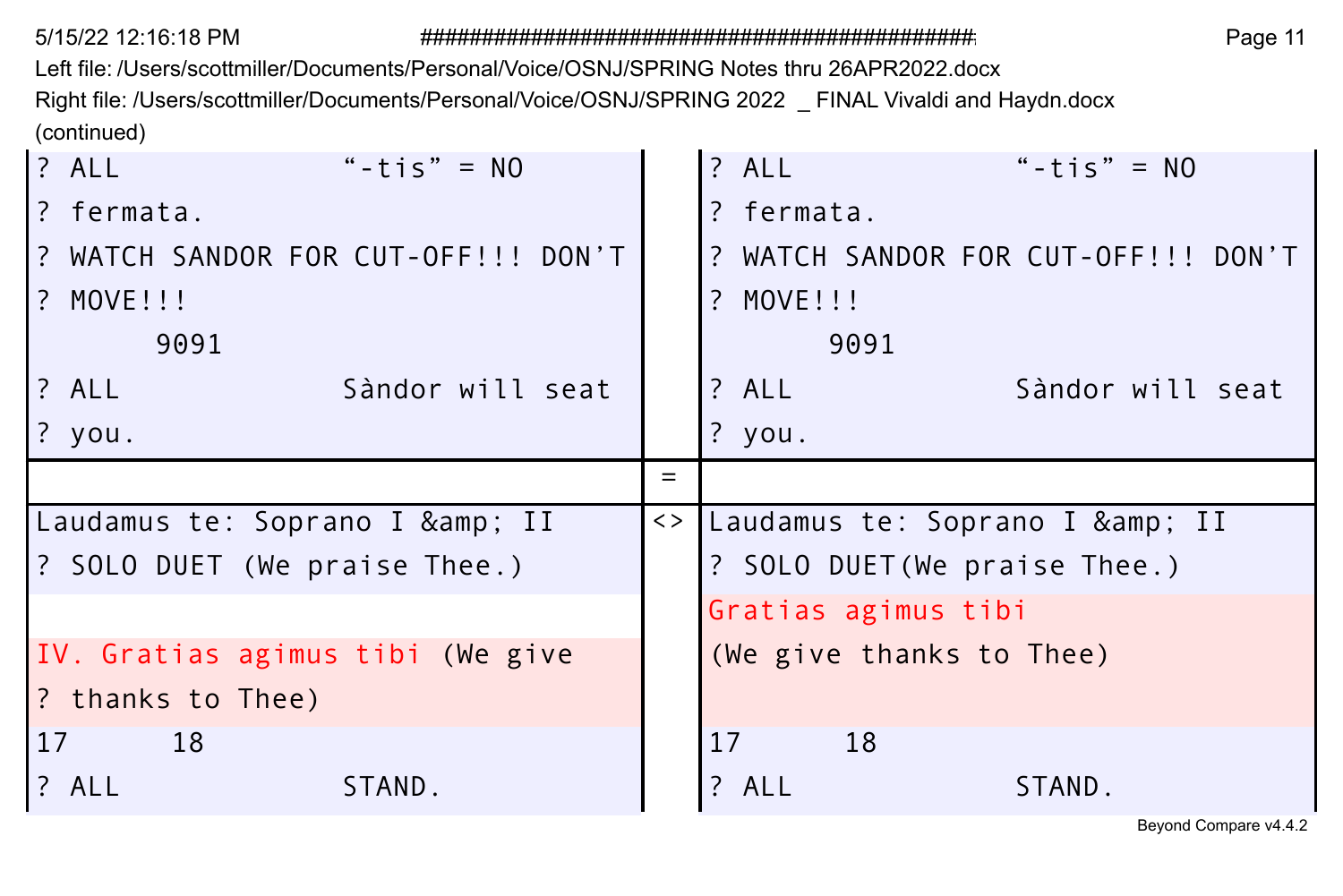Left file: /Users/scottmiller/Documents/Personal/Voice/OSNJ/SPRING Notes thru 26APR2022.docx Right file: /Users/scottmiller/Documents/Personal/Voice/OSNJ/SPRING 2022 \_ FINAL Vivaldi and Haydn.docx (continued)

| ? ALL<br>"-tis" = $NO$                                | $?$ ALL<br>"-tis" = $NO$              |
|-------------------------------------------------------|---------------------------------------|
| ? fermata.                                            | ? fermata.                            |
| ? WATCH SANDOR FOR CUT-OFF!!! DON'T                   | ? WATCH SANDOR FOR CUT-OFF!!! DON'T   |
| ? MOVE!!!                                             | ? MOVE!!!                             |
| 9091                                                  | 9091                                  |
| ? ALL<br>Sàndor will seat                             | ? ALL<br>Sàndor will seat             |
| ? you.                                                | $?$ you.                              |
|                                                       | $=$                                   |
|                                                       |                                       |
| Laudamus te: Soprano I & II                           | <>   Laudamus te: Soprano I & amp; II |
| ? SOLO DUET (We praise Thee.)                         | ? SOLO DUET (We praise Thee.)         |
|                                                       | Gratias agimus tibi                   |
|                                                       | (We give thanks to Thee)              |
| IV. Gratias agimus tibi (We give<br>2 thanks to Thee) |                                       |
| <sup>17</sup><br>18                                   | 17<br>18                              |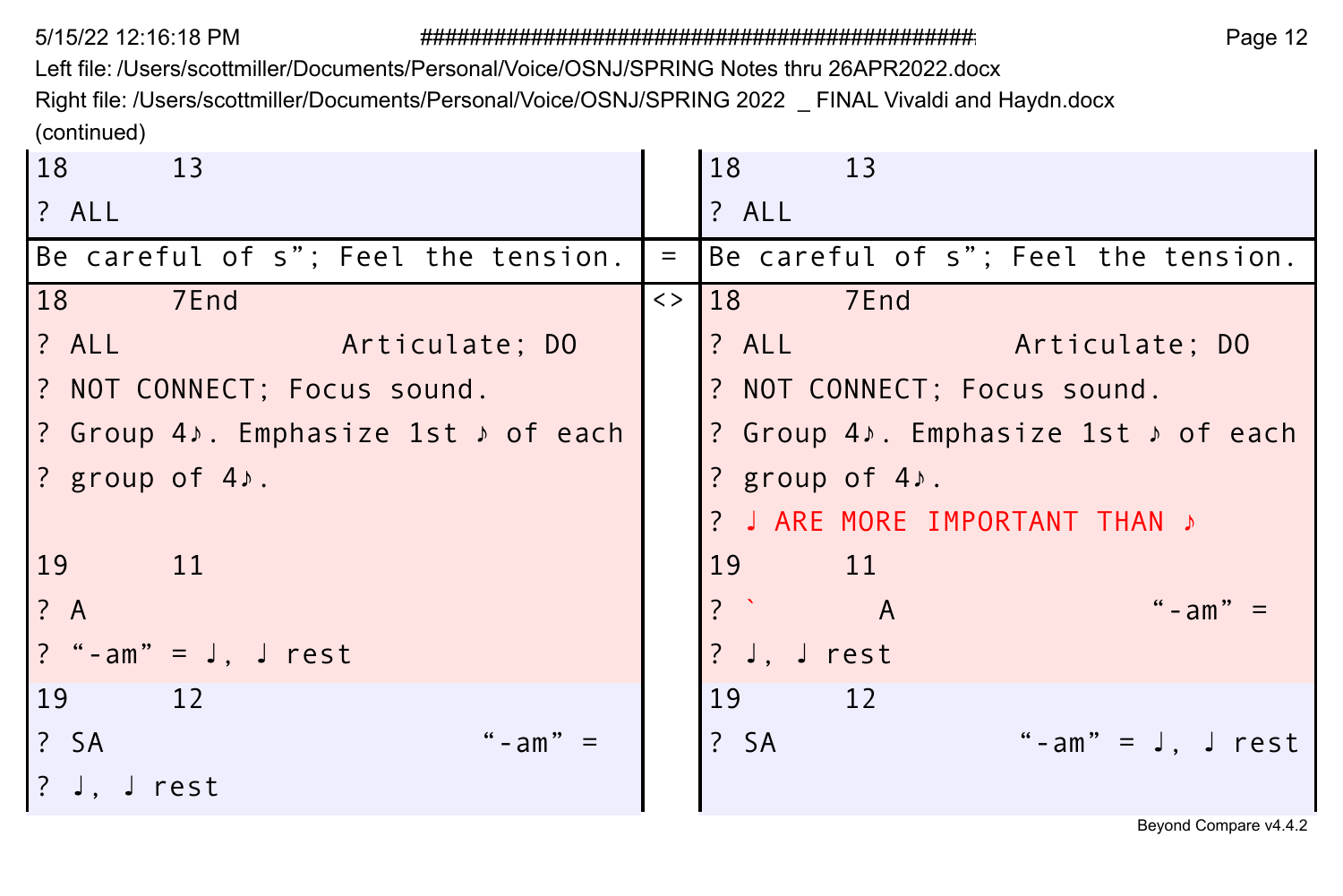Left file: /Users/scottmiller/Documents/Personal/Voice/OSNJ/SPRING Notes thru 26APR2022.docx

Right file: /Users/scottmiller/Documents/Personal/Voice/OSNJ/SPRING 2022 \_ FINAL Vivaldi and Haydn.docx (continued)

| 18<br>$\overline{13}$               |          | 18<br>13                            |
|-------------------------------------|----------|-------------------------------------|
| ? ALL                               |          | ? ALL                               |
| Be careful of s"; Feel the tension. | $\equiv$ | Be careful of s"; Feel the tension. |
| 18<br>7End                          |          | 7End<br>$\langle \rangle$ 18        |
| ? ALL Articulate; DO                |          | ? ALL <b>Articulate</b> ; DO        |
| ? NOT CONNECT; Focus sound.         |          | ? NOT CONNECT; Focus sound.         |
| ? Group 4, Emphasize 1st , of each  |          | ? Group 4). Emphasize 1st > of each |
| ? group of 4).                      |          | ? group of $4$ .                    |
|                                     |          | ? J ARE MORE IMPORTANT THAN »       |
| 19<br>11                            |          | 19 <sup>°</sup><br>$\overline{11}$  |
| ? A                                 |          | $\frac{1}{2}$<br>" - $am" =$<br>A   |
| ? "-am" = $J$ , $J$ rest            |          | ? J, J rest                         |
| 19<br>12                            |          | 19<br>12                            |
| ? SA<br>" - $am" =$                 |          | ? SA<br>"-am" = $J$ , $J$ rest      |
| ? J, J $rest$                       |          |                                     |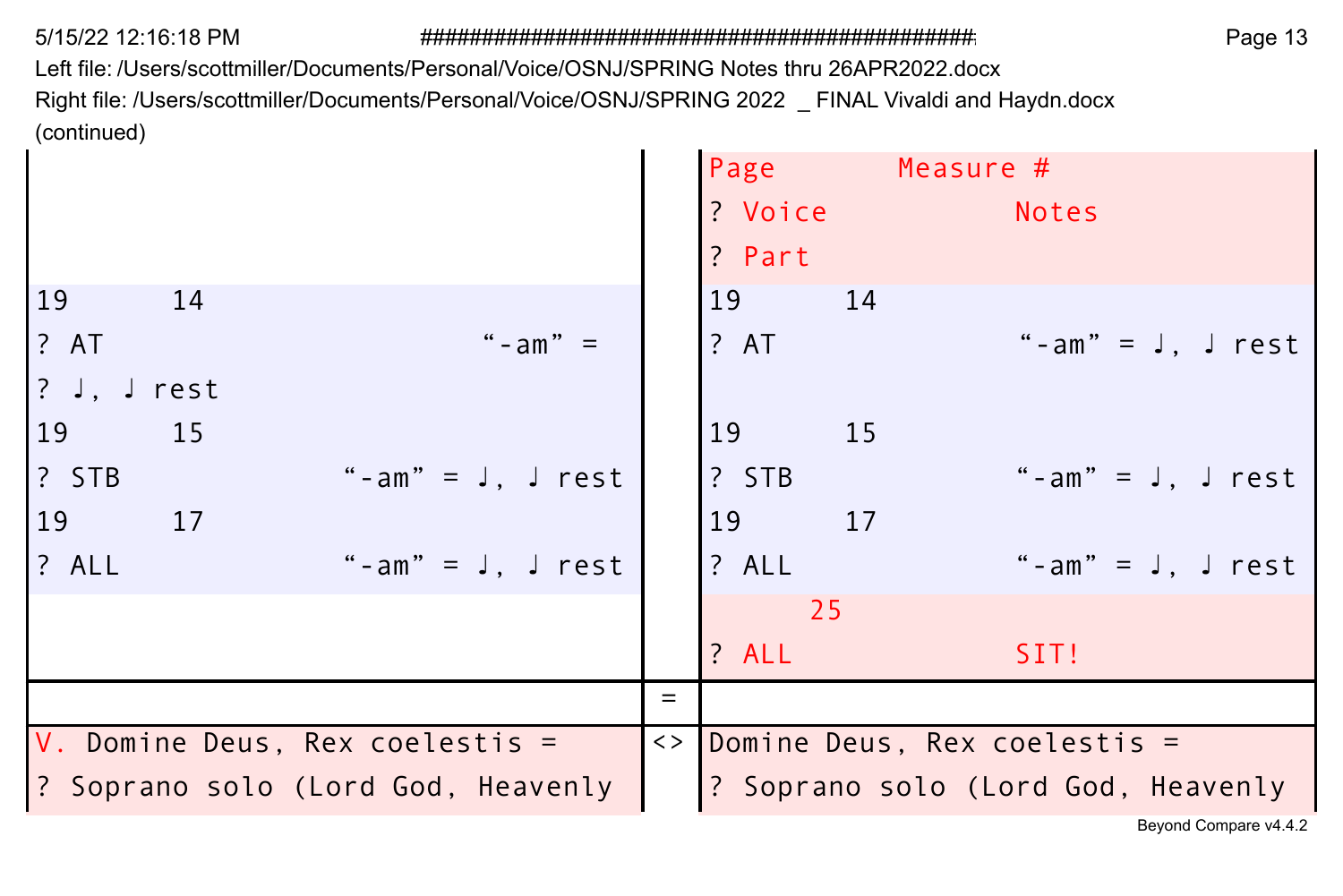$\mathbf{r}$ 

Left file: /Users/scottmiller/Documents/Personal/Voice/OSNJ/SPRING Notes thru 26APR2022.docx Right file: /Users/scottmiller/Documents/Personal/Voice/OSNJ/SPRING 2022 \_ FINAL Vivaldi and Haydn.docx (continued)

|                              |                                    |                                                  |     | Page Measure #<br>? Voice Notes<br>? Part |          |                                            |  |
|------------------------------|------------------------------------|--------------------------------------------------|-----|-------------------------------------------|----------|--------------------------------------------|--|
| 19<br>? AT<br>? J, J rest    | 14                                 | " - $am" =$                                      |     | 19<br>? AT                                | 14       | "-am" = $J$ , $J$ rest                     |  |
| 19<br>$?$ STB<br>19<br>? ALL | 15<br>17                           | "-am" = $J$ , $J$ rest<br>"-am" = $J$ , $J$ rest |     | 19<br>? STB<br>19<br>? ALL                | 15<br>17 | "-am" = $J, J$ rest<br>"-am" = $J, J$ rest |  |
|                              |                                    |                                                  |     | 25<br>? ALL                               |          | SIT!                                       |  |
|                              |                                    |                                                  | $=$ |                                           |          |                                            |  |
|                              | V. Domine Deus, Rex coelestis =    |                                                  |     |                                           |          | <> Domine Deus, Rex coelestis =            |  |
|                              | ? Soprano solo (Lord God, Heavenly |                                                  |     |                                           |          | ? Soprano solo (Lord God, Heavenly         |  |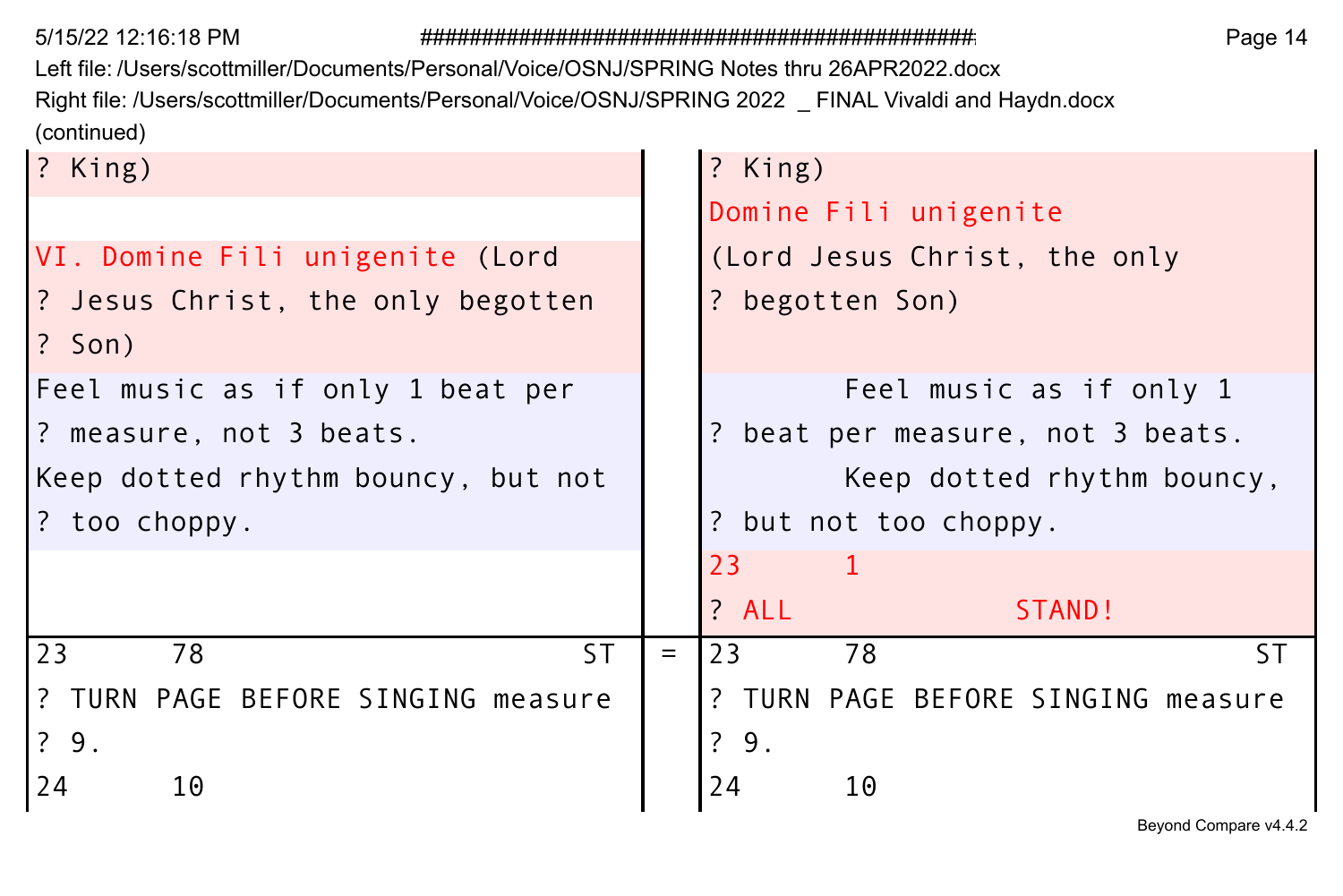Left file: /Users/scottmiller/Documents/Personal/Voice/OSNJ/SPRING Notes thru 26APR2022.docx Right file: /Users/scottmiller/Documents/Personal/Voice/OSNJ/SPRING 2022 \_ FINAL Vivaldi and Haydn.docx (continued)

| ? King)                            | ? King)                            |
|------------------------------------|------------------------------------|
|                                    | Domine Fili unigenite              |
| VI. Domine Fili unigenite (Lord    | (Lord Jesus Christ, the only       |
| ? Jesus Christ, the only begotten  | ? begotten Son)                    |
| $?$ Son)                           |                                    |
| Feel music as if only 1 beat per   | Feel music as if only 1            |
| ? measure, not 3 beats.            | ? beat per measure, not 3 beats.   |
| Keep dotted rhythm bouncy, but not | Keep dotted rhythm bouncy,         |
| ? too choppy.                      | ? but not too choppy.              |
|                                    | 23<br>$\mathbf{1}$                 |
|                                    | ? ALL<br>STAND!                    |
| 23<br>ST.<br>78                    | SΤ<br>23<br>78<br>$=$              |
| ? TURN PAGE BEFORE SINGING measure | ? TURN PAGE BEFORE SINGING measure |
| ?9.                                | ?9.                                |
| 24<br>10                           | 24<br>10                           |
|                                    |                                    |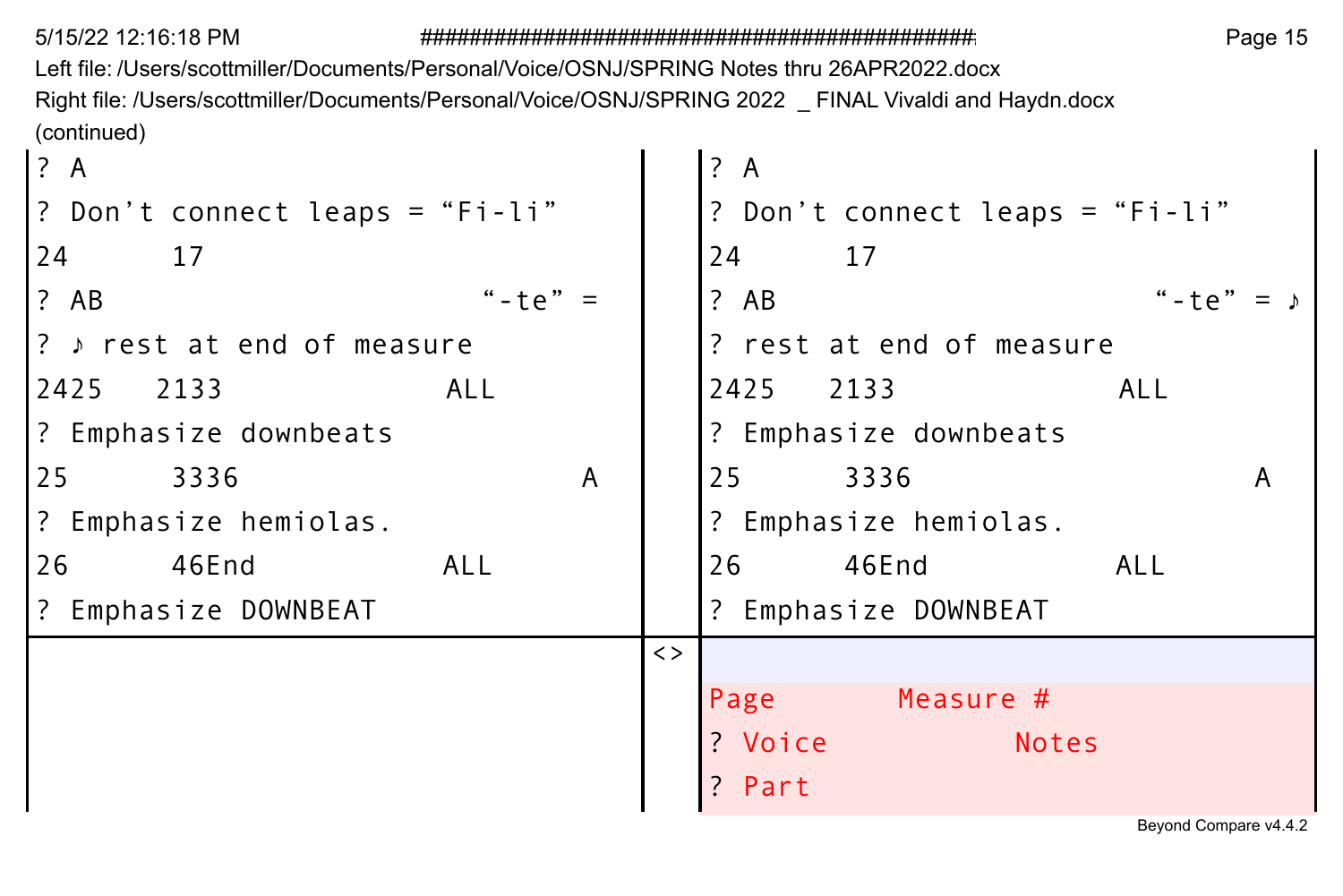Left file: /Users/scottmiller/Documents/Personal/Voice/OSNJ/SPRING Notes thru 26APR2022.docx Right file: /Users/scottmiller/Documents/Personal/Voice/OSNJ/SPRING 2022 \_ FINAL Vivaldi and Haydn.docx (continued)

| ? A                             |       |             | ? A                    |       |                                 |               |   |
|---------------------------------|-------|-------------|------------------------|-------|---------------------------------|---------------|---|
| ? Don't connect leaps = "Fi-li" |       |             |                        |       | ? Don't connect leaps = "Fi-li" |               |   |
| 24<br>17                        |       |             | 24                     | 17    |                                 |               |   |
| ? AB                            | "-te" |             | ? AB                   |       |                                 | " - $\pm$ e " |   |
| ? > rest at end of measure      |       |             |                        |       | ? rest at end of measure        |               |   |
| ALL<br>2425 2133                |       |             | 2425 2133              |       |                                 | <b>ALL</b>    |   |
| ? Emphasize downbeats           |       |             |                        |       | ? Emphasize downbeats           |               |   |
| 25<br>3336                      | A     |             | 25                     | 3336  |                                 |               | A |
| ? Emphasize hemiolas.           |       |             |                        |       | ? Emphasize hemiolas.           |               |   |
| 46End<br>26<br><b>ALL</b>       |       |             | 26                     | 46End |                                 | ALL           |   |
| ? Emphasize DOWNBEAT            |       |             |                        |       | ? Emphasize DOWNBEAT            |               |   |
|                                 |       | $\langle$ > |                        |       |                                 |               |   |
|                                 |       |             | Page                   |       | Measure #                       |               |   |
|                                 |       |             | ? Voice                |       | <b>Notes</b>                    |               |   |
|                                 |       |             | $\overline{?}$<br>Part |       |                                 |               |   |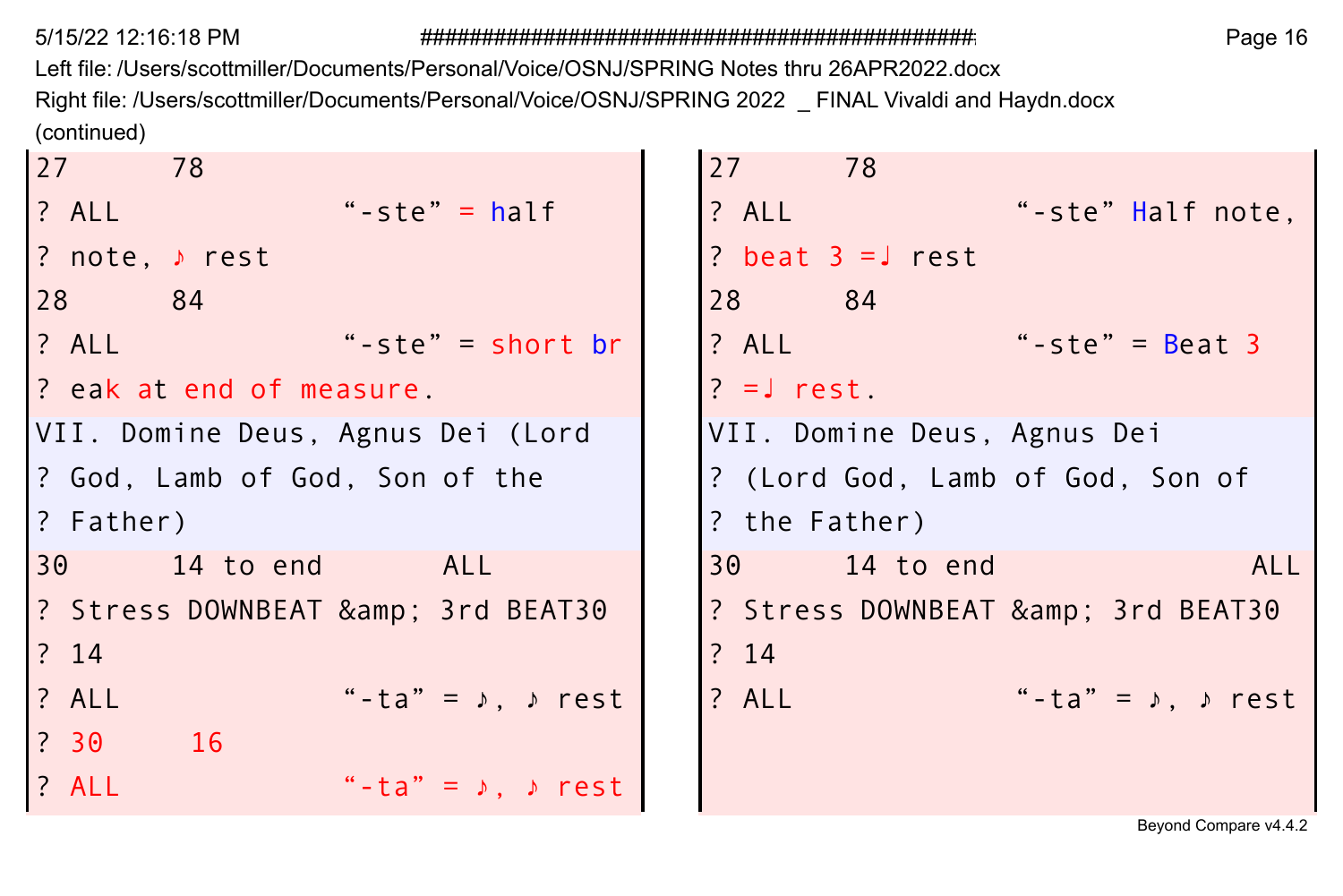Left file: /Users/scottmiller/Documents/Personal/Voice/OSNJ/SPRING Notes thru 26APR2022.docx Right file: /Users/scottmiller/Documents/Personal/Voice/OSNJ/SPRING 2022 \_ FINAL Vivaldi and Haydn.docx (continued)

```
27 78 27 78 
? note, ♪ rest ? beat 3 =↓ rest
28 84 28 84 
? ALL "-ste" = short br | ? ALL "-ste" = Beat 3
? eak at end of measure. \vert \vert |? =J rest.
VII. Domine Deus, Agnus Dei (Lord | |VII. Domine Deus, Agnus Dei
? God, Lamb of God, Son of the | |? (Lord God, Lamb of God, Son of
? Father) ? the Father)
? Stress DOWNBEAT & amp; 3rd BEAT30 | |? Stress DOWNBEAT & amp; 3rd BEAT30
? 14 ? 14 
? 30 16 
 ? ALL "-ta" = ♪, ♪ rest
```

```
? ALL "-ste" = half | |? ALL "-ste" Half note,
30 14 to end ALL 30 14 to end ALL
? ALL "-ta" = ♪, ♪ rest | |? ALL "-ta" = ♪, ♪ rest
```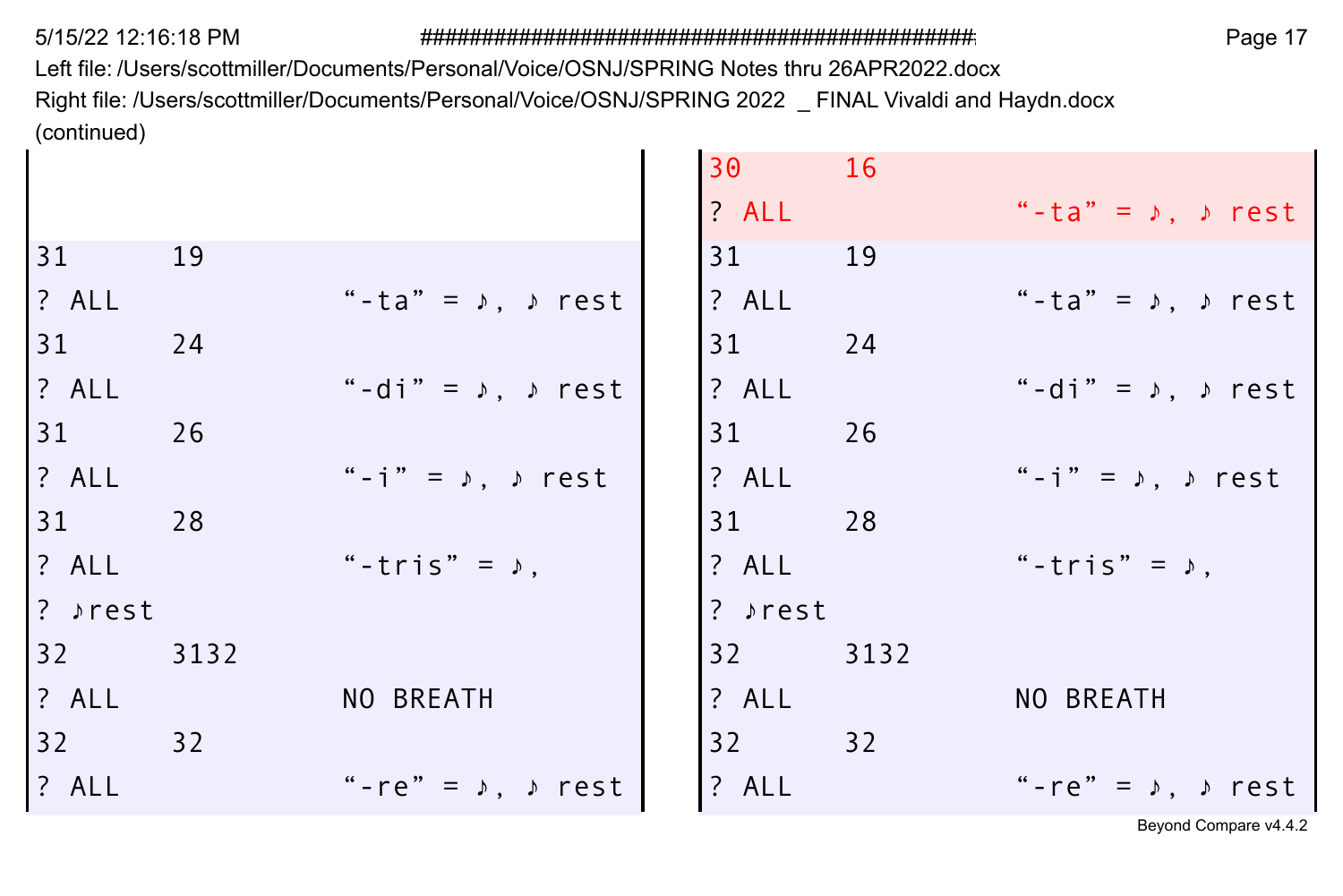Left file: /Users/scottmiller/Documents/Personal/Voice/OSNJ/SPRING Notes thru 26APR2022.docx Right file: /Users/scottmiller/Documents/Personal/Voice/OSNJ/SPRING 2022 \_ FINAL Vivaldi and Haydn.docx (continued)

|         |      |                                                 | 30      | 16   |                                                  |
|---------|------|-------------------------------------------------|---------|------|--------------------------------------------------|
|         |      |                                                 | ? ALL   |      | "-ta" = $\lambda$ , $\lambda$ rest               |
| 31      | 19   |                                                 | 31      | 19   |                                                  |
| ? ALL   |      | "-ta" = $\sqrt{ }$ , $\sqrt{ }$ rest            | ? ALL   |      | "-ta" = $\lambda$ , $\lambda$ rest               |
| 31      | 24   |                                                 | 31      | 24   |                                                  |
| ? ALL   |      | "-di" = $\upmu$ , $\upmu$ rest                  | ? ALL   |      | "-di" = $\uparrow$ , $\uparrow$ rest             |
| 31      | 26   |                                                 | 31      | 26   |                                                  |
| ? ALL   |      | "-i" = $\triangleright$ , $\triangleright$ rest | ? ALL   |      | "-i" = $\lambda$ , $\lambda$ rest                |
| 31      | 28   |                                                 | 31      | 28   |                                                  |
| ? ALL   |      | "-tris" = $\lambda$ ,                           | ? ALL   |      | "-tris" = $\lambda$ ,                            |
| ? ♪rest |      |                                                 | ? »rest |      |                                                  |
| 32      | 3132 |                                                 | $32 -$  | 3132 |                                                  |
| ? ALL   |      | NO BREATH                                       | ? ALL   |      | NO BREATH                                        |
| 32      | 32   |                                                 | 32      | 32   |                                                  |
| ? ALL   |      | "-re" = $\sqrt{ }$ , $\sqrt{ }$ rest            | ? ALL   |      | "-re" = $\triangleright$ , $\triangleright$ rest |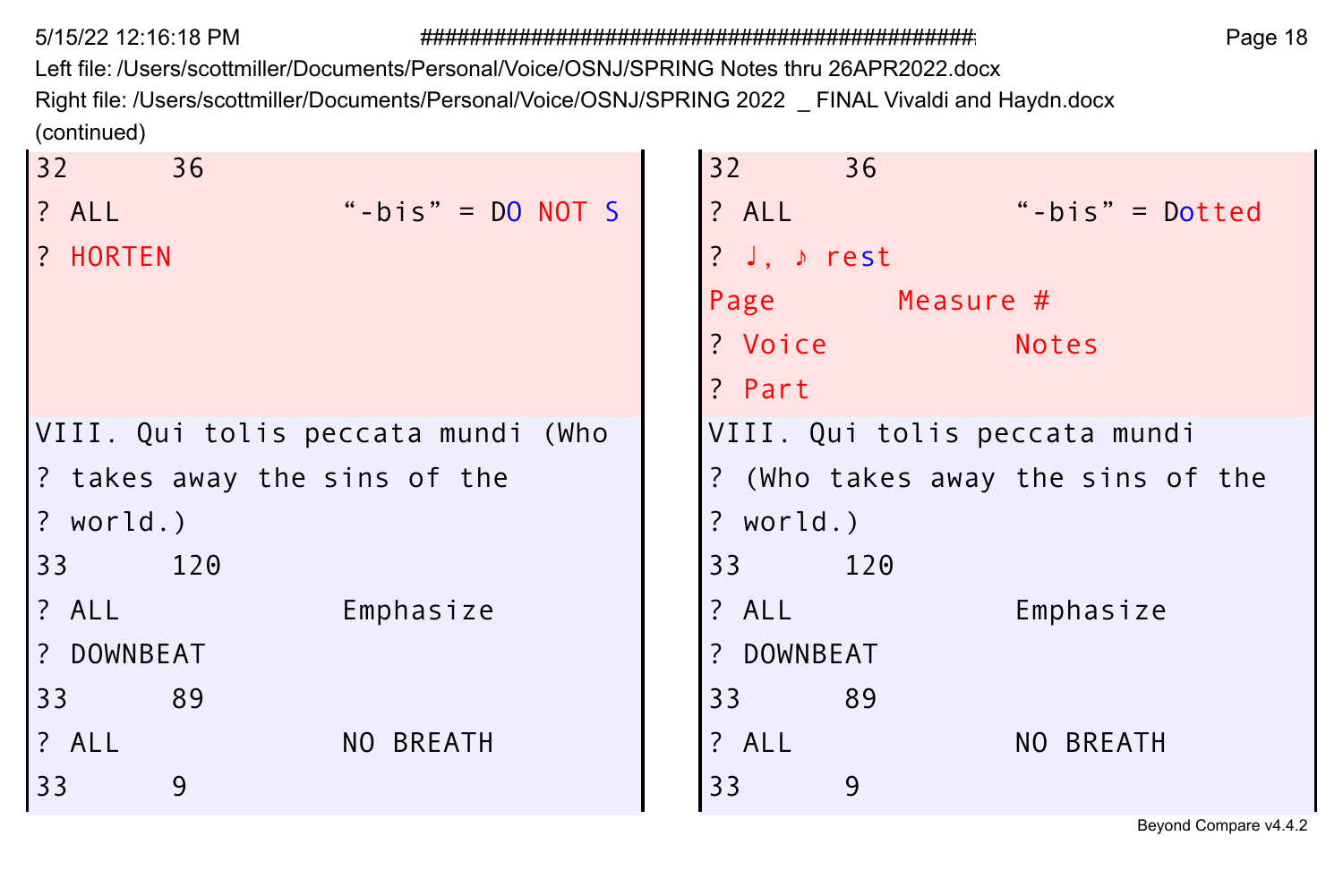Left file: /Users/scottmiller/Documents/Personal/Voice/OSNJ/SPRING Notes thru 26APR2022.docx Right file: /Users/scottmiller/Documents/Personal/Voice/OSNJ/SPRING 2022 \_ FINAL Vivaldi and Haydn.docx (continued)

| 32<br>36                           | $32 -$<br>36                      |
|------------------------------------|-----------------------------------|
| "-bis" = $DO NOT S$<br>? ALL       | "-bis" = $Dotted$<br>$?$ ALL      |
| ? HORTEN                           | ? J. $\rangle$ rest               |
|                                    | Page Measure #                    |
|                                    | ? Voice<br><b>Notes</b>           |
|                                    | ? Part                            |
| VIII. Qui tolis peccata mundi (Who | VIII. Qui tolis peccata mundi     |
| ? takes away the sins of the       | ? (Who takes away the sins of the |
| $?$ world.)                        | $?$ world.)                       |
| 33<br>120                          | 33<br>120                         |
| ? ALL<br>Emphasize                 | ? ALL<br>Emphasize                |
| ? DOWNBEAT                         | ? DOWNBEAT                        |
| 33<br>89                           | 89<br>33 <sup>2</sup>             |
| ? ALL<br>NO BREATH                 | ? ALL<br>NO BREATH                |
| 9<br>33                            | 33<br>9                           |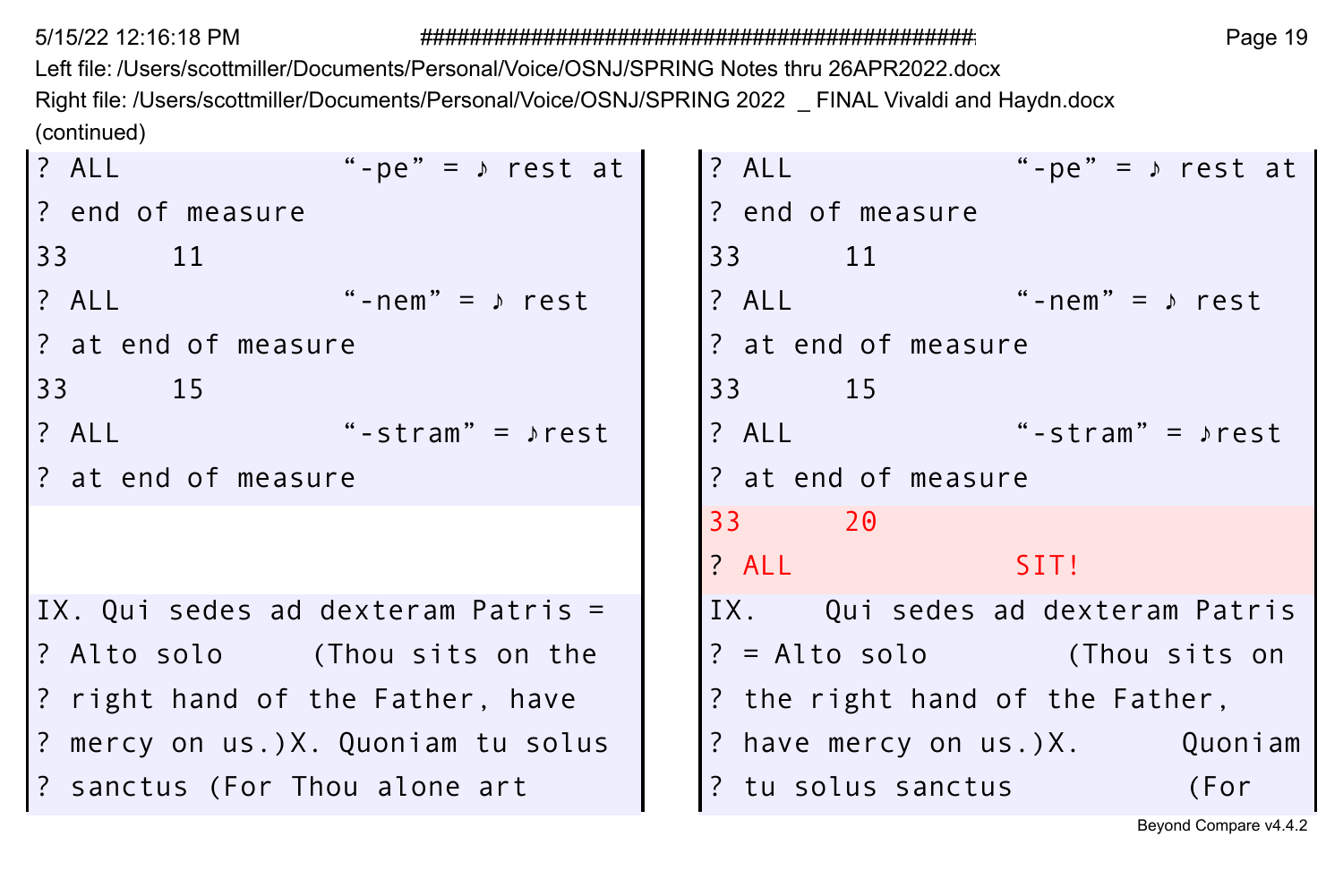Left file: /Users/scottmiller/Documents/Personal/Voice/OSNJ/SPRING Notes thru 26APR2022.docx Right file: /Users/scottmiller/Documents/Personal/Voice/OSNJ/SPRING 2022 \_ FINAL Vivaldi and Haydn.docx (continued)

| $?$ ALL<br>"-pe" = $\sqrt{ }$ rest at | "-pe" = $\sqrt{ }$ rest at<br>? ALL                  |
|---------------------------------------|------------------------------------------------------|
| ? end of measure                      | ? end of measure                                     |
| 33 11                                 | 33 11                                                |
| $?$ ALL "-nem" = $\rangle$ rest       | $? All$ $" - nem" = \sqrt{r}$                        |
| l? at end of measure                  | ? at end of measure                                  |
| 33 15                                 | 33 15                                                |
|                                       | $?$ ALL $\qquad \qquad$<br>"-stram" = $\rangle$ rest |
| ? at end of measure                   | ? at end of measure                                  |
|                                       | 33 20                                                |
|                                       | $?$ ALL<br>SIT!                                      |
| IX. Qui sedes ad dexteram Patris =    | IX. Qui sedes ad dexteram Patris                     |
| ? Alto solo     (Thou sits on the     | $? = \text{Alto solo}$ (Thou sits on                 |
| 2 right hand of the Father, have      | ? the right hand of the Father,                      |
| ? mercy on us.)X. Quoniam tu solus    | ? have mercy on us.)X. Quoniam                       |
| 3 Sanctus (For Thou alone art         | ? tu solus sanctus (For                              |

| ? ALL                                | "-pe" = $\sqrt{ }$ rest at |  |  |  |  |  |  |
|--------------------------------------|----------------------------|--|--|--|--|--|--|
| ? end of measure                     |                            |  |  |  |  |  |  |
| 33 11                                |                            |  |  |  |  |  |  |
| ? ALL                                | "-nem" = $\rangle$ rest    |  |  |  |  |  |  |
| ? at end of measure                  |                            |  |  |  |  |  |  |
| 33 15                                |                            |  |  |  |  |  |  |
| ? ALL                                | "-stram" = $\rho$ rest     |  |  |  |  |  |  |
| ? at end of measure                  |                            |  |  |  |  |  |  |
| 33 20                                |                            |  |  |  |  |  |  |
| ? ALL                                | SIT!                       |  |  |  |  |  |  |
| IX. Qui sedes ad dexteram Patris     |                            |  |  |  |  |  |  |
| $? = \text{Alto solo}$ (Thou sits on |                            |  |  |  |  |  |  |
| ? the right hand of the Father,      |                            |  |  |  |  |  |  |
| ? have mercy on us.)X. Quoniam       |                            |  |  |  |  |  |  |
| ? tu solus sanctus                   | (For                       |  |  |  |  |  |  |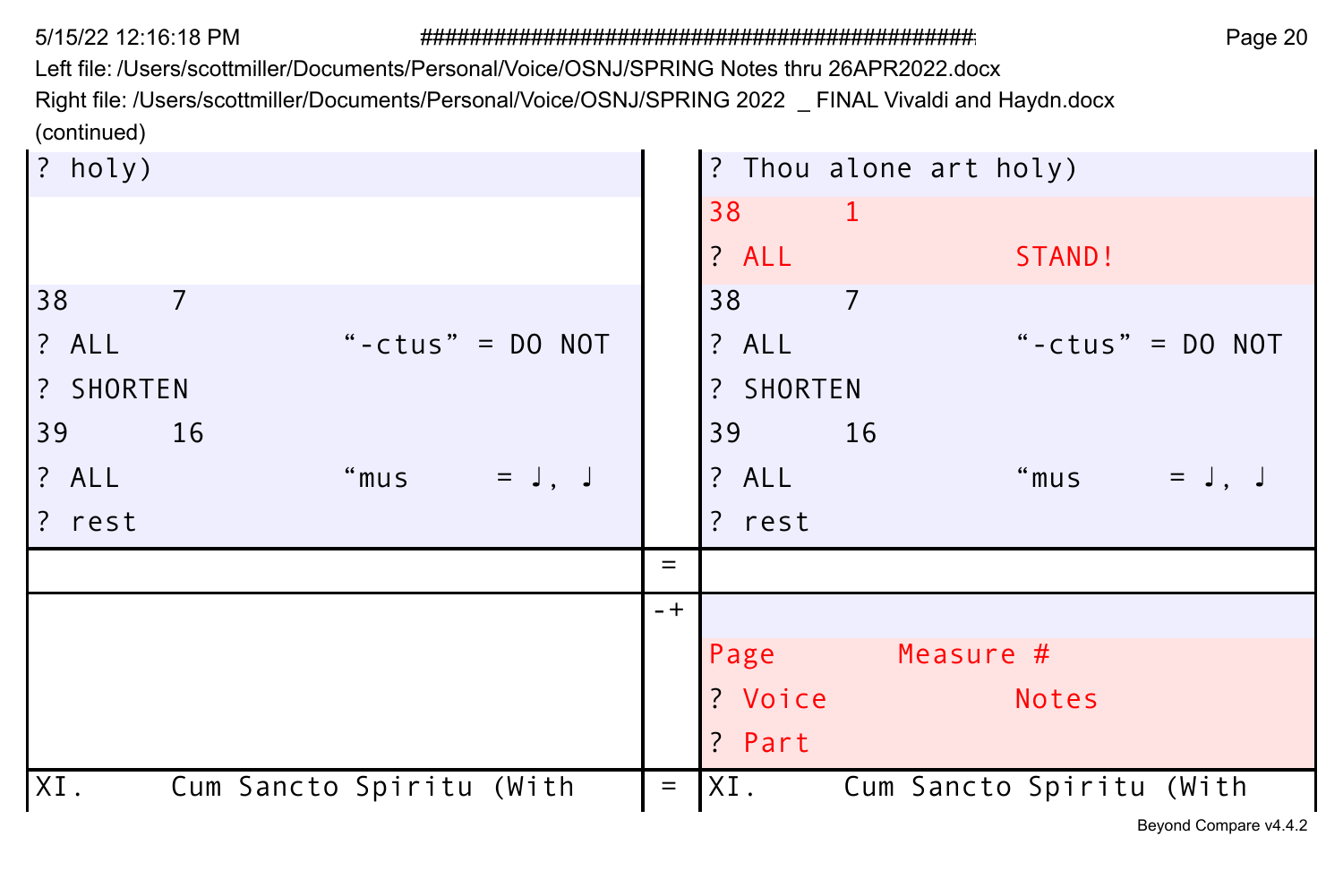Left file: /Users/scottmiller/Documents/Personal/Voice/OSNJ/SPRING Notes thru 26APR2022.docx

Right file: /Users/scottmiller/Documents/Personal/Voice/OSNJ/SPRING 2022 \_ FINAL Vivaldi and Haydn.docx (continued)

| ? holy)                         |          | ? Thou alone art holy)           |
|---------------------------------|----------|----------------------------------|
|                                 |          | 38<br>-1                         |
|                                 |          | ? ALL<br>STAND!                  |
| 38<br>$\overline{7}$            |          | 38<br>$\overline{7}$             |
| ? ALL<br>"-ctus" = $DO NOT$     |          | "-ctus" = $DO NOT$<br>? ALL      |
| ? SHORTEN                       |          | ? SHORTEN                        |
| 39<br>16                        |          | 16<br>39                         |
| ? ALL<br>"mus<br>$=$ $J, J$     |          | "mus = $J, J$<br>? ALL           |
| ? rest                          |          | ? rest                           |
|                                 | $=$      |                                  |
|                                 | $-+$     |                                  |
|                                 |          | Measure #<br>Page                |
|                                 |          | ? Voice<br><b>Notes</b>          |
|                                 |          | ? Part                           |
| XI.<br>Cum Sancto Spiritu (With | $\equiv$ | IXI.<br>Cum Sancto Spiritu (With |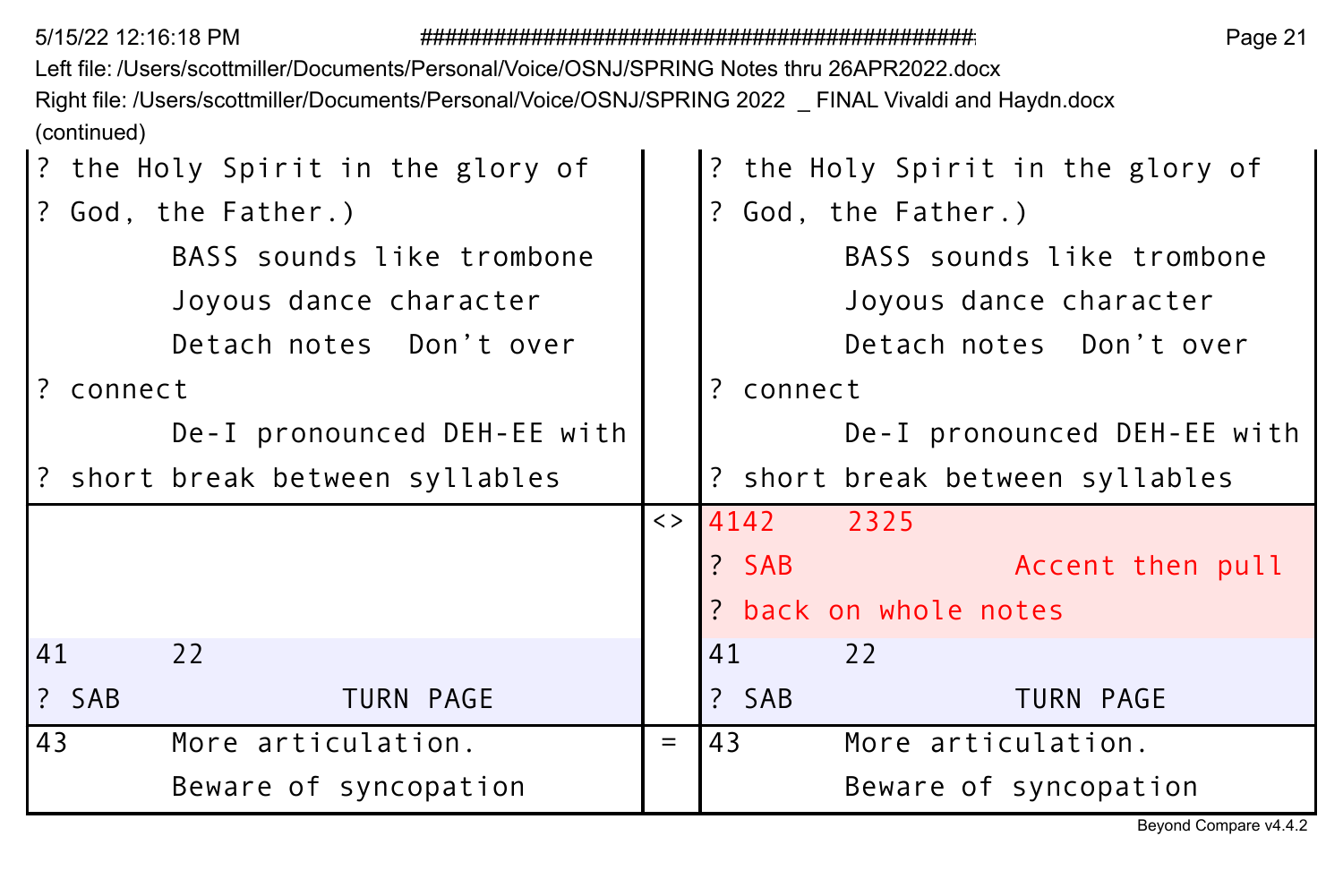Left file: /Users/scottmiller/Documents/Personal/Voice/OSNJ/SPRING Notes thru 26APR2022.docx Right file: /Users/scottmiller/Documents/Personal/Voice/OSNJ/SPRING 2022 \_ FINAL Vivaldi and Haydn.docx (continued)

|           |       | ? the Holy Spirit in the glory of |                   |    |           | ? the Holy Spirit in the glory of |
|-----------|-------|-----------------------------------|-------------------|----|-----------|-----------------------------------|
|           |       | ? God, the Father.)               |                   |    |           | ? God, the Father.)               |
|           |       | BASS sounds like trombone         |                   |    |           | BASS sounds like trombone         |
|           |       | Joyous dance character            |                   |    |           | Joyous dance character            |
|           |       | Detach notes Don't over           |                   |    |           | Detach notes Don't over           |
| ? connect |       |                                   |                   |    | ? connect |                                   |
|           |       | De-I pronounced DEH-EE with       |                   |    |           | De-I pronounced DEH-EE with       |
|           |       | ? short break between syllables   |                   |    |           | ? short break between syllables   |
|           |       |                                   | $\langle \rangle$ |    | 4142      | 2325                              |
|           |       |                                   |                   |    | ? SAB     | Accent then pull                  |
|           |       |                                   |                   |    |           | ? back on whole notes             |
| 41        |       | 22                                |                   | 41 |           | 22                                |
|           | ? SAB | TURN PAGE                         |                   |    | ? SAB     | TURN PAGE                         |
| 43        |       | More articulation.                | $=$               | 43 |           | More articulation.                |
|           |       | Beware of syncopation             |                   |    |           | Beware of syncopation             |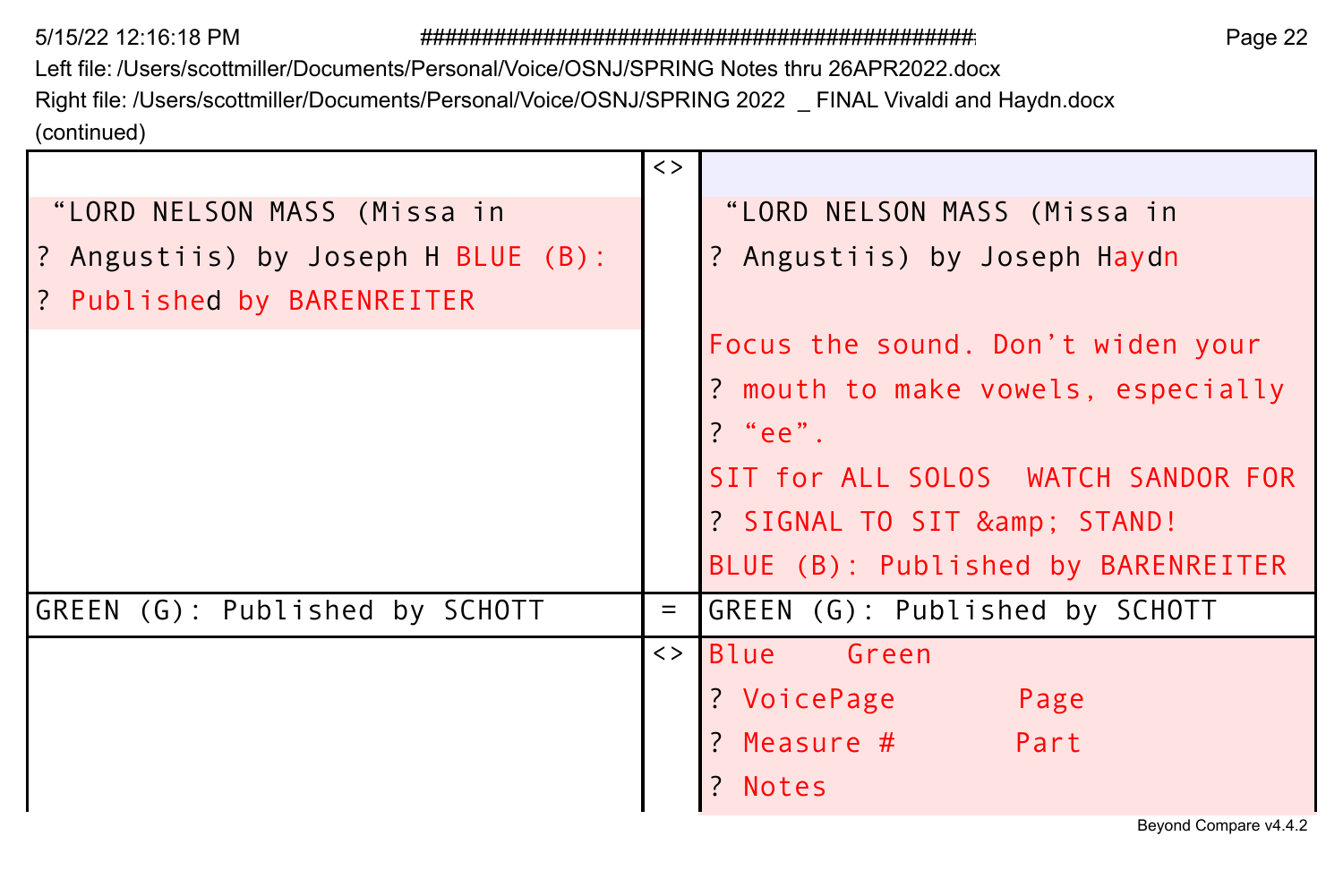Left file: /Users/scottmiller/Documents/Personal/Voice/OSNJ/SPRING Notes thru 26APR2022.docx Right file: /Users/scottmiller/Documents/Personal/Voice/OSNJ/SPRING 2022 \_ FINAL Vivaldi and Haydn.docx (continued)

|                                    | $\langle \rangle$ |                                    |
|------------------------------------|-------------------|------------------------------------|
| "LORD NELSON MASS (Missa in        |                   | "LORD NELSON MASS (Missa in        |
| ? Angustiis) by Joseph H BLUE (B): |                   | ? Angustiis) by Joseph Haydn       |
| ? Published by BARENREITER         |                   |                                    |
|                                    |                   | Focus the sound. Don't widen your  |
|                                    |                   | ? mouth to make vowels, especially |
|                                    |                   | ? "ee".                            |
|                                    |                   | SIT for ALL SOLOS WATCH SANDOR FOR |
|                                    |                   | ? SIGNAL TO SIT & STAND!           |
|                                    |                   | BLUE (B): Published by BARENREITER |
| GREEN (G): Published by SCHOTT     | $\equiv$          | GREEN (G): Published by SCHOTT     |
|                                    |                   | <> Blue Green                      |
|                                    |                   | ? VoicePage<br>Page                |
|                                    |                   | ? Measure #<br>Part                |
|                                    |                   | Notes                              |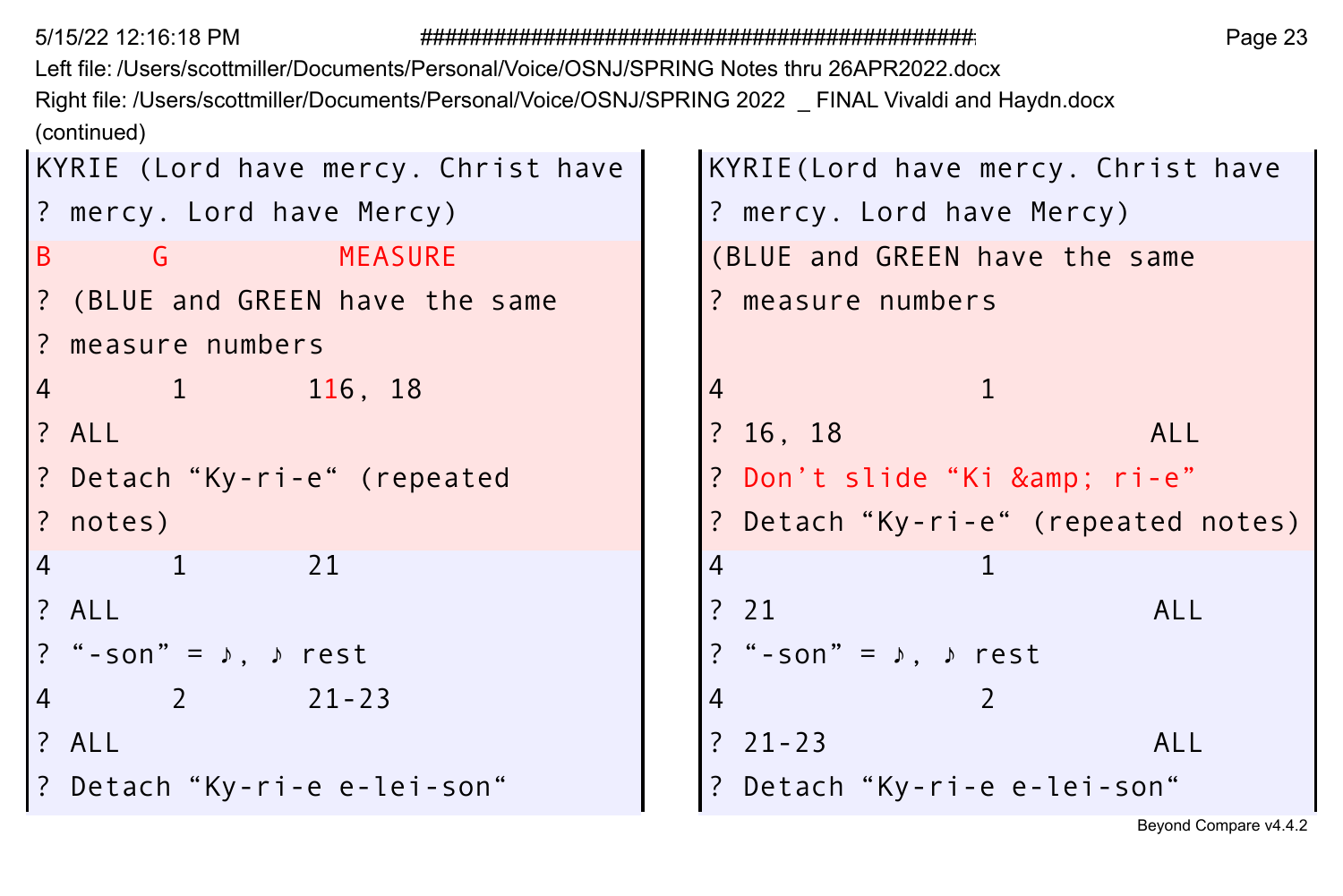Left file: /Users/scottmiller/Documents/Personal/Voice/OSNJ/SPRING Notes thru 26APR2022.docx Right file: /Users/scottmiller/Documents/Personal/Voice/OSNJ/SPRING 2022 \_ FINAL Vivaldi and Haydn.docx (continued)

|          |                                       | KYRIE (Lord have mercy. Christ have |                | KYRIE(Lord have mercy. Christ         |               |      |
|----------|---------------------------------------|-------------------------------------|----------------|---------------------------------------|---------------|------|
|          |                                       | ? mercy. Lord have Mercy)           |                | ? mercy. Lord have Mercy)             |               |      |
|          |                                       | B G MEASURE                         |                | (BLUE and GREEN have the same         |               |      |
|          |                                       | ? (BLUE and GREEN have the same     |                | ? measure numbers                     |               |      |
|          | ? measure numbers                     |                                     |                |                                       |               |      |
|          | 4 1 116, 18                           |                                     | $\overline{4}$ |                                       |               |      |
| ? ALL    |                                       |                                     |                | ? 16, 18                              |               | ALL  |
|          |                                       | ? Detach "Ky-ri-e" (repeated        |                | ? Don't slide"Ki & ri-e"              |               |      |
| ? notes) |                                       |                                     |                | ? Detach "Ky-ri-e" (repeated n        |               |      |
|          | 4 1 21                                |                                     | 4              |                                       | 1             |      |
| ? ALL    |                                       |                                     |                | ? 21                                  |               | ALL. |
|          | ? "-son" = $\lambda$ , $\lambda$ rest |                                     |                | ? "-son" = $\lambda$ , $\lambda$ rest |               |      |
| 4        | 2 21-23                               |                                     | 4              |                                       | $\mathcal{P}$ |      |
| ? ALL    |                                       |                                     |                | $? \; 21 - 23$                        |               | ALL  |
|          |                                       | ? Detach "Ky-ri-e e-lei-son"        |                | ? Detach "Ky-ri-e e-lei-son"          |               |      |
|          |                                       |                                     |                |                                       |               |      |

```
e | KYRIE (Lord have mercy. Christ have
       ? mercy. Lord have Mercy) ? mercy. Lord have Mercy)
        (BLUE and GREEN have the same
       ? measure numbers
       ? Don't slide "Ki & amp; ri-e"
       ? Detach "Ky-ri-e" (repeated notes)
       ? "-son" = ♪, ♪ rest ? "-son" = ♪, ♪ rest
       ? Detach "Ky-ri-e e-lei-son" ? Detach "Ky-ri-e e-lei-son"
```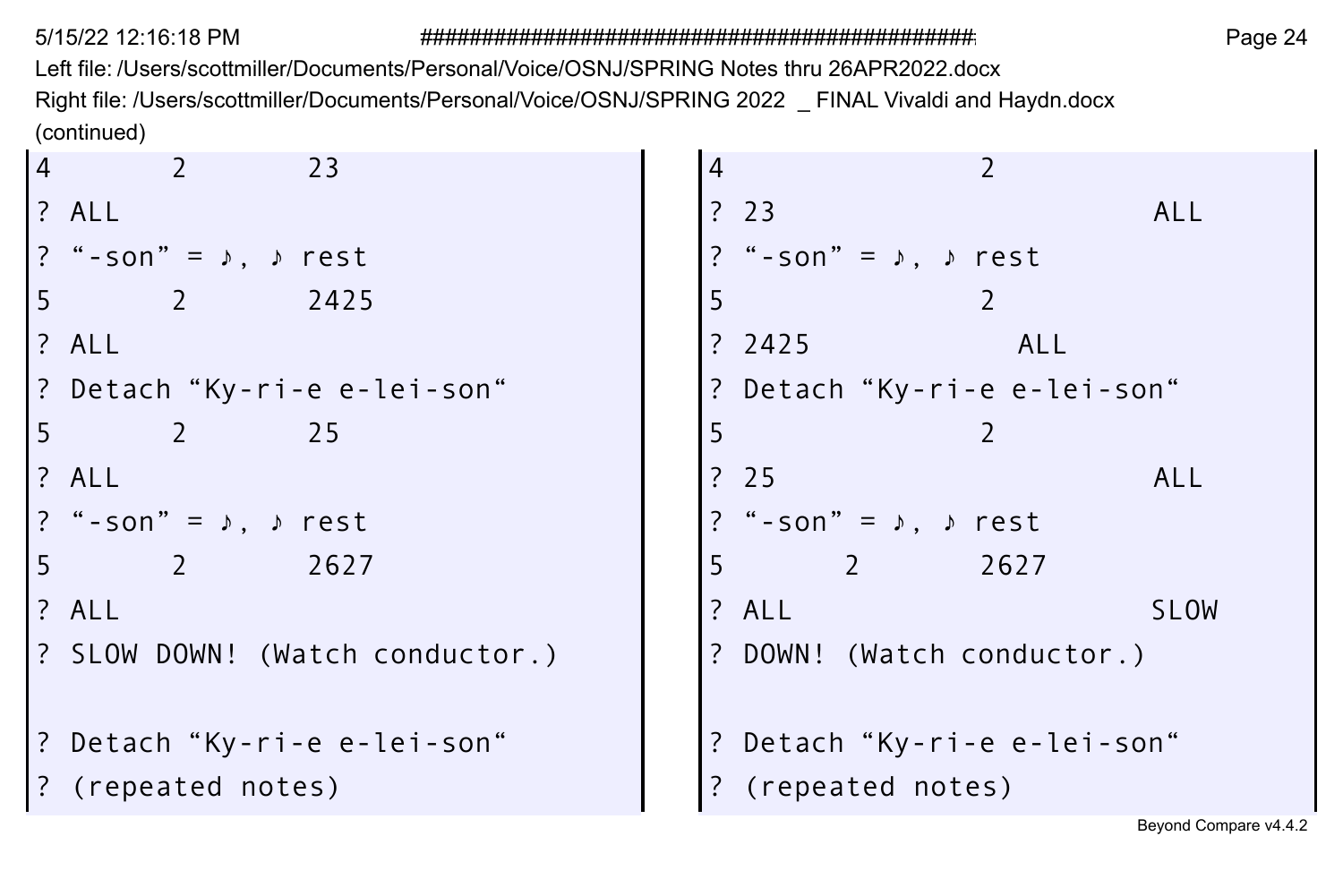Left file: /Users/scottmiller/Documents/Personal/Voice/OSNJ/SPRING Notes thru 26APR2022.docx Right file: /Users/scottmiller/Documents/Personal/Voice/OSNJ/SPRING 2022 \_ FINAL Vivaldi and Haydn.docx (continued)

| $\overline{4}$ | 23                                    | $\overline{4}$ |                                         |
|----------------|---------------------------------------|----------------|-----------------------------------------|
|                | ? ALL                                 |                | ? 23<br><b>ALL</b>                      |
|                | ? "-son" = $\lambda$ , $\lambda$ rest |                | ? "-son" = $\lambda$ , $\lambda$ rest   |
| 5              | $\overline{2}$<br>2425                | 5              | 2                                       |
|                | ? ALL                                 |                | ? $2425$<br>ALL                         |
|                | ? Detach "Ky-ri-e e-lei-son"          |                | ? Detach "Ky-ri-e e-lei-son"            |
| 5              | 2 25                                  | 5              |                                         |
|                | ? ALL                                 |                | ?25<br><b>ALL</b>                       |
|                | ? "-son" = $\lambda$ , $\lambda$ rest |                | ? "-son" = $\sqrt{ }$ , $\sqrt{ }$ rest |
| 5              | $\overline{2}$<br>2627                | 5              | $\overline{z}$<br>2627                  |
|                | ? ALL                                 |                | ? ALL<br><b>SLOW</b>                    |
|                | ? SLOW DOWN! (Watch conductor.)       |                | ? DOWN! (Watch conductor.)              |
|                | ? Detach "Ky-ri-e e-lei-son"          |                | ? Detach "Ky-ri-e e-lei-son"            |
|                | ? (repeated notes)                    |                | ? (repeated notes)                      |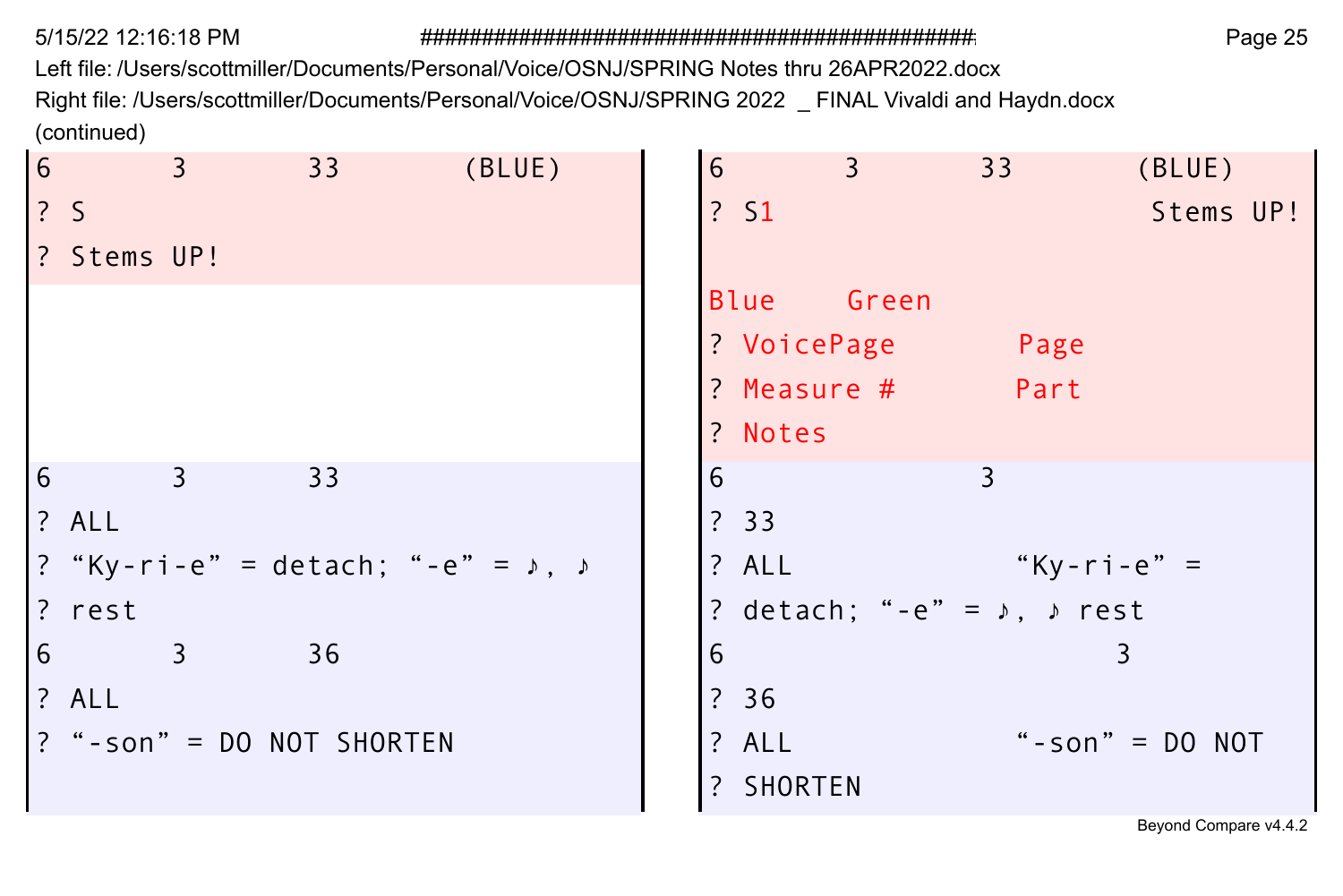Left file: /Users/scottmiller/Documents/Personal/Voice/OSNJ/SPRING Notes thru 26APR2022.docx

Right file: /Users/scottmiller/Documents/Personal/Voice/OSNJ/SPRING 2022 \_ FINAL Vivaldi and Haydn.docx (continued)

| 6 |             | $\overline{3}$ | 33                                                   | (BLUE) | 6 |             | $\overline{3}$  | 33 a                                        | (BLUE)            |  |
|---|-------------|----------------|------------------------------------------------------|--------|---|-------------|-----------------|---------------------------------------------|-------------------|--|
|   | 2S          |                |                                                      |        |   | ? S1        |                 |                                             | Stems UP!         |  |
|   | ? Stems UP! |                |                                                      |        |   |             |                 |                                             |                   |  |
|   |             |                |                                                      |        |   | Blue Green  |                 |                                             |                   |  |
|   |             |                |                                                      |        |   | ? VoicePage |                 | Page                                        |                   |  |
|   |             |                |                                                      |        |   |             | $?$ Measure $#$ | Part                                        |                   |  |
|   |             |                |                                                      |        |   | ? Notes     |                 |                                             |                   |  |
| 6 |             | $\overline{3}$ | 33                                                   |        | 6 |             |                 | 3                                           |                   |  |
|   | ? ALL       |                |                                                      |        |   | ? 33        |                 |                                             |                   |  |
|   |             |                | ? "Ky-ri-e" = detach; "-e" = $\sqrt{ }$ , $\sqrt{ }$ |        |   | ? ALL       |                 | "Ky-ri-e" =                                 |                   |  |
|   | ? rest      |                |                                                      |        |   |             |                 | ? detach; "-e" = $\lambda$ , $\lambda$ rest |                   |  |
| 6 |             | $\overline{3}$ | 36                                                   |        | 6 |             |                 |                                             | 3                 |  |
|   | ? ALL       |                |                                                      |        |   | ? 36        |                 |                                             |                   |  |
|   |             |                | ? "-son" = DO NOT SHORTEN                            |        |   | ? ALL       |                 |                                             | "-son" = $DO NOT$ |  |
|   |             |                |                                                      |        |   | ? SHORTEN   |                 |                                             |                   |  |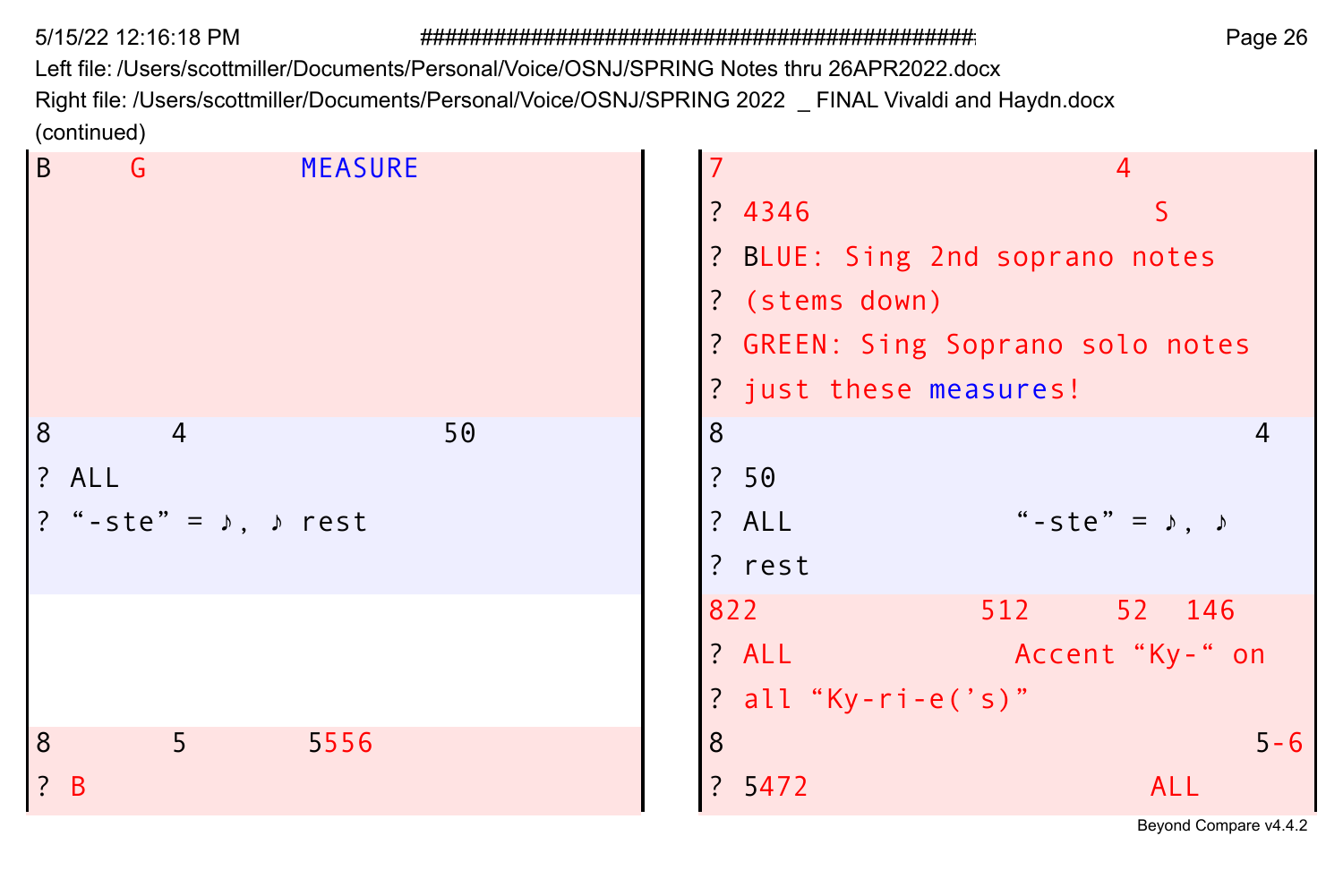Left file: /Users/scottmiller/Documents/Personal/Voice/OSNJ/SPRING Notes thru 26APR2022.docx Right file: /Users/scottmiller/Documents/Personal/Voice/OSNJ/SPRING 2022 \_ FINAL Vivaldi and Haydn.docx (continued)

| $\mathcal{L}$ |                                       |                |                     |                                  |
|---------------|---------------------------------------|----------------|---------------------|----------------------------------|
| $\sf B$       | G                                     | <b>MEASURE</b> |                     | $\overline{4}$                   |
|               |                                       |                | ? 4346              | S                                |
|               |                                       |                |                     | ? BLUE: Sing 2nd soprano notes   |
|               |                                       |                | ? (stems down)      |                                  |
|               |                                       |                |                     | ? GREEN: Sing Soprano solo notes |
|               |                                       |                |                     | ? just these measures!           |
| 8             | $\overline{4}$                        | 50             | 8                   |                                  |
|               | ? ALL                                 |                | ? 50                |                                  |
|               | ? "-ste" = $\lambda$ , $\lambda$ rest |                | ? ALL               | "-ste" = $\lambda$ , $\lambda$   |
|               |                                       |                | ? rest              |                                  |
|               |                                       |                | 822                 | 512 —<br>52 146                  |
|               |                                       |                | ? ALL               | Accent "Ky-" on                  |
|               |                                       |                | ? all "Ky-ri-e('s)" |                                  |
| 8             | 5 <sup>1</sup>                        | 5556           | 8                   | $5 - 6$                          |
|               | $\frac{1}{2}$ B                       |                | ? 5472              | ALL                              |
|               |                                       |                |                     |                                  |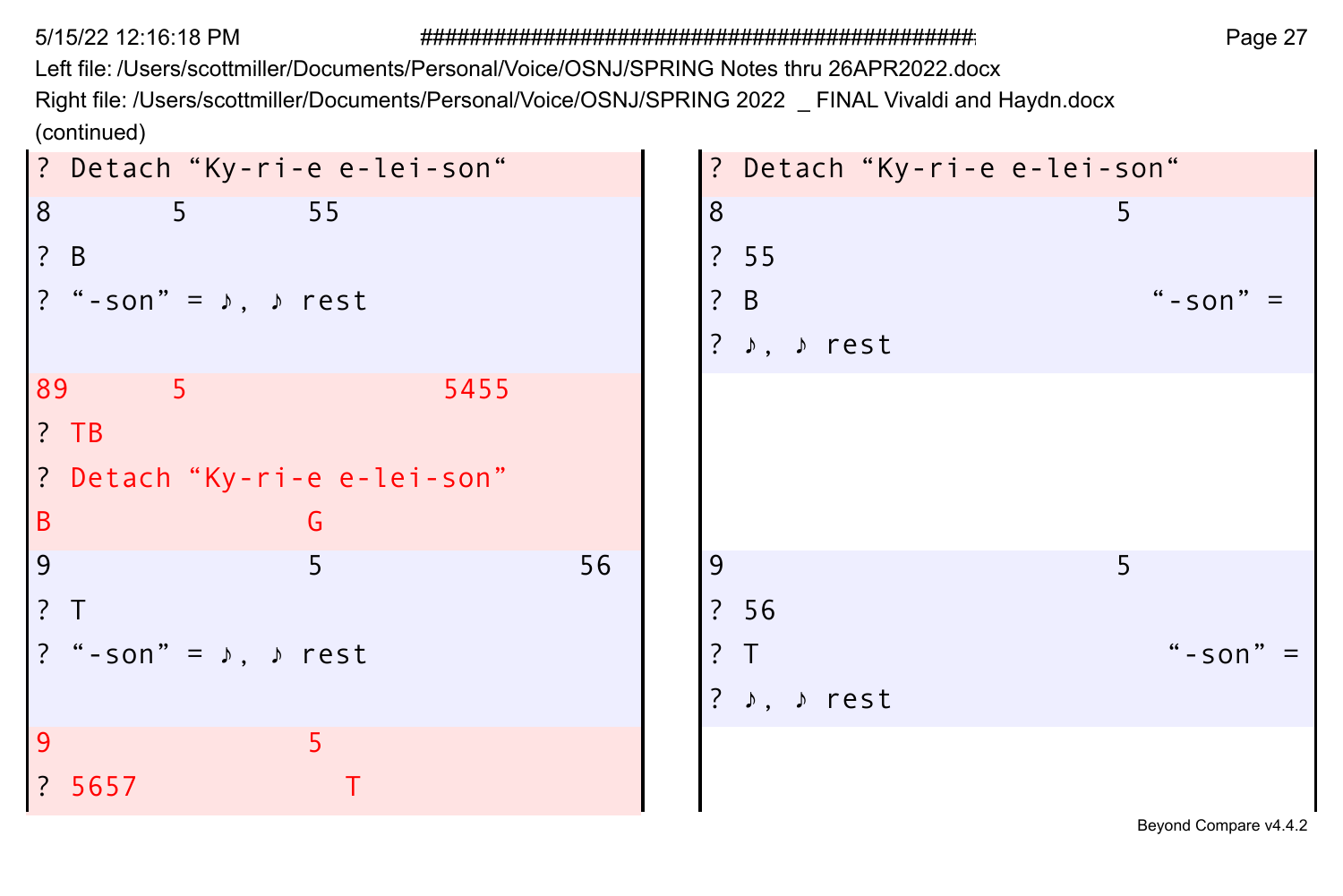Left file: /Users/scottmiller/Documents/Personal/Voice/OSNJ/SPRING Notes thru 26APR2022.docx

Right file: /Users/scottmiller/Documents/Personal/Voice/OSNJ/SPRING 2022 \_ FINAL Vivaldi and Haydn.docx (continued)

| ? Detach "Ky-ri-e e-lei-son"            |      | ? Detach "Ky-ri-e e-lei-son" |           |
|-----------------------------------------|------|------------------------------|-----------|
| 8<br>5 <sup>7</sup><br>55               |      | 8                            | 5.        |
| $\frac{1}{2}$ B                         |      | ? 55                         |           |
| ? "-son" = $\lambda$ , $\lambda$ rest   |      | ? B                          | "-son"    |
|                                         |      | ? ♪, ♪ rest                  |           |
| 89<br>5 <sup>1</sup>                    | 5455 |                              |           |
| $?$ TB                                  |      |                              |           |
| ? Detach "Ky-ri-e e-lei-son"            |      |                              |           |
| $\sf B$<br>G                            |      |                              |           |
| 9<br>5                                  | 56   | 9                            | 5         |
| $\frac{1}{2}$                           |      | ? 56                         |           |
| ? "-son" = $\sqrt{ }$ , $\sqrt{ }$ rest |      | ? T                          | $"$ -son" |
|                                         |      | ? ♪, ♪ rest                  |           |
| 9<br>5.                                 |      |                              |           |
| ? 5657                                  |      |                              |           |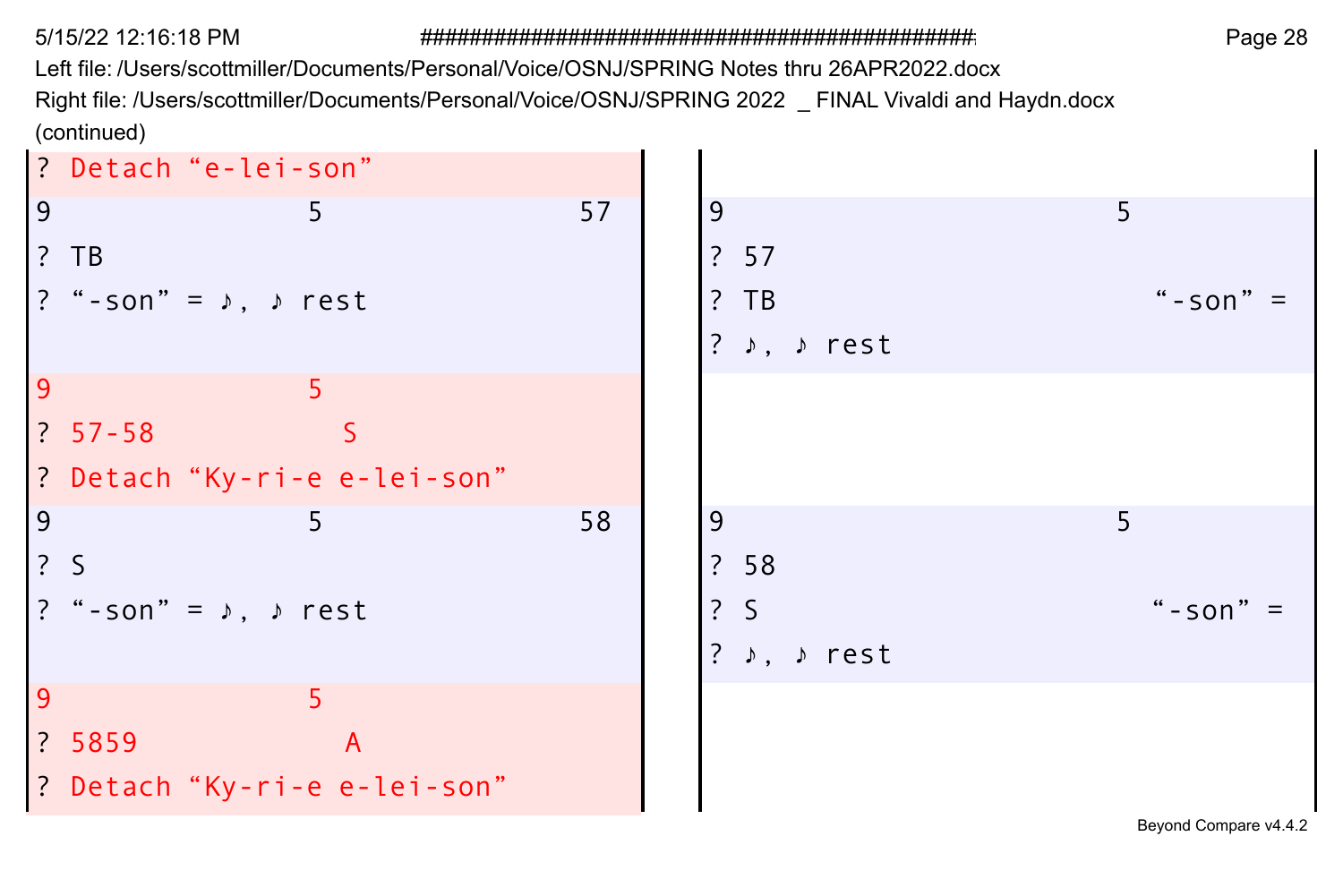Left file: /Users/scottmiller/Documents/Personal/Voice/OSNJ/SPRING Notes thru 26APR2022.docx Right file: /Users/scottmiller/Documents/Personal/Voice/OSNJ/SPRING 2022 \_ FINAL Vivaldi and Haydn.docx

(continued)

|               | ? Detach "e-lei-son"                                                  |                              |    |                                      |                       |
|---------------|-----------------------------------------------------------------------|------------------------------|----|--------------------------------------|-----------------------|
| 9             |                                                                       | 5.                           | 57 | 9                                    | 5                     |
|               | $?$ TB                                                                |                              |    | ? 57                                 |                       |
|               | ? "-son" = $\lambda$ , $\lambda$ rest                                 |                              |    | $?$ TB                               | " $-$ son"            |
|               |                                                                       |                              |    | ? $\rightarrow$ , $\rightarrow$ rest |                       |
| 9             |                                                                       | 5                            |    |                                      |                       |
|               | $\begin{array}{ c c c c c } \hline ? & 57 - 58 \\ \hline \end{array}$ |                              |    |                                      |                       |
|               |                                                                       | ? Detach "Ky-ri-e e-lei-son" |    |                                      |                       |
| 9             |                                                                       | 5                            | 58 | 9                                    | 5                     |
| $\frac{2}{3}$ |                                                                       |                              |    | ? 58                                 |                       |
|               | ? "-son" = $\lambda$ , $\lambda$ rest                                 |                              |    | $\frac{2}{3}$                        | "-son"                |
|               |                                                                       |                              |    | ? $\rightarrow$ , $\rightarrow$ rest |                       |
| 9             |                                                                       | 5                            |    |                                      |                       |
|               | ? 5859                                                                | $\overline{A}$               |    |                                      |                       |
|               |                                                                       | ? Detach "Ky-ri-e e-lei-son" |    |                                      |                       |
|               |                                                                       |                              |    |                                      | Beyond Compare v4.4.2 |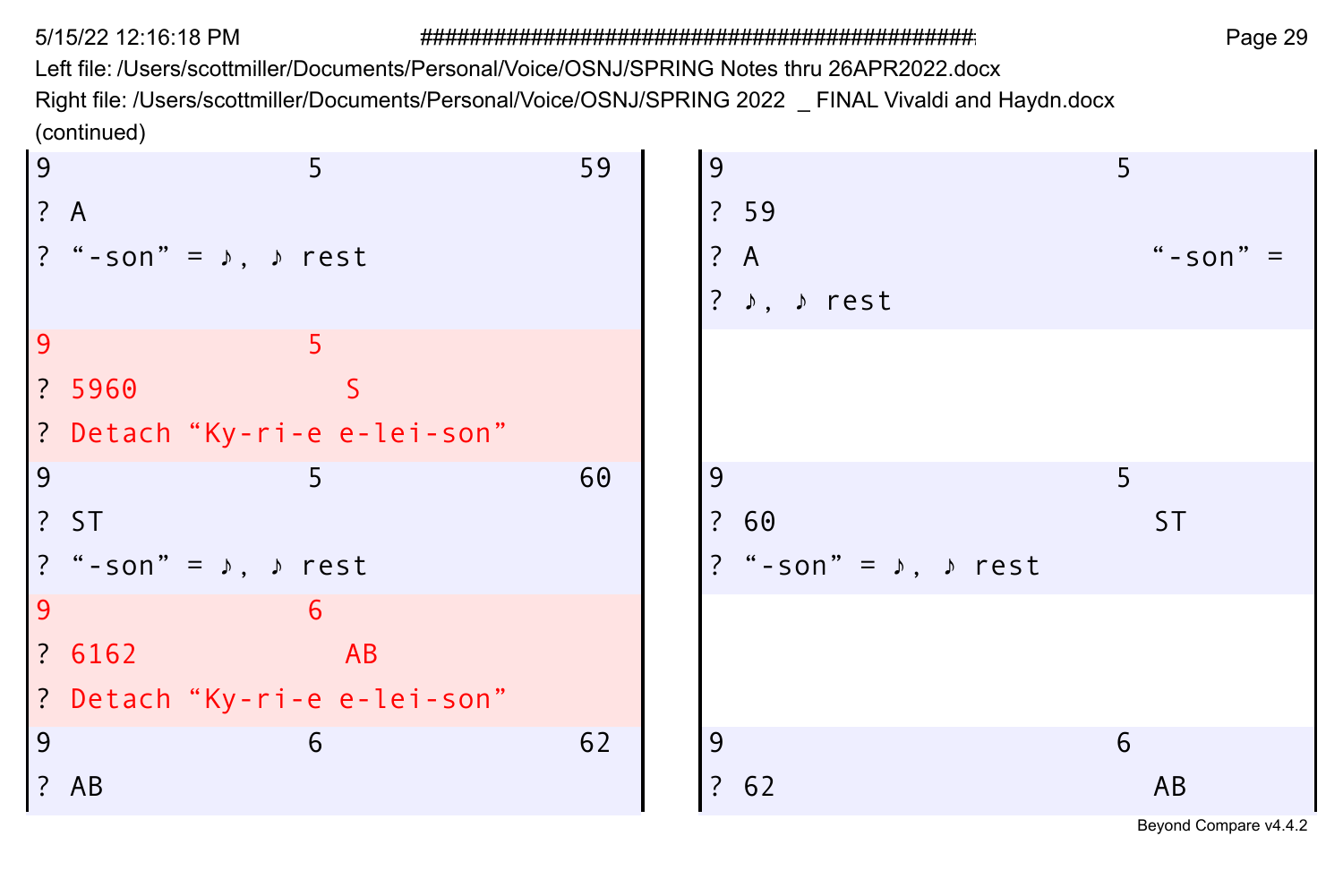Left file: /Users/scottmiller/Documents/Personal/Voice/OSNJ/SPRING Notes thru 26APR2022.docx Right file: /Users/scottmiller/Documents/Personal/Voice/OSNJ/SPRING 2022 \_ FINAL Vivaldi and Haydn.docx (continued)

| 9   | 5                                     |    | 59 | 9 |                                         | 5 |           |
|-----|---------------------------------------|----|----|---|-----------------------------------------|---|-----------|
| ? A |                                       |    |    |   | ? 59                                    |   |           |
|     | ? "-son" = $\lambda$ , $\lambda$ rest |    |    |   | ? A                                     |   | $"$ -son" |
|     |                                       |    |    |   | ? ♪, ♪ rest                             |   |           |
| 9   | 5                                     |    |    |   |                                         |   |           |
|     | ? 5960                                | S. |    |   |                                         |   |           |
|     | ? Detach "Ky-ri-e e-lei-son"          |    |    |   |                                         |   |           |
| 9   | 5                                     |    | 60 | 9 |                                         | 5 |           |
|     | ?ST                                   |    |    |   | ? 60                                    |   | 5T        |
|     | ? "-son" = $\lambda$ , $\lambda$ rest |    |    |   | ? "-son" = $\sqrt{ }$ , $\sqrt{ }$ rest |   |           |
| 9   | 6                                     |    |    |   |                                         |   |           |
|     | ? 6162                                | AB |    |   |                                         |   |           |
|     | ? Detach "Ky-ri-e e-lei-son"          |    |    |   |                                         |   |           |
| 9   | 6                                     |    | 62 | 9 |                                         | 6 |           |
|     | ? AB                                  |    |    |   | ? 62                                    |   | AB        |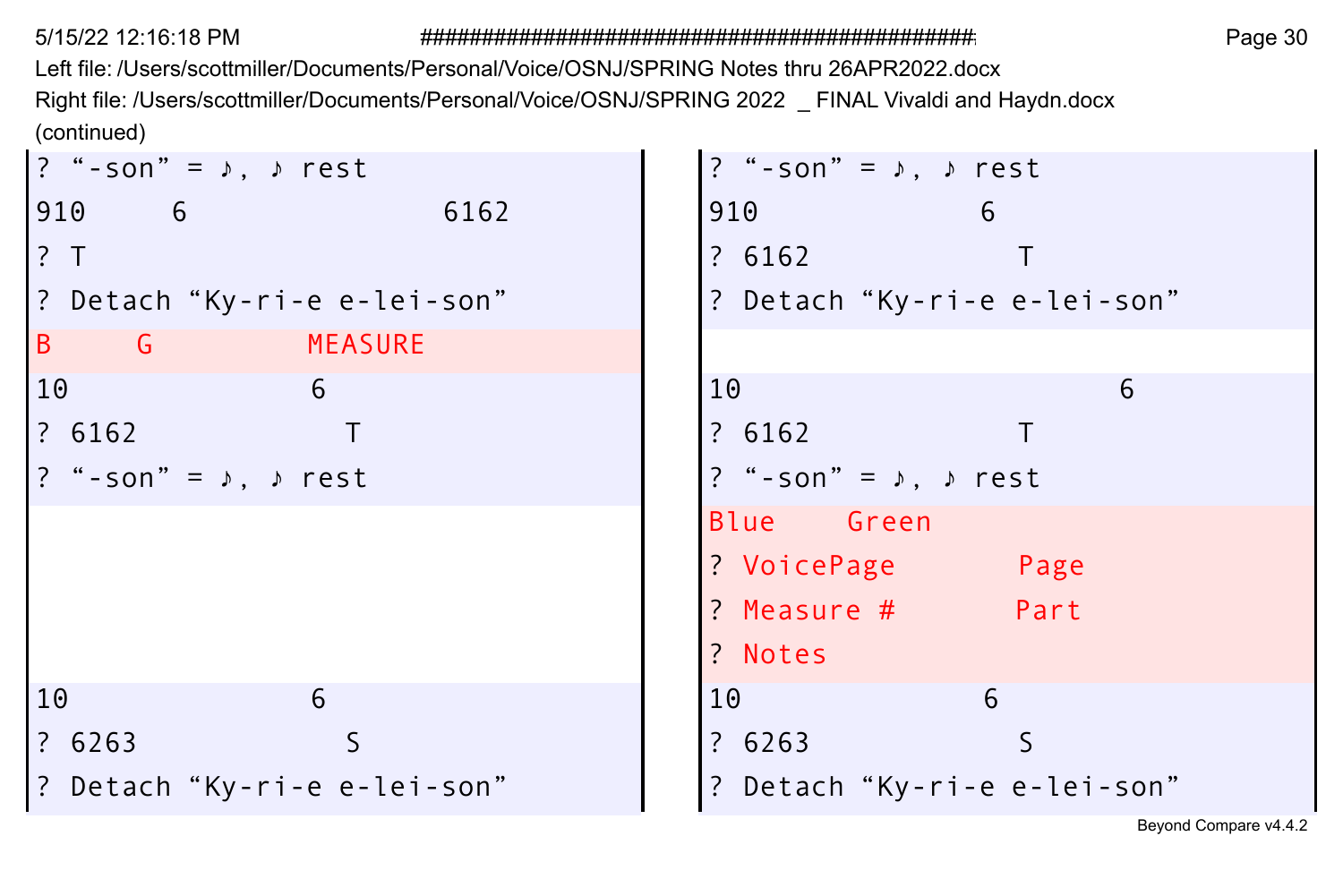Left file: /Users/scottmiller/Documents/Personal/Voice/OSNJ/SPRING Notes thru 26APR2022.docx Right file: /Users/scottmiller/Documents/Personal/Voice/OSNJ/SPRING 2022 \_ FINAL Vivaldi and Haydn.docx (continued)

| ? "-son" = $\lambda$ , $\lambda$ rest   | ? "-son" = $\lambda$ , $\lambda$ rest |
|-----------------------------------------|---------------------------------------|
| 910 6<br>6162                           | 910<br>6                              |
| ? T                                     | ? 6162                                |
| ? Detach "Ky-ri-e e-lei-son"            | ? Detach "Ky-ri-e e-lei-son"          |
| B G MEASURE                             |                                       |
| 10<br>6                                 | 10<br>6                               |
| ? 6162                                  | ? 6162                                |
| ? "-son" = $\sqrt{ }$ , $\sqrt{ }$ rest | ? "-son" = $\lambda$ , $\lambda$ rest |
|                                         | Blue Green                            |
|                                         | ? VoicePage<br>Page                   |
|                                         | ? Measure # Part                      |
|                                         | ? Notes                               |
| 10<br>6                                 | 10<br>6                               |
| ? 6263                                  | ? 6263                                |
| ? Detach "Ky-ri-e e-lei-son"            | ? Detach "Ky-ri-e e-lei-son"          |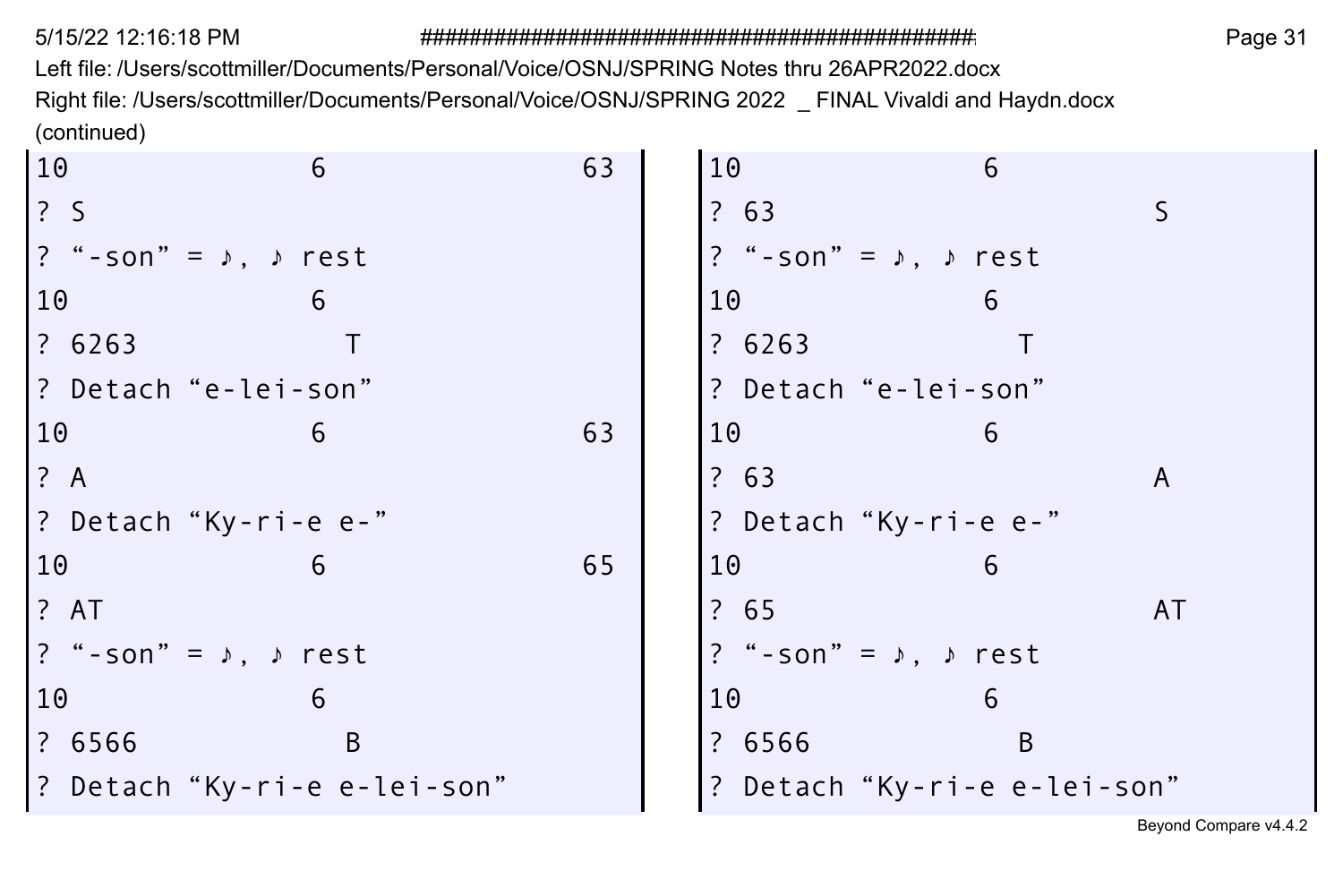Left file: /Users/scottmiller/Documents/Personal/Voice/OSNJ/SPRING Notes thru 26APR2022.docx Right file: /Users/scottmiller/Documents/Personal/Voice/OSNJ/SPRING 2022 \_ FINAL Vivaldi and Haydn.docx (continued)  $\sim$  $\sim$ 

| 10            | 6                                        | 63 | 10                                    | 6            |    |
|---------------|------------------------------------------|----|---------------------------------------|--------------|----|
| $\frac{2}{3}$ |                                          |    | ? 63                                  |              | S  |
|               | ?"-son"= ♪, ♪ rest                       |    | ? "-son" = $\lambda$ , $\lambda$ rest |              |    |
| 10            | 6                                        |    | 10                                    | 6            |    |
| ? 6263        |                                          |    | ? 6263                                |              |    |
|               | ? Detach "e-lei-son"                     |    | ? Detach "e-lei-son"                  |              |    |
| 10            | 6                                        | 63 | 10                                    | 6            |    |
| ? A           |                                          |    | ? 63                                  |              | A  |
|               | ? Detach"Ky-ri-e e-"                     |    | ? Detach "Ky-ri-e e-"                 |              |    |
| 10            |                                          | 65 | 10                                    | 6            |    |
| ? AT          |                                          |    | ? 65                                  |              | AT |
|               | $ ?$ "-son" = $\lambda$ , $\lambda$ rest |    | ? "-son" = $\lambda$ , $\lambda$ rest |              |    |
| 10            | 6                                        |    | 10                                    | 6            |    |
| ? 6566        | B                                        |    | ? 6566                                | <sub>B</sub> |    |
|               | ? Detach "Ky-ri-e e-lei-son"             |    | ? Detach "Ky-ri-e e-lei-son"          |              |    |
|               |                                          |    |                                       |              |    |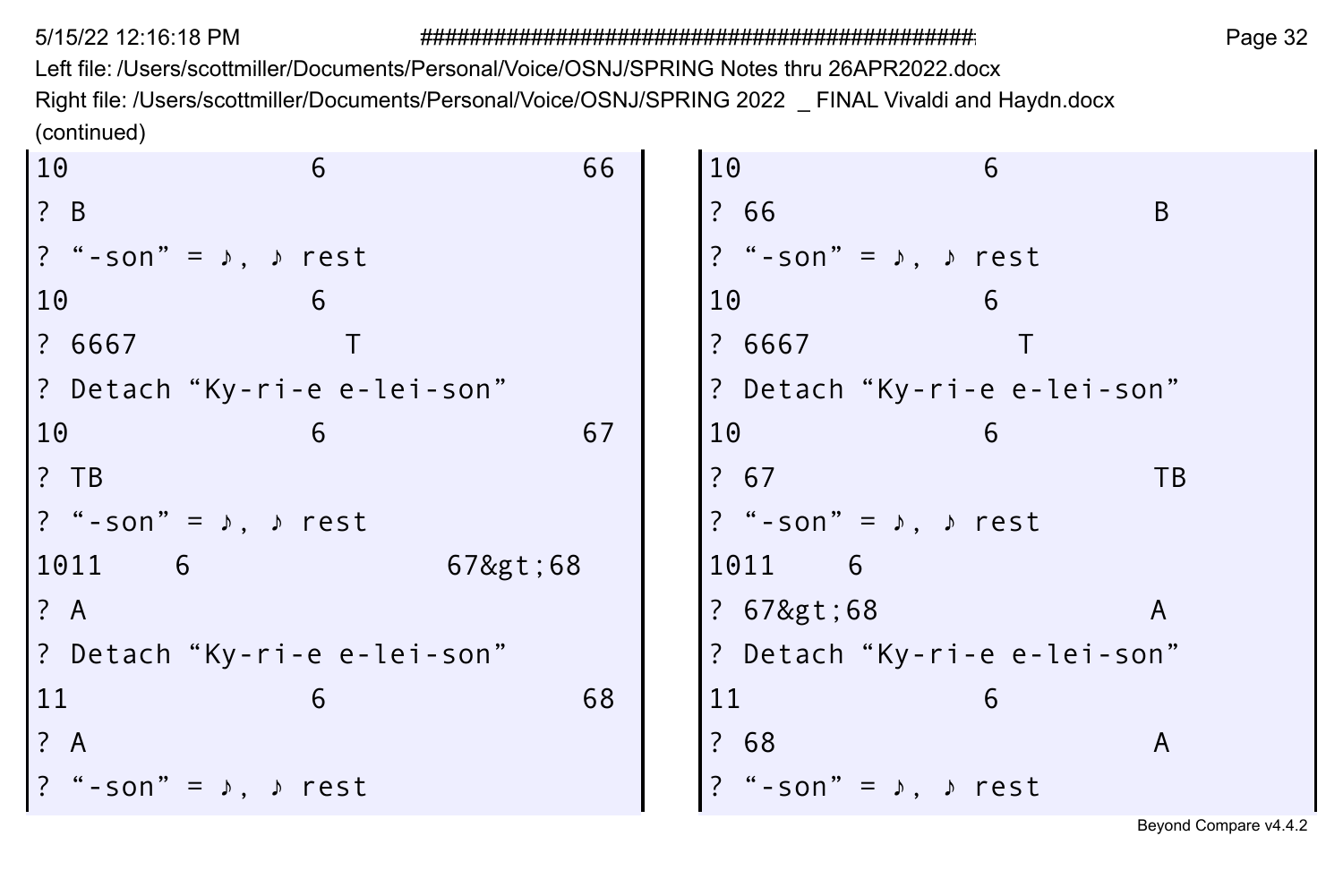Left file: /Users/scottmiller/Documents/Personal/Voice/OSNJ/SPRING Notes thru 26APR2022.docx Right file: /Users/scottmiller/Documents/Personal/Voice/OSNJ/SPRING 2022 \_ FINAL Vivaldi and Haydn.docx (continued)  $\sim$  $\sim$ 

| <sub>B</sub><br>$\frac{1}{2}$ B<br>? 66<br>? "-son" = $\lambda$ , $\lambda$ rest<br>$\left  \begin{array}{cc} ? & " - son" = & \rightarrow , & \rightarrow \text{ rest} \end{array} \right.$<br>10<br>10<br>6<br>6<br>? 6667<br>? 6667<br>? Detach "Ky-ri-e e-lei-son"<br>? Detach "Ky-ri-e e-lei-son"<br>67<br>10<br>10<br>6<br>6<br>? 67<br>$?$ TB<br><b>TB</b><br>? "-son" = $\lambda$ , $\lambda$ rest<br>$\left  \begin{array}{cc} ? & " - son" = & \rightarrow , & \rightarrow \text{ rest} \end{array} \right.$<br>67>68<br>1011<br>1011 6<br>- 6<br>? A<br>? 67>68<br>A<br>? Detach "Ky-ri-e e-lei-son"<br>? Detach "Ky-ri-e e-lei-son"<br>68<br>11<br>11<br>6<br>6<br>? 68<br>? A<br>A<br>"-son" = $\lambda$ , $\lambda$ rest<br>$\left  \begin{array}{cc} ? & * -\text{son} \end{array} \right  = \begin{array}{cc} \circ \\ \circ \\ \circ \end{array}$ , $\circ$ rest | 10 | 6 | 66 | 10 | 6 |  |
|-----------------------------------------------------------------------------------------------------------------------------------------------------------------------------------------------------------------------------------------------------------------------------------------------------------------------------------------------------------------------------------------------------------------------------------------------------------------------------------------------------------------------------------------------------------------------------------------------------------------------------------------------------------------------------------------------------------------------------------------------------------------------------------------------------------------------------------------------------------------------------------|----|---|----|----|---|--|
|                                                                                                                                                                                                                                                                                                                                                                                                                                                                                                                                                                                                                                                                                                                                                                                                                                                                                   |    |   |    |    |   |  |
|                                                                                                                                                                                                                                                                                                                                                                                                                                                                                                                                                                                                                                                                                                                                                                                                                                                                                   |    |   |    |    |   |  |
|                                                                                                                                                                                                                                                                                                                                                                                                                                                                                                                                                                                                                                                                                                                                                                                                                                                                                   |    |   |    |    |   |  |
|                                                                                                                                                                                                                                                                                                                                                                                                                                                                                                                                                                                                                                                                                                                                                                                                                                                                                   |    |   |    |    |   |  |
|                                                                                                                                                                                                                                                                                                                                                                                                                                                                                                                                                                                                                                                                                                                                                                                                                                                                                   |    |   |    |    |   |  |
|                                                                                                                                                                                                                                                                                                                                                                                                                                                                                                                                                                                                                                                                                                                                                                                                                                                                                   |    |   |    |    |   |  |
|                                                                                                                                                                                                                                                                                                                                                                                                                                                                                                                                                                                                                                                                                                                                                                                                                                                                                   |    |   |    |    |   |  |
|                                                                                                                                                                                                                                                                                                                                                                                                                                                                                                                                                                                                                                                                                                                                                                                                                                                                                   |    |   |    |    |   |  |
|                                                                                                                                                                                                                                                                                                                                                                                                                                                                                                                                                                                                                                                                                                                                                                                                                                                                                   |    |   |    |    |   |  |
|                                                                                                                                                                                                                                                                                                                                                                                                                                                                                                                                                                                                                                                                                                                                                                                                                                                                                   |    |   |    |    |   |  |
|                                                                                                                                                                                                                                                                                                                                                                                                                                                                                                                                                                                                                                                                                                                                                                                                                                                                                   |    |   |    |    |   |  |
|                                                                                                                                                                                                                                                                                                                                                                                                                                                                                                                                                                                                                                                                                                                                                                                                                                                                                   |    |   |    |    |   |  |
|                                                                                                                                                                                                                                                                                                                                                                                                                                                                                                                                                                                                                                                                                                                                                                                                                                                                                   |    |   |    |    |   |  |
|                                                                                                                                                                                                                                                                                                                                                                                                                                                                                                                                                                                                                                                                                                                                                                                                                                                                                   |    |   |    |    |   |  |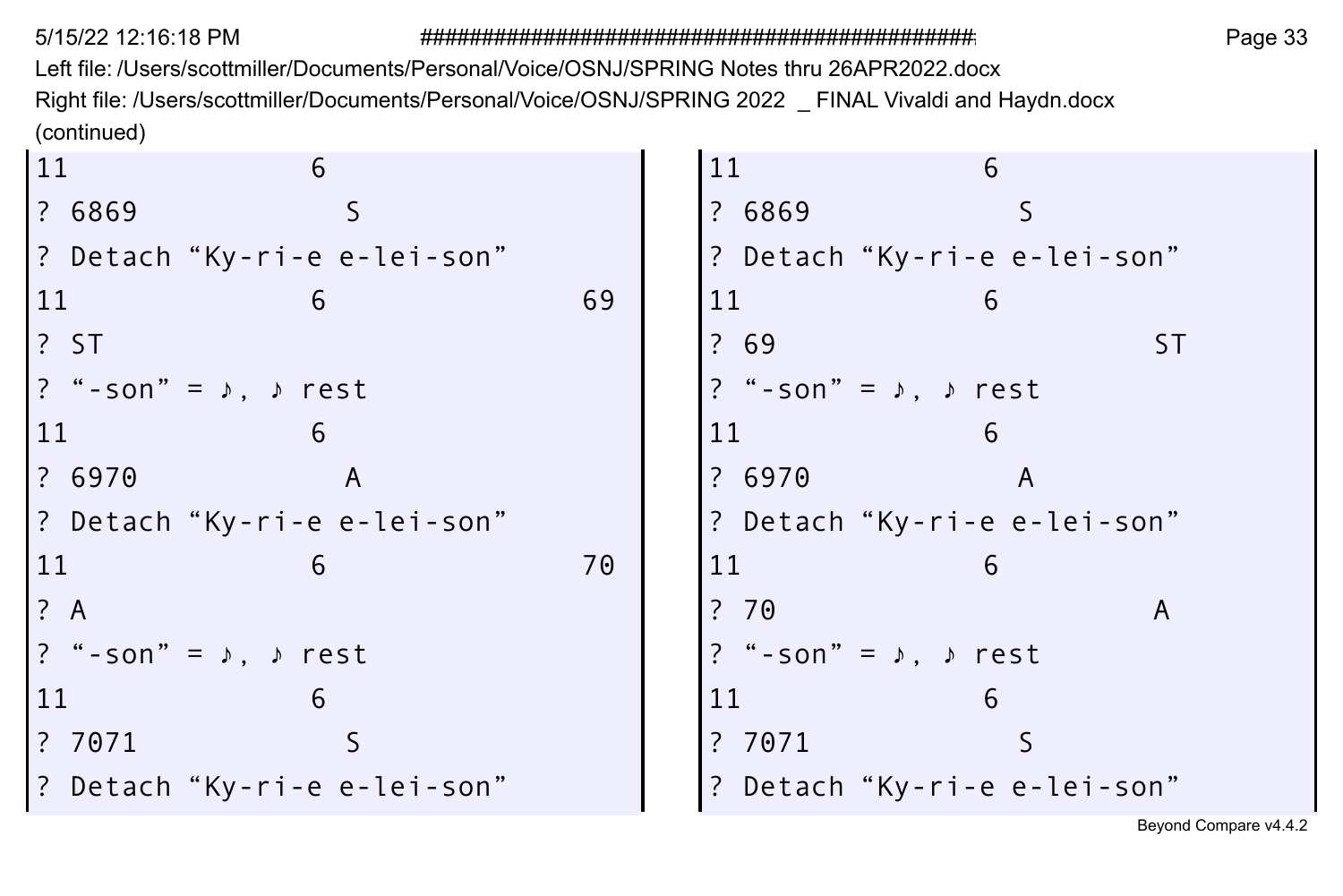Left file: /Users/scottmiller/Documents/Personal/Voice/OSNJ/SPRING Notes thru 26APR2022.docx Right file: /Users/scottmiller/Documents/Personal/Voice/OSNJ/SPRING 2022 \_ FINAL Vivaldi and Haydn.docx (continued)  $\sim$  $\sim$ 

| 11<br>6                      |    | 11<br>6                                 |
|------------------------------|----|-----------------------------------------|
| ? 6869                       |    | ? 6869                                  |
| ? Detach"Ky-ri-e e-lei-son"  |    | ? Detach "Ky-ri-e e-lei-son"            |
| 11                           | 69 | 11                                      |
| 1? ST                        |    | ? 69<br>ST                              |
| ? "-son" = ♪, ♪ rest         |    | ? "-son" = $\lambda$ , $\lambda$ rest   |
| 11<br>6                      |    | 11<br>6                                 |
| ? 6970<br>A                  |    | ? 6970<br>A                             |
| ? Detach "Ky-ri-e e-lei-son" |    | ? Detach "Ky-ri-e e-lei-son"            |
| 11                           | 70 | 11                                      |
| 1? A                         |    | ?70<br>A                                |
| ?"-son"= ♪, ♪ rest           |    | ? "-son" = $\sqrt{ }$ , $\sqrt{ }$ rest |
| 11<br>6                      |    | 11<br>6                                 |
| ? 7071                       |    | ? 7071                                  |
| ? Detach "Ky-ri-e e-lei-son" |    | ? Detach "Ky-ri-e e-lei-son"            |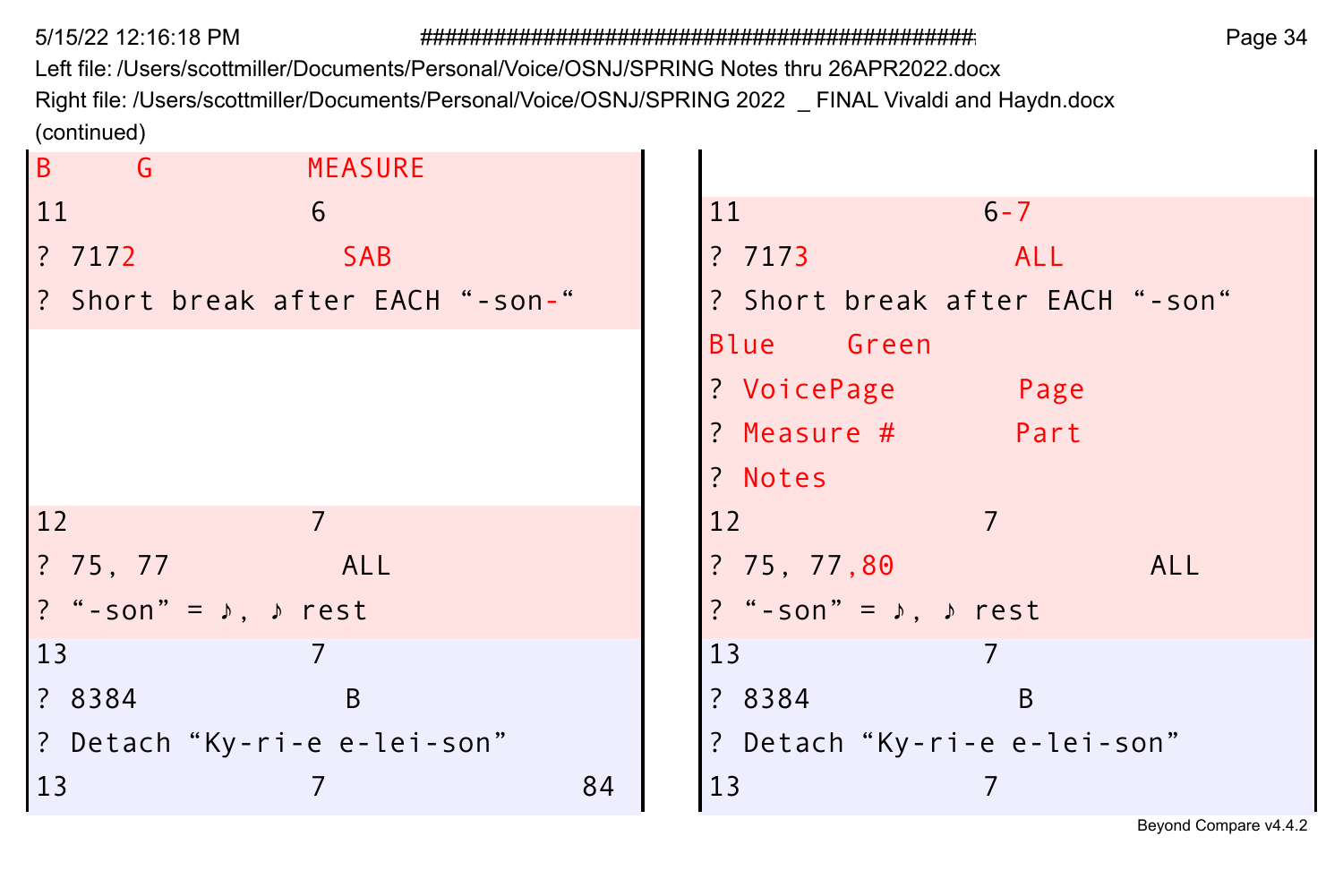Left file: /Users/scottmiller/Documents/Personal/Voice/OSNJ/SPRING Notes thru 26APR2022.docx Right file: /Users/scottmiller/Documents/Personal/Voice/OSNJ/SPRING 2022 \_ FINAL Vivaldi and Haydn.docx (continued)

| B<br>$-$ G<br><b>MEASURE</b>            |                                         |
|-----------------------------------------|-----------------------------------------|
| 11<br>6                                 | 11<br>$6 - 7$                           |
| <b>3</b> 7172<br><b>SAB</b>             | ?7173<br>ALL                            |
| ? Short break after EACH "-son-"        | ? Short break after EACH "-son"         |
|                                         | Blue Green                              |
|                                         | ? VoicePage<br>Page                     |
|                                         | $?$ Measure $#$<br>Part                 |
|                                         | ? Notes                                 |
| 12                                      | 12                                      |
| ALL                                     | ?75,77,80<br><b>ALL</b>                 |
| $?$ "-son" = $\lambda$ , $\lambda$ rest | ? "-son" = $\sqrt{ }$ , $\sqrt{ }$ rest |
| $\begin{array}{c} 13 \end{array}$       | 13                                      |
| ? 8384<br>B                             | ? 8384<br>B                             |
| P Detach"Ky-ri-e e-lei-son"             | ? Detach "Ky-ri-e e-lei-son"            |
| 13<br>84                                | 13                                      |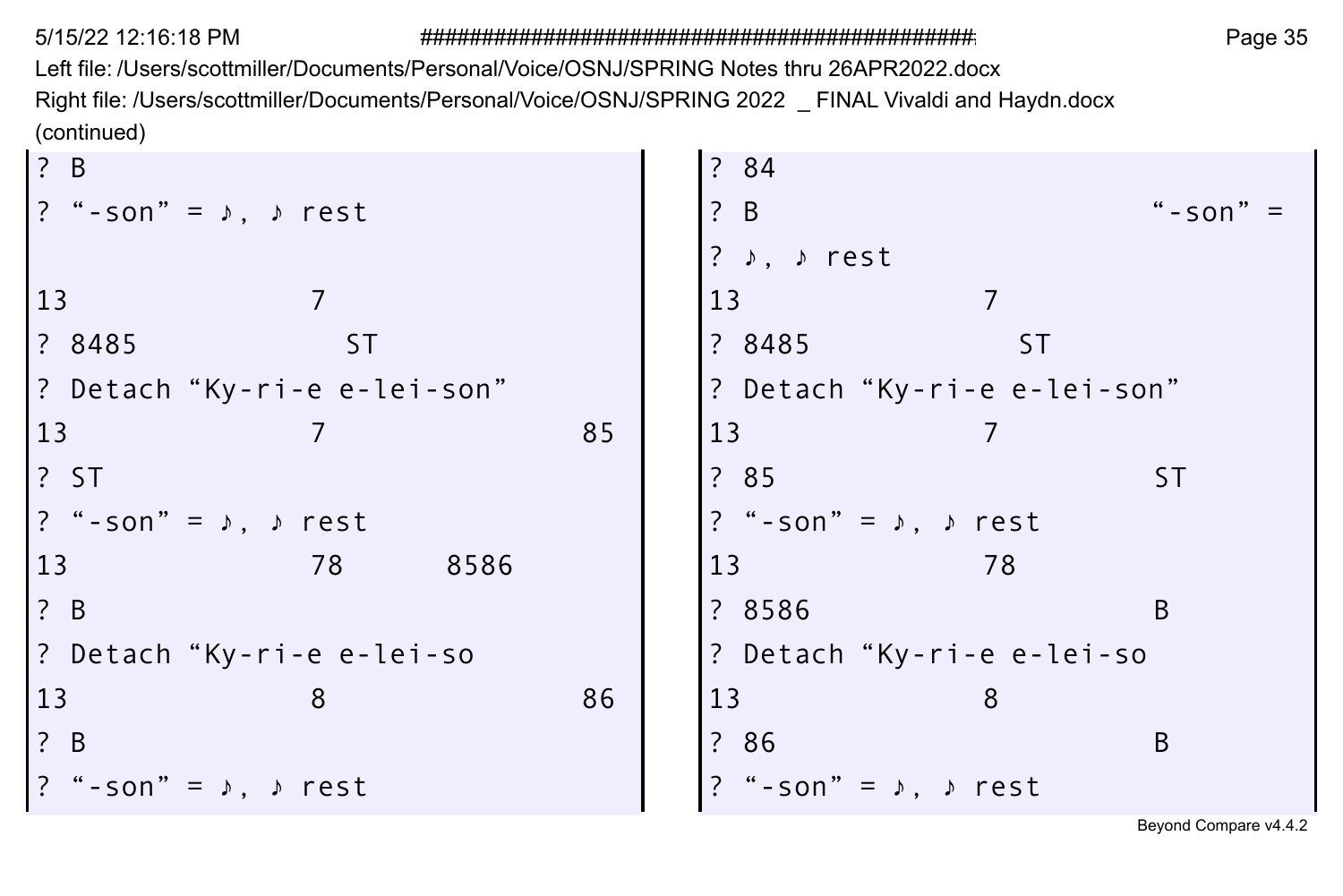Left file: /Users/scottmiller/Documents/Personal/Voice/OSNJ/SPRING Notes thru 26APR2022.docx Right file: /Users/scottmiller/Documents/Personal/Voice/OSNJ/SPRING 2022 \_ FINAL Vivaldi and Haydn.docx (continued)  $\sim$ **College** 

| ? B                                                                                                                  |           |      |    | ? 84                                  |    |           |
|----------------------------------------------------------------------------------------------------------------------|-----------|------|----|---------------------------------------|----|-----------|
| $\left  \begin{array}{cc} ? & * -\text{son} \end{array} \right  = \begin{array}{cc} , & * & \text{rest} \end{array}$ |           |      |    | ? B                                   |    | $"$ -son" |
|                                                                                                                      |           |      |    | ? $\rightarrow$ $\rightarrow$ rest    |    |           |
| 13                                                                                                                   |           |      |    | 13                                    |    |           |
| ? 8485                                                                                                               | <b>ST</b> |      |    | ? 8485                                | ST |           |
| ? Detach"Ky-ri-e e-lei-son"                                                                                          |           |      |    | ? Detach "Ky-ri-e e-lei-son"          |    |           |
| 13                                                                                                                   |           |      | 85 | 13                                    |    |           |
| <b>? ST</b>                                                                                                          |           |      |    | ? 85                                  |    | ST.       |
| $\left  \begin{array}{cc} ? & " - son" = & \rightarrow , \quad \rightarrow \quad \text{rest} \end{array} \right.$    |           |      |    | ? "-son" = $\lambda$ , $\lambda$ rest |    |           |
| 13                                                                                                                   | 78        | 8586 |    | 13                                    | 78 |           |
| ? B                                                                                                                  |           |      |    | ? 8586                                |    | B         |
| ? Detach "Ky-ri-e e-lei-so                                                                                           |           |      |    | ? Detach "Ky-ri-e e-lei-so            |    |           |
| 13                                                                                                                   | 8         |      | 86 | 13                                    | 8  |           |
| $\overline{?}$ B                                                                                                     |           |      |    | ? 86                                  |    | B         |
| $?$ "-son" = $\lambda$ , $\lambda$ rest                                                                              |           |      |    | "-son" = $\lambda$ , $\lambda$ rest   |    |           |
|                                                                                                                      |           |      |    |                                       |    |           |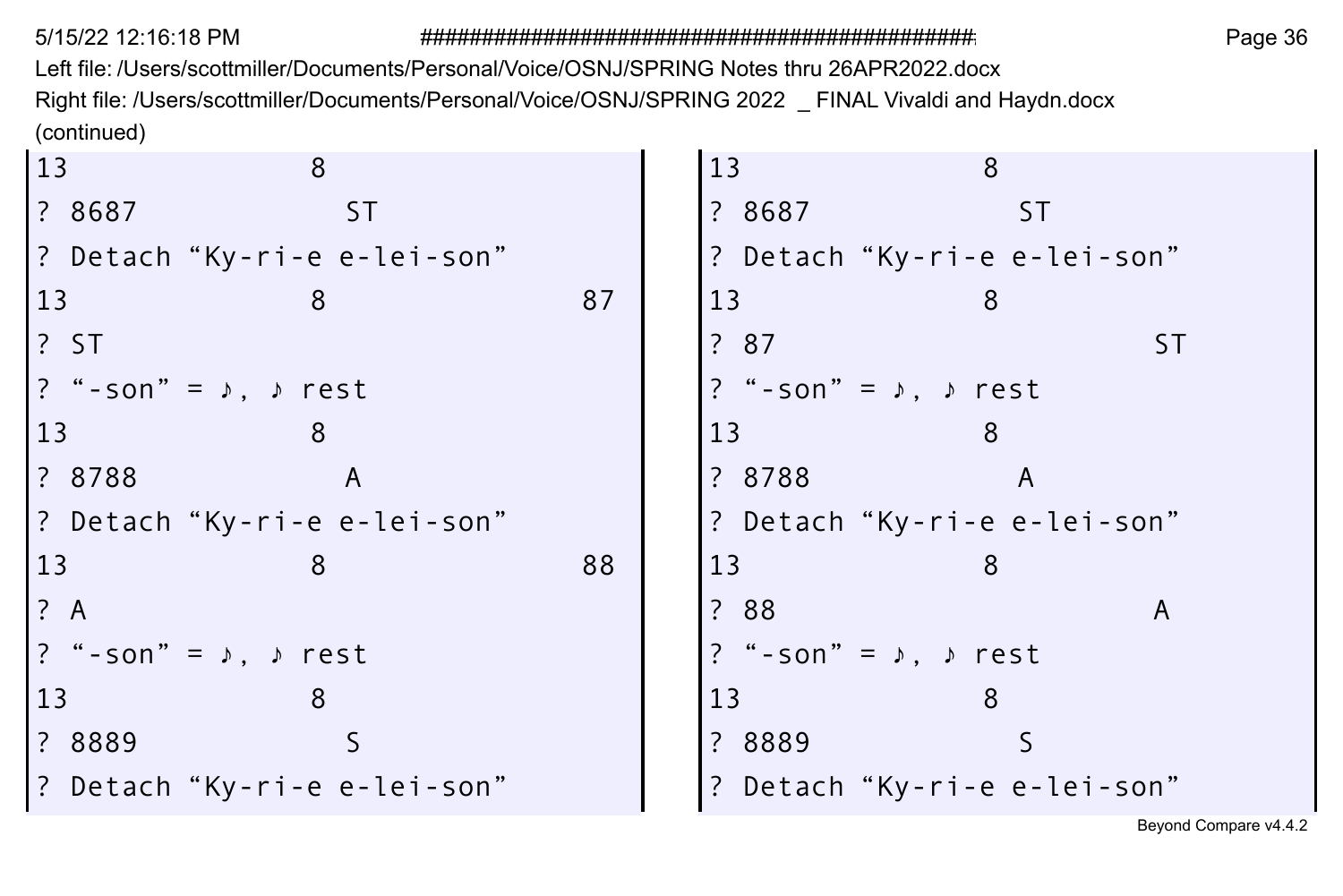Left file: /Users/scottmiller/Documents/Personal/Voice/OSNJ/SPRING Notes thru 26APR2022.docx Right file: /Users/scottmiller/Documents/Personal/Voice/OSNJ/SPRING 2022 \_ FINAL Vivaldi and Haydn.docx (continued)  $\sim$  $\sim$ 

| 13     | 8                                     |    | 13<br>8                                 |
|--------|---------------------------------------|----|-----------------------------------------|
| ? 8687 | ST                                    |    | ? 8687<br><b>ST</b>                     |
|        | ? Detach "Ky-ri-e e-lei-son"          |    | ? Detach "Ky-ri-e e-lei-son"            |
| 13     | 8                                     | 87 | 13                                      |
| ? ST   |                                       |    | ? 87<br>ST.                             |
|        | ? "-son" = $\lambda$ , $\lambda$ rest |    | ? "-son" = $\lambda$ , $\lambda$ rest   |
| 13     |                                       |    | 13                                      |
| ? 8788 | A                                     |    | ? 8788<br>A                             |
|        | ? Detach"Ky-ri-e e-lei-son"           |    | ? Detach "Ky-ri-e e-lei-son"            |
| 13     |                                       | 88 | 13                                      |
| ? A    |                                       |    | ?88<br>A                                |
|        | ? "-son" = $\lambda$ , $\lambda$ rest |    | ? "-son" = $\sqrt{ }$ , $\sqrt{ }$ rest |
| 13     | 8                                     |    | 13                                      |
| ? 8889 |                                       |    | ? 8889                                  |
|        | ? Detach "Ky-ri-e e-lei-son"          |    | Detach"Ky-ri-e e-lei-son"               |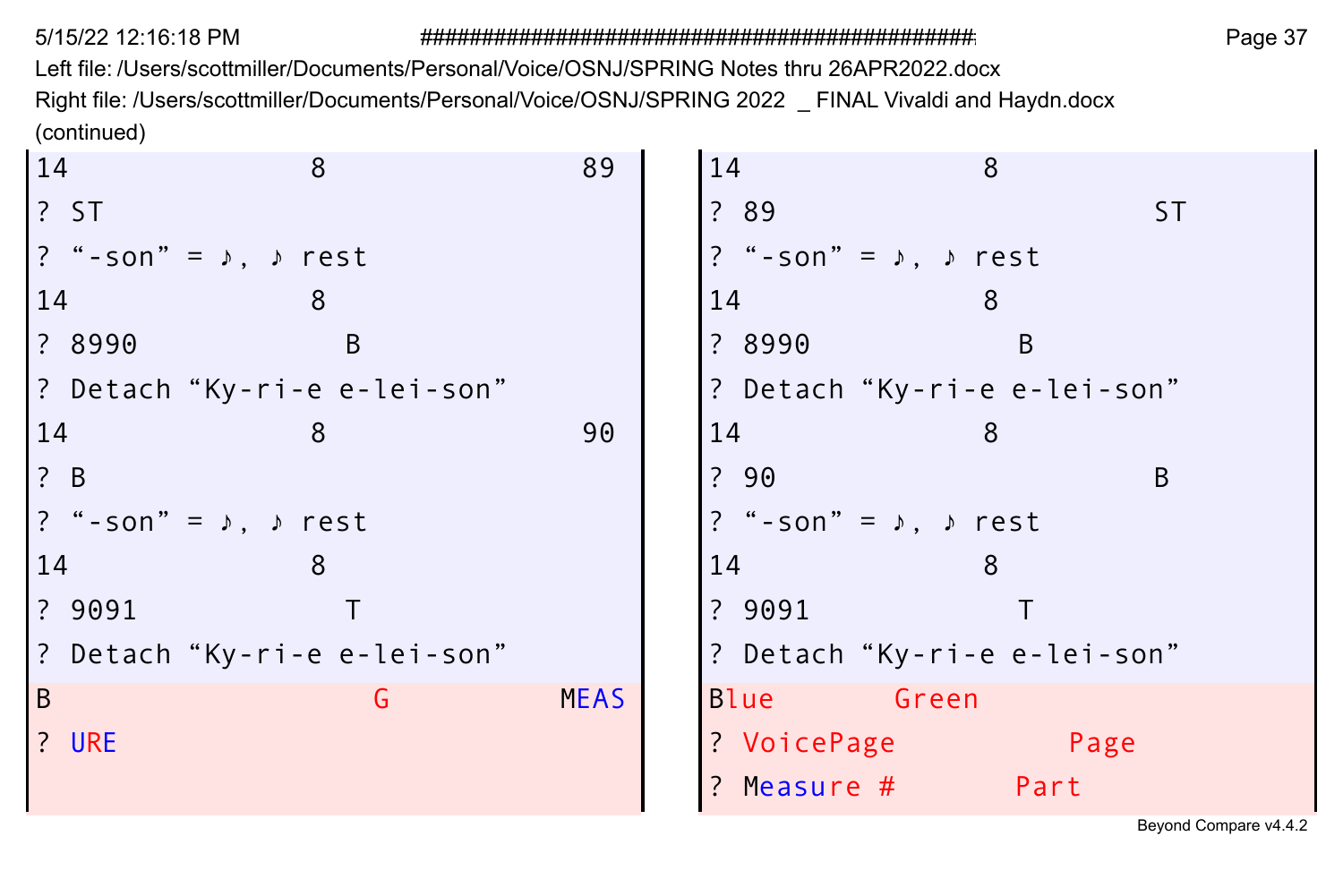5/15/22 12:16:18 PM ################################################################ Page 37 Left file: /Users/scottmiller/Documents/Personal/Voice/OSNJ/SPRING Notes thru 26APR2022.docx Right file: /Users/scottmiller/Documents/Personal/Voice/OSNJ/SPRING 2022 \_ FINAL Vivaldi and Haydn.docx (continued)

| 14                                                                                                                   | 8            | 89          | 14<br>8                                 |      |
|----------------------------------------------------------------------------------------------------------------------|--------------|-------------|-----------------------------------------|------|
| $ ?$ ST                                                                                                              |              |             | ? 89                                    | ST.  |
| $ ?$ "-son" = $\lambda$ , $\lambda$ rest                                                                             |              |             | ? "-son" = $\sqrt{ }$ , $\sqrt{ }$ rest |      |
| 14                                                                                                                   | 8            |             | 14<br>8                                 |      |
| 2 8990                                                                                                               | <sub>B</sub> |             | <sub>B</sub><br>? 8990                  |      |
| ? Detach "Ky-ri-e e-lei-son"                                                                                         |              |             | ? Detach "Ky-ri-e e-lei-son"            |      |
| 14                                                                                                                   | 8            | 90          | 14<br>8                                 |      |
| $\overline{?}$ B                                                                                                     |              |             | ?90                                     | B    |
| $\left  \begin{array}{cc} ? & * -\text{son} \end{array} \right  = \begin{array}{cc} , & * & \text{rest} \end{array}$ |              |             | ? "-son" = $\lambda$ , $\lambda$ rest   |      |
| 14                                                                                                                   | 8            |             | 14<br>8                                 |      |
| ? 9091                                                                                                               |              |             | ?9091                                   |      |
| ? Detach"Ky-ri-e e-lei-son"                                                                                          |              |             | ? Detach "Ky-ri-e e-lei-son"            |      |
| B                                                                                                                    | G            | <b>MEAS</b> | Blue Green                              |      |
| ? URE                                                                                                                |              |             | ? VoicePage                             | Page |
|                                                                                                                      |              |             | ? Measure #<br>Part                     |      |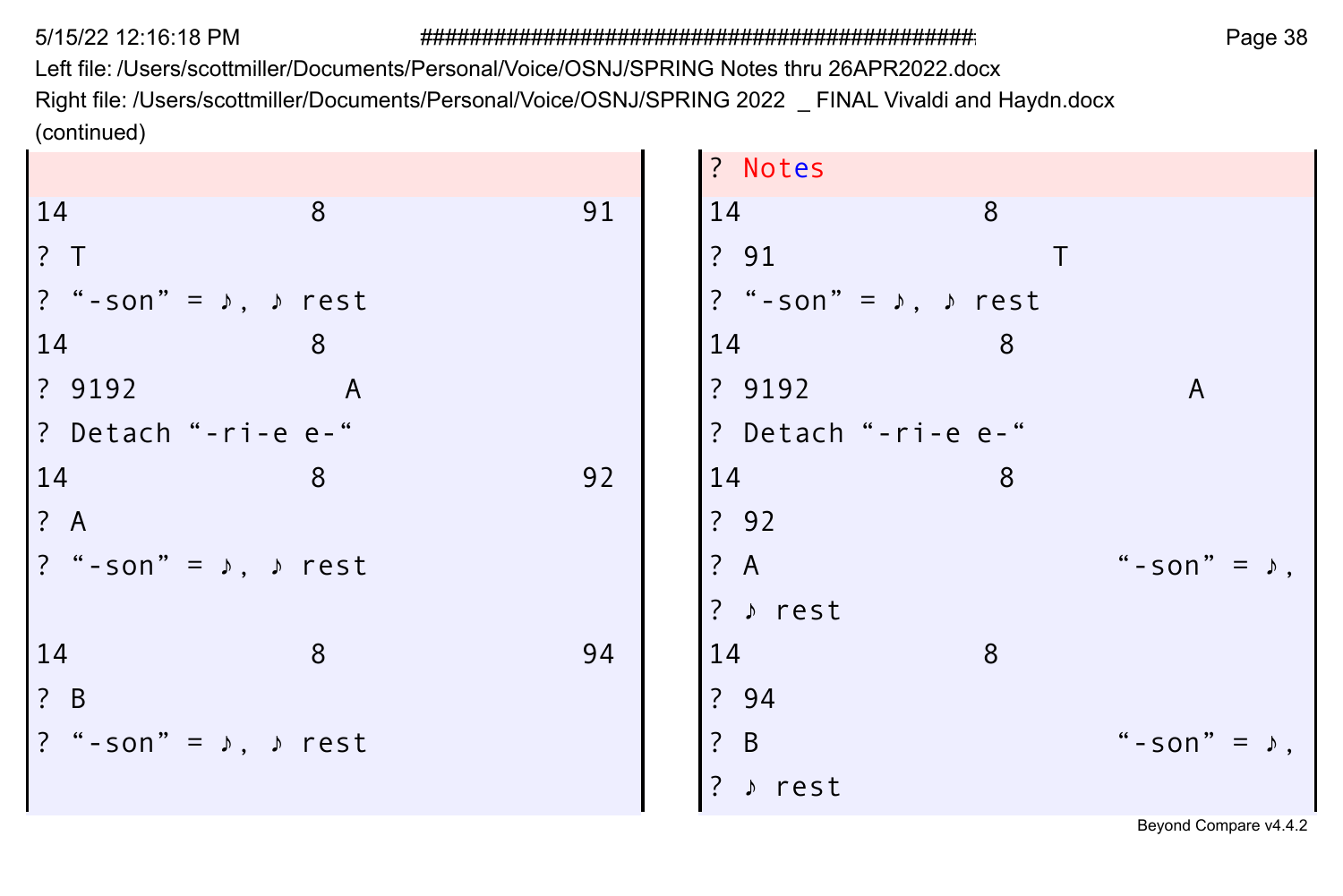5/15/22 12:16:18 PM

### 

Page 38

Left file: /Users/scottmiller/Documents/Personal/Voice/OSNJ/SPRING Notes thru 26APR2022.docx Right file: /Users/scottmiller/Documents/Personal/Voice/OSNJ/SPRING 2022 \_ FINAL Vivaldi and Haydn.docx (continued)

| 8                                               | 91 | 14       | 8       |                                                                |
|-------------------------------------------------|----|----------|---------|----------------------------------------------------------------|
|                                                 |    | ? 91     |         |                                                                |
| $?$ "-son" = $\sqrt{ }$ , $\sqrt{ }$ rest       |    |          |         |                                                                |
| 8                                               |    | 14       | 8       |                                                                |
| $\overline{A}$                                  |    | ? 9192   |         | A                                                              |
| ? Detach "-ri-e e-"                             |    |          |         |                                                                |
| 8                                               | 92 | 14       | 8       |                                                                |
|                                                 |    | ? 92     |         |                                                                |
| $?$ "-son" = $\rightarrow$ , $\rightarrow$ rest |    | ? A      |         | " - son" = $\sqrt{ }$ ,                                        |
|                                                 |    | ? » rest |         |                                                                |
| 8                                               | 94 | 14       | 8       |                                                                |
|                                                 |    | ? 94     |         |                                                                |
| $?$ "-son" = $\rightarrow$ , $\rightarrow$ rest |    | ? B      |         | "-son" = $,$                                                   |
|                                                 |    | ? » rest |         |                                                                |
|                                                 |    |          | ? Notes | ? "-son" = $\sqrt{ }$ , $\sqrt{ }$ rest<br>? Detach "-ri-e e-" |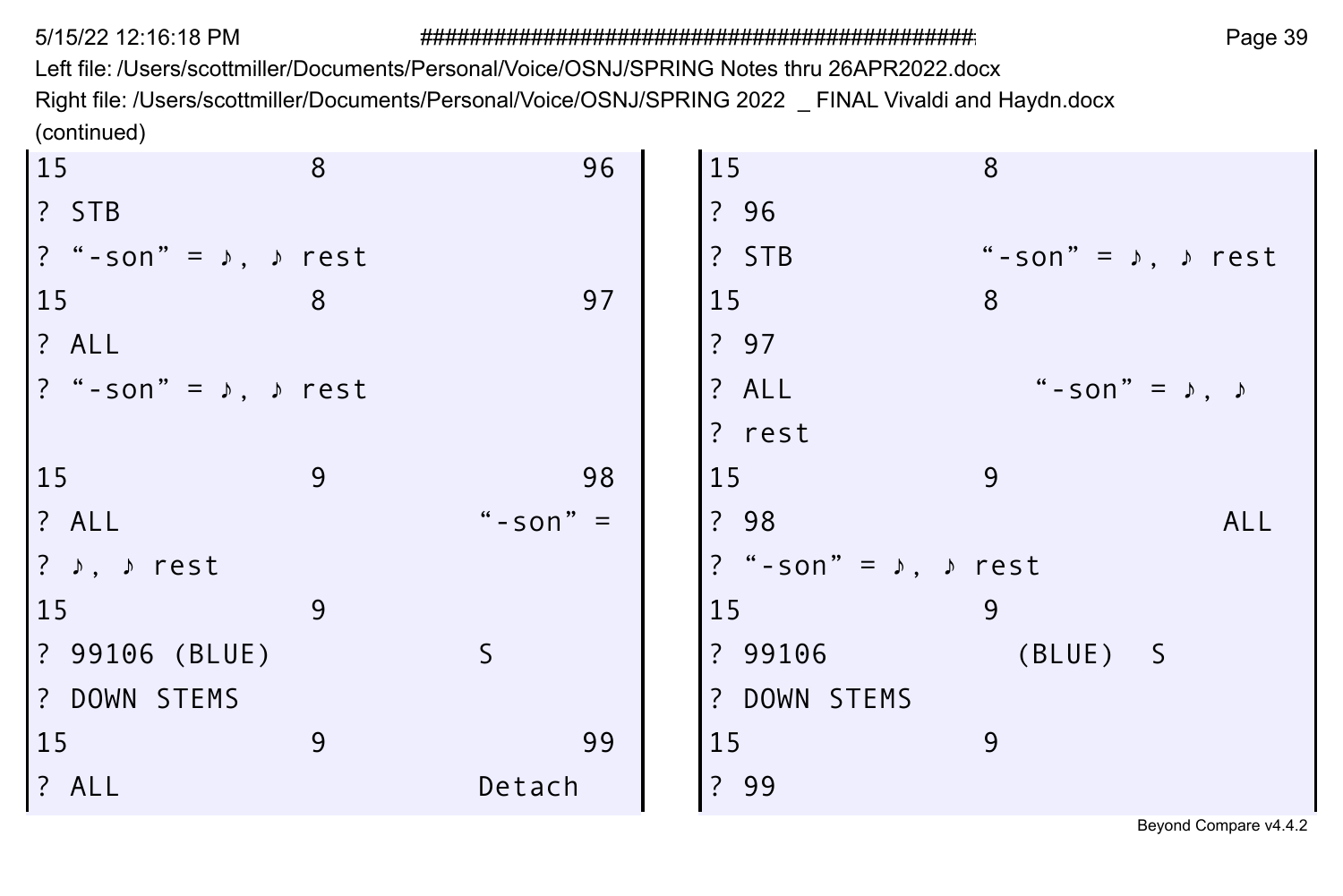Left file: /Users/scottmiller/Documents/Personal/Voice/OSNJ/SPRING Notes thru 26APR2022.docx Right file: /Users/scottmiller/Documents/Personal/Voice/OSNJ/SPRING 2022 \_ FINAL Vivaldi and Haydn.docx (continued)

| 15                                              | 8 |              | 96 | 15                                      | 8                                   |     |
|-------------------------------------------------|---|--------------|----|-----------------------------------------|-------------------------------------|-----|
| $ ?$ STB                                        |   |              |    | ? 96                                    |                                     |     |
| $?$ "-son" = $\rightarrow$ , $\rightarrow$ rest |   |              |    | ? STB                                   | "-son" = $\lambda$ , $\lambda$ rest |     |
| $15$                                            | 8 |              | 97 | 15                                      | 8                                   |     |
| $?$ ALL                                         |   |              |    | ? 97                                    |                                     |     |
| $?$ "-son" = $\sqrt{ }$ , $\sqrt{ }$ rest       |   |              |    | ? ALL                                   | " - son" = $\lambda$ , $\lambda$    |     |
|                                                 |   |              |    | ? rest                                  |                                     |     |
| 15                                              | 9 |              | 98 | 15                                      | 9                                   |     |
| ? ALL                                           |   | " - son" $=$ |    | ? 98                                    |                                     | ALL |
| $ ? \rightarrow, \rightarrow$ rest              |   |              |    | ? "-son" = $\sqrt{ }$ , $\sqrt{ }$ rest |                                     |     |
| $\begin{array}{c} 15 \end{array}$               | 9 |              |    | 15                                      | 9                                   |     |
| ? 99106 (BLUE)                                  |   | S            |    | ? 99106                                 | (BLUE) S                            |     |
| ? DOWN STEMS                                    |   |              |    | ? DOWN STEMS                            |                                     |     |
| $15$                                            | 9 |              | 99 | 15                                      | 9                                   |     |
| $?$ ALL                                         |   | Detach       |    | ? 99                                    |                                     |     |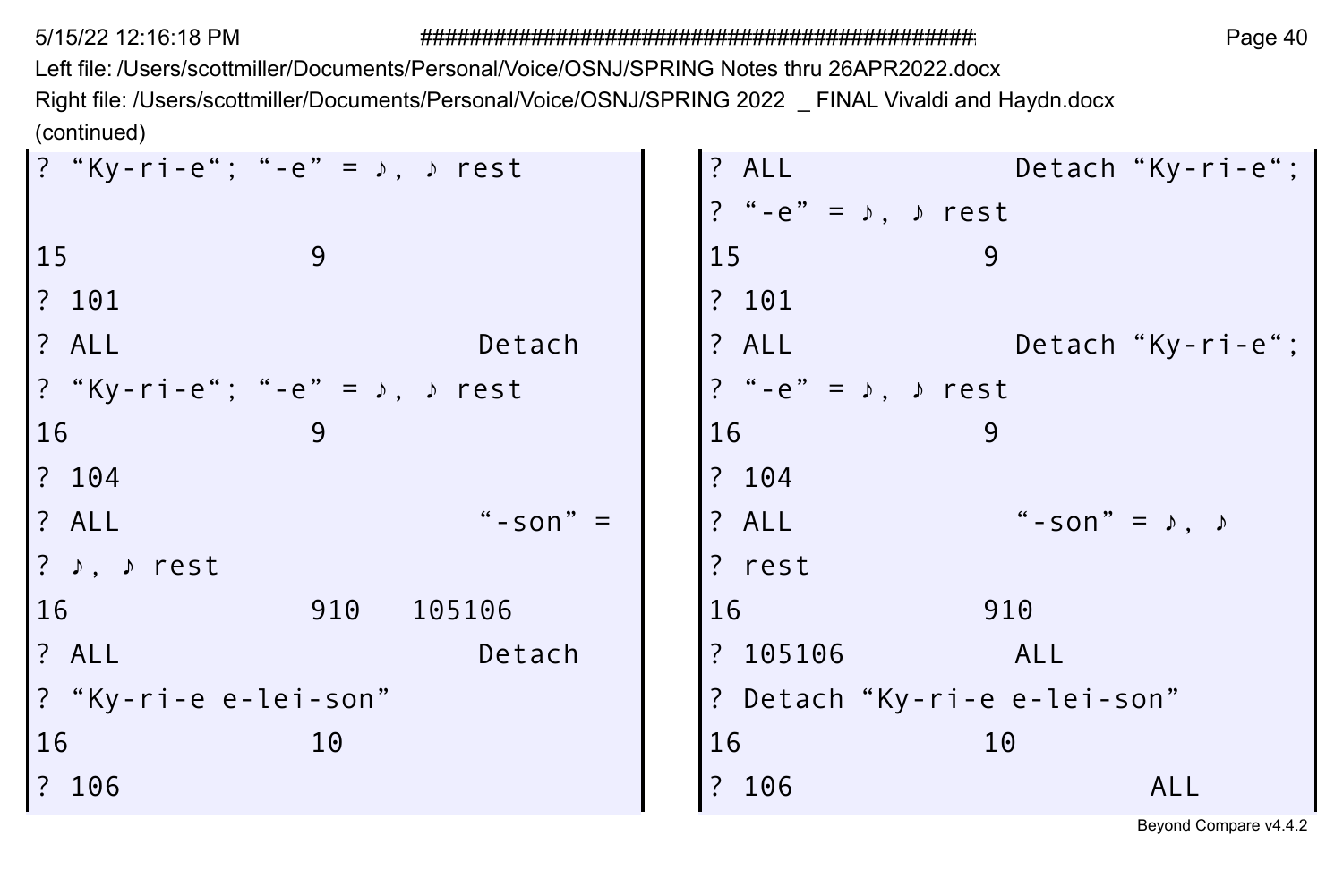Left file: /Users/scottmiller/Documents/Personal/Voice/OSNJ/SPRING Notes thru 26APR2022.docx Right file: /Users/scottmiller/Documents/Personal/Voice/OSNJ/SPRING 2022 \_ FINAL Vivaldi and Haydn.docx (continued)

| ? "Ky-ri-e"; "-e" = $\sqrt{ }$ , $\sqrt{ }$ rest | ? ALL<br>Detach "Ky-ri-e";                        |
|--------------------------------------------------|---------------------------------------------------|
|                                                  | ? "-e" = $\triangleright$ , $\triangleright$ rest |
| 15<br>9                                          | 15<br>9                                           |
| ? 101                                            | ? 101                                             |
| ? ALL<br>Detach                                  | ? ALL<br>Detach "Ky-ri-e";                        |
| ? "Ky-ri-e"; "-e" = $\sqrt{ }$ , $\sqrt{ }$ rest | ? "-e" = $\sqrt{ }$ , $\sqrt{ }$ rest             |
| 16<br>9                                          | 16<br>9                                           |
| ? 104                                            | ? 104                                             |
| ? ALL<br>"-son" $=$                              | " - son" = $\lambda$ , $\lambda$<br>? ALL         |
| ? $\rightarrow$ , $\rightarrow$ rest             | ? rest                                            |
| 16<br>910<br>105106                              | 16<br>910                                         |
| ? ALL<br>Detach                                  | ? 105106<br>ALL                                   |
| ? "Ky-ri-e e-lei-son"                            | ? Detach "Ky-ri-e e-lei-son"                      |
| 16<br>10                                         | 16<br>10                                          |
| ? 106                                            | ? 106<br>ALL                                      |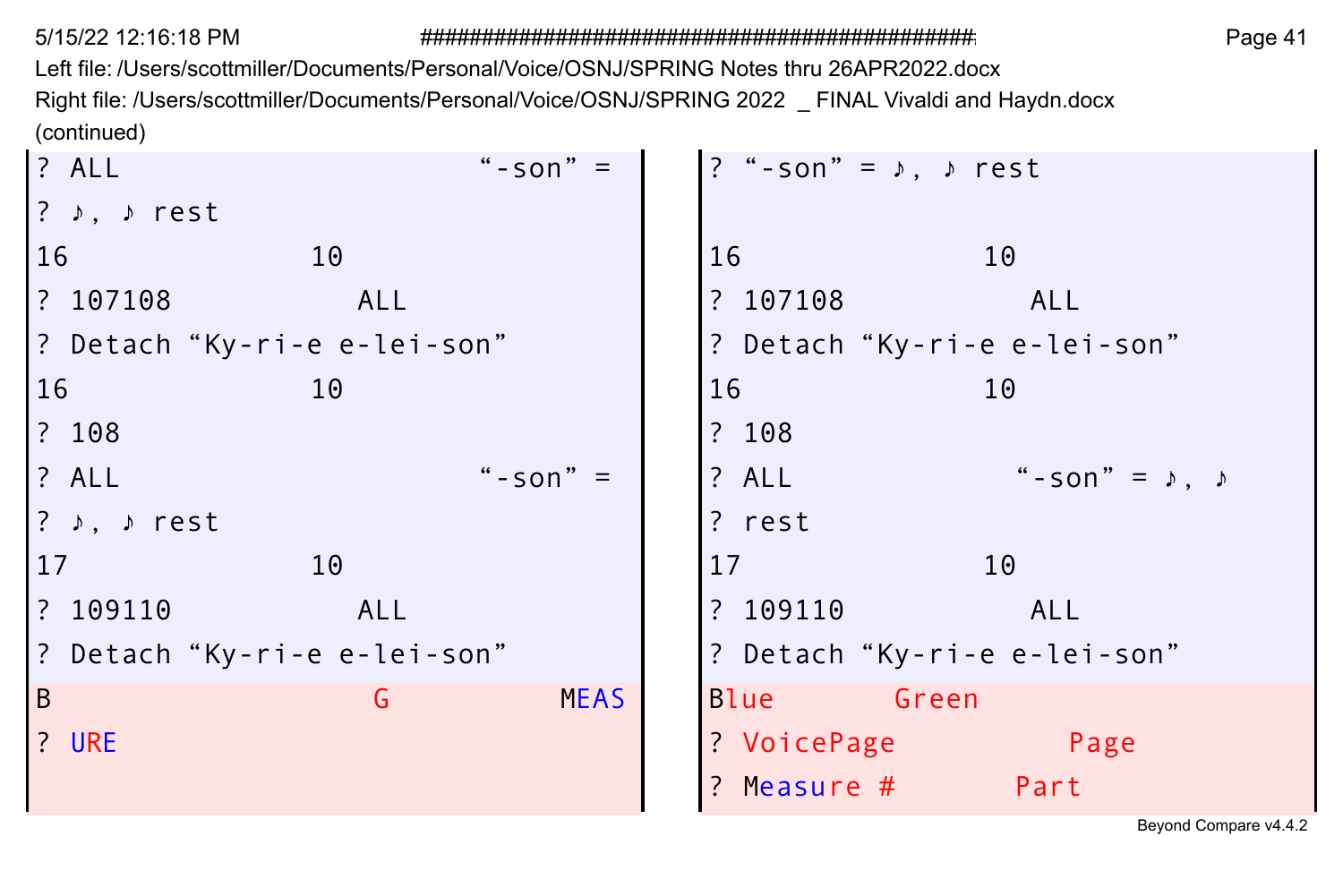Left file: /Users/scottmiller/Documents/Personal/Voice/OSNJ/SPRING Notes thru 26APR2022.docx Right file: /Users/scottmiller/Documents/Personal/Voice/OSNJ/SPRING 2022 \_ FINAL Vivaldi and Haydn.docx (continued)

| ? ALL                                  | " $-$ son" = | ? "-son" = $\lambda$ , $\lambda$ rest     |
|----------------------------------------|--------------|-------------------------------------------|
| $?$ $\rightarrow$ , $\rightarrow$ rest |              |                                           |
| 16<br>10                               |              | 16<br>10                                  |
| ? 107108<br>ALL                        |              | ? 107108<br>ALL                           |
| ? Detach "Ky-ri-e e-lei-son"           |              | ? Detach "Ky-ri-e e-lei-son"              |
| 16<br>10                               |              | 16<br>10                                  |
| ? 108                                  |              | ? 108                                     |
| ? ALL                                  | "-son" $=$   | " - son" = $\lambda$ , $\lambda$<br>? ALL |
| ? $\rightarrow$ , $\rightarrow$ rest   |              | ? rest                                    |
| 17<br>10                               |              | 17<br>10                                  |
| ? 109110<br>ALL                        |              | ? 109110<br>ALL                           |
| ? Detach "Ky-ri-e e-lei-son"           |              | ? Detach "Ky-ri-e e-lei-son"              |
| B<br>G                                 | <b>MEAS</b>  | <b>Green</b><br>Blue                      |
| ? URE                                  |              | ? VoicePage<br>Page                       |
|                                        |              | ? Measure #<br>Part                       |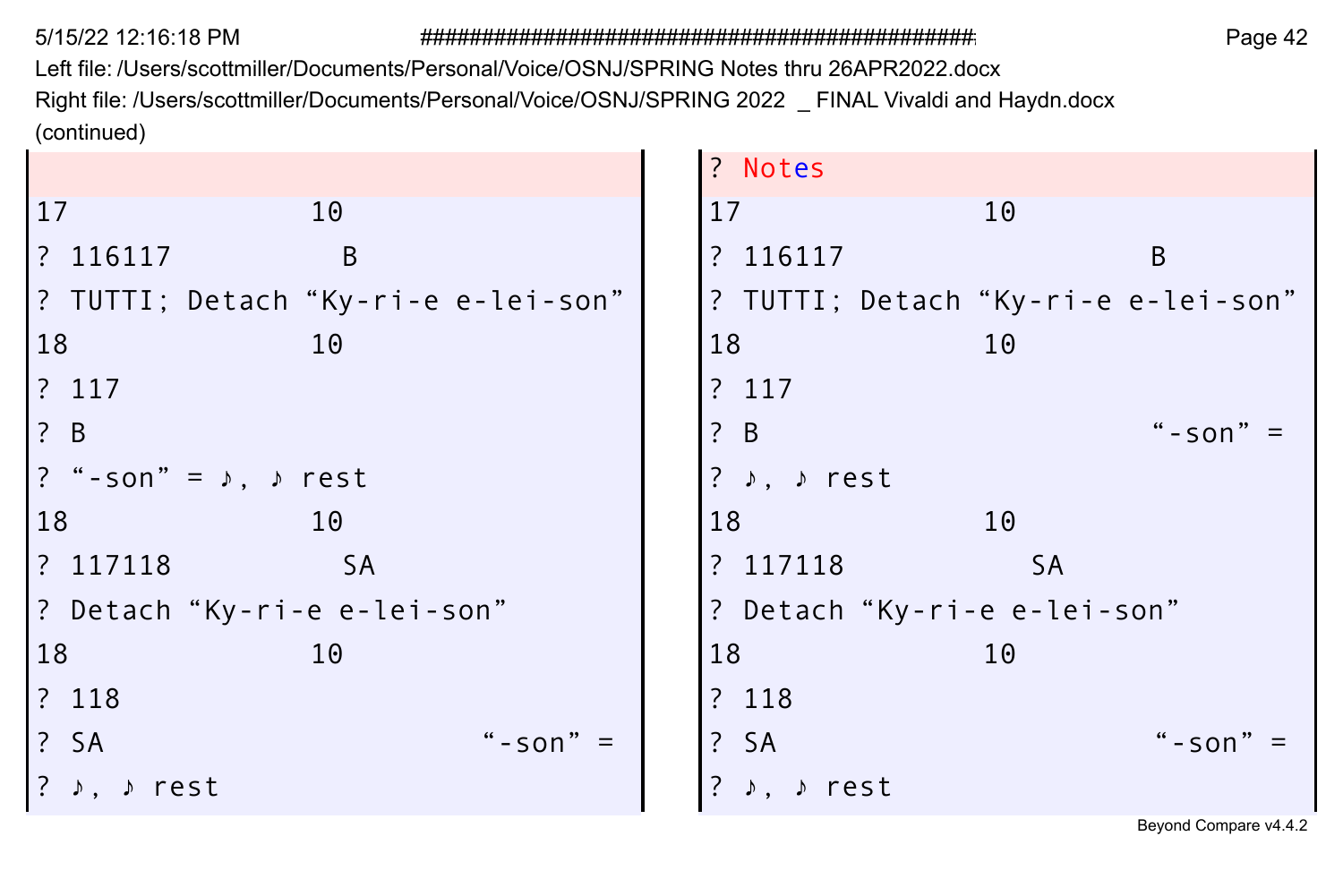Left file: /Users/scottmiller/Documents/Personal/Voice/OSNJ/SPRING Notes thru 26APR2022.docx Right file: /Users/scottmiller/Documents/Personal/Voice/OSNJ/SPRING 2022 \_ FINAL Vivaldi and Haydn.docx (continued)

|                                       | ? Notes                              |
|---------------------------------------|--------------------------------------|
| 17<br>10                              | 17<br>10                             |
| B<br>? 116117                         | ? 116117<br>B                        |
| ? TUTTI; Detach "Ky-ri-e e-lei-son"   | ? TUTTI; Detach "Ky-ri-e e-lei-son"  |
| 18<br>10                              | 18<br>10                             |
| ? 117                                 | ? 117                                |
| $\binom{?}{ }$ B                      | $\overline{?}$ B<br>" - son"         |
| ? "-son" = $\lambda$ , $\lambda$ rest | ? $\rightarrow$ , $\rightarrow$ rest |
| 18<br>10                              | 18<br>10                             |
| ? 117118<br><b>SA</b>                 | ? 117118<br><b>SA</b>                |
| ? Detach "Ky-ri-e e-lei-son"          | ? Detach "Ky-ri-e e-lei-son"         |
| 18<br>10                              | 18<br>10                             |
| ? 118                                 | ? 118                                |
| ? SA<br>" - son" $=$                  | $?$ SA<br>$" - son"$                 |
| ? ♪, ♪ rest                           | ♪ rest                               |
|                                       |                                      |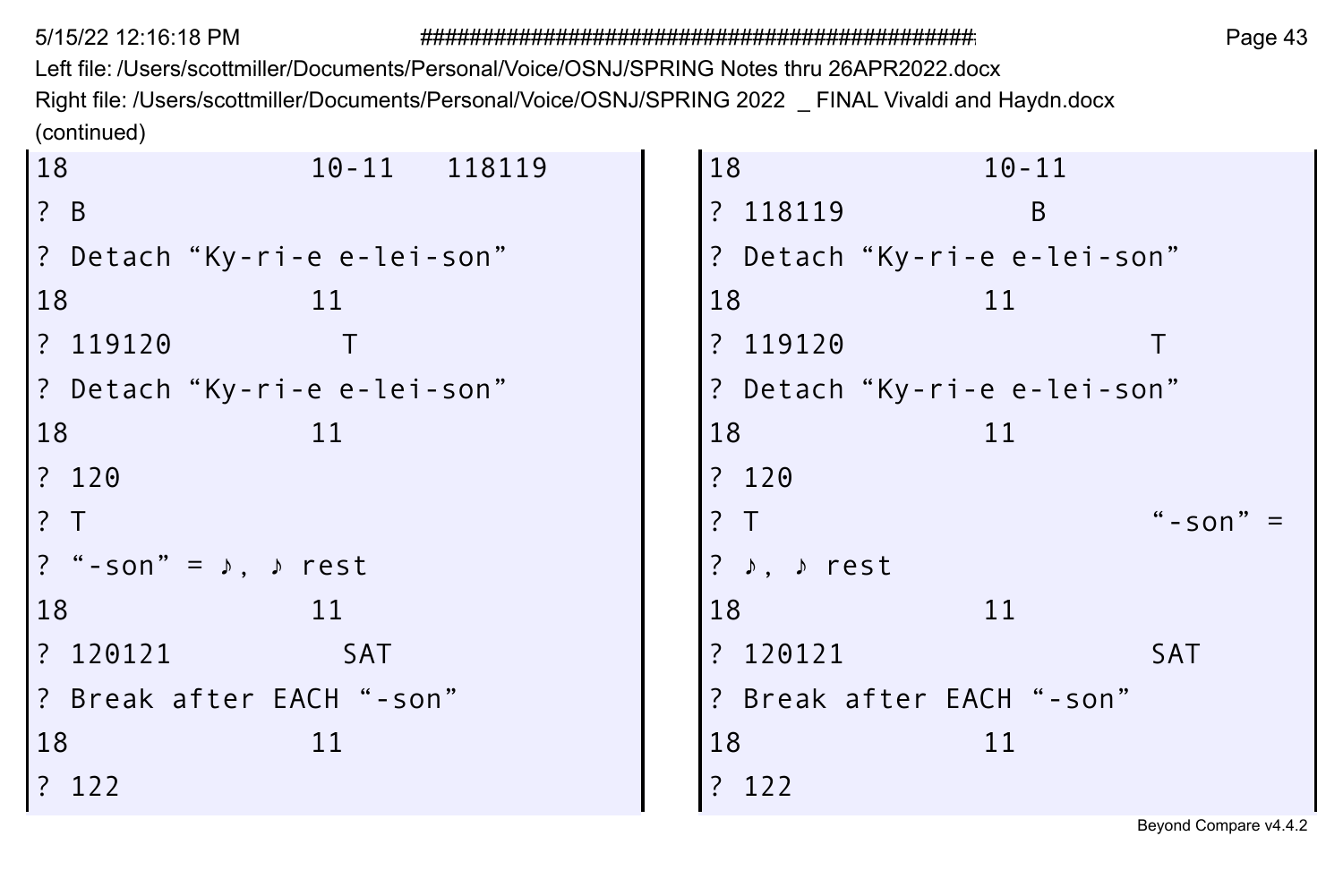Left file: /Users/scottmiller/Documents/Personal/Voice/OSNJ/SPRING Notes thru 26APR2022.docx Right file: /Users/scottmiller/Documents/Personal/Voice/OSNJ/SPRING 2022 \_ FINAL Vivaldi and Haydn.docx (continued)  $\sim$  $\sim$ 

| 18<br>10-11 118119                                                                                                  | 18<br>$10 - 11$                        |
|---------------------------------------------------------------------------------------------------------------------|----------------------------------------|
| ? B                                                                                                                 | ? 118119<br>B                          |
| P Detach"Ky-ri-e e-lei-son"                                                                                         | ? Detach "Ky-ri-e e-lei-son"           |
| 18<br>11                                                                                                            | 18<br>11                               |
| ? 119120                                                                                                            | ? 119120                               |
| ? Detach "Ky-ri-e e-lei-son"                                                                                        | ? Detach "Ky-ri-e e-lei-son"           |
| 18<br>11                                                                                                            | 18<br>11                               |
| ? 120                                                                                                               | ? 120                                  |
| $\overline{?}$ T                                                                                                    | "-son" $=$<br>? T                      |
| $\left  \begin{array}{ccc} ? & * -\text{son} \end{array} \right  = \begin{array}{ccc} \text{S} & * & * \end{array}$ | $?$ $\rightarrow$ , $\rightarrow$ rest |
| 18<br>11                                                                                                            | 18<br>11                               |
| ? 120121<br><b>SAT</b>                                                                                              | ? 120121<br><b>SAT</b>                 |
| ? Break after EACH"-son"                                                                                            | ? Break after EACH "-son"              |
| 18<br>11                                                                                                            | 18<br>11                               |
| ? 122                                                                                                               | ? 122                                  |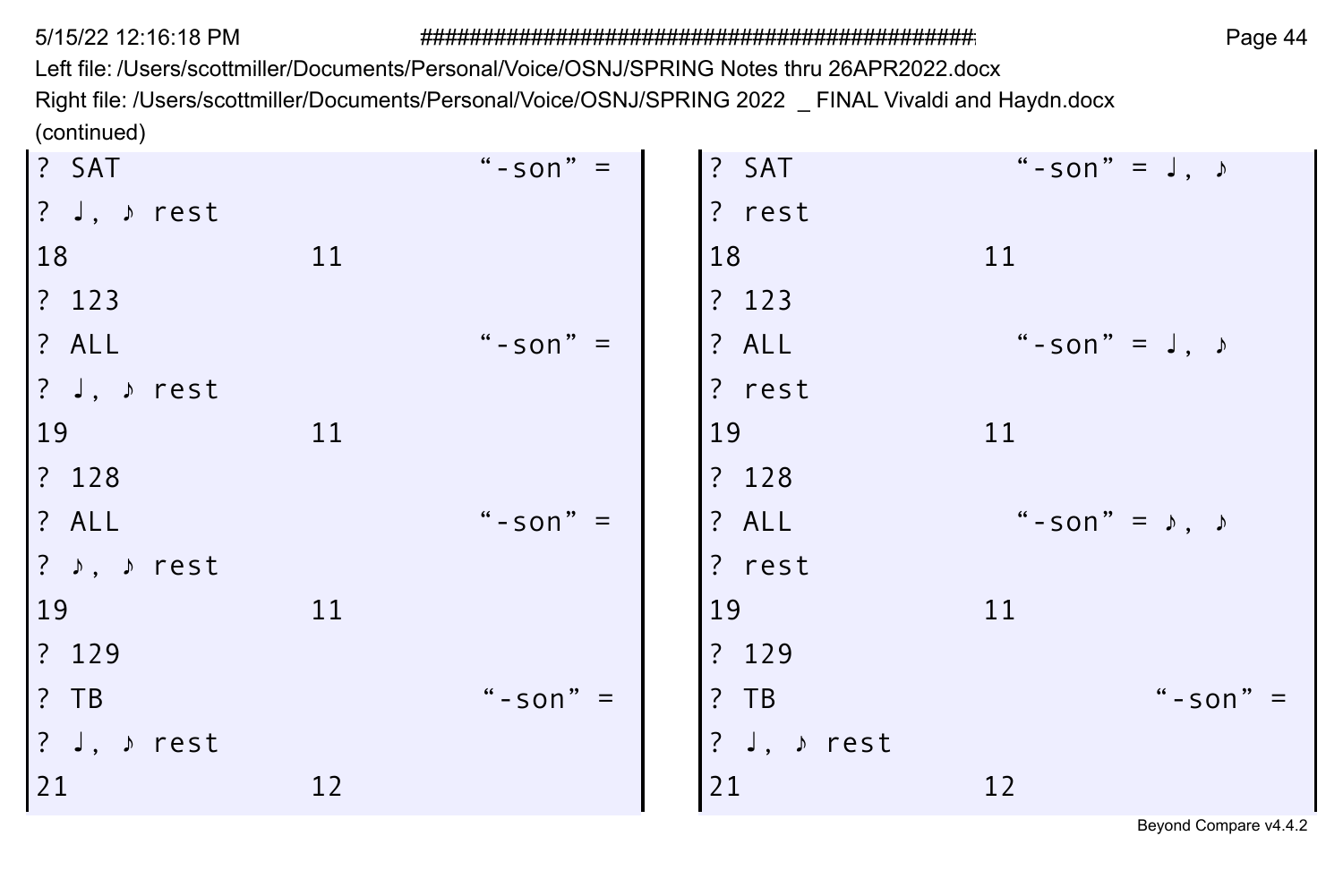Left file: /Users/scottmiller/Documents/Personal/Voice/OSNJ/SPRING Notes thru 26APR2022.docx Right file: /Users/scottmiller/Documents/Personal/Voice/OSNJ/SPRING 2022 \_ FINAL Vivaldi and Haydn.docx (continued)

| $?$ SAT                                               |    | "-son" $=$   | ? SAT       | "-son" = $J, \rightarrow$        |
|-------------------------------------------------------|----|--------------|-------------|----------------------------------|
| $ ?$ J, $\rightarrow$ rest                            |    |              | ? rest      |                                  |
| 18                                                    | 11 |              | 18          | 11                               |
| $ ?$ 123                                              |    |              | ? 123       |                                  |
| ? ALL                                                 |    | " - son" $=$ | ? ALL       | " - son" = $J, \rightarrow$      |
| $ ?$ J, $\rangle$ rest                                |    |              | ? rest      |                                  |
| <sup>19</sup>                                         | 11 |              | 19          | 11                               |
| ? 128                                                 |    |              | ? 128       |                                  |
| ? ALL                                                 |    | "-son" $=$   | ? ALL       | " - son" = $\lambda$ , $\lambda$ |
| $ ?$ ), $\rangle$ rest                                |    |              | ? rest      |                                  |
| <sup>19</sup>                                         | 11 |              | 19          | 11                               |
| ? 129                                                 |    |              | ? 129       |                                  |
| $\left  \begin{array}{cc} ? & TB \end{array} \right $ |    | " - son" $=$ | $?$ TB      | "-son" $=$                       |
| $ ?$ J, $\rangle$ rest                                |    |              | ? J, ♪ rest |                                  |
| 21                                                    | 12 |              | 21          | 12                               |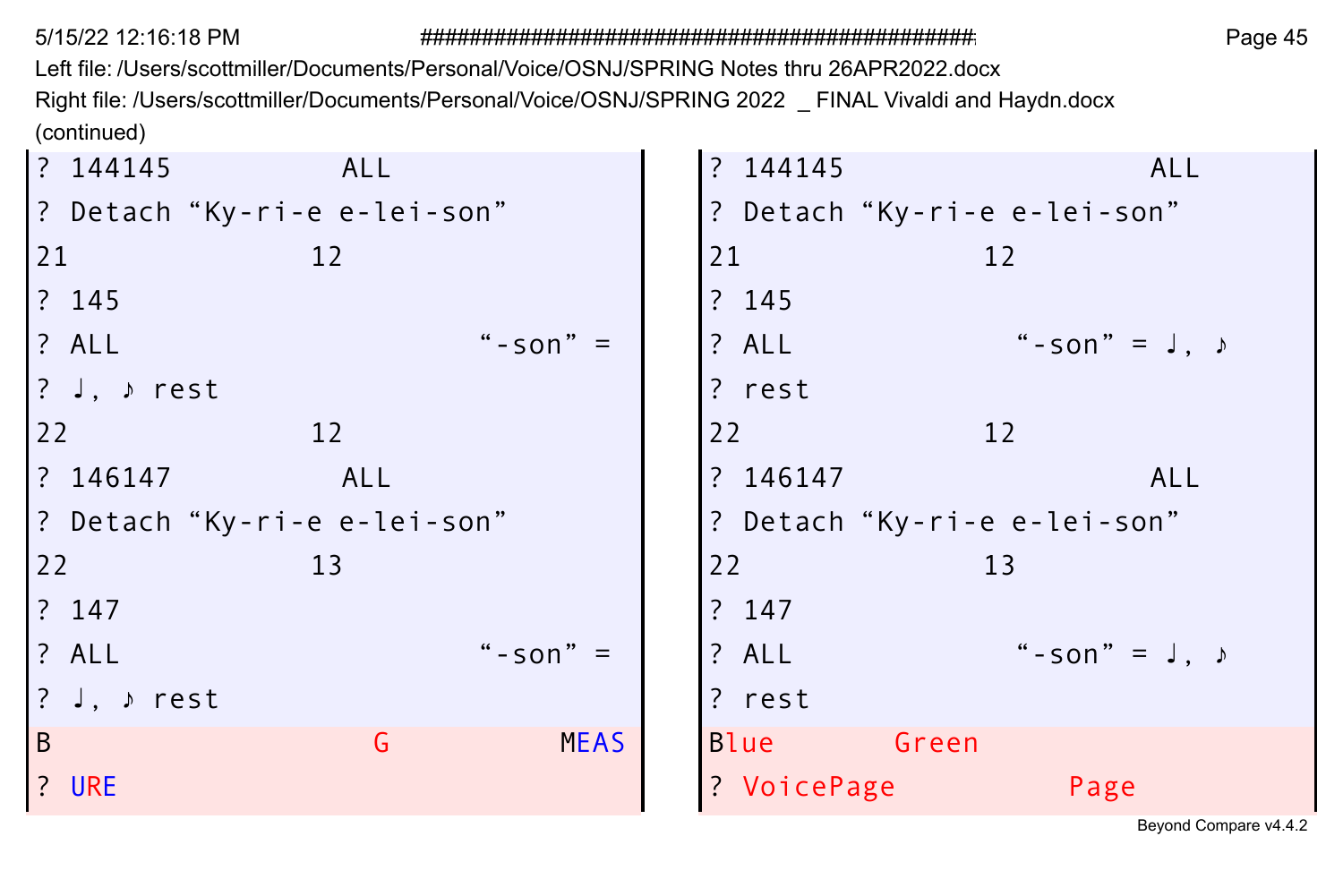Left file: /Users/scottmiller/Documents/Personal/Voice/OSNJ/SPRING Notes thru 26APR2022.docx Right file: /Users/scottmiller/Documents/Personal/Voice/OSNJ/SPRING 2022 \_ FINAL Vivaldi and Haydn.docx (continued)  $\sim$  $\sim$ 

| ? 144145                      | ALL |              | ? 144145                     |                              | <b>ALL</b>           |
|-------------------------------|-----|--------------|------------------------------|------------------------------|----------------------|
| ? Detach "Ky-ri-e e-lei-son"  |     |              |                              | ? Detach "Ky-ri-e e-lei-son" |                      |
| 21                            | 12  |              | 21                           | 12                           |                      |
| ? 145                         |     |              | ? 145                        |                              |                      |
| <b>? ALL</b>                  |     | " - son" $=$ | ? ALL                        |                              | "-son" = $J, \nu$    |
| $ ?$ J, $\triangleright$ rest |     |              | ? rest                       |                              |                      |
| 22                            | 12  |              | 22                           | 12                           |                      |
| ? 146147                      | ALL |              | ? 146147                     |                              | ALL                  |
| ? Detach"Ky-ri-e e-lei-son"   |     |              | ? Detach "Ky-ri-e e-lei-son" |                              |                      |
| 22                            | 13  |              | 22                           | 13                           |                      |
| ? 147                         |     |              | ? 147                        |                              |                      |
| ? ALL                         |     | "-son" $=$   | ? ALL                        |                              | " - son" = $J \cdot$ |
| $?$ J, $\rangle$ rest         |     |              | ? rest                       |                              |                      |
| B                             | G   | <b>MEAS</b>  | <b>Blue</b>                  | Green                        |                      |
| ? URE                         |     |              | ? VoicePage                  |                              | Page                 |
|                               |     |              |                              |                              |                      |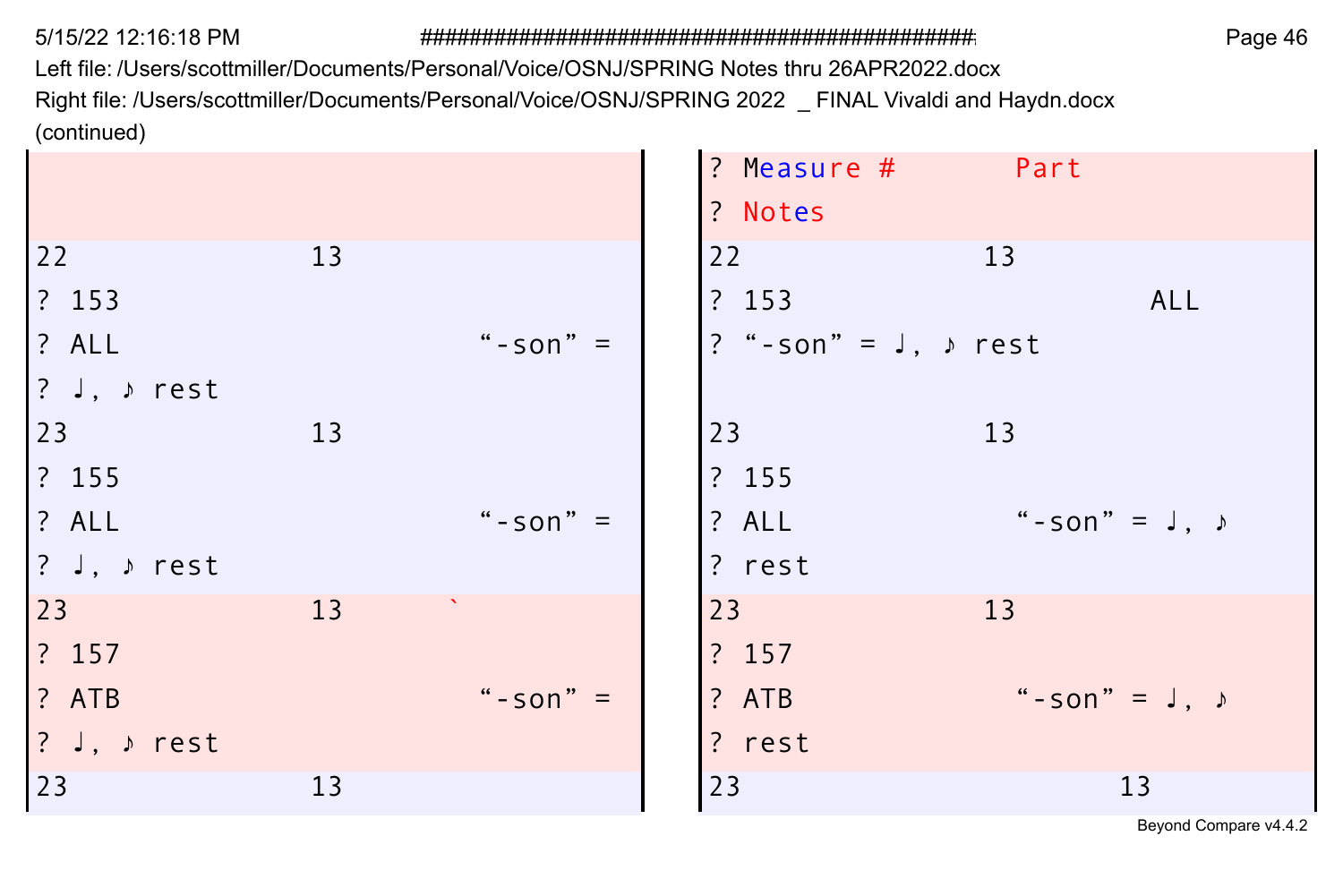Left file: /Users/scottmiller/Documents/Personal/Voice/OSNJ/SPRING Notes thru 26APR2022.docx Right file: /Users/scottmiller/Documents/Personal/Voice/OSNJ/SPRING 2022 \_ FINAL Vivaldi and Haydn.docx (continued)

|    |              | ? Measure #<br>Part              |
|----|--------------|----------------------------------|
|    |              | ? Notes                          |
| 13 |              | 22<br>13                         |
|    |              | ? 153<br>ALL                     |
|    | "-son" $=$   | ? "-son" = $J, \rightarrow$ rest |
|    |              |                                  |
| 13 |              | 23<br>13                         |
|    |              | ? 155                            |
|    | "-son" $=$   | " - son" = $J, J$<br>? ALL       |
|    |              | ? rest                           |
| 13 |              | 23<br>13                         |
|    |              | ? 157                            |
|    | " - son" $=$ | " - son" = $J, J$<br>? ATB       |
|    |              | ? rest                           |
| 13 |              | 23<br>13                         |
|    |              |                                  |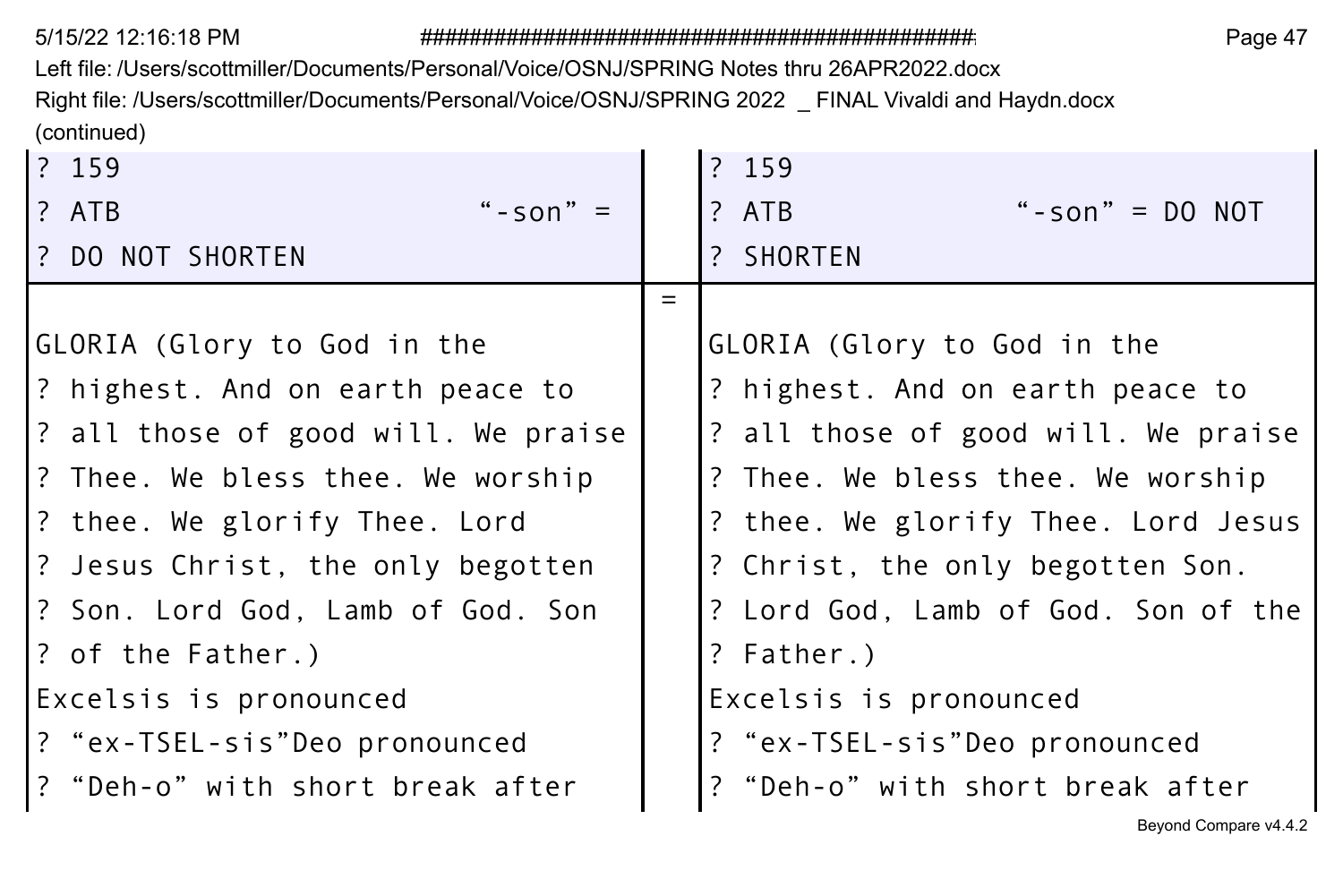Left file: /Users/scottmiller/Documents/Personal/Voice/OSNJ/SPRING Notes thru 26APR2022.docx Right file: /Users/scottmiller/Documents/Personal/Voice/OSNJ/SPRING 2022 \_ FINAL Vivaldi and Haydn.docx (continued)

| 2 159                               |     | ? 159                               |
|-------------------------------------|-----|-------------------------------------|
| " - son" $=$<br>l? ATB              |     | ? ATB<br>"-son" = $DO NOT$          |
| I? DO NOT SHORTEN                   |     | ? SHORTEN                           |
|                                     | $=$ |                                     |
| GLORIA (Glory to God in the         |     | GLORIA (Glory to God in the         |
| 3 highest. And on earth peace to    |     | ? highest. And on earth peace to    |
| ? all those of good will. We praise |     | ? all those of good will. We praise |
| 1? Thee. We bless thee. We worship  |     | ? Thee. We bless thee. We worship   |
| 2 thee. We glorify Thee. Lord?      |     | ? thee. We glorify Thee. Lord Jesus |
| 2 Jesus Christ, the only begotten?  |     | ? Christ, the only begotten Son.    |
| 1? Son. Lord God, Lamb of God. Son  |     | ? Lord God, Lamb of God. Son of the |
| 1? of the Father.)                  |     | ? Father.)                          |
| Excelsis is pronounced              |     | Excelsis is pronounced              |
| ? "ex-TSEL-sis"Deo pronounced       |     | ? "ex-TSEL-sis"Deo pronounced       |
| ? "Deh-o" with short break after    |     | ? "Deh-o" with short break after    |
|                                     |     | Beyond Compare v4.4.2               |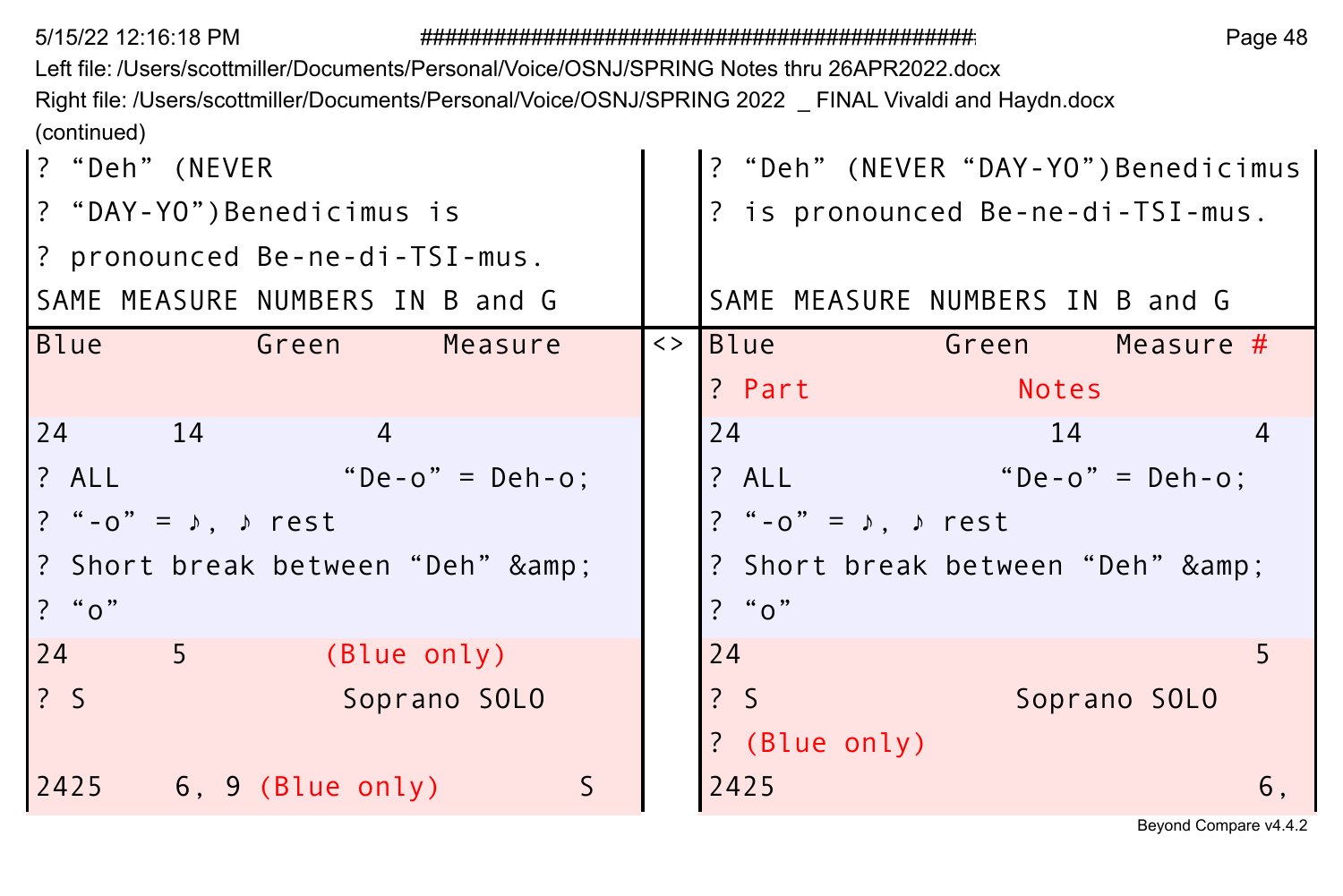Page 48

Left file: /Users/scottmiller/Documents/Personal/Voice/OSNJ/SPRING Notes thru 26APR2022.docx Right file: /Users/scottmiller/Documents/Personal/Voice/OSNJ/SPRING 2022 \_ FINAL Vivaldi and Haydn.docx (continued)

| ? "Deh" (NEVER                                                                                                         | ? "Deh" (NEVER "DAY-YO")Benedicimus   |                                                |    |  |
|------------------------------------------------------------------------------------------------------------------------|---------------------------------------|------------------------------------------------|----|--|
| ? "DAY-YO")Benedicimus is                                                                                              |                                       | ? is pronounced Be-ne-di-TSI-mus.              |    |  |
| ? pronounced Be-ne-di-TSI-mus.                                                                                         |                                       |                                                |    |  |
| SAME MEASURE NUMBERS IN B and G                                                                                        |                                       | SAME MEASURE NUMBERS IN B and G                |    |  |
| Blue<br>a Green Green and Service Service Service Service Service Service Service Service Service Service S<br>Measure | $\left\langle > \right $ Blue         | <b>Example 19 Contract Contract Contract A</b> |    |  |
|                                                                                                                        | ? Part                                | Notes                                          |    |  |
| 24 14<br>4                                                                                                             | 24                                    | 14                                             | 4  |  |
| "De-o" = Deh-o:<br>? ALL                                                                                               |                                       | $? ALL "De-o" = Deh-o'.$                       |    |  |
| ? "-o" = $\lambda$ , $\lambda$ rest                                                                                    | ? "-o" = $\sqrt{ }$ , $\sqrt{ }$ rest |                                                |    |  |
| ? Short break between "Deh" &                                                                                          |                                       | ? Short break between "Deh" &                  |    |  |
| ? " $0$ "                                                                                                              | ? "0"                                 |                                                |    |  |
| $5 - 5$<br>24<br>(Blue only)                                                                                           | 24                                    |                                                |    |  |
| $\frac{2}{3}$<br>Soprano SOLO                                                                                          | $\frac{1}{2}$ S                       | Soprano SOLO                                   |    |  |
|                                                                                                                        | ? (Blue only)                         |                                                |    |  |
| S<br>$2425$ 6, 9 (Blue only)                                                                                           | 2425                                  |                                                | 6. |  |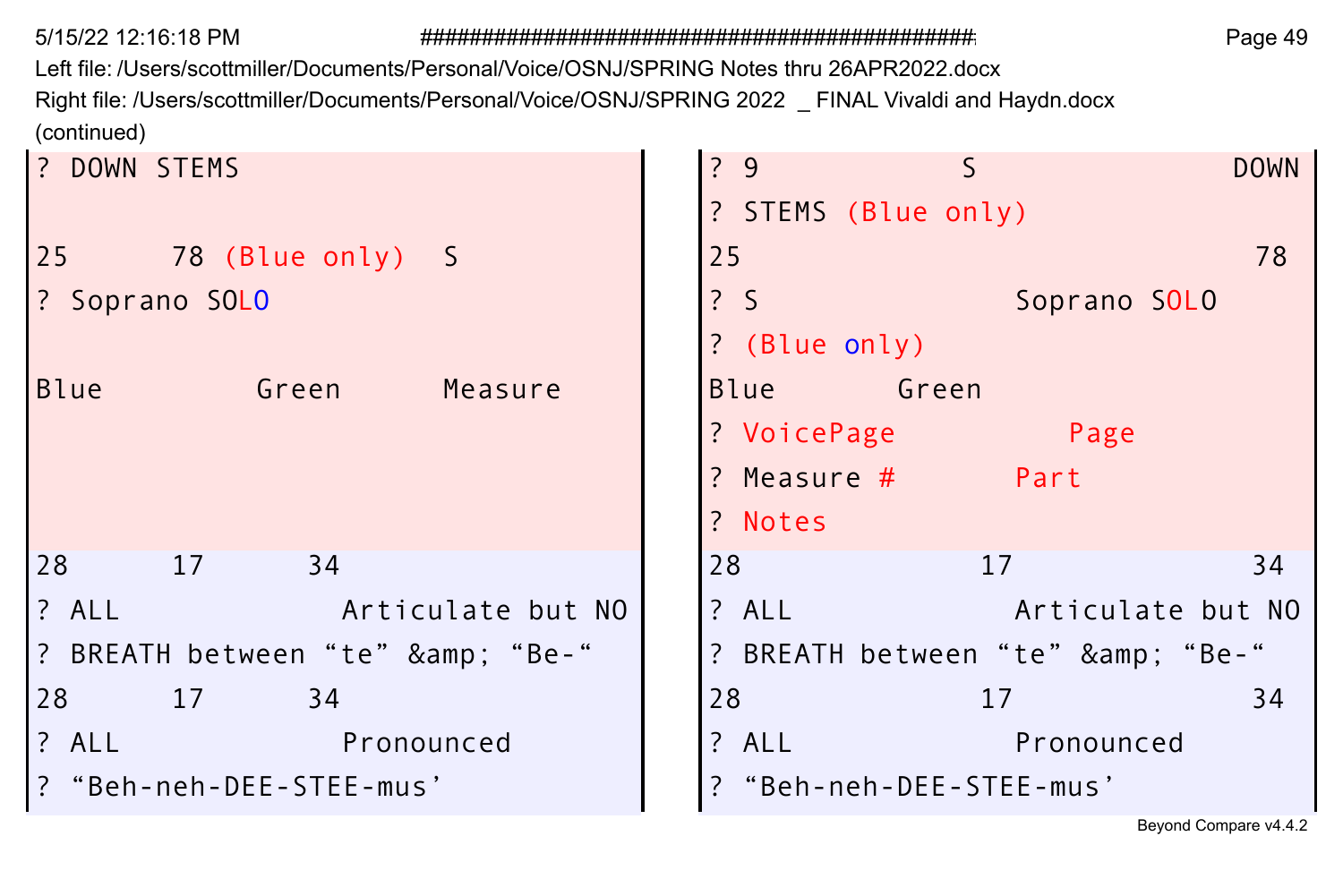Left file: /Users/scottmiller/Documents/Personal/Voice/OSNJ/SPRING Notes thru 26APR2022.docx Right file: /Users/scottmiller/Documents/Personal/Voice/OSNJ/SPRING 2022 \_ FINAL Vivaldi and Haydn.docx (continued)

| DOWN STEMS                      | ?9              |                     | S                             | <b>DOWN</b>       |
|---------------------------------|-----------------|---------------------|-------------------------------|-------------------|
|                                 |                 | ? STEMS (Blue only) |                               |                   |
| 25 78 (Blue only) S             | 25              |                     |                               | 78                |
| ? Soprano SOLO                  | $\frac{1}{2}$ S |                     | Soprano SOLO                  |                   |
|                                 |                 | ? (Blue only)       |                               |                   |
| <b>Blue</b><br>Green<br>Measure | <b>Blue</b>     | Green               |                               |                   |
|                                 |                 | ? VoicePage         | Page                          |                   |
|                                 |                 | ? Measure #         | Part                          |                   |
|                                 | ? Notes         |                     |                               |                   |
| 28<br>17<br>34                  | 28              |                     | 17                            | 34                |
| ? ALL<br>Articulate but NO      | ? ALL           |                     |                               | Articulate but NO |
| ? BREATH between "te" & "Be-"   |                 |                     | ? BREATH between "te" & "Be-" |                   |
| 28<br>17<br>34                  | 28              |                     | 17                            | 34                |
| ? ALL<br>Pronounced             | ? ALL           |                     | Pronounced                    |                   |
| "Beh-neh-DEE-STEE-mus'          |                 |                     | "Beh-neh-DEE-STEE-mus'        |                   |
|                                 |                 |                     |                               |                   |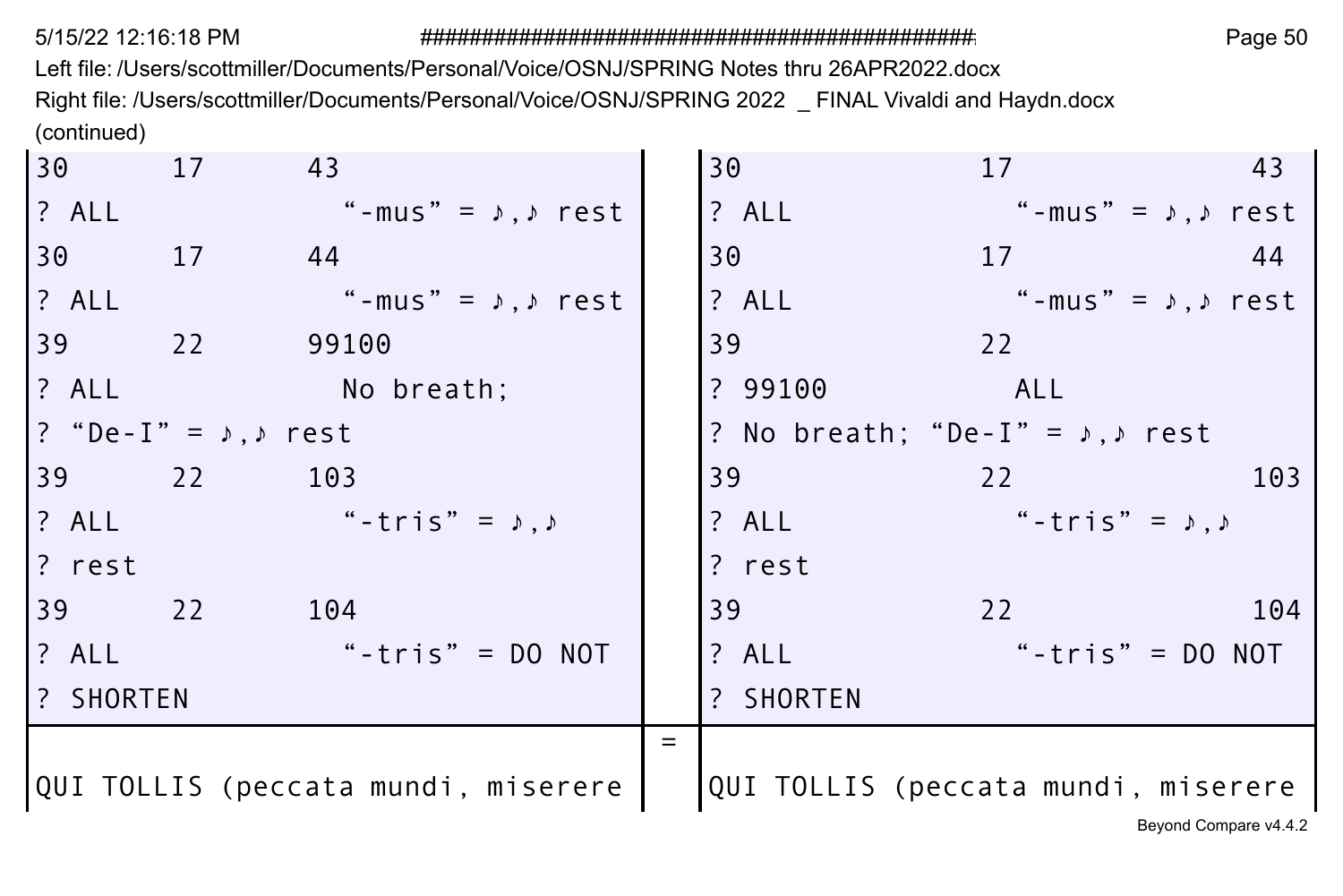Left file: /Users/scottmiller/Documents/Personal/Voice/OSNJ/SPRING Notes thru 26APR2022.docx Right file: /Users/scottmiller/Documents/Personal/Voice/OSNJ/SPRING 2022 \_ FINAL Vivaldi and Haydn.docx (continued)  $\sim$ 

| 30 17            | 43                                    | 30        | 17                                               | 43                    |
|------------------|---------------------------------------|-----------|--------------------------------------------------|-----------------------|
| $?$ ALL          | "-mus" = $\lambda$ , $\lambda$ rest   | ? ALL     | "-mus" = $\lambda$ , $\lambda$ rest              |                       |
| 30 17            | 44                                    | 30        | 17                                               | -44                   |
| $?$ ALL          | "-mus" = $\lambda$ , $\lambda$ rest   | ? ALL     | "-mus" = $\sqrt{2}$ , $\sqrt{2}$ rest            |                       |
|                  | 39 22 99100                           | 39        | 22                                               |                       |
|                  | 2 ALL No breath;                      |           | ? 99100 ALL                                      |                       |
|                  | ? "De-I" = $\lambda$ , $\lambda$ rest |           | ? No breath; "De-I" = $\lambda$ , $\lambda$ rest |                       |
|                  | 39 22 103                             | 39        | 22                                               | 103                   |
|                  | $? ALL$ "-tris" = $\lambda, \lambda$  | $?$ ALL   | "-tris" = $\lambda$ , $\lambda$                  |                       |
| l? rest          |                                       | ? rest    |                                                  |                       |
|                  | 39 22 104                             | 39        | 22                                               | 104                   |
| 1? ALL           | "-tris" = $DO NOT$                    | ? ALL     | "-tris" = $DO NOT$                               |                       |
| <b>7</b> SHORTEN |                                       | ? SHORTEN |                                                  |                       |
|                  |                                       |           |                                                  |                       |
|                  | QUI TOLLIS (peccata mundi, miserere   |           | QUI TOLLIS (peccata mundi, miserere              |                       |
|                  |                                       |           |                                                  | Beyond Compare v4.4.2 |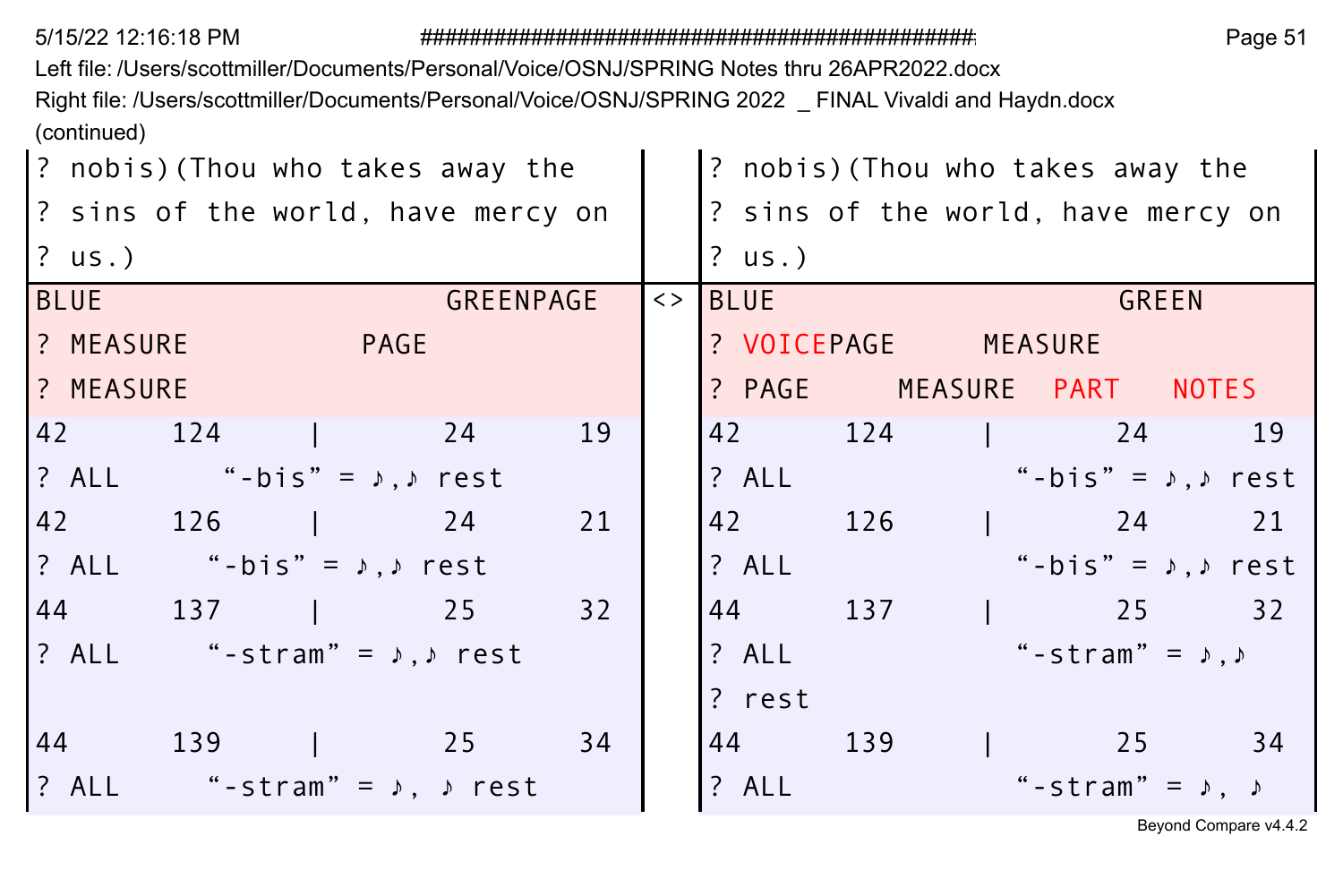Left file: /Users/scottmiller/Documents/Personal/Voice/OSNJ/SPRING Notes thru 26APR2022.docx

Right file: /Users/scottmiller/Documents/Personal/Voice/OSNJ/SPRING 2022 \_ FINAL Vivaldi and Haydn.docx (continued)

|             | ? nobis)(Thou who takes away the            |                        |           |    |                     |             |                     | ? nobis) (Thou who takes away the         |       |  |
|-------------|---------------------------------------------|------------------------|-----------|----|---------------------|-------------|---------------------|-------------------------------------------|-------|--|
|             | ? sins of the world, have mercy on          |                        |           |    |                     |             |                     | ? sins of the world, have mercy on        |       |  |
| $?$ us.)    |                                             |                        |           |    |                     | $?$ us.)    |                     |                                           |       |  |
| <b>BLUE</b> |                                             |                        | GREENPAGE |    | $\langle \rangle$ 1 | <b>BLUE</b> |                     |                                           | GREEN |  |
| ? MEASURE   |                                             | <b>Example 19 PAGE</b> |           |    |                     |             | ? VOICEPAGE MEASURE |                                           |       |  |
| ? MEASURE   |                                             |                        |           |    |                     |             |                     | ? PAGE MEASURE PART NOTES                 |       |  |
|             | 42 124   24                                 |                        |           | 19 |                     |             |                     | 42 124 1 24 19                            |       |  |
|             | ? ALL "-bis" = $\lambda$ , $\lambda$ rest   |                        |           |    |                     |             |                     | ? ALL "-bis" = $\lambda$ , $\lambda$ rest |       |  |
|             | 42 126   24                                 |                        |           | 21 |                     |             | 42 126              | $\frac{1}{24}$ 21                         |       |  |
|             | ? ALL "-bis" = $\lambda$ , $\lambda$ rest   |                        |           |    |                     | ? ALL       |                     | "-bis" = $\lambda$ , $\lambda$ rest       |       |  |
|             | 44 137   25                                 |                        |           | 32 |                     |             |                     | 44 137 1 25 32                            |       |  |
|             | ? ALL "-stram" = $\lambda$ , $\lambda$ rest |                        |           |    |                     | ? ALL       |                     | "-stram" = $\lambda$ , $\lambda$          |       |  |
|             |                                             |                        |           |    |                     | ? rest      |                     |                                           |       |  |
|             | 44 139   25 34                              |                        |           |    |                     |             | 44 139              | $\frac{1}{25}$ 34                         |       |  |
|             | ? ALL "-stram" = $\lambda$ , $\lambda$ rest |                        |           |    |                     | ? ALL       |                     | "-stram" = $\lambda$ , $\lambda$          |       |  |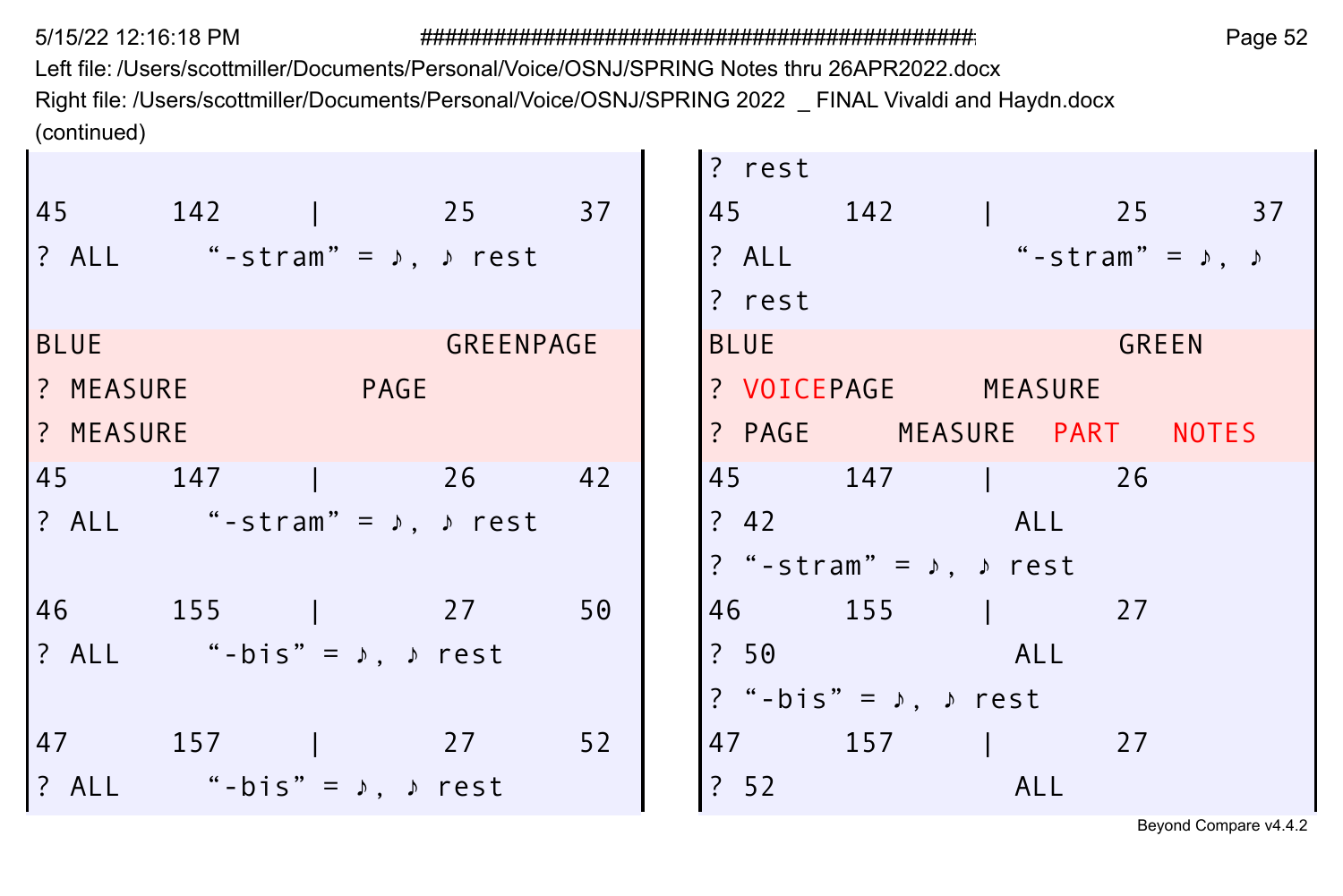Left file: /Users/scottmiller/Documents/Personal/Voice/OSNJ/SPRING Notes thru 26APR2022.docx Right file: /Users/scottmiller/Documents/Personal/Voice/OSNJ/SPRING 2022 \_ FINAL Vivaldi and Haydn.docx (continued)

|             |                                             |                  | ? rest      |                                              |              |  |
|-------------|---------------------------------------------|------------------|-------------|----------------------------------------------|--------------|--|
|             | 45 142   25 37                              |                  |             | 45 142   25 37                               |              |  |
|             | ? ALL "-stram" = $\lambda$ , $\lambda$ rest |                  |             | ? ALL $" - \text{stram"} = \rho, \quad \rho$ |              |  |
|             |                                             |                  | ? rest      |                                              |              |  |
| <b>BLUE</b> |                                             | <b>GREENPAGE</b> | <b>BLUE</b> |                                              | <b>GREEN</b> |  |
|             | ? MEASURE PAGE                              |                  |             | ? VOICEPAGE MEASURE                          |              |  |
| ? MEASURE   |                                             |                  |             | ? PAGE MEASURE PART NOTES                    |              |  |
|             | 45 147   26 42                              |                  |             | 45 147 1 26                                  |              |  |
|             | ? ALL "-stram" = $\lambda$ , $\lambda$ rest |                  |             | ? 42 ALL                                     |              |  |
|             |                                             |                  |             | ? "-stram" = $\lambda$ , $\lambda$ rest      |              |  |
|             | 46 155   27 50                              |                  |             | 46 155   27                                  |              |  |
|             | ? ALL "-bis" = $\lambda$ , $\lambda$ rest   |                  |             | ? 50 ALL                                     |              |  |
|             |                                             |                  |             | ? "-bis" = $\lambda$ , $\lambda$ rest        |              |  |
|             | 47 157   27 52                              |                  |             | 47 157   27                                  |              |  |
|             | ? ALL "-bis" = $\lambda$ , $\lambda$ rest   |                  | ? 52        | <b>ALL</b>                                   |              |  |
|             |                                             |                  |             |                                              |              |  |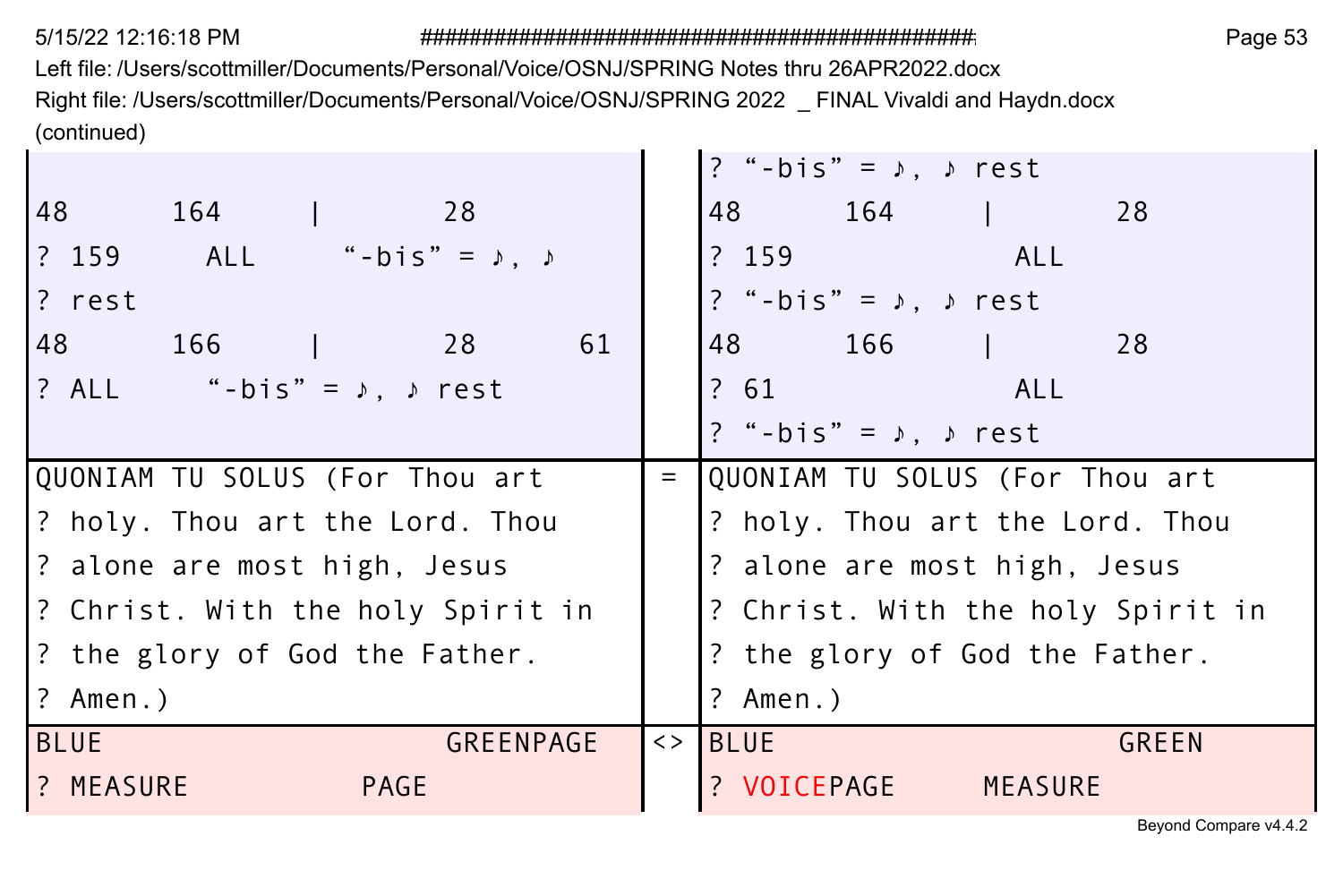Left file: /Users/scottmiller/Documents/Personal/Voice/OSNJ/SPRING Notes thru 26APR2022.docx Right file: /Users/scottmiller/Documents/Personal/Voice/OSNJ/SPRING 2022 \_ FINAL Vivaldi and Haydn.docx (continued)

|                                             |     | ? "-bis" = $\lambda$ , $\lambda$ rest |
|---------------------------------------------|-----|---------------------------------------|
| 48 164<br>$\frac{1}{28}$                    |     | 48 164<br>28                          |
| ? 159 ALL "-bis" = ♪, ♪                     |     | ?159<br><b>ALL</b> ALL                |
| l? rest                                     |     | ? "-bis" = $\lambda$ , $\lambda$ rest |
| 148 166<br>61<br>28                         |     | 48 166<br>28                          |
| $?$ ALL "-bis" = $\lambda$ , $\lambda$ rest |     | ? 61 ALL                              |
|                                             |     | ? "-bis" = $\lambda$ , $\lambda$ rest |
| QUONIAM TU SOLUS (For Thou art              | $=$ | QUONIAM TU SOLUS (For Thou art        |
| 2 holy. Thou art the Lord. Thou             |     | ? holy. Thou art the Lord. Thou       |
| ? alone are most high, Jesus                |     | ? alone are most high, Jesus          |
| 2 Christ. With the holy Spirit in           |     | ? Christ. With the holy Spirit in     |
| ? the glory of God the Father.              |     | ? the glory of God the Father.        |
| l? Amen.)                                   |     | ? Amen.)                              |
| <b>BLUE</b><br>GREENPAGE                    |     | <> IBLUE<br>GREEN                     |
| 1? MEASURE<br>PAGE                          |     | ? VOICEPAGE<br>MEASURE                |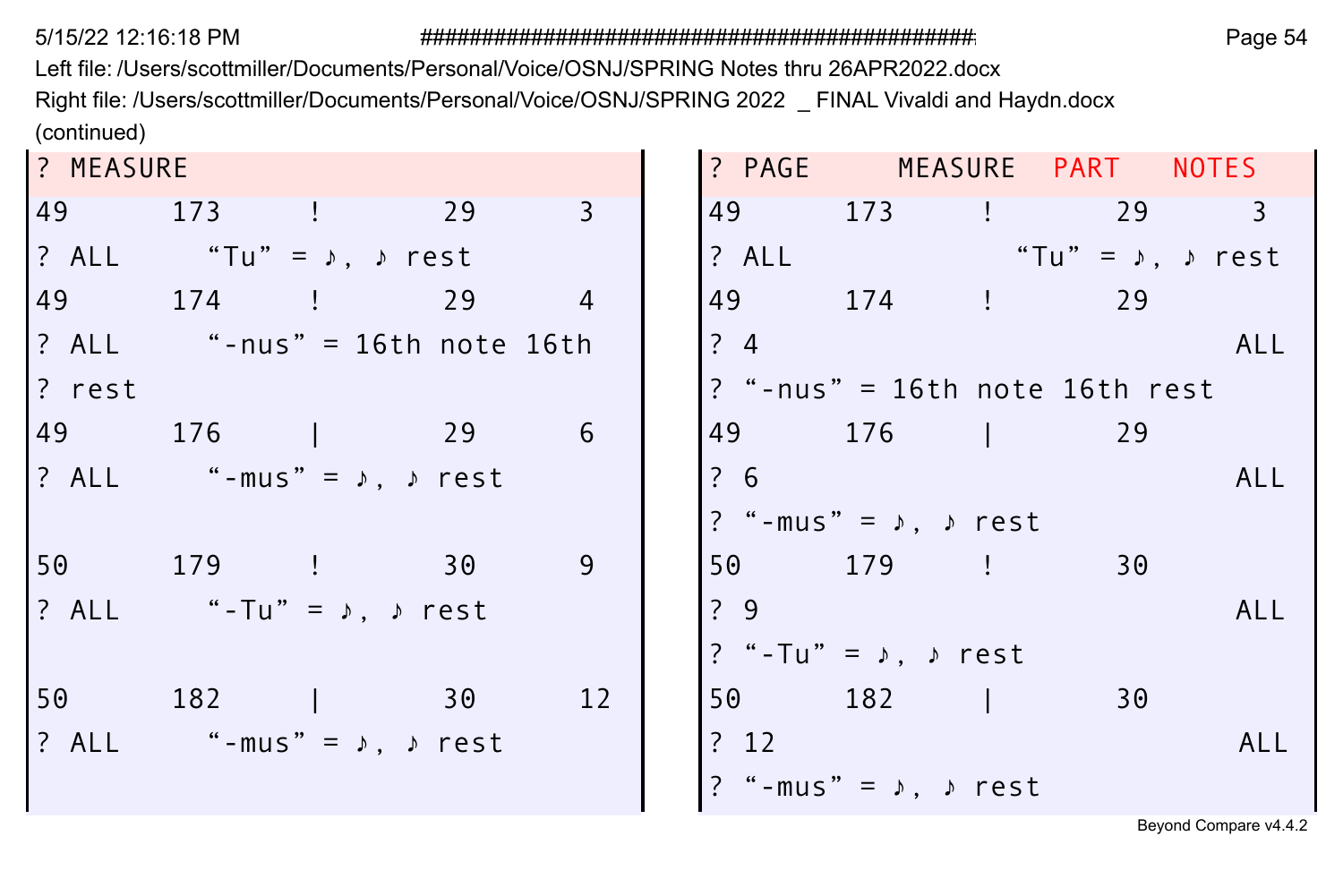Left file: /Users/scottmiller/Documents/Personal/Voice/OSNJ/SPRING Notes thru 26APR2022.docx Right file: /Users/scottmiller/Documents/Personal/Voice/OSNJ/SPRING 2022 \_ FINAL Vivaldi and Haydn.docx (continued)

| ? MEASURE |                                           |  |    |      | ? PAGE MEASURE PART NOTES             |    |            |
|-----------|-------------------------------------------|--|----|------|---------------------------------------|----|------------|
|           | 49 173 ! 29 3                             |  |    |      | 49 173 ! 29 3                         |    |            |
|           | ? ALL "Tu" = $\sqrt{2}$ , $\sqrt{2}$ rest |  |    |      | ? ALL "Tu" = $\psi$ , $\rho$ rest     |    |            |
|           | 49 174 ! 29 4                             |  |    |      | 49 174 ! 29                           |    |            |
|           | ? ALL "-nus" = 16th note 16th             |  |    | ?4   |                                       |    | ALL        |
| ? rest    |                                           |  |    |      | $?$ "-nus" = 16th note 16th rest      |    |            |
|           | 49 176   29                               |  | 6  |      | 49 176   29                           |    |            |
|           | ? ALL "-mus" = $\lambda$ , $\lambda$ rest |  |    | ?6   |                                       |    | ALL        |
|           |                                           |  |    |      | ? "-mus" = $\lambda$ , $\lambda$ rest |    |            |
|           | 50 179 ! 30                               |  | 9  |      | 50 179 !                              | 30 |            |
|           | ? ALL "-Tu" = $\lambda$ , $\lambda$ rest  |  |    | 29   |                                       |    | ALL        |
|           |                                           |  |    |      | ? "-Tu" = $\lambda$ , $\lambda$ rest  |    |            |
|           | 50 182   30                               |  | 12 |      | 50 182                                | 30 |            |
|           | ? ALL "-mus" = $\lambda$ , $\lambda$ rest |  |    | ? 12 |                                       |    | <b>ALL</b> |
|           |                                           |  |    |      | ? "-mus" = $\lambda$ , $\lambda$ rest |    |            |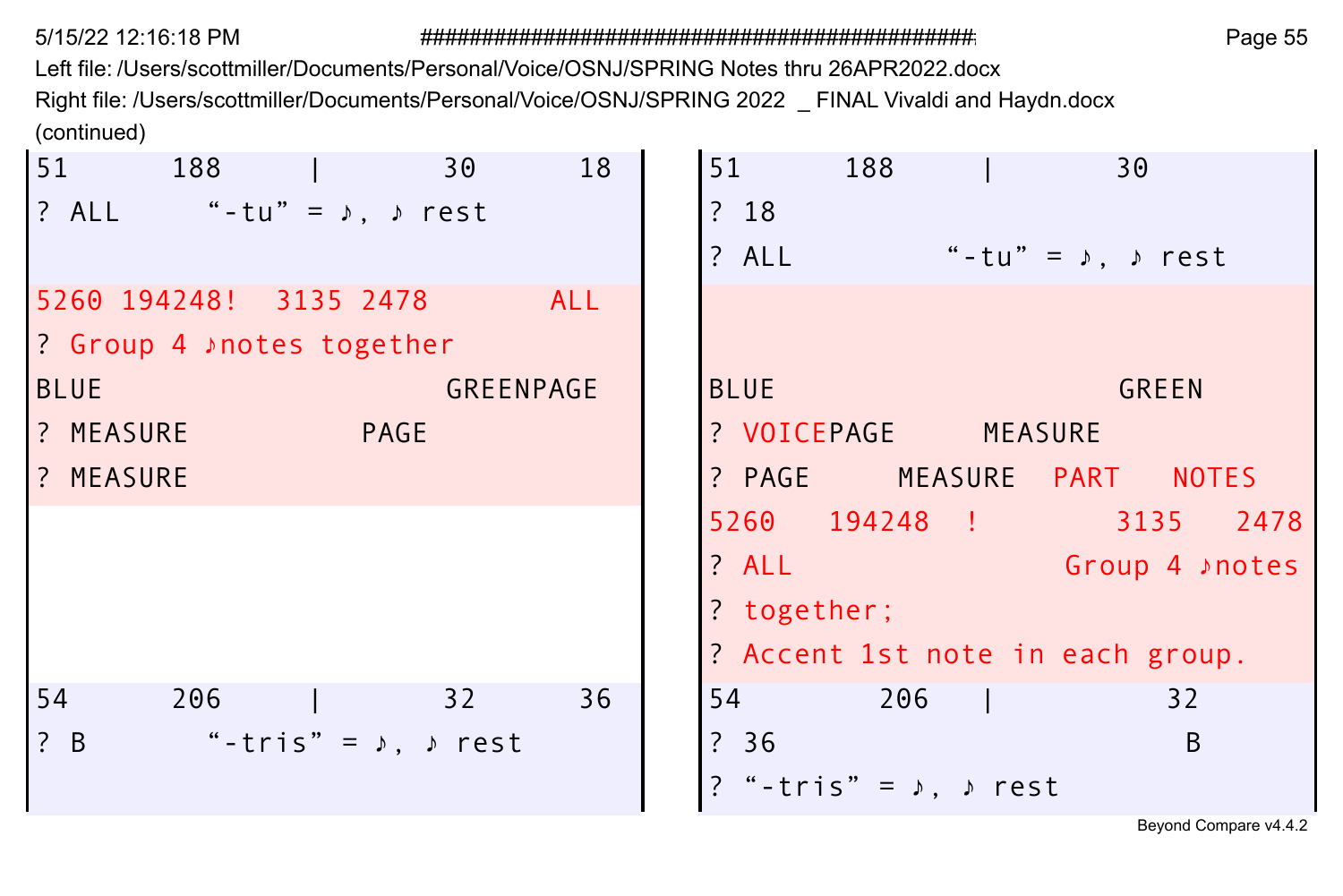Left file: /Users/scottmiller/Documents/Personal/Voice/OSNJ/SPRING Notes thru 26APR2022.docx Right file: /Users/scottmiller/Documents/Personal/Voice/OSNJ/SPRING 2022 \_ FINAL Vivaldi and Haydn.docx (continued)  $\mathbf{r}$  $\overline{1}$ 

| 51 188                                                                                       | 18<br>30              | 188<br>51<br>30                             |
|----------------------------------------------------------------------------------------------|-----------------------|---------------------------------------------|
| $?$ ALL "-tu" = $\lambda$ , $\lambda$ rest                                                   |                       | ?18                                         |
|                                                                                              |                       | "-tu" = $\lambda$ , $\lambda$ rest<br>? ALL |
| 5260 194248! 3135 2478                                                                       | ALL                   |                                             |
| 1? Group 4 ♪ notes together                                                                  |                       |                                             |
| BLUE                                                                                         | GREENPAGE             | <b>BLUE</b><br><b>GREEN</b>                 |
| <b>1? MEASURE</b><br><b>PAGE</b>                                                             |                       | ? VOICEPAGE MEASURE                         |
| ? MEASURE                                                                                    |                       | ? PAGE MEASURE PART NOTES                   |
|                                                                                              |                       | 5260 194248 ! 3135 2478                     |
|                                                                                              |                       | ? ALL<br>Croup 4 ⊅notes                     |
|                                                                                              |                       | ? together;                                 |
|                                                                                              |                       | ? Accent 1st note in each group.            |
| 54<br>206                                                                                    | 36<br>$\overline{32}$ | 54 206  <br>32                              |
| $\left  \begin{array}{cc} ? & B \end{array} \right $<br>"-tris" = $\lambda$ , $\lambda$ rest |                       | ? 36<br><sub>B</sub>                        |
|                                                                                              |                       | ? "-tris" = $\lambda$ , $\lambda$ rest      |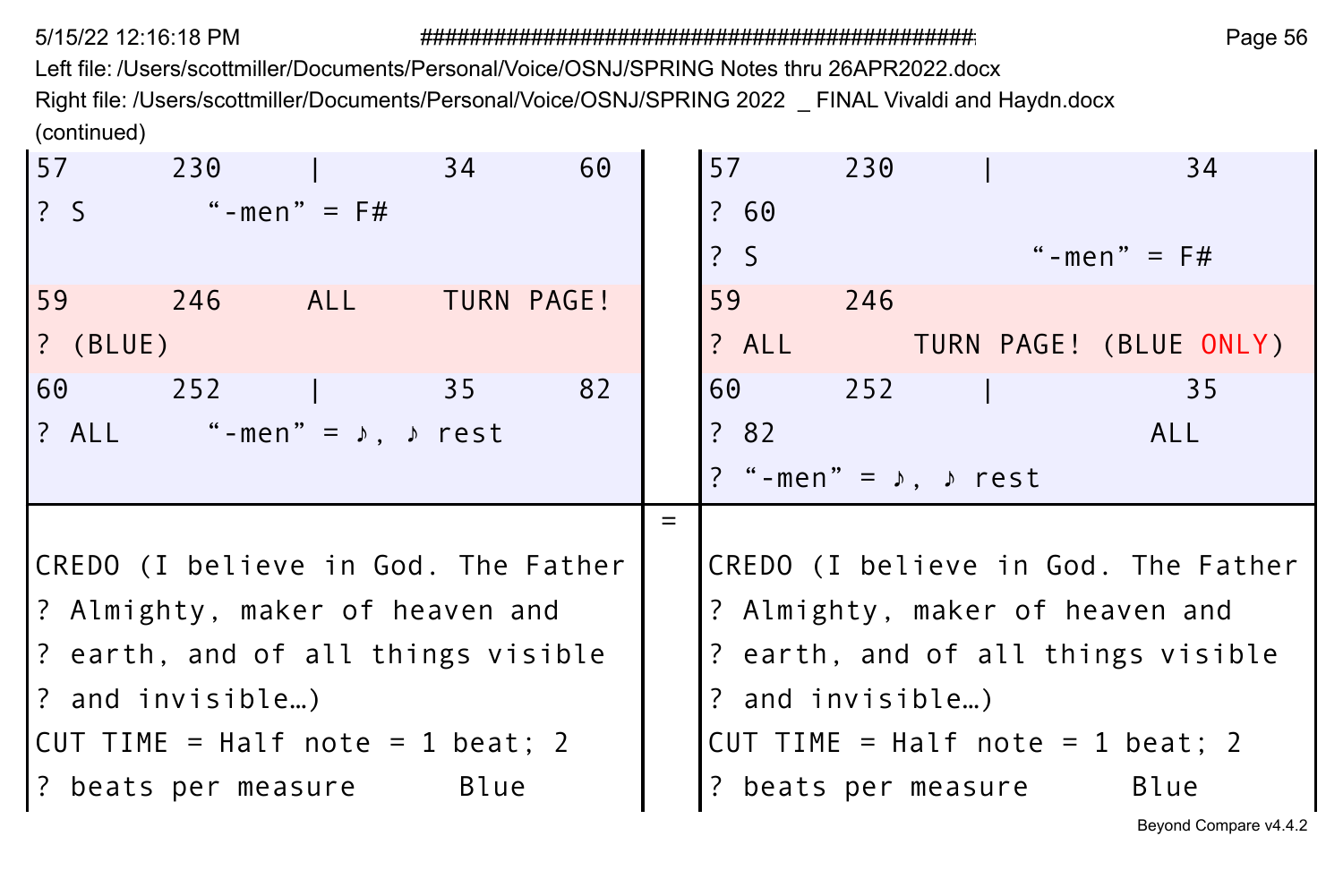Left file: /Users/scottmiller/Documents/Personal/Voice/OSNJ/SPRING Notes thru 26APR2022.docx Right file: /Users/scottmiller/Documents/Personal/Voice/OSNJ/SPRING 2022 \_ FINAL Vivaldi and Haydn.docx (continued)

| 57         | 230                                       |     | 34              | 60         |     | 57               | 230 |                                       | 34                                  |
|------------|-------------------------------------------|-----|-----------------|------------|-----|------------------|-----|---------------------------------------|-------------------------------------|
| ? S        | "-men" = $F#$                             |     |                 |            |     | ? 60             |     |                                       |                                     |
|            |                                           |     |                 |            |     | 2S               |     |                                       | "-men" = $F#$                       |
| 59         | 246                                       | ALL |                 | TURN PAGE! |     | 59               | 246 |                                       |                                     |
| $?$ (BLUE) |                                           |     |                 |            |     | ? ALL            |     |                                       | TURN PAGE! (BLUE ONLY)              |
| 60         | 252                                       |     | $\overline{35}$ | 82         |     | 60 —             | 252 |                                       | 35                                  |
|            | ? ALL "-men" = $\lambda$ , $\lambda$ rest |     |                 |            |     | ? 82             |     |                                       | <b>ALL</b>                          |
|            |                                           |     |                 |            |     |                  |     | ? "-men" = $\lambda$ , $\lambda$ rest |                                     |
|            |                                           |     |                 |            | $=$ |                  |     |                                       |                                     |
|            | CREDO (I believe in God. The Father       |     |                 |            |     |                  |     |                                       | CREDO (I believe in God. The Father |
|            | ? Almighty, maker of heaven and           |     |                 |            |     |                  |     |                                       | ? Almighty, maker of heaven and     |
|            | ? earth, and of all things visible        |     |                 |            |     |                  |     |                                       | ? earth, and of all things visible  |
|            | ? and invisible)                          |     |                 |            |     | ? and invisible) |     |                                       |                                     |
|            | CUT TIME = Half note = 1 beat; 2          |     |                 |            |     |                  |     |                                       | CUT TIME = Half note = 1 beat; 2    |
|            | ? beats per measure Blue                  |     |                 |            |     |                  |     | ? beats per measure                   | Blue                                |
|            |                                           |     |                 |            |     |                  |     |                                       |                                     |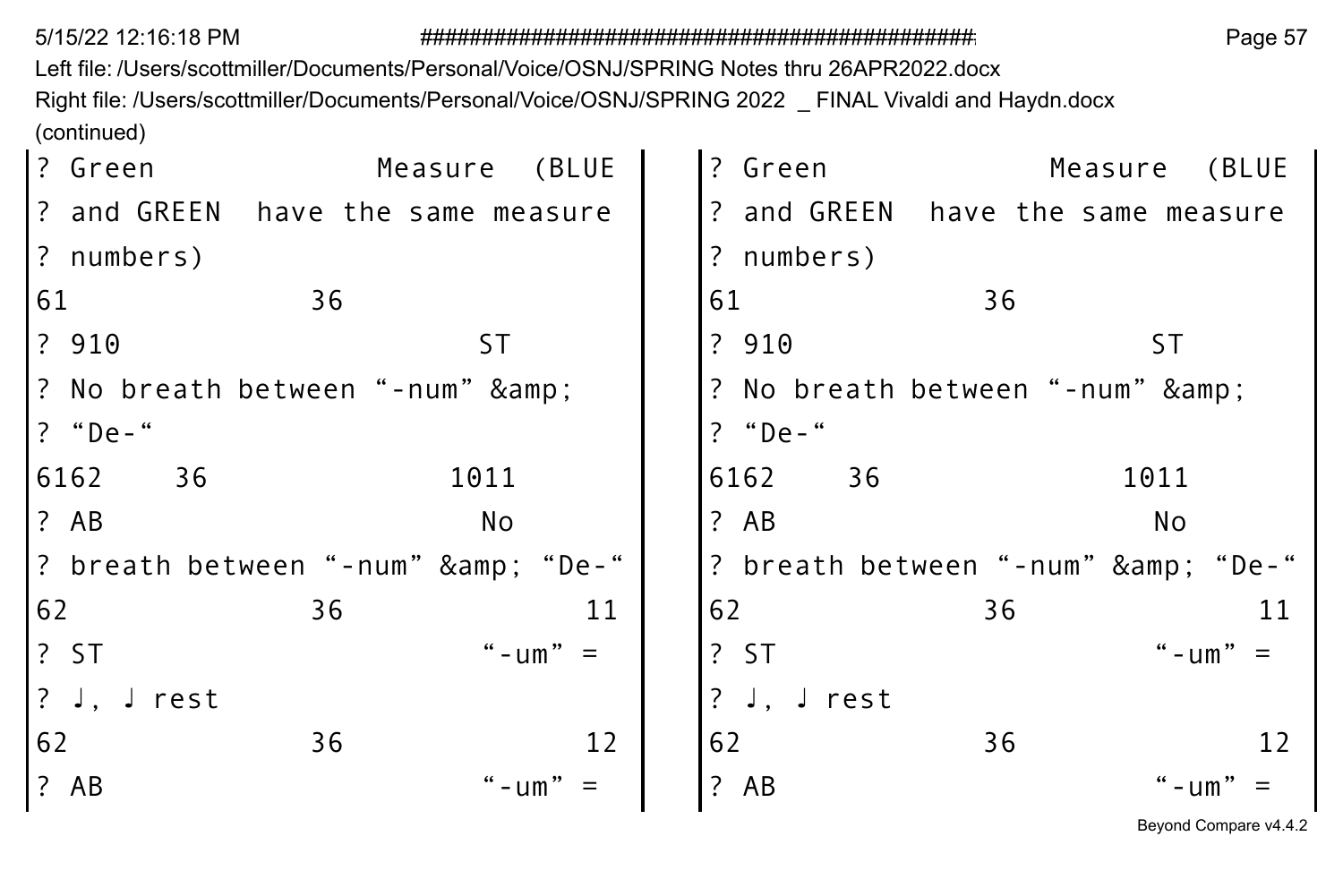5/15/22 12:16:18 PM

## 

Page 57

Left file: /Users/scottmiller/Documents/Personal/Voice/OSNJ/SPRING Notes thru 26APR2022.docx Right file: /Users/scottmiller/Documents/Personal/Voice/OSNJ/SPRING 2022 \_ FINAL Vivaldi and Haydn.docx (continued)

| ? Green     |                                   | Measure (BLUE |   | ? Green |                              |    |      | Measure (BLUE                     |
|-------------|-----------------------------------|---------------|---|---------|------------------------------|----|------|-----------------------------------|
|             | ? and GREEN have the same measure |               |   |         |                              |    |      | ? and GREEN have the same measure |
| ? numbers)  |                                   |               |   |         | ? numbers)                   |    |      |                                   |
| 61          | 36                                |               |   | 61      |                              | 36 |      |                                   |
| ? 910       |                                   | 5T            |   | ? 910   |                              |    | ST   |                                   |
|             | ? No breath between "-num" &      |               |   |         | ? No breath between "-num" & |    |      |                                   |
| ? "De-"     |                                   |               |   | ? "De-" |                              |    |      |                                   |
| 6162<br>36  |                                   | 1011          |   | 6162    | 36                           |    | 1011 |                                   |
| ? AB        |                                   | No            |   | ? AB    |                              |    | No   |                                   |
|             | ? breath between "-num" & "De-"   |               |   |         |                              |    |      | ? breath between "-num" & "De-"   |
| 62          | 36                                | 11            |   | 62      |                              | 36 |      | 11                                |
| ? ST        |                                   | " - $um" =$   |   | ?ST     |                              |    |      | " - $um" =$                       |
| ? J, J rest |                                   |               |   |         | ? J, J $rest$                |    |      |                                   |
| 62          | 36                                | 12            |   | 62      |                              | 36 |      | 12                                |
| ? AB        |                                   | " $-um$ "     | ? | AB      |                              |    |      | "-um"                             |
|             |                                   |               |   |         |                              |    |      |                                   |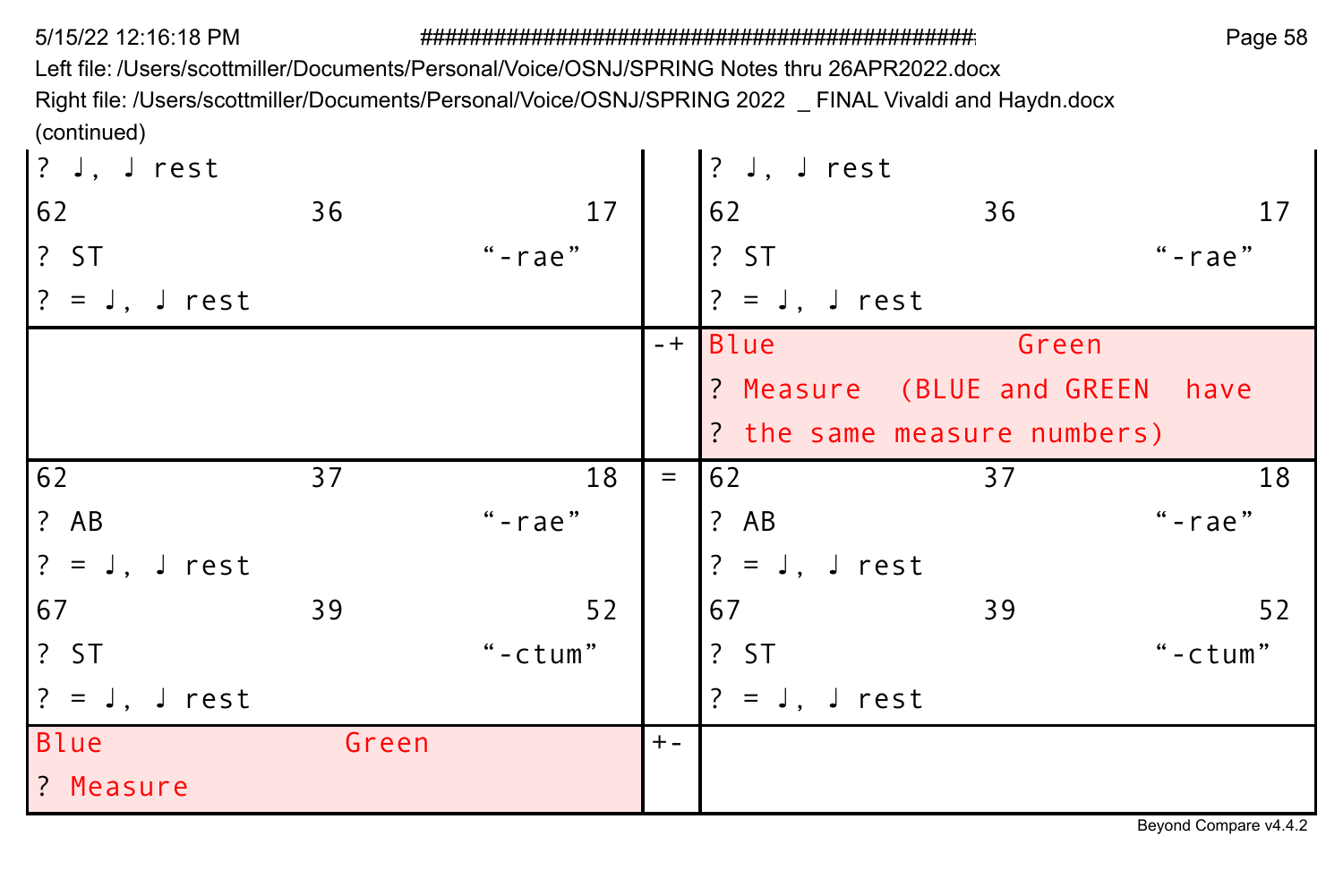Left file: /Users/scottmiller/Documents/Personal/Voice/OSNJ/SPRING Notes thru 26APR2022.docx Right file: /Users/scottmiller/Documents/Personal/Voice/OSNJ/SPRING 2022 \_ FINAL Vivaldi and Haydn.docx (continued)

| $ ?$ J, J rest  |       |            |       | ? $J, J$ rest   |                                |           |
|-----------------|-------|------------|-------|-----------------|--------------------------------|-----------|
| 62              | 36    | 17         |       | 62              | 36                             | 17        |
| ? ST            |       | $"$ -rae"  |       | ? ST            |                                | "-rae"    |
| $? = J, J rest$ |       |            |       | $? = J, J rest$ |                                |           |
|                 |       |            | $-+1$ | Blue            | Green                          |           |
|                 |       |            |       |                 | ? Measure (BLUE and GREEN have |           |
|                 |       |            |       |                 | ? the same measure numbers)    |           |
| 62              | 37    | 18         | $=$   | 62              | 37                             | 18        |
| ? AB            |       | $"$ -rae"  |       | ? AB            |                                | $"$ -rae" |
| $? = J, J rest$ |       |            |       | $? = J, J rest$ |                                |           |
| 67              | 39    | 52         |       | 67              | 39                             | 52        |
| ? ST            |       | " $-ctum"$ |       | ?ST             |                                | "-ctum"   |
| $? = J, J rest$ |       |            |       | $? = J, J rest$ |                                |           |
| Blue            | Green |            | $+ -$ |                 |                                |           |
| ? Measure       |       |            |       |                 |                                |           |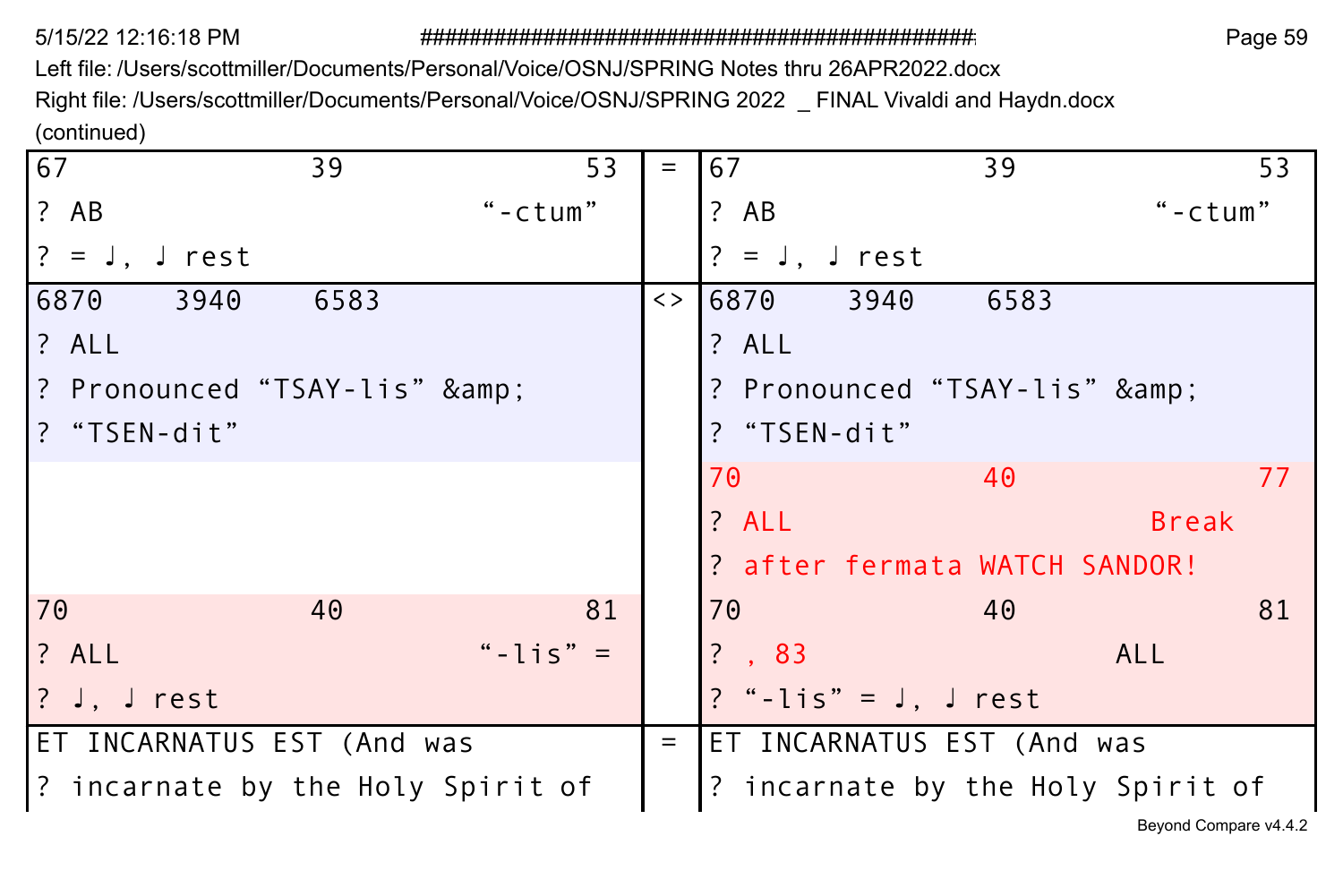5/15/22 12:16:18 PM

Page 59

Left file: /Users/scottmiller/Documents/Personal/Voice/OSNJ/SPRING Notes thru 26APR2022.docx

Right file: /Users/scottmiller/Documents/Personal/Voice/OSNJ/SPRING 2022 \_ FINAL Vivaldi and Haydn.docx (continued)

| 67                                | 39   | 53         | $=$               | 67                        |      | 39                            | 53                                |
|-----------------------------------|------|------------|-------------------|---------------------------|------|-------------------------------|-----------------------------------|
| ? AB                              |      | " $-ctum"$ |                   | ? AB                      |      |                               | " $-ctum"$                        |
| $? = J.$ rest                     |      |            |                   | $? = J$ . J rest          |      |                               |                                   |
| 6870<br>3940                      | 6583 |            | $\langle \rangle$ | 6870 —                    | 3940 | 6583                          |                                   |
| ? ALL                             |      |            |                   | ? ALL                     |      |                               |                                   |
| ? Pronounced "TSAY-lis" &         |      |            |                   |                           |      | ? Pronounced "TSAY-lis" &     |                                   |
| ? "TSEN-dit"                      |      |            |                   | ? "TSEN-dit"              |      |                               |                                   |
|                                   |      |            |                   | 70                        |      | 40                            | 77                                |
|                                   |      |            |                   | ? ALL                     |      |                               | <b>Break</b>                      |
|                                   |      |            |                   |                           |      | ? after fermata WATCH SANDOR! |                                   |
| 70                                | 40   | 81         |                   | 70                        |      | 40                            | 81                                |
| ? ALL                             |      | "-lis" $=$ |                   | $? \, . \, 83$            |      |                               | ALL                               |
| $?$ J. J rest                     |      |            |                   | ? "-lis" = $J$ , $J$ rest |      |                               |                                   |
| ET INCARNATUS EST (And was        |      |            | $=$               |                           |      | ET INCARNATUS EST (And was    |                                   |
| ? incarnate by the Holy Spirit of |      |            |                   |                           |      |                               | ? incarnate by the Holy Spirit of |
|                                   |      |            |                   |                           |      |                               | Beyond Compare v4.4.2             |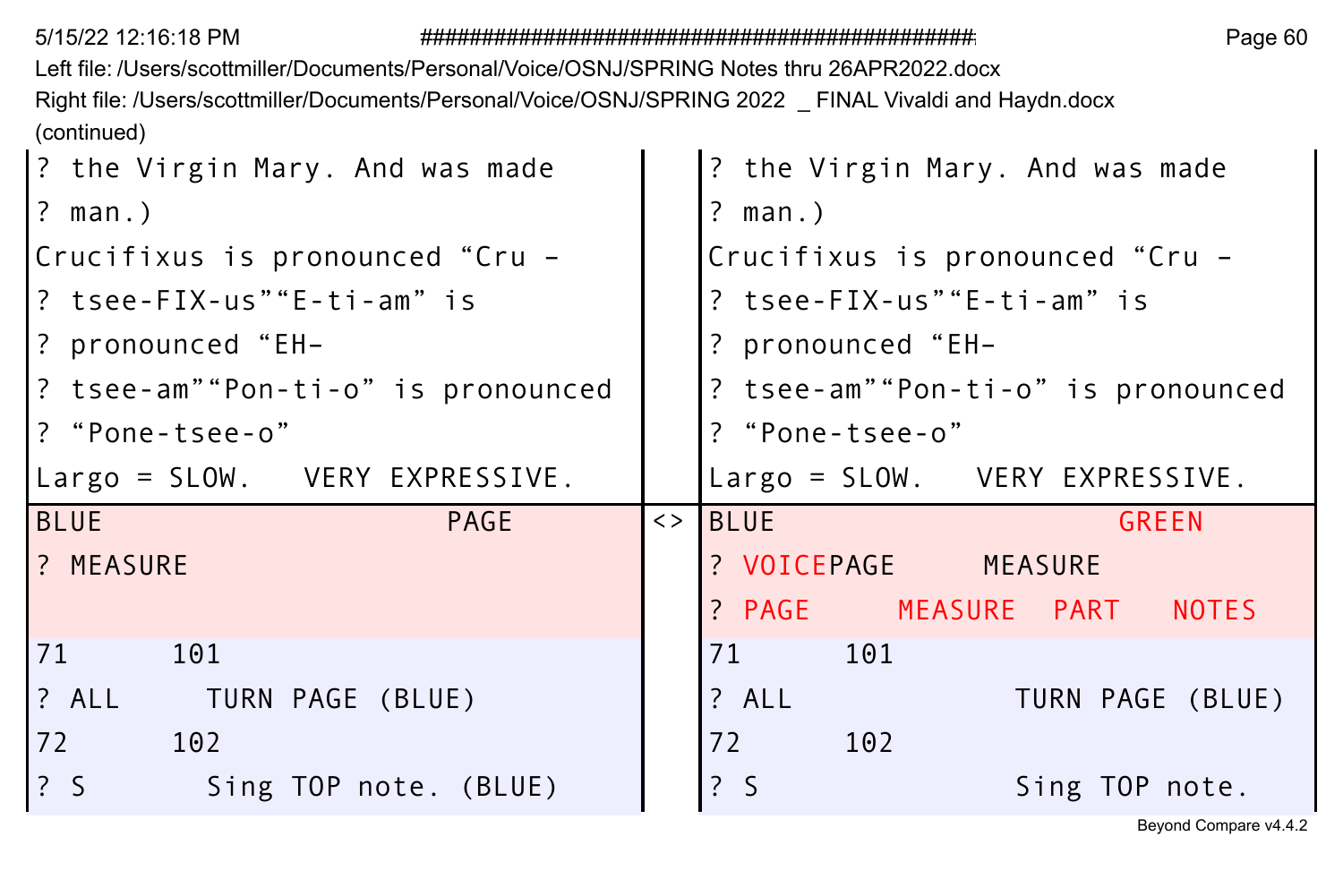| 5/15/22 12:16:18 PM |  |
|---------------------|--|
|---------------------|--|

Left file: /Users/scottmiller/Documents/Personal/Voice/OSNJ/SPRING Notes thru 26APR2022.docx Right file: /Users/scottmiller/Documents/Personal/Voice/OSNJ/SPRING 2022 \_ FINAL Vivaldi and Haydn.docx (continued)

| ? the Virgin Mary. And was made                                               | ? the Virgin Mary. And was made             |
|-------------------------------------------------------------------------------|---------------------------------------------|
| $\left  \begin{array}{c} ? \\ \end{array} \right $ man.)                      | $?$ man.)                                   |
| Crucifixus is pronounced"Cru -                                                | Crucifixus is pronounced "Cru -             |
| l? tsee-FIX-us""E-ti-am"is                                                    | ? tsee-FIX-us""E-ti-am" is                  |
| P pronounced "EH-                                                             | ? pronounced "EH-                           |
| ? tsee-am""Pon-ti-o" is pronounced                                            | ? tsee-am""Pon-ti-o" is pronounced          |
| l? "Pone-tsee-o"                                                              | ? "Pone-tsee-o"                             |
| Largo = SLOW. VERY EXPRESSIVE.                                                | Largo = SLOW. VERY EXPRESSIVE.              |
| <b>BLUE</b><br><b>PAGE</b>                                                    | $\left\langle \rangle$ BLUE<br><b>GREEN</b> |
| 1? MEASURE                                                                    | ? VOICEPAGE MEASURE                         |
|                                                                               |                                             |
|                                                                               | ? PAGE MEASURE PART NOTES                   |
| 71<br>101                                                                     | 101<br>71                                   |
| <b>1</b> ? ALL TURN PAGE (BLUE)                                               | ? ALL<br>TURN PAGE (BLUE)                   |
| l 72<br>102                                                                   | 72<br>102                                   |
| $\left  \begin{array}{cc} 2 & 5 \end{array} \right $<br>Sing TOP note. (BLUE) | $\frac{1}{2}$ S<br>Sing TOP note.           |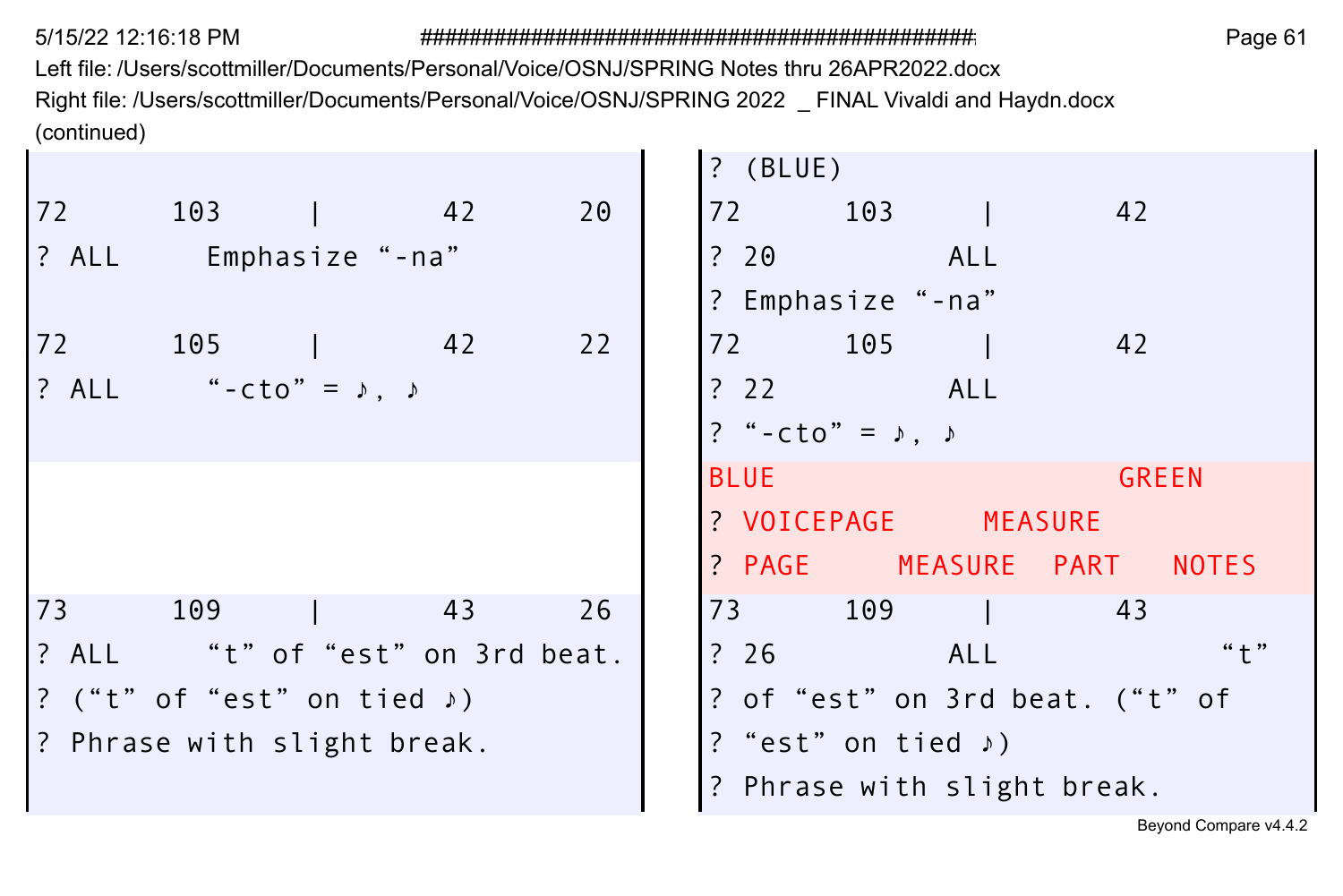Left file: /Users/scottmiller/Documents/Personal/Voice/OSNJ/SPRING Notes thru 26APR2022.docx Right file: /Users/scottmiller/Documents/Personal/Voice/OSNJ/SPRING 2022 \_ FINAL Vivaldi and Haydn.docx (continued) ÷  $\mathbf{r}$ 

|    |                                         |                                 |    | $?$ (BLUE)  |                                  |            |    |              |
|----|-----------------------------------------|---------------------------------|----|-------------|----------------------------------|------------|----|--------------|
| 72 | 103                                     | 42                              | 20 | 72          | 103                              |            | 42 |              |
|    | ? ALL Emphasize "-na"                   |                                 |    |             | $\frac{20}{20}$                  | ALL        |    |              |
|    |                                         |                                 |    |             | ? Emphasize "-na"                |            |    |              |
| 72 | 105                                     | 42                              | 22 | 72 —        | 105                              |            | 42 |              |
|    | ? ALL "-cto" = $\lambda$ , $\lambda$    |                                 |    |             | ? 22 ALL                         |            |    |              |
|    |                                         |                                 |    |             | ? "-cto" = $\lambda$ , $\lambda$ |            |    |              |
|    |                                         |                                 |    | <b>BLUE</b> |                                  |            |    | <b>GREEN</b> |
|    |                                         |                                 |    |             | ? VOICEPAGE MEASURE              |            |    |              |
|    |                                         |                                 |    |             | ? PAGE MEASURE PART              |            |    | <b>NOTES</b> |
| 73 | 109                                     | 43                              | 26 | 73 — 1      | 109                              |            | 43 |              |
|    |                                         | ? ALL "t" of "est" on 3rd beat. |    | ?26         |                                  | <b>ALL</b> |    | $" + "$      |
|    | ? ("t" of "est" on tied $\rightarrow$ ) |                                 |    |             | ? of "est" on 3rd beat. ("t" of  |            |    |              |
|    | ? Phrase with slight break.             |                                 |    |             | ? "est" on tied $\rightarrow$ )  |            |    |              |
|    |                                         |                                 |    |             | ? Phrase with slight break.      |            |    |              |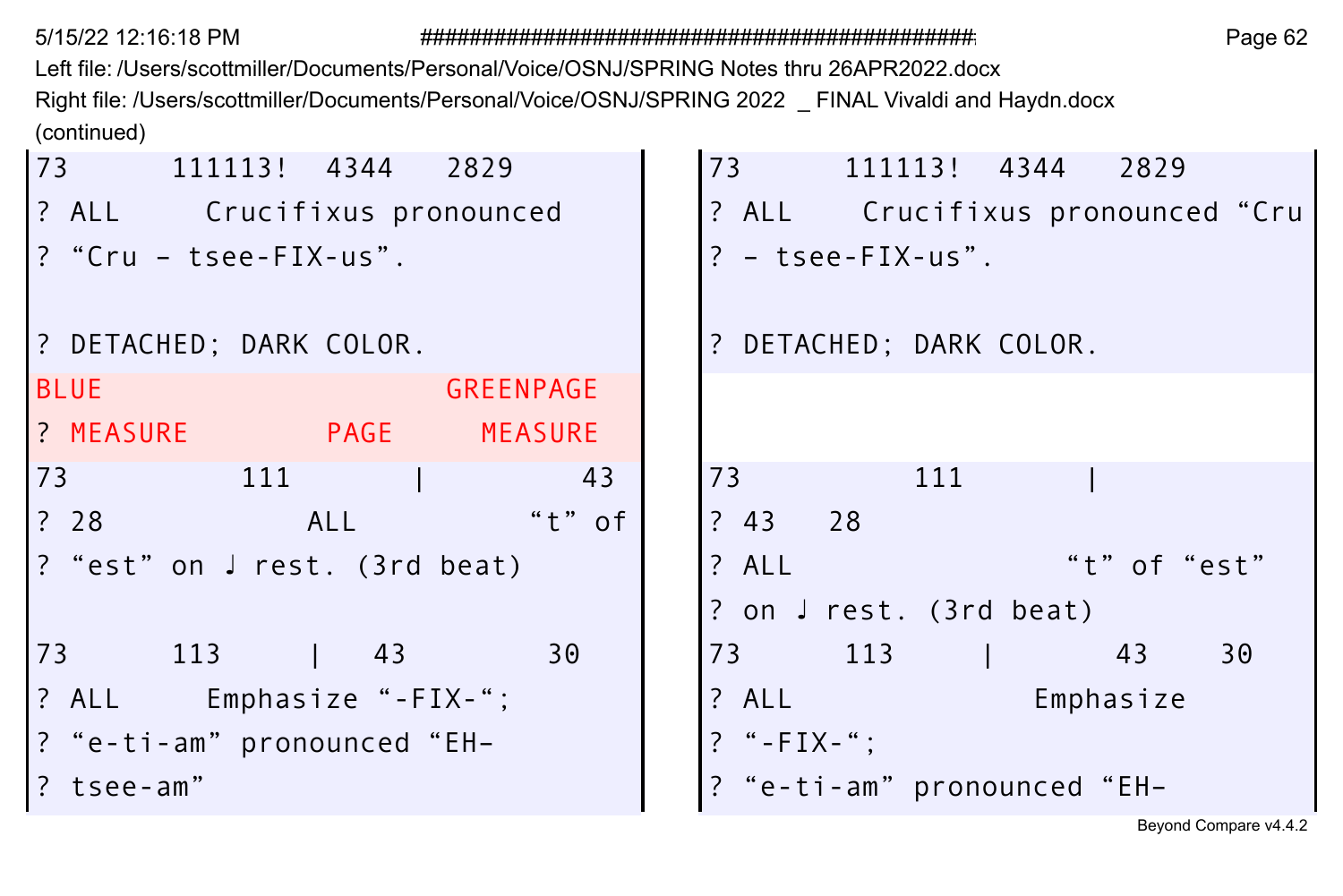5/15/22 12:16:18 PM

Page 62

Left file: /Users/scottmiller/Documents/Personal/Voice/OSNJ/SPRING Notes thru 26APR2022.docx Right file: /Users/scottmiller/Documents/Personal/Voice/OSNJ/SPRING 2022 \_ FINAL Vivaldi and Haydn.docx (continued)

| 73 111113! 4344 2829          | 73 111113! 4344 2829                 |
|-------------------------------|--------------------------------------|
| ? ALL Crucifixus pronounced   | ? ALL Crucifixus pronounced "Cru     |
| ? "Cru - tsee-FIX-us".        | $? - t$ see-FIX-us".                 |
| ? DETACHED; DARK COLOR.       | ? DETACHED; DARK COLOR.              |
| <b>BLUE</b><br>GREENPAGE      |                                      |
| ? MEASURE PAGE MEASURE        |                                      |
| 111<br>73<br>43               | 73<br>111                            |
| $"t"$ of<br>? 28       ALL    | ? 43 28                              |
| ? "est" on J rest. (3rd beat) | "t" of "est"<br>? ALL                |
|                               | ? on J rest. (3rd beat)              |
| 73 113   43<br>30             | 73 113 1 43 30                       |
| ? ALL Emphasize "-FIX-";      | $?$ ALL $\qquad \qquad$<br>Emphasize |
| ? "e-ti-am" pronounced "EH-   | $?$ "-FIX-":                         |
| ? tsee-am"                    | ? "e-ti-am" pronounced "EH-          |
|                               | Beyond Compare v4.4.2                |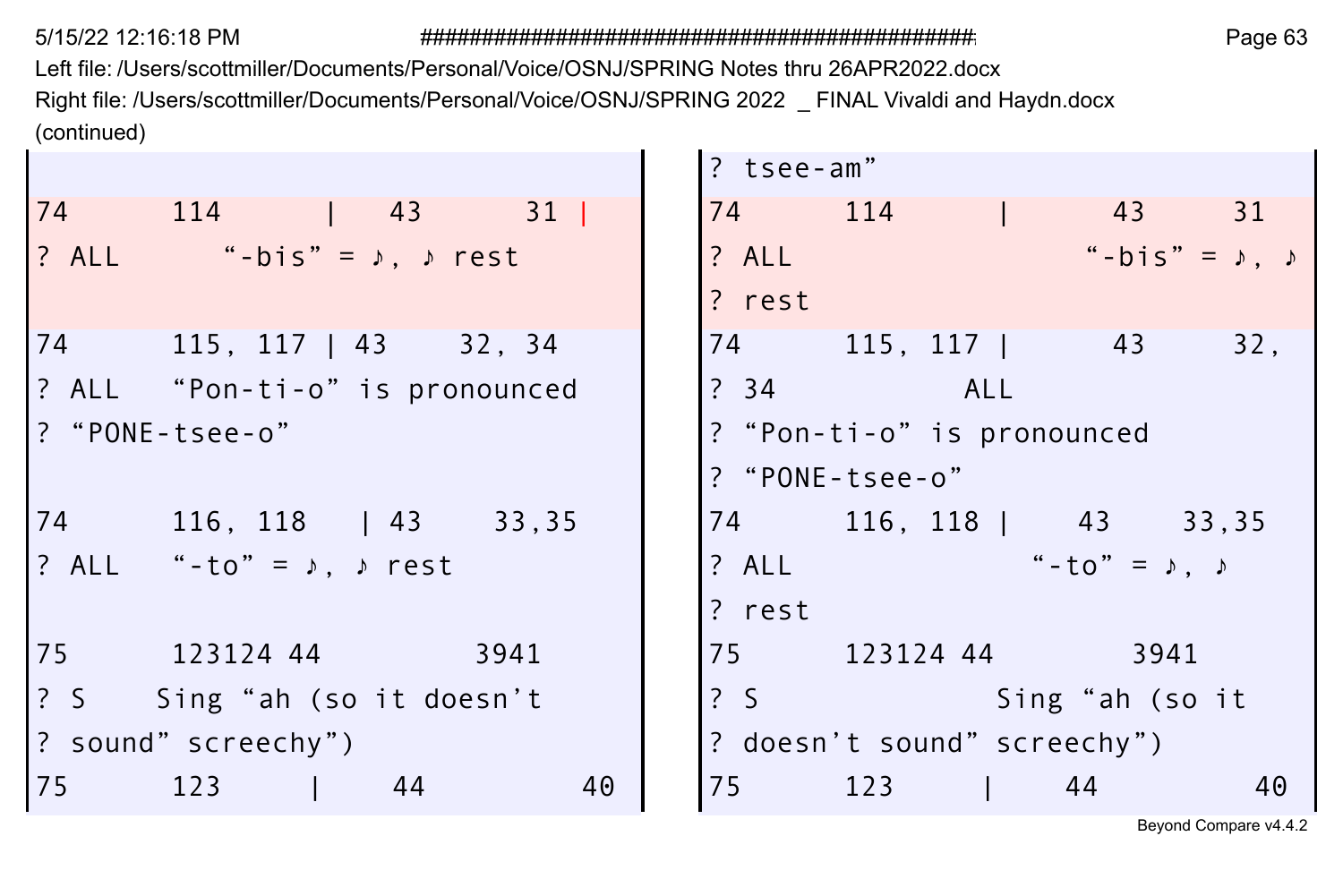Left file: /Users/scottmiller/Documents/Personal/Voice/OSNJ/SPRING Notes thru 26APR2022.docx Right file: /Users/scottmiller/Documents/Personal/Voice/OSNJ/SPRING 2022 \_ FINAL Vivaldi and Haydn.docx (continued)

|                                           | ? tsee-am"                                  |
|-------------------------------------------|---------------------------------------------|
| 74 114   43 31                            | 74 114  <br>43 31                           |
| ? ALL "-bis" = $\lambda$ , $\lambda$ rest | $``-bis" = \lambda, \lambda$<br>? ALL       |
|                                           | ? rest                                      |
| 74 —<br>$115, 117   43$ 32, 34            | 74 115, 117   43<br>32.                     |
| ? ALL "Pon-ti-o" is pronounced            | ? 34 ALL                                    |
| ? "PONE-tsee-o"                           | ? "Pon-ti-o" is pronounced                  |
|                                           | ? "PONE-tsee-o"                             |
| 74<br>$116, 118$   43 33,35               | 74 116, 118   43 33, 35                     |
| ? ALL "-to" = $\lambda$ , $\lambda$ rest  | $"$ - to $" = \lambda$ , $\lambda$<br>? ALL |
|                                           | ? rest                                      |
| 75<br>123124 44<br>3941                   | 75 123124 44<br>- 3941                      |
| ? S Sing "ah (so it doesn't               | ? S    Sing "ah (so it                      |
| ? sound" screechy")                       | ? doesn't sound" screechy")                 |
| 75<br>123<br>40<br>44                     | 75 — 175<br>123<br>44<br>40                 |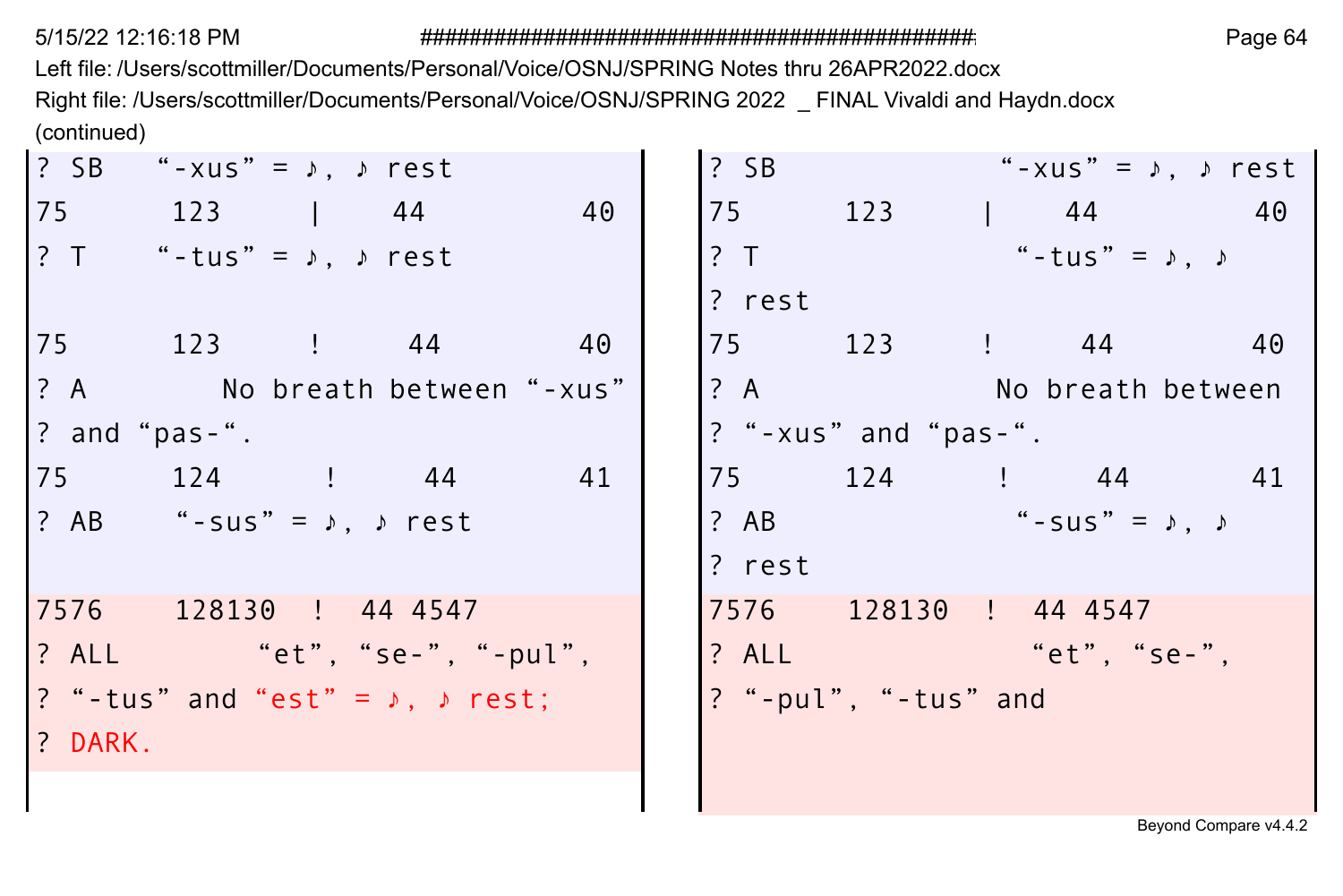Left file: /Users/scottmiller/Documents/Personal/Voice/OSNJ/SPRING Notes thru 26APR2022.docx Right file: /Users/scottmiller/Documents/Personal/Voice/OSNJ/SPRING 2022 \_ FINAL Vivaldi and Haydn.docx (continued)

| $\frac{1}{2}$ SB | "-xus" = $\sqrt{ }$ , $\sqrt{ }$ rest            |    | $?$ SB |                               | "-xus" = $\lambda$ , $\lambda$ rest |  |
|------------------|--------------------------------------------------|----|--------|-------------------------------|-------------------------------------|--|
|                  | 75 123   44                                      | 40 |        | 75 123   44 40                |                                     |  |
|                  | ? T "-tus" = $\lambda$ , $\lambda$ rest          |    | ? T    |                               | "-tus" = $\lambda$ , $\lambda$      |  |
|                  |                                                  |    | ? rest |                               |                                     |  |
|                  | 75 123 ! 44 40                                   |    |        | 75 123 ! 44 40                |                                     |  |
|                  | ? A No breath between "-xus"                     |    |        | ? A No breath between         |                                     |  |
|                  | $\frac{1}{2}$ and "pas-".                        |    |        | $?$ "-xus" and "pas-".        |                                     |  |
|                  | 75 124 ! 44                                      | 41 |        | 75 124 ! 44 41                |                                     |  |
|                  | ? AB "-sus" = $\lambda$ , $\lambda$ rest         |    | ? AB   | $" - SUS" = \lambda, \lambda$ |                                     |  |
|                  |                                                  |    | ? rest |                               |                                     |  |
|                  | 7576 128130 ! 44 4547                            |    | 7576   | 128130 ! 44 4547              |                                     |  |
|                  | ? ALL "et", "se-", "-pul",                       |    |        | ? ALL "et", "se-",            |                                     |  |
|                  | ? "-tus" and "est" = $\lambda$ , $\lambda$ rest; |    |        | ? "-pul", "-tus" and          |                                     |  |
| ? DARK.          |                                                  |    |        |                               |                                     |  |
|                  |                                                  |    |        |                               |                                     |  |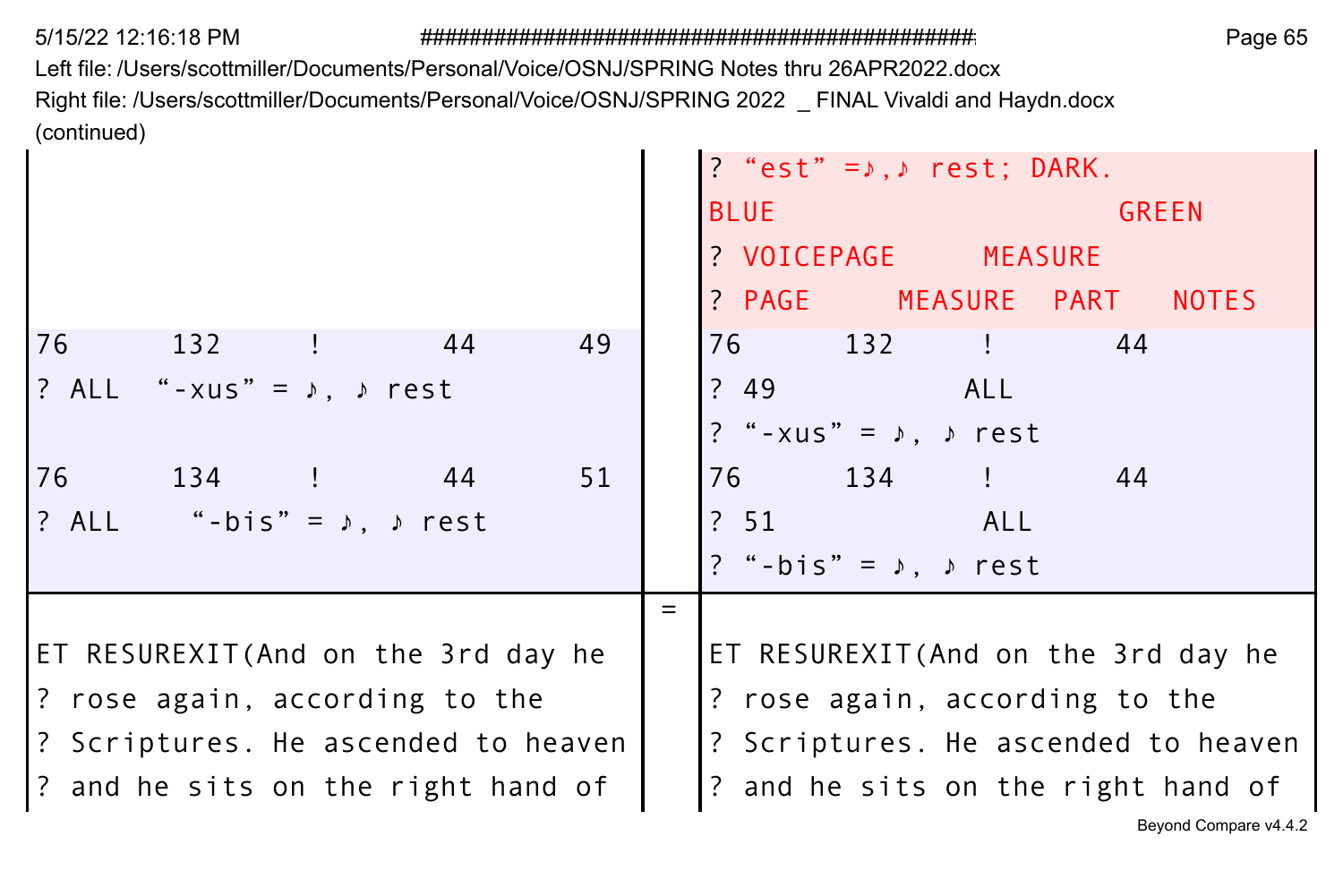Left file: /Users/scottmiller/Documents/Personal/Voice/OSNJ/SPRING Notes thru 26APR2022.docx Right file: /Users/scottmiller/Documents/Personal/Voice/OSNJ/SPRING 2022 \_ FINAL Vivaldi and Haydn.docx (continued)  $\mathbf{r}$ 

|                                           |     | ? "est" = $\lambda$ , $\lambda$ rest; DARK. |
|-------------------------------------------|-----|---------------------------------------------|
|                                           |     | <b>GREEN</b><br><b>BLUE</b>                 |
|                                           |     | ? VOICEPAGE MEASURE                         |
|                                           |     | ? PAGE MEASURE PART NOTES                   |
| 49<br>76<br>44<br>132 !                   |     | 76 132<br>$\frac{1}{2}$ 44                  |
| ? ALL "-xus" = $\lambda$ , $\lambda$ rest |     | ? 49 ALL                                    |
|                                           |     | ? "-xus" = $\lambda$ , $\lambda$ rest       |
| 76 134 ! 44<br>51                         |     | 76 134 ! 44                                 |
| ? ALL "-bis" = $\lambda$ , $\lambda$ rest |     | ? 51 ALL                                    |
|                                           |     | ? "-bis" = $\lambda$ , $\lambda$ rest       |
|                                           | $=$ |                                             |
| ET RESUREXIT (And on the 3rd day he       |     | ET RESUREXIT (And on the 3rd day he         |
| ? rose again, according to the            |     | ? rose again, according to the              |
| ? Scriptures. He ascended to heaven       |     | ? Scriptures. He ascended to heaven         |
| ? and he sits on the right hand of        |     | ? and he sits on the right hand of          |
|                                           |     | Beyond Compare v4.4.2                       |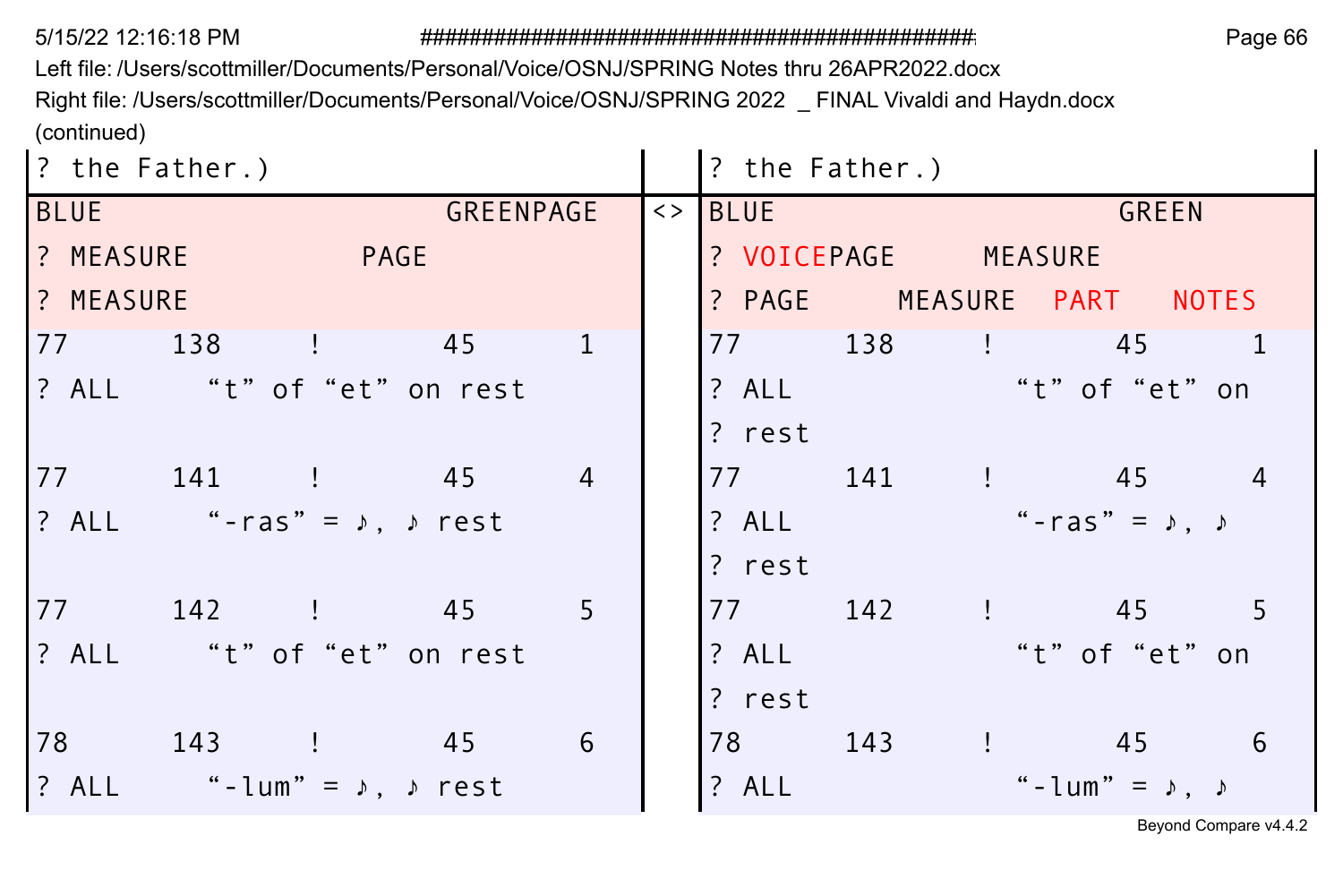5/15/22 12:16:18 PM

Page 66

Left file: /Users/scottmiller/Documents/Personal/Voice/OSNJ/SPRING Notes thru 26APR2022.docx

Right file: /Users/scottmiller/Documents/Personal/Voice/OSNJ/SPRING 2022 \_ FINAL Vivaldi and Haydn.docx (continued)

| ? the Father.) |                                             |           |                |             | ? the Father.)      |  |                                  |  |
|----------------|---------------------------------------------|-----------|----------------|-------------|---------------------|--|----------------------------------|--|
| <b>BLUE</b>    |                                             | GREENPAGE |                | $\langle$ > | <b>BLUE</b>         |  | GREEN                            |  |
| ? MEASURE      | <b>Example PAGE</b>                         |           |                |             | ? VOICEPAGE MEASURE |  |                                  |  |
| ? MEASURE      |                                             |           |                |             |                     |  | ? PAGE MEASURE PART NOTES        |  |
|                | 77 138 ! 45                                 |           | 1              |             |                     |  | 77 138 ! 45 1                    |  |
|                | ? ALL "t" of "et" on rest                   |           |                |             |                     |  | ? ALL "t" of "et" on             |  |
|                |                                             |           |                |             | ? rest              |  |                                  |  |
|                | 77 141 ! 45                                 |           | $\overline{4}$ |             |                     |  | 77 141 ! 45 4                    |  |
|                | $?$ ALL "-ras" = $\lambda$ , $\lambda$ rest |           |                |             | ? ALL               |  | "-ras" = $\lambda$ , $\lambda$   |  |
|                |                                             |           |                |             | ? rest              |  |                                  |  |
|                | 77 142 ! 45                                 |           | 5              |             | 77 —                |  | 142 ! 45 5                       |  |
|                | ? ALL "t" of "et" on rest                   |           |                |             | ? ALL               |  | "t" of "et" on                   |  |
|                |                                             |           |                |             | ? rest              |  |                                  |  |
|                | 78 143 ! 45                                 |           | 6              |             |                     |  | 78 143 ! 45 6                    |  |
|                | $?$ ALL "-lum" = $\lambda$ , $\lambda$ rest |           |                |             | ? ALL               |  | " - lum" = $\lambda$ , $\lambda$ |  |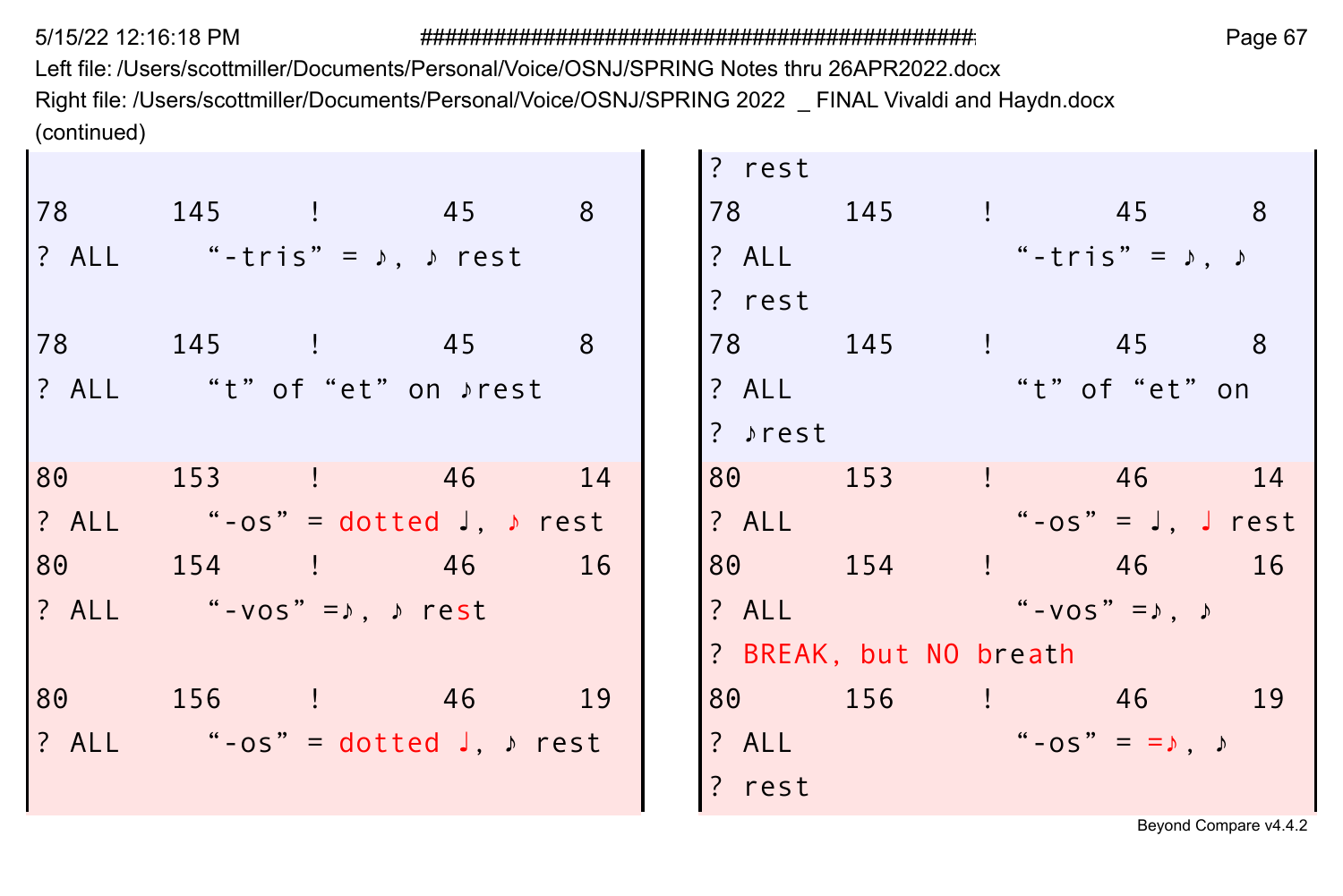Left file: /Users/scottmiller/Documents/Personal/Voice/OSNJ/SPRING Notes thru 26APR2022.docx Right file: /Users/scottmiller/Documents/Personal/Voice/OSNJ/SPRING 2022 \_ FINAL Vivaldi and Haydn.docx (continued)  $\sim$ **College** 

|                                            |                                              |    | ? rest  |                                           |                        |                                 |  |
|--------------------------------------------|----------------------------------------------|----|---------|-------------------------------------------|------------------------|---------------------------------|--|
|                                            | 78 145 ! 45 8                                |    |         | 78 145 ! 45 8                             |                        |                                 |  |
| ? ALL "-tris" = $\lambda$ , $\lambda$ rest |                                              |    |         | ? ALL                                     |                        | "-tris" = $\lambda$ , $\lambda$ |  |
|                                            |                                              |    | ? rest  |                                           |                        |                                 |  |
|                                            | 78 145 ! 45 8                                |    |         | 78 145 ! 45 8                             |                        |                                 |  |
| ? ALL "t" of "et" on $\rho$ rest           |                                              |    | ? ALL   |                                           | "t" of "et" on         |                                 |  |
|                                            |                                              |    | ? »rest |                                           |                        |                                 |  |
|                                            | 80 153 ! 46 14                               |    | 80 153  |                                           | $\frac{1}{2}$ 46 14    |                                 |  |
|                                            | $? ALL$ "-os" = dotted $J, \rightarrow rest$ |    | ? ALL   |                                           | "-os" = $J$ , $J$ rest |                                 |  |
|                                            | 80 154 ! 46                                  | 16 |         | 80 154 ! 46 16                            |                        |                                 |  |
| ? ALL "-vos" = $\lambda$ , $\lambda$ rest  |                                              |    |         | ? ALL $\qquad \qquad$ "-vos" = $, \qquad$ |                        |                                 |  |
|                                            |                                              |    |         | ? BREAK, but NO breath                    |                        |                                 |  |
|                                            | 80 156 ! 46 19                               |    |         | 80 156 ! 46 19                            |                        |                                 |  |
|                                            | ? ALL "-os" = dotted $J, \nu$ rest           |    |         | ? ALL $-05" = = \sqrt{2}$                 |                        |                                 |  |
|                                            |                                              |    | ? rest  |                                           |                        |                                 |  |
|                                            |                                              |    |         |                                           |                        |                                 |  |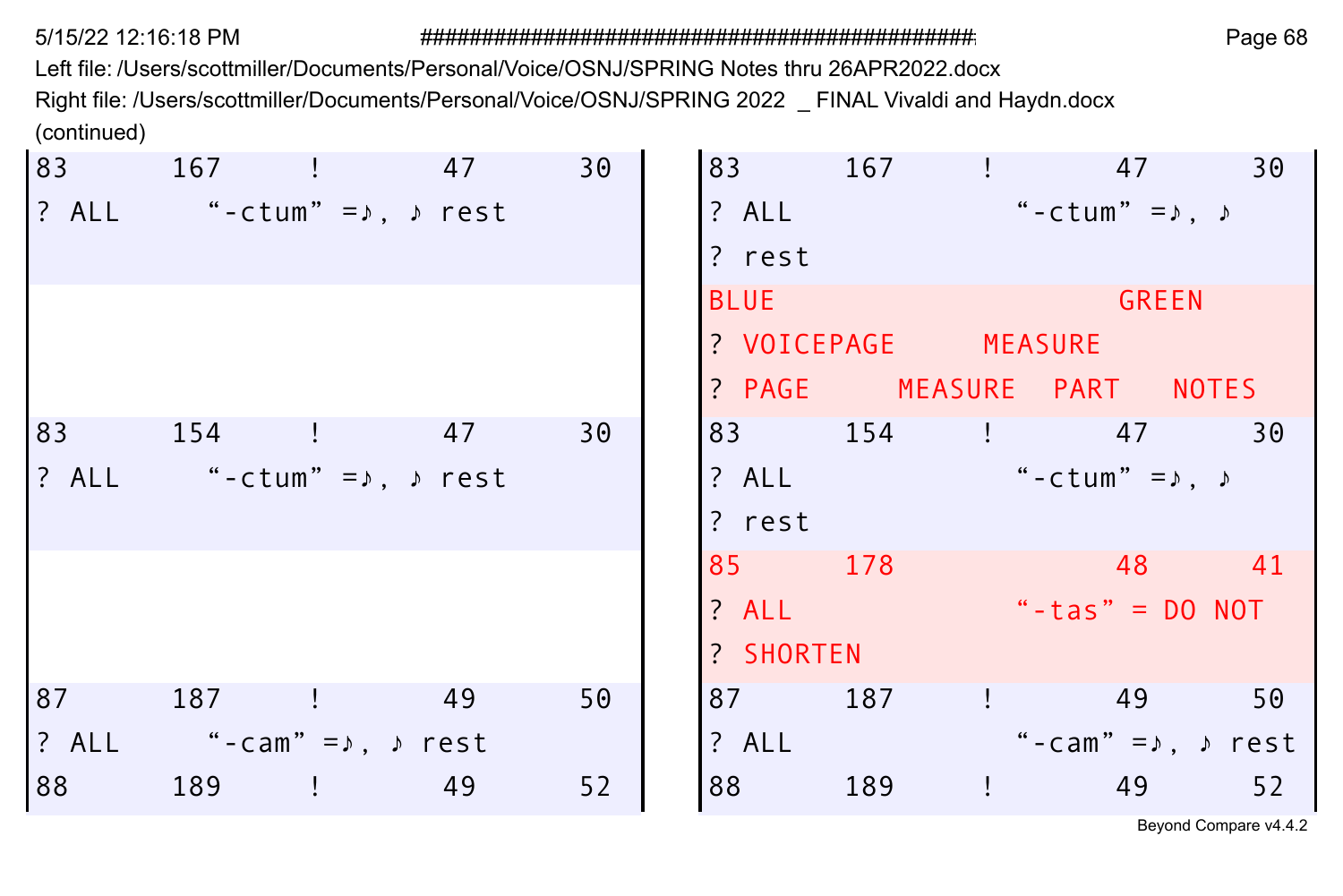Left file: /Users/scottmiller/Documents/Personal/Voice/OSNJ/SPRING Notes thru 26APR2022.docx Right file: /Users/scottmiller/Documents/Personal/Voice/OSNJ/SPRING 2022 \_ FINAL Vivaldi and Haydn.docx (continued)

|    | 83 167 ! 47                |    | 30 |             | 83 167 ! 47               |                                    |                                     | 30 |
|----|----------------------------|----|----|-------------|---------------------------|------------------------------------|-------------------------------------|----|
|    | $?$ ALL "-ctum" = $,$ rest |    |    | ? ALL       |                           | $"$ -ctum" = $\lambda$ , $\lambda$ |                                     |    |
|    |                            |    |    | ? rest      |                           |                                    |                                     |    |
|    |                            |    |    | <b>BLUE</b> |                           |                                    | <b>GREEN</b>                        |    |
|    |                            |    |    |             | ? VOICEPAGE MEASURE       |                                    |                                     |    |
|    |                            |    |    |             | ? PAGE MEASURE PART NOTES |                                    |                                     |    |
|    | 83 154 !                   | 47 | 30 |             | 83 154 ! 47               |                                    |                                     | 30 |
|    | $?$ ALL "-ctum" = $,$ rest |    |    | ? ALL       |                           | "-ctum" = $\lambda$ , $\lambda$    |                                     |    |
|    |                            |    |    | ? rest      |                           |                                    |                                     |    |
|    |                            |    |    | 85 178      |                           |                                    | $\sim$ 48 41                        |    |
|    |                            |    |    | $?$ ALL     |                           | "-tas" = $DO NOT$                  |                                     |    |
|    |                            |    |    | ? SHORTEN   |                           |                                    |                                     |    |
| 87 | 187 ! 49                   |    | 50 | 87 — 1      | 187 ! 49                  |                                    |                                     | 50 |
|    | ALL "-cam"=ג, rest!        |    |    | ? ALL       |                           |                                    | "-cam" = $\lambda$ , $\lambda$ rest |    |
| 88 | 189 !                      | 49 | 52 | 88          | 189                       | $\frac{1}{2}$ 49                   |                                     | 52 |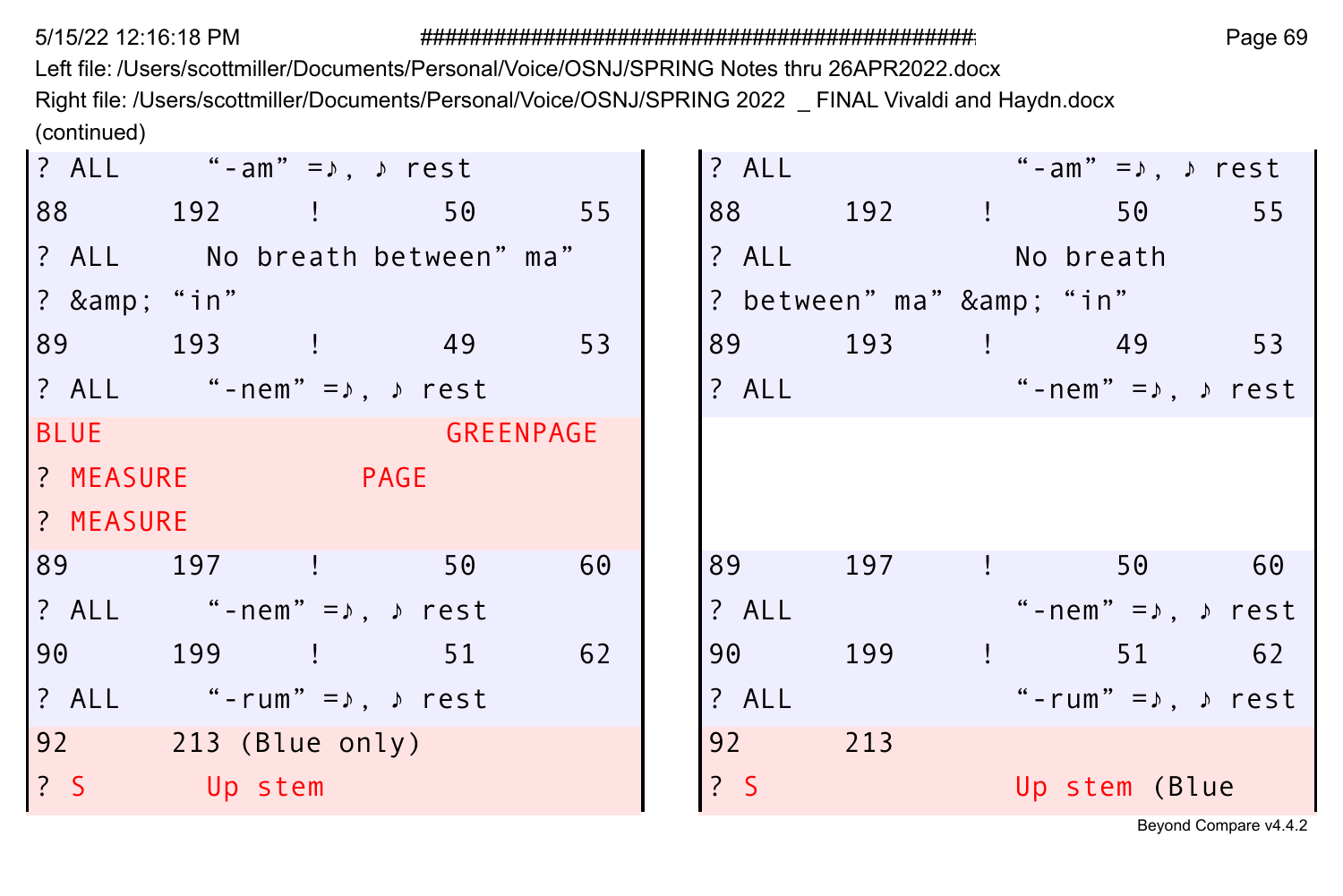Left file: /Users/scottmiller/Documents/Personal/Voice/OSNJ/SPRING Notes thru 26APR2022.docx Right file: /Users/scottmiller/Documents/Personal/Voice/OSNJ/SPRING 2022 \_ FINAL Vivaldi and Haydn.docx (continued)

|             | ? ALL "-am" = $\lambda$ , $\lambda$ rest  |                              |    | ? ALL   |                       | "-am" =♪. ♪ rest                                         |    |
|-------------|-------------------------------------------|------------------------------|----|---------|-----------------------|----------------------------------------------------------|----|
|             |                                           | 88 192 ! 50 55               |    |         |                       | 88 192 ! 50                                              | 55 |
|             |                                           | ? ALL No breath between" ma" |    |         |                       | ? ALL No breath                                          |    |
| ? & "in"    |                                           |                              |    |         | ? between" ma" & "in" |                                                          |    |
|             | 89 193 ! 49                               |                              | 53 |         |                       | 89 193 ! 49 53                                           |    |
|             | ? ALL "-nem" = $\lambda$ , $\lambda$ rest |                              |    |         |                       | ? ALL $\qquad \qquad$ "-nem" = $\lambda$ , $\qquad$ rest |    |
| <b>BLUE</b> |                                           | <b>Example 19 GREENPAGE</b>  |    |         |                       |                                                          |    |
|             | <b>PAGE</b> PAGE                          |                              |    |         |                       |                                                          |    |
| ? MEASURE   |                                           |                              |    |         |                       |                                                          |    |
|             | 89 197 !                                  | 50                           | 60 | 89 197  |                       | 50 60<br>and the company                                 |    |
|             | ? ALL "-nem" = $\lambda$ , $\lambda$ rest |                              |    | ? ALL   |                       | "-nem"=♪. ♪ rest                                         |    |
|             | 90 199 !                                  | 51                           | 62 | 90      | 199                   | $\frac{1}{2}$ 51 62                                      |    |
|             |                                           |                              |    | $?$ ALL |                       | "-rum" = $\lambda$ , $\lambda$ rest                      |    |
|             | ? ALL "-rum" = $\lambda$ , $\lambda$ rest |                              |    |         |                       |                                                          |    |
|             | 92 213 (Blue only)                        |                              |    | 92 213  |                       |                                                          |    |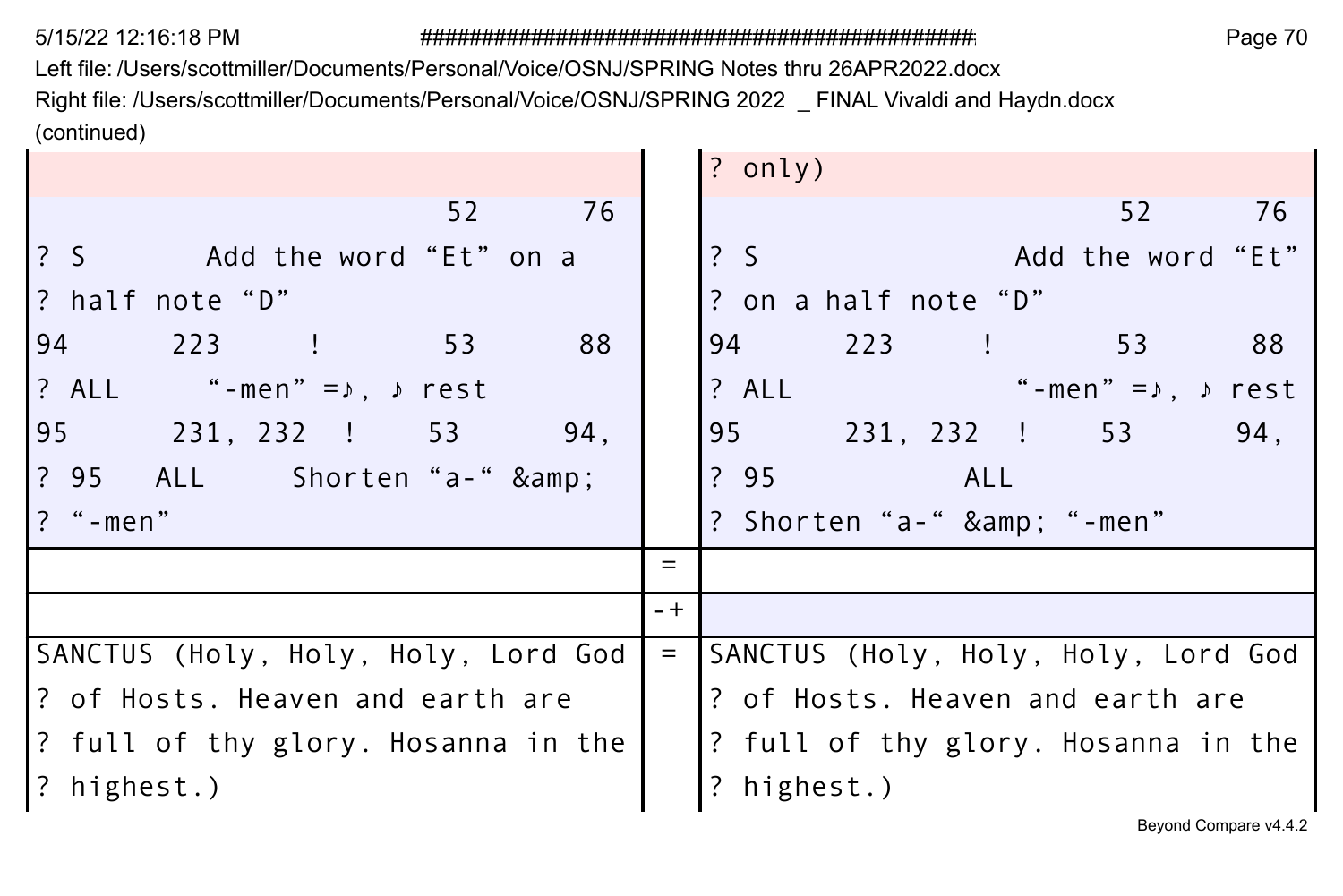Left file: /Users/scottmiller/Documents/Personal/Voice/OSNJ/SPRING Notes thru 26APR2022.docx Right file: /Users/scottmiller/Documents/Personal/Voice/OSNJ/SPRING 2022 \_ FINAL Vivaldi and Haydn.docx (continued)

|                                           |       | $?$ only)                           |
|-------------------------------------------|-------|-------------------------------------|
| 52<br>76                                  |       | 52<br>- 76                          |
| ? S Add the word "Et" on a                |       | $\frac{2}{3}$<br>Add the word "Et"  |
| ? half note "D"                           |       | ? on a half note "D"                |
| 94 223 !<br>53<br>88                      |       | 94 223 ! 53<br>88                   |
| ? ALL "-men" = $\lambda$ , $\lambda$ rest |       | ? ALL<br>"-men"=♪. ♪ rest           |
| 95 231, 232 ! 53<br>94.                   |       | 95 231, 232 ! 53<br>94,             |
| ? 95 ALL Shorten "a-" &                   |       | ? 95 ALL                            |
| ? "-men"                                  |       | ? Shorten "a-" & "-men"             |
|                                           | $=$   |                                     |
|                                           | $- +$ |                                     |
| SANCTUS (Holy, Holy, Holy, Lord God       | $=$   | SANCTUS (Holy, Holy, Holy, Lord God |
| ? of Hosts. Heaven and earth are          |       | ? of Hosts. Heaven and earth are    |
| ? full of thy glory. Hosanna in the       |       | ? full of thy glory. Hosanna in the |
| ? highest.)                               |       | ? highest.)                         |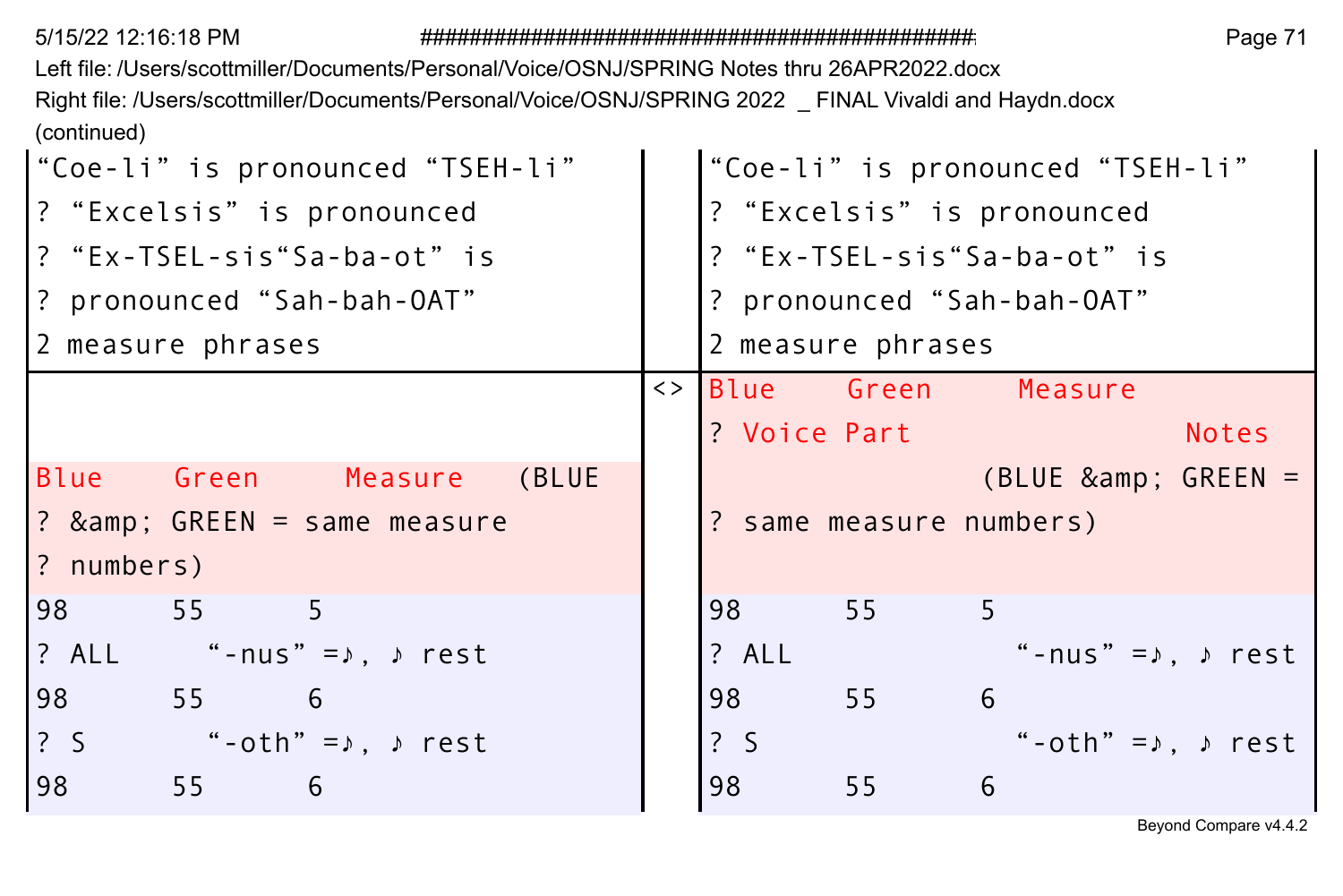| Right file: /Users/scottmiller/Documents/Personal/Voice/OSNJ/SPRING 2022 FINAL Vivaldi and Haydn.docx |
|-------------------------------------------------------------------------------------------------------|
|                                                                                                       |
| "Coe-li" is pronounced "TSEH-li"                                                                      |
| ? "Excelsis" is pronounced                                                                            |
| ? "Ex-TSEL-sis"Sa-ba-ot" is                                                                           |
| ? pronounced "Sah-bah-OAT"                                                                            |
|                                                                                                       |
| Blue Green Measure                                                                                    |
| <b>Notes</b>                                                                                          |
|                                                                                                       |
| $(BLUE \ \&amp; \ \text{GREEN} =$                                                                     |
| ? same measure numbers)                                                                               |
|                                                                                                       |
|                                                                                                       |
| "-nus" = $\lambda$ , $\lambda$ rest                                                                   |
|                                                                                                       |
| "-oth" = $\lambda$ , $\lambda$ rest                                                                   |
|                                                                                                       |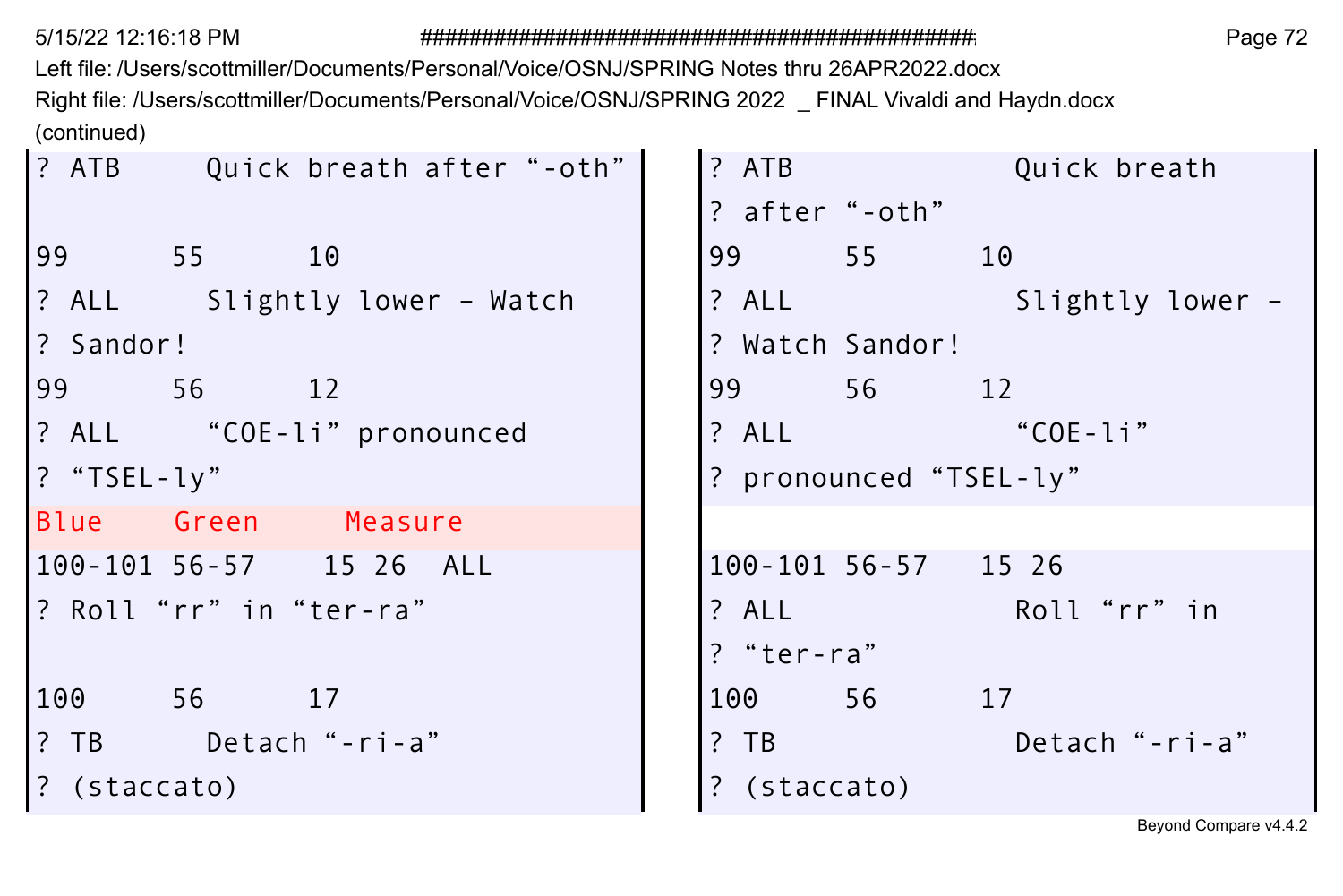Left file: /Users/scottmiller/Documents/Personal/Voice/OSNJ/SPRING Notes thru 26APR2022.docx Right file: /Users/scottmiller/Documents/Personal/Voice/OSNJ/SPRING 2022 \_ FINAL Vivaldi and Haydn.docx (continued)

| ? ATB Quick breath after "-oth" | ? ATB          |                        | Quick breath           |  |
|---------------------------------|----------------|------------------------|------------------------|--|
|                                 | ? after "-oth" |                        |                        |  |
| 99 ا<br>55<br>10                |                | 99 55 10               |                        |  |
| 2 ALL Slightly lower - Watch    |                |                        | ? ALL Slightly lower - |  |
| l? Sandor!                      |                | ? Watch Sandor!        |                        |  |
| 99 56<br>12                     |                | 99 56 12               |                        |  |
| ? ALL "COE-li" pronounced       |                | ? ALL "COE-li"         |                        |  |
| ? "TSEL-ly"                     |                | ? pronounced "TSEL-ly" |                        |  |
| Blue Green Measure              |                |                        |                        |  |
| 100-101 56-57 15 26 ALL         |                | 100-101 56-57 15 26    |                        |  |
| ? Roll"rr"in"ter-ra"            |                | ? ALL Roll "rr" in     |                        |  |
|                                 | ? "ter-ra"     |                        |                        |  |
| 100 56 17                       |                | 100 56<br>17           |                        |  |
| ? TB Detach "-ri-a"             | $?$ TB         |                        | Detach "-ri-a"         |  |
| ? (staccato)                    | ? (staccato)   |                        |                        |  |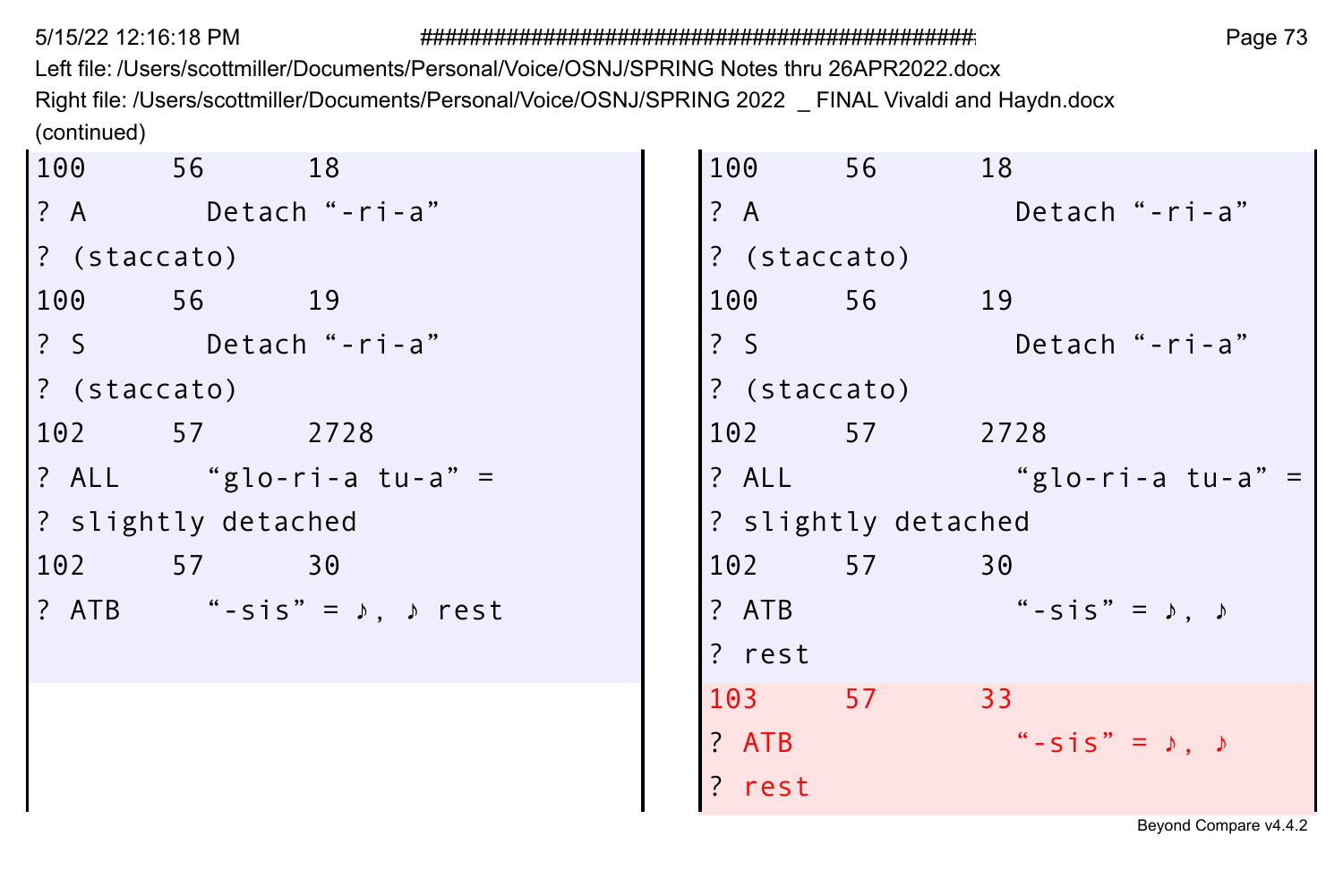Left file: /Users/scottmiller/Documents/Personal/Voice/OSNJ/SPRING Notes thru 26APR2022.docx Right file: /Users/scottmiller/Documents/Personal/Voice/OSNJ/SPRING 2022 \_ FINAL Vivaldi and Haydn.docx (continued)

|              | 100 56 18           |                                           | 100           | 56                  | 18                                |
|--------------|---------------------|-------------------------------------------|---------------|---------------------|-----------------------------------|
|              |                     | ? A Detach "-ri-a"                        | ? A           |                     | Detach"-ri-a"                     |
| ? (staccato) |                     |                                           | ? (staccato)  |                     |                                   |
|              | 100 56 19           |                                           |               | 100 56 19           |                                   |
|              |                     | ? S Detach "-ri-a"                        | $\frac{2}{3}$ |                     | Detach "-ri-a"                    |
| ? (staccato) |                     |                                           | ? (staccato)  |                     |                                   |
|              | 102 57 2728         |                                           |               | 102 57 2728         |                                   |
|              |                     | ? ALL "glo-ri-a tu-a"=                    | ? ALL         |                     | "glo-ri-a tu-a" =                 |
|              | ? slightly detached |                                           |               | ? slightly detached |                                   |
|              | 102 57 30           |                                           |               | 102 57              | 30                                |
|              |                     | ? ATB "-sis" = $\lambda$ , $\lambda$ rest | ? ATB         |                     | $``-sis" = \rho, \rho$            |
|              |                     |                                           | ? rest        |                     |                                   |
|              |                     |                                           |               | 103 57 33           |                                   |
|              |                     |                                           | ? ATB         |                     | $"$ -sis" = $\lambda$ , $\lambda$ |
|              |                     |                                           | ? rest        |                     |                                   |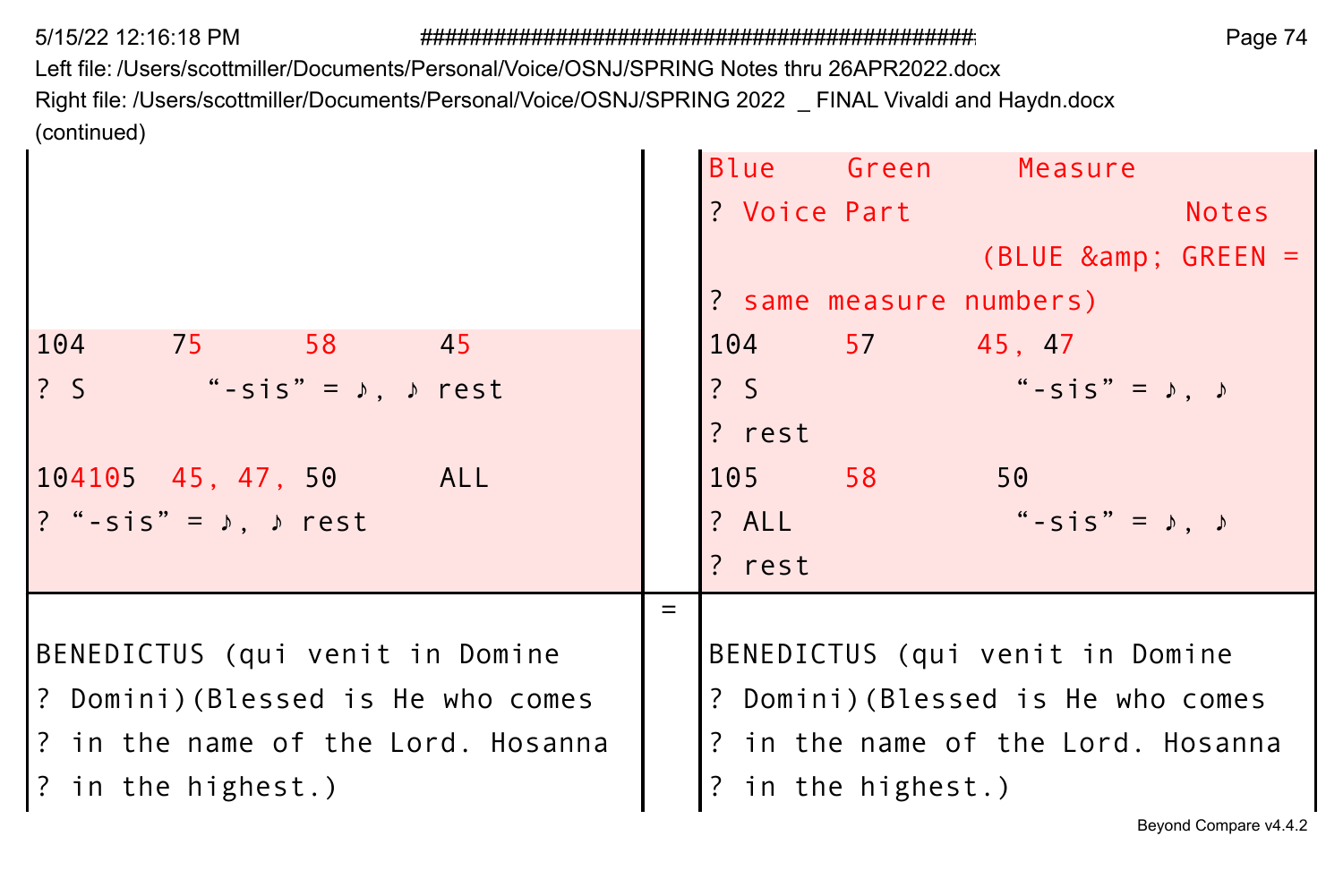$\mathbf{r}$ 

Left file: /Users/scottmiller/Documents/Personal/Voice/OSNJ/SPRING Notes thru 26APR2022.docx Right file: /Users/scottmiller/Documents/Personal/Voice/OSNJ/SPRING 2022 \_ FINAL Vivaldi and Haydn.docx (continued)  $\mathbf{r}$ **College** 

|                                                  | Blue Green<br>Measure                   |
|--------------------------------------------------|-----------------------------------------|
|                                                  | ? Voice Part<br><b>Notes</b>            |
|                                                  | (BLUE & GREEN =                         |
|                                                  | ? same measure numbers)                 |
| 104<br>75 58<br>- 45                             | 104 57 45.47                            |
| ?S<br>"-sis" = $\lambda$ , $\lambda$ rest        | "-sis" = $\lambda$ , $\lambda$<br>? S   |
|                                                  | ? rest                                  |
| $104105$ 45, 47, 50<br>ALL                       | 58<br>50<br>105                         |
| $? " - \text{sis"} = \sqrt{2}$ , $\sqrt{2}$ rest | "-sis" = $\lambda$ , $\lambda$<br>? ALL |
|                                                  | ? rest                                  |
|                                                  | $=$                                     |
| BENEDICTUS (qui venit in Domine                  | BENEDICTUS (qui venit in Domine         |
| P? Domini)(Blessed is He who comes               | ? Domini) (Blessed is He who comes      |
| 1? in the name of the Lord. Hosanna              | ? in the name of the Lord. Hosanna      |
| ? in the highest.)                               | in the highest.)<br>$\overline{?}$      |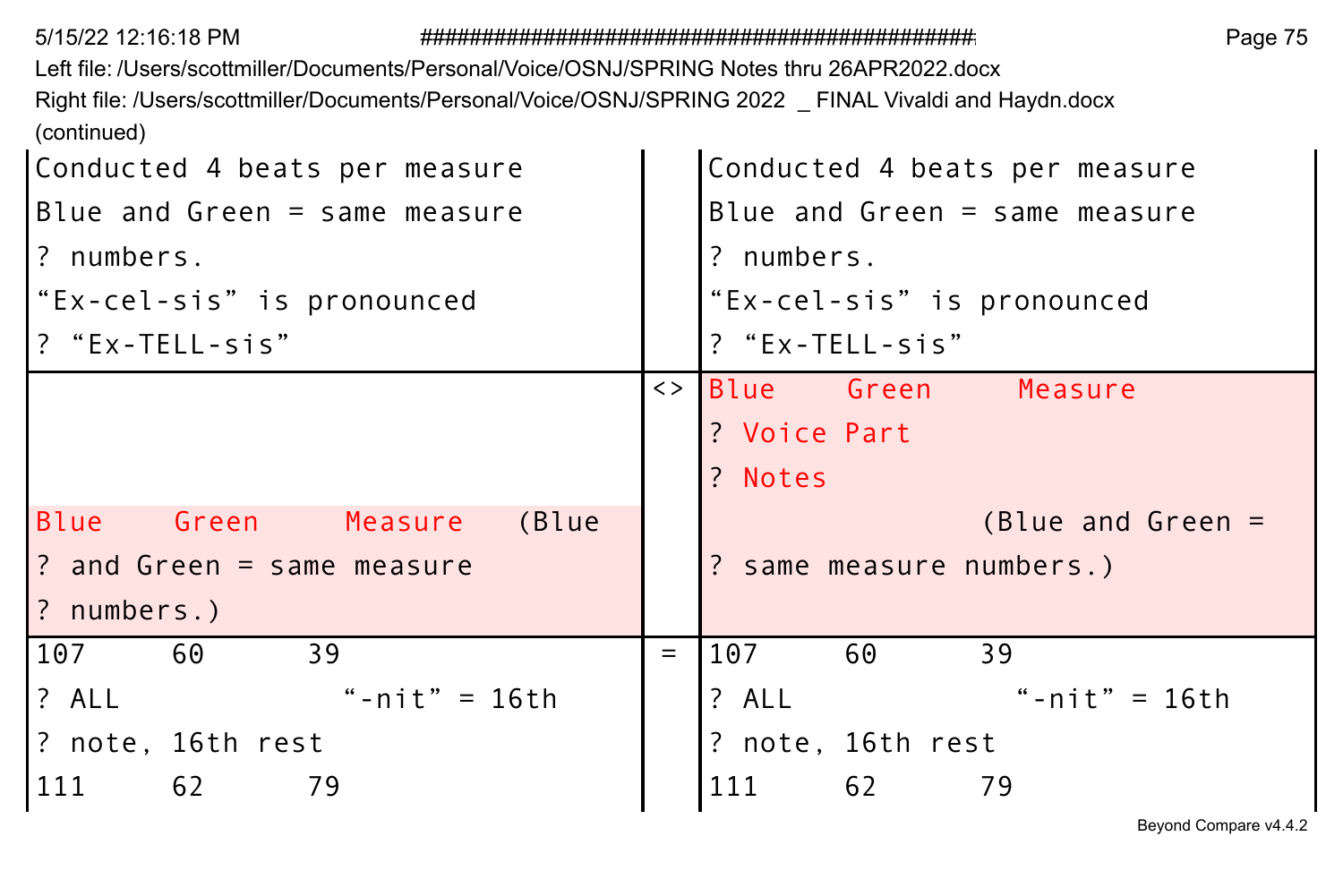| 5/15/22 12:16:18 PM                                                                                     |                   | Page 75                         |
|---------------------------------------------------------------------------------------------------------|-------------------|---------------------------------|
| Left file: /Users/scottmiller/Documents/Personal/Voice/OSNJ/SPRING Notes thru 26APR2022.docx            |                   |                                 |
| Right file: /Users/scottmiller/Documents/Personal/Voice/OSNJ/SPRING 2022 _ FINAL Vivaldi and Haydn.docx |                   |                                 |
| (continued)                                                                                             |                   |                                 |
| Conducted 4 beats per measure                                                                           |                   | Conducted 4 beats per measure   |
| Blue and Green $=$ same measure                                                                         |                   | Blue and Green $=$ same measure |
| ? numbers.                                                                                              |                   | ? numbers.                      |
| "Ex-cel-sis" is pronounced                                                                              |                   | "Ex-cel-sis" is pronounced      |
| ? "Ex-TELL-sis"                                                                                         |                   | ? "Ex-TELL-sis"                 |
|                                                                                                         | $\langle \rangle$ | Blue Green<br>Measure           |
|                                                                                                         |                   | ? Voice Part                    |
|                                                                                                         |                   | ? Notes                         |
| Blue<br>Green<br>(Blue<br>Measure                                                                       |                   | $(Blue and Green =$             |
| ? and Green = same measure                                                                              |                   | ? same measure numbers.)        |
| ? numbers.)                                                                                             |                   |                                 |
| 39<br>107<br>60                                                                                         | $=$               | 107<br>60<br>39                 |
| ? ALL<br>"-nit" = $16th$                                                                                |                   | ? ALL<br>"- $nit" = 16th$       |
| ? note, 16th rest                                                                                       |                   | ? note, 16th rest               |
| 79<br>111<br>62                                                                                         |                   | 111<br>62<br>79                 |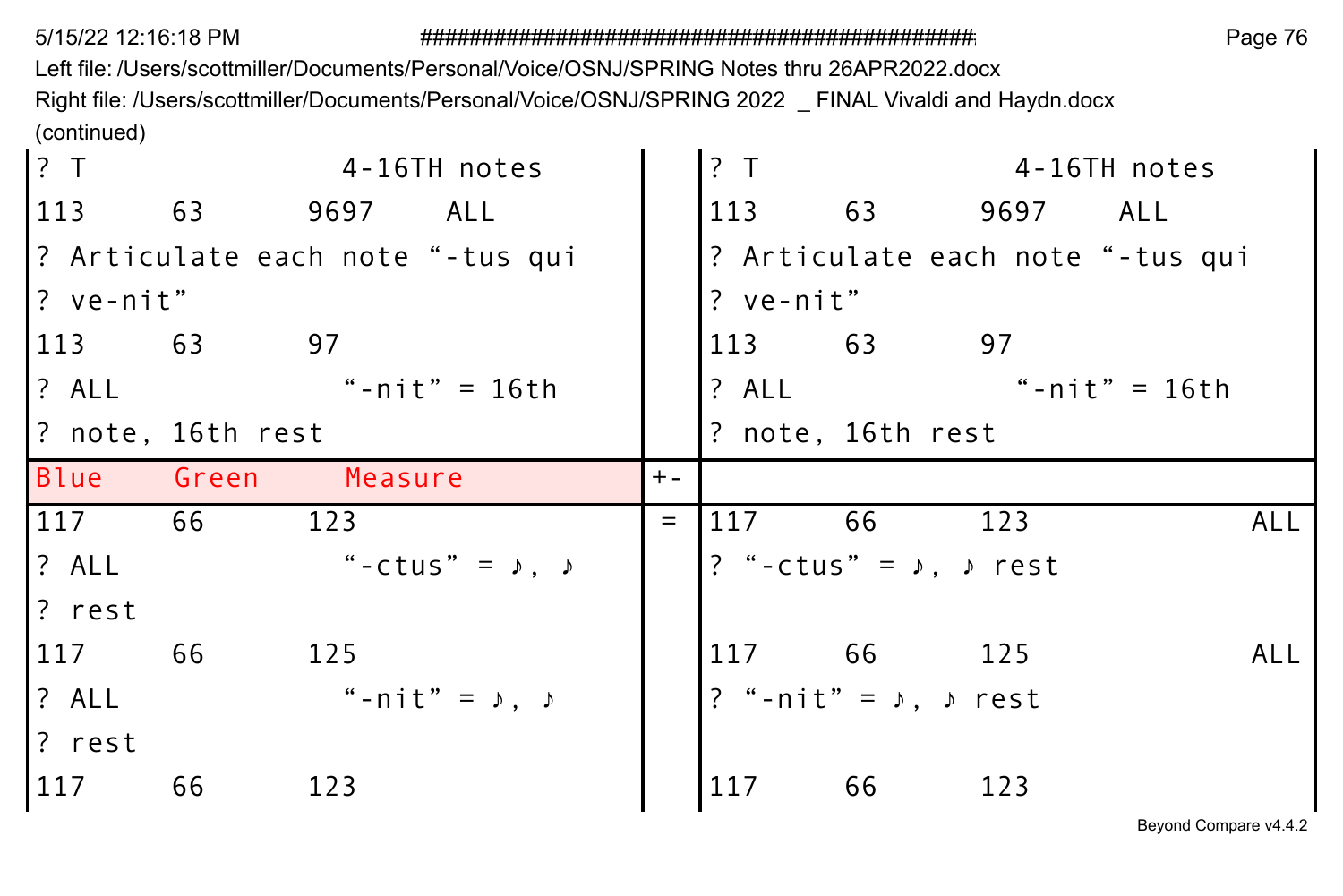Left file: /Users/scottmiller/Documents/Personal/Voice/OSNJ/SPRING Notes thru 26APR2022.docx Right file: /Users/scottmiller/Documents/Personal/Voice/OSNJ/SPRING 2022 \_ FINAL Vivaldi and Haydn.docx (continued)

| ? T                              |                   |          | 4-16TH notes                    |       | ? T       |                                        |          | 4-16TH notes                     |
|----------------------------------|-------------------|----------|---------------------------------|-------|-----------|----------------------------------------|----------|----------------------------------|
| 113                              | 63                | 9697 ALL |                                 |       | 113       | 63 — 10                                | 9697 ALL |                                  |
| ? Articulate each note "-tus qui |                   |          |                                 |       |           |                                        |          | ? Articulate each note "-tus qui |
| ? ve-nit"                        |                   |          |                                 |       | ? ve-nit" |                                        |          |                                  |
| 113 63                           |                   | 97       |                                 |       | 63<br>113 |                                        | 97       |                                  |
| $?$ ALL                          |                   |          | "-nit" = 16th                   |       | ? ALL     |                                        |          | "-nit" = 16th                    |
|                                  | ? note, 16th rest |          |                                 |       |           | ? note, 16th rest                      |          |                                  |
| Blue Green                       |                   | Measure  |                                 | $+ -$ |           |                                        |          |                                  |
|                                  |                   |          |                                 |       |           |                                        |          |                                  |
| 117                              | 66                | 123      |                                 | $=$   | 117       | 66                                     | 123      | ALL                              |
| ? ALL                            |                   |          | "-ctus" = $\lambda$ , $\lambda$ |       |           | ? "-ctus" = $\lambda$ , $\lambda$ rest |          |                                  |
| ? rest                           |                   |          |                                 |       |           |                                        |          |                                  |
| 117                              | 66                | 125      |                                 |       | 117       | 66                                     | 125      | ALL                              |
| ? ALL                            |                   |          | " -nit" = ♪, ♪                  |       |           | ? "-nit" = $\lambda$ , $\lambda$ rest  |          |                                  |
| ? rest                           |                   |          |                                 |       |           |                                        |          |                                  |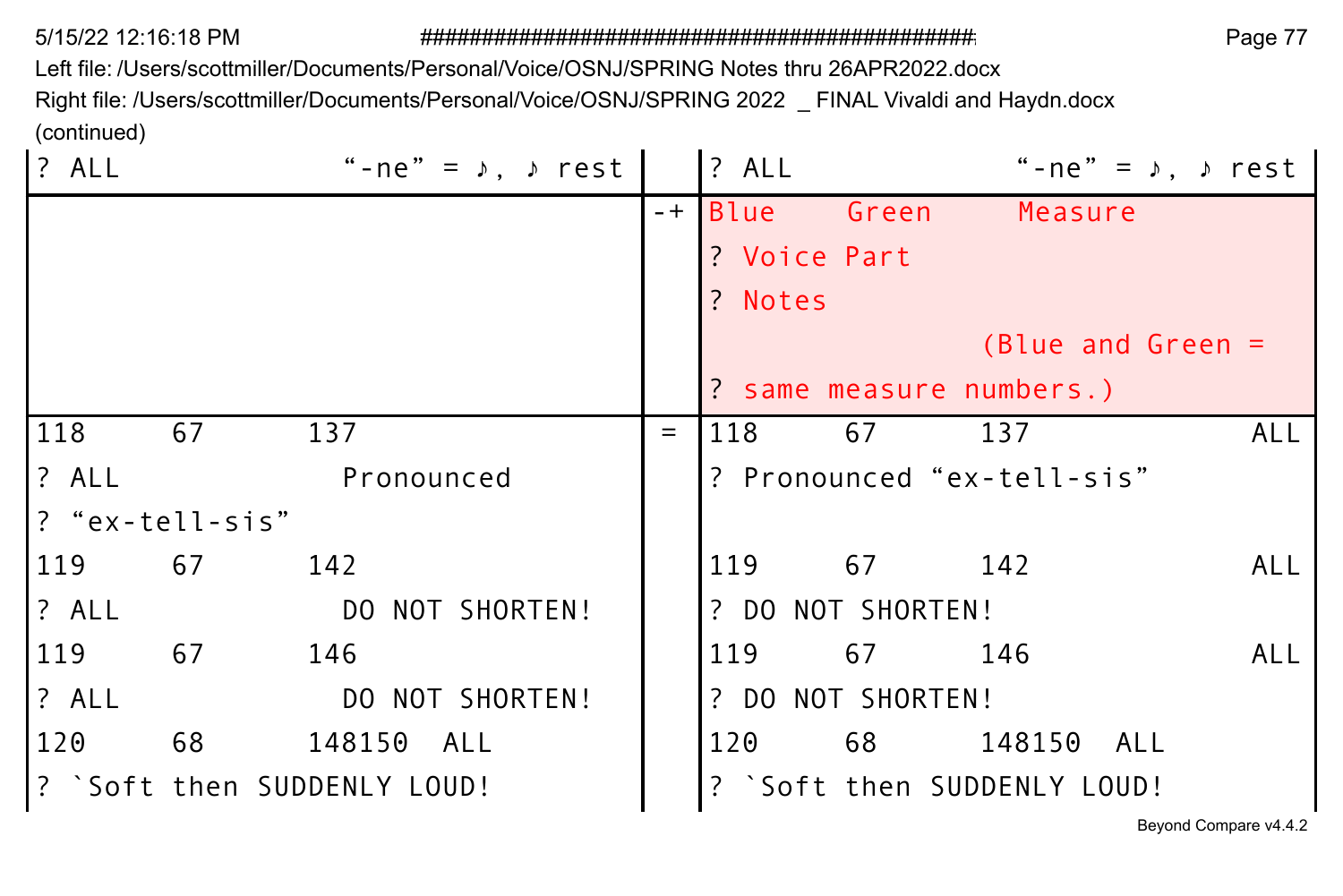Left file: /Users/scottmiller/Documents/Personal/Voice/OSNJ/SPRING Notes thru 26APR2022.docx

Right file: /Users/scottmiller/Documents/Personal/Voice/OSNJ/SPRING 2022 \_ FINAL Vivaldi and Haydn.docx (continued)

| $?$ ALL         |    | "-ne" = $\sqrt{ }$ , $\sqrt{ }$ rest |     | <b>?</b> ALL      |        | "-ne" = $\lambda$ , $\lambda$ rest |     |
|-----------------|----|--------------------------------------|-----|-------------------|--------|------------------------------------|-----|
|                 |    |                                      |     | -+ Blue Green     |        | Measure                            |     |
|                 |    |                                      |     | ? Voice Part      |        |                                    |     |
|                 |    |                                      |     | ? Notes           |        |                                    |     |
|                 |    |                                      |     |                   |        | (Blue and Green $=$                |     |
|                 |    |                                      |     |                   |        | ? same measure numbers.)           |     |
| 118             | 67 | 137                                  | $=$ | 118               | 67     | 137                                | ALL |
| ? ALL           |    | Pronounced                           |     |                   |        | ? Pronounced "ex-tell-sis"         |     |
| l?"ex-tell-sis" |    |                                      |     |                   |        |                                    |     |
| 119             | 67 | 142                                  |     | 119 67 142        |        |                                    | ALL |
| <b>7</b> ALL    |    | DO NOT SHORTEN!                      |     | ? DO NOT SHORTEN! |        |                                    |     |
| 119             | 67 | 146                                  |     | 119               | 67 146 |                                    | ALL |
| <b>7</b> ALL    |    | DO NOT SHORTEN!                      |     | ? DO NOT SHORTEN! |        |                                    |     |
| 1120            | 68 | 148150 ALL                           |     | 120               |        |                                    |     |
|                 |    | : `Soft then SUDDENLY LOUD!          |     |                   |        | ? `Soft then SUDDENLY LOUD!        |     |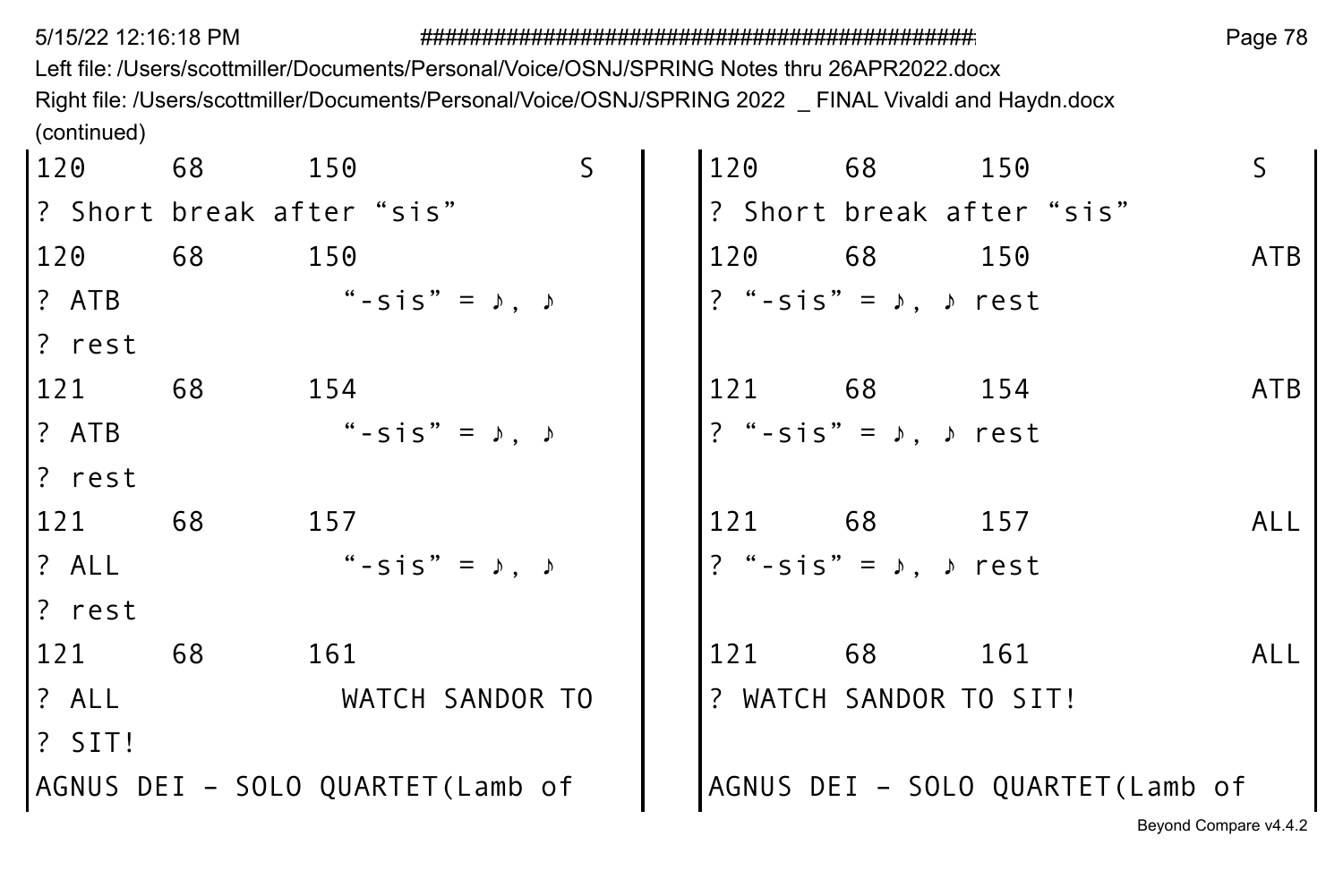Left file: /Users/scottmiller/Documents/Personal/Voice/OSNJ/SPRING Notes thru 26APR2022.docx Right file: /Users/scottmiller/Documents/Personal/Voice/OSNJ/SPRING 2022 \_ FINAL Vivaldi and Haydn.docx (continued)  $\sim$  $\sim$ 

| 120          | 68 | 150                                | <sub>S</sub> | 120 | 68 —                                  | 150                              |                       |
|--------------|----|------------------------------------|--------------|-----|---------------------------------------|----------------------------------|-----------------------|
|              |    | .? Short break after"sis"          |              |     |                                       | ? Short break after "sis"        |                       |
| 120          | 68 | 150                                |              | 120 | 68 68                                 | 150                              | ATB                   |
| l? ATB       |    | " - $\sin 5$ " = $\sin 5$ "        |              |     | ? "-sis" = $\lambda$ , $\lambda$ rest |                                  |                       |
| l? rest      |    |                                    |              |     |                                       |                                  |                       |
| 121          | 68 | 154                                |              | 121 | 68 154                                |                                  | ATB                   |
| l? ATB       |    | " - $\sin$ " = $\theta$ , $\theta$ |              |     | ? "-sis" = $\lambda$ , $\lambda$ rest |                                  |                       |
| l? rest      |    |                                    |              |     |                                       |                                  |                       |
| 121          | 68 | 157                                |              |     | 121 68                                | 157                              | AL L                  |
| <b>7</b> ALL |    | $"$ - sis" = $\lambda$ .           |              |     | ? "-sis" = $\lambda$ , $\lambda$ rest |                                  |                       |
| l? rest      |    |                                    |              |     |                                       |                                  |                       |
| 121          | 68 | 161                                |              | 121 | 68                                    | 161                              | ALL                   |
| <b>?</b> ALL |    | WATCH SANDOR TO                    |              |     | ? WATCH SANDOR TO SIT!                |                                  |                       |
| I? SIT!      |    |                                    |              |     |                                       |                                  |                       |
|              |    | AGNUS DEI - SOLO QUARTET(Lamb of   |              |     |                                       | AGNUS DEI - SOLO QUARTET(Lamb of |                       |
|              |    |                                    |              |     |                                       |                                  | Beyond Compare v4.4.2 |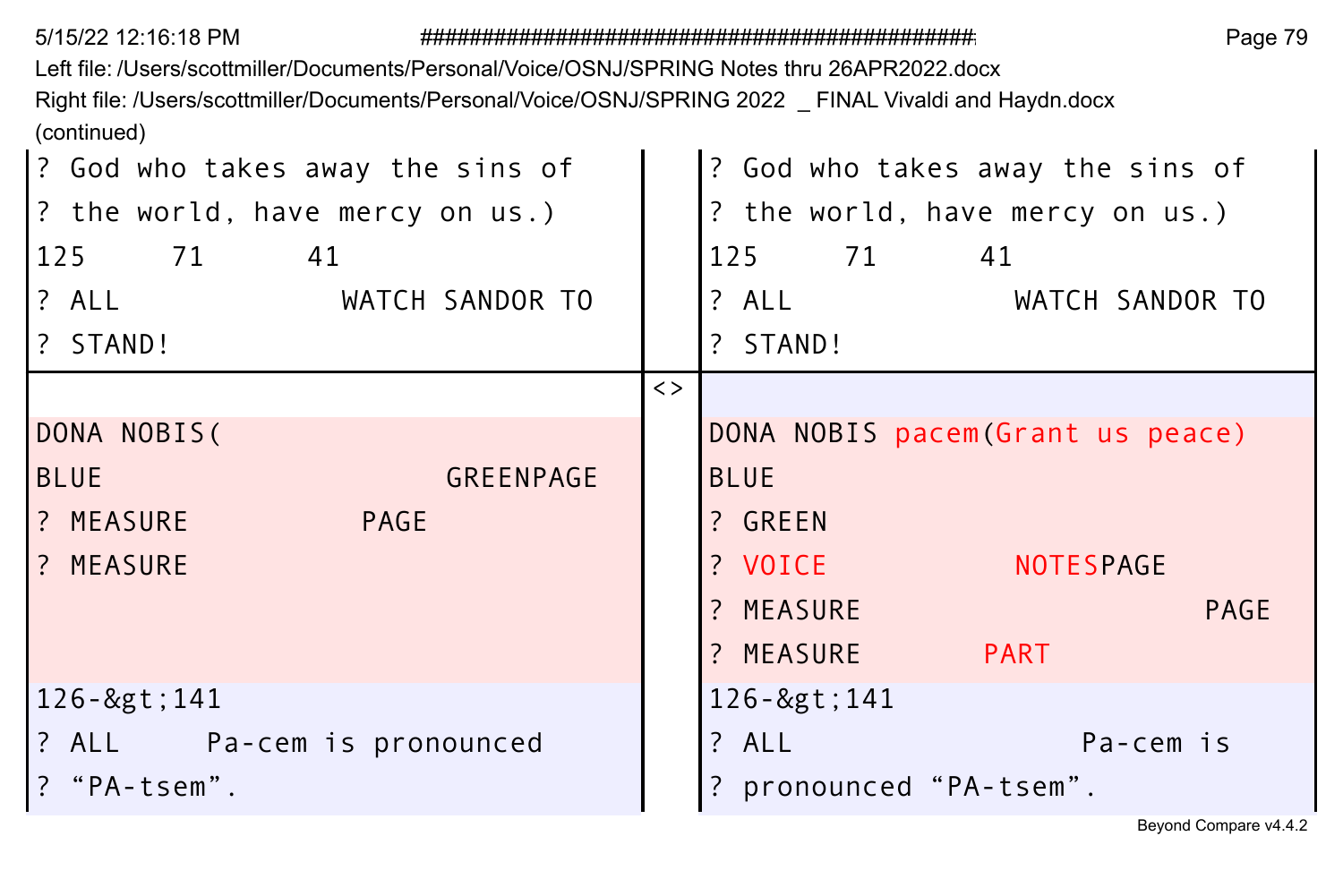Left file: /Users/scottmiller/Documents/Personal/Voice/OSNJ/SPRING Notes thru 26APR2022.docx

Right file: /Users/scottmiller/Documents/Personal/Voice/OSNJ/SPRING 2022 \_ FINAL Vivaldi and Haydn.docx (continued)

| ? God who takes away the sins of<br>? the world, have mercy on us.)<br>125 71 41<br>? ALL<br>WATCH SANDOR TO<br>? STAND! | ? God who takes away the sins of<br>? the world, have mercy on us.)<br>125 71 41<br>$?$ ALL<br>WATCH SANDOR TO<br>? STAND! |
|--------------------------------------------------------------------------------------------------------------------------|----------------------------------------------------------------------------------------------------------------------------|
|                                                                                                                          | $\langle$ >                                                                                                                |
| DONA NOBIS(                                                                                                              | DONA NOBIS pacem (Grant us peace)                                                                                          |
| GREENPAGE<br><b>BLUE</b>                                                                                                 | <b>BLUE</b>                                                                                                                |
| ? MEASURE<br>PAGE                                                                                                        | ? GREEN                                                                                                                    |
| ? MEASURE                                                                                                                | ? VOICE<br><b>NOTESPAGE</b>                                                                                                |
|                                                                                                                          | ? MEASURE<br><b>PAGE</b>                                                                                                   |
|                                                                                                                          | ? MEASURE PART                                                                                                             |
| 126->141                                                                                                                 | 126->141                                                                                                                   |
| ? ALL Pa-cem is pronounced                                                                                               | ? ALL<br>Pa-cem is                                                                                                         |
| ? "PA-tsem".                                                                                                             | ? pronounced "PA-tsem".                                                                                                    |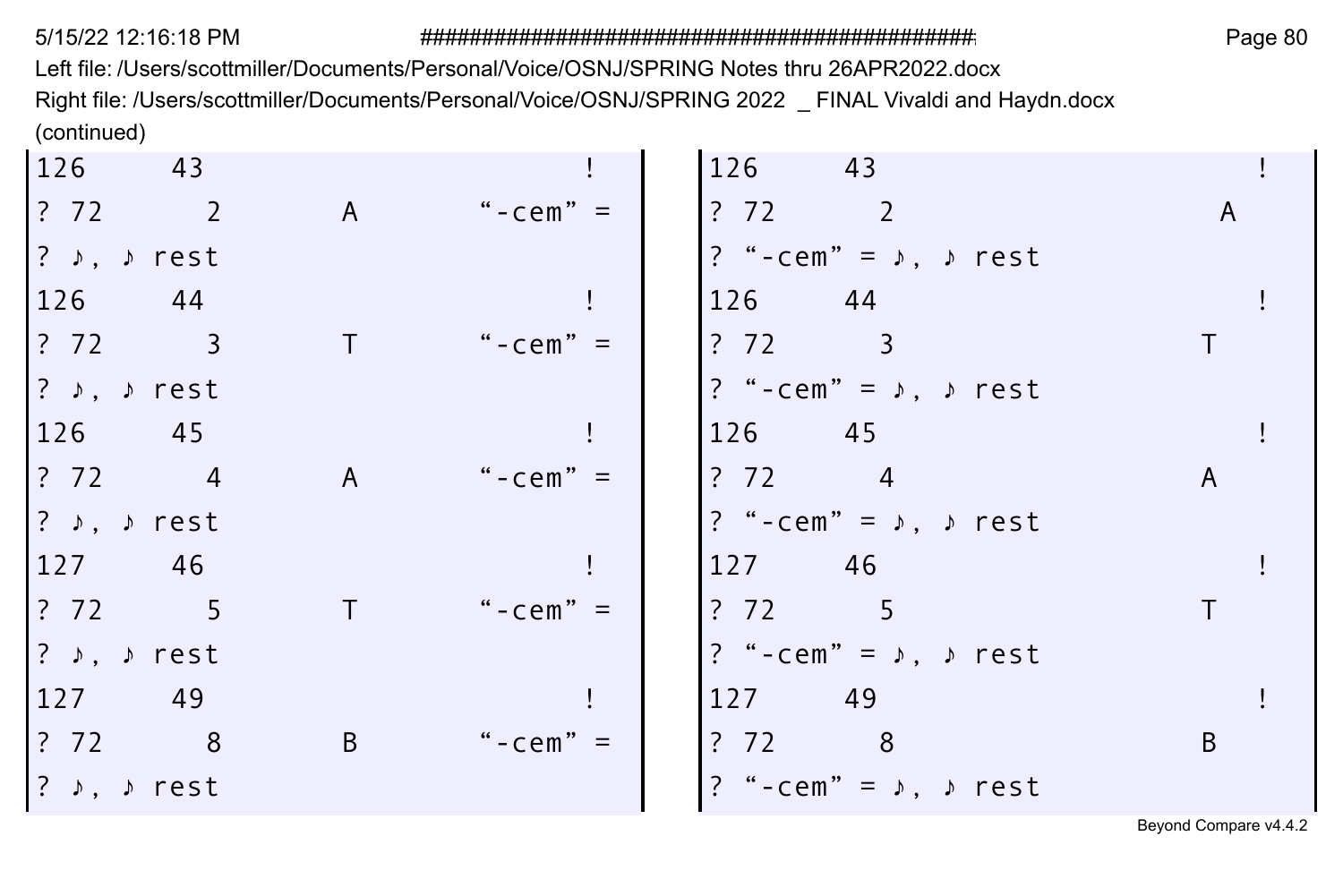Left file: /Users/scottmiller/Documents/Personal/Voice/OSNJ/SPRING Notes thru 26APR2022.docx Right file: /Users/scottmiller/Documents/Personal/Voice/OSNJ/SPRING 2022 \_ FINAL Vivaldi and Haydn.docx (continued)  $\mathbf{r}$  $\mathbf{r}$ 

| 126                                            | 43 |              |            | 126<br>$\overline{43}$                         |   |
|------------------------------------------------|----|--------------|------------|------------------------------------------------|---|
| 2 2 2                                          |    | A            | "-cem" $=$ | ? 72 2                                         | A |
| $ ? \rightarrow$ , $\rightarrow$ rest          |    |              |            | ? "-cem" = $\lambda$ , $\lambda$ rest          |   |
| 126                                            | 44 |              |            | 126 44                                         |   |
| $\begin{array}{cccc} ? & 72 & & 3 \end{array}$ |    |              | "-cem" $=$ | ? 72 3                                         |   |
| $ ? \rightarrow$ , $\rightarrow$ rest          |    |              |            | ? "-cem" = $\lambda$ , $\lambda$ rest          |   |
| 126 45                                         |    |              |            | 126 45                                         |   |
| $\begin{array}{cccc} ? & 72 & 4 \end{array}$   |    | $\mathsf{A}$ | "-cem" $=$ | ? 72 4                                         | A |
| $ ? \rightarrow$ , $\rightarrow$ rest          |    |              |            | ? "-cem" = $\lambda$ , $\lambda$ rest          |   |
| 127 46                                         |    |              |            | 127 46                                         |   |
| 2 72 5                                         |    |              | "-cem" $=$ | ? 72 5                                         |   |
| $ ? \rightarrow$ , $\rightarrow$ rest          |    |              |            | ? "-cem" = $\sqrt{ }$ , $\sqrt{ }$ rest        |   |
| 127 49                                         |    |              |            | 127 49                                         |   |
| $\begin{array}{cccc} ? & 72 & & 8 \end{array}$ |    | B            | "-cem" $=$ | $\begin{array}{cccc} ? & 72 & & 8 \end{array}$ | B |
| $ ? \rightarrow$ , $\rightarrow$ rest          |    |              |            | ? "-cem" = $\lambda$ , $\lambda$ rest          |   |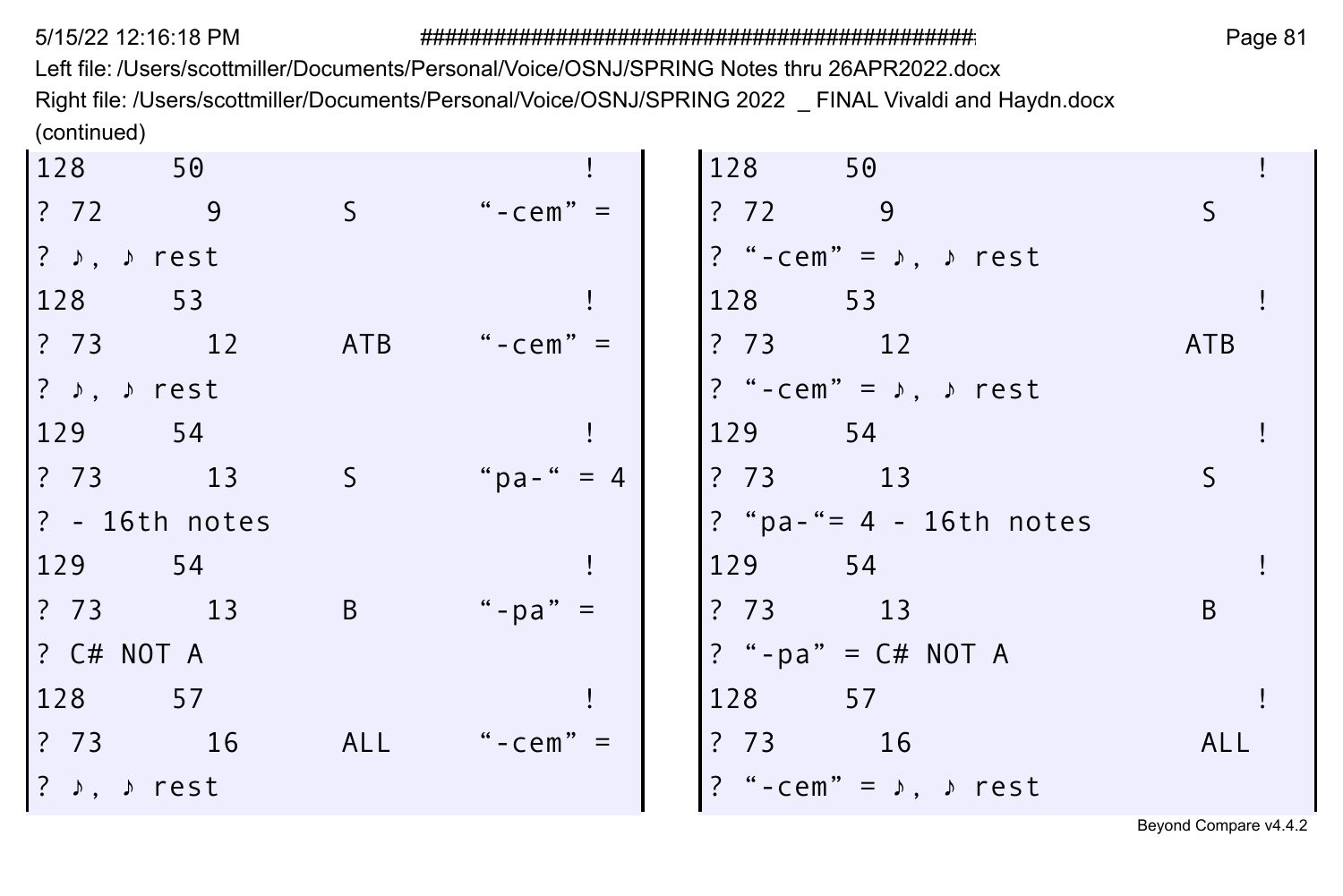Left file: /Users/scottmiller/Documents/Personal/Voice/OSNJ/SPRING Notes thru 26APR2022.docx Right file: /Users/scottmiller/Documents/Personal/Voice/OSNJ/SPRING 2022 \_ FINAL Vivaldi and Haydn.docx (continued)

| 128                                                               | 50                |                |                | 128     | 50                                    |            |  |
|-------------------------------------------------------------------|-------------------|----------------|----------------|---------|---------------------------------------|------------|--|
| ? 72                                                              | $^{\circ}$ 9      | -S             | "-cem" $=$     | ?72     | - 9                                   |            |  |
| $?$ $\rightarrow$ , $\rightarrow$ rest                            |                   |                |                |         | ? "-cem" = $\lambda$ , $\lambda$ rest |            |  |
| 128                                                               | 53                |                |                | 128 53  |                                       |            |  |
| $\begin{array}{ccc} \text{?} & \text{73} & \text{12} \end{array}$ |                   | ATB            | "-cem" $=$     | ?73     | 12                                    | <b>ATB</b> |  |
| $ ?$ $\rangle$ , $\rangle$ rest                                   |                   |                |                |         | ? "-cem" = $\lambda$ , $\lambda$ rest |            |  |
| 129                                                               | - 54              |                |                | 129 54  |                                       |            |  |
| ? 73                                                              | 13                | S.             | " $pa -$ " = 4 | ? 73 13 |                                       |            |  |
|                                                                   | $ ? - 16th$ notes |                |                |         | ? "pa-"= $4 - 16th$ notes             |            |  |
| 129                                                               | 54                |                |                | 129 54  |                                       |            |  |
| ? 73 13                                                           |                   | $\overline{B}$ | "-pa" $=$      | ? 73 13 |                                       | B          |  |
| $?$ C# NOT A                                                      |                   |                |                |         | ? "-pa" = $C# NOT A$                  |            |  |
| 128 57                                                            |                   |                |                | 128 57  |                                       |            |  |
| ? 73                                                              | 16                | ALL            | "-cem" $=$     | ? 73 16 |                                       | ALL        |  |
| $ ?$ $\rangle$ , $\rangle$ rest                                   |                   |                |                |         | ? "-cem" = $\lambda$ , $\lambda$ rest |            |  |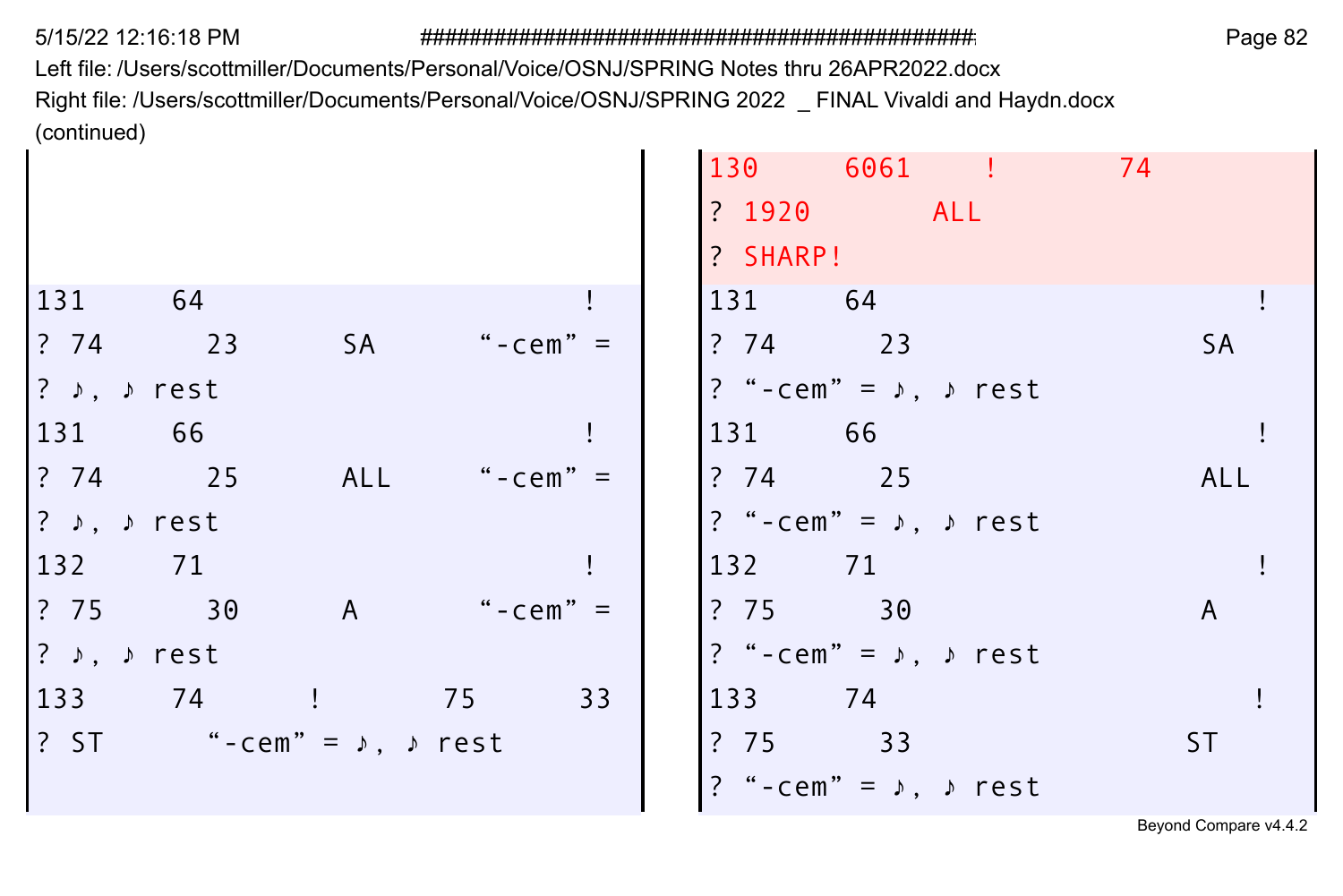Left file: /Users/scottmiller/Documents/Personal/Voice/OSNJ/SPRING Notes thru 26APR2022.docx Right file: /Users/scottmiller/Documents/Personal/Voice/OSNJ/SPRING 2022 \_ FINAL Vivaldi and Haydn.docx (continued)

|                                      |          |                                              |            | 130 6061 !                              | 74           |
|--------------------------------------|----------|----------------------------------------------|------------|-----------------------------------------|--------------|
|                                      |          |                                              |            | ? 1920 ALL                              |              |
|                                      |          |                                              |            | ? SHARP!                                |              |
| 131                                  | 64       |                                              |            | 131 64                                  |              |
| $?74$ 23                             |          | SA                                           | "-cem" $=$ | $?74$ 23                                | <b>SA</b>    |
| ? ♪, ♪ rest                          |          |                                              |            | ? "-cem" = $\sqrt{2}$ , $\sqrt{2}$ rest |              |
| 131 66                               |          |                                              |            | 131 66                                  |              |
|                                      | $?74$ 25 | ALL                                          | "-cem" $=$ | $?74$ 25                                | ALL          |
| ? $\rightarrow$ $\rightarrow$ rest   |          |                                              |            | ? "-cem" = $\lambda$ , $\lambda$ rest   |              |
| 132 71                               |          |                                              |            | 132 71                                  |              |
| ? 75 30                              |          | A                                            | "-cem" $=$ | ? 75 30                                 | $\mathsf{A}$ |
| ? $\rightarrow$ , $\rightarrow$ rest |          |                                              |            | ? "-cem" = $\sqrt{2}$ , $\sqrt{2}$ rest |              |
|                                      | 133 74 ! |                                              | 33<br>75   | 133 74                                  |              |
|                                      |          | ? ST $" - cem" = \sqrt{2}$ , $\sqrt{2}$ rest |            | ? 75 33                                 | <b>ST</b>    |
|                                      |          |                                              |            | ? "-cem" = $\sqrt{ }$ , $\sqrt{ }$ rest |              |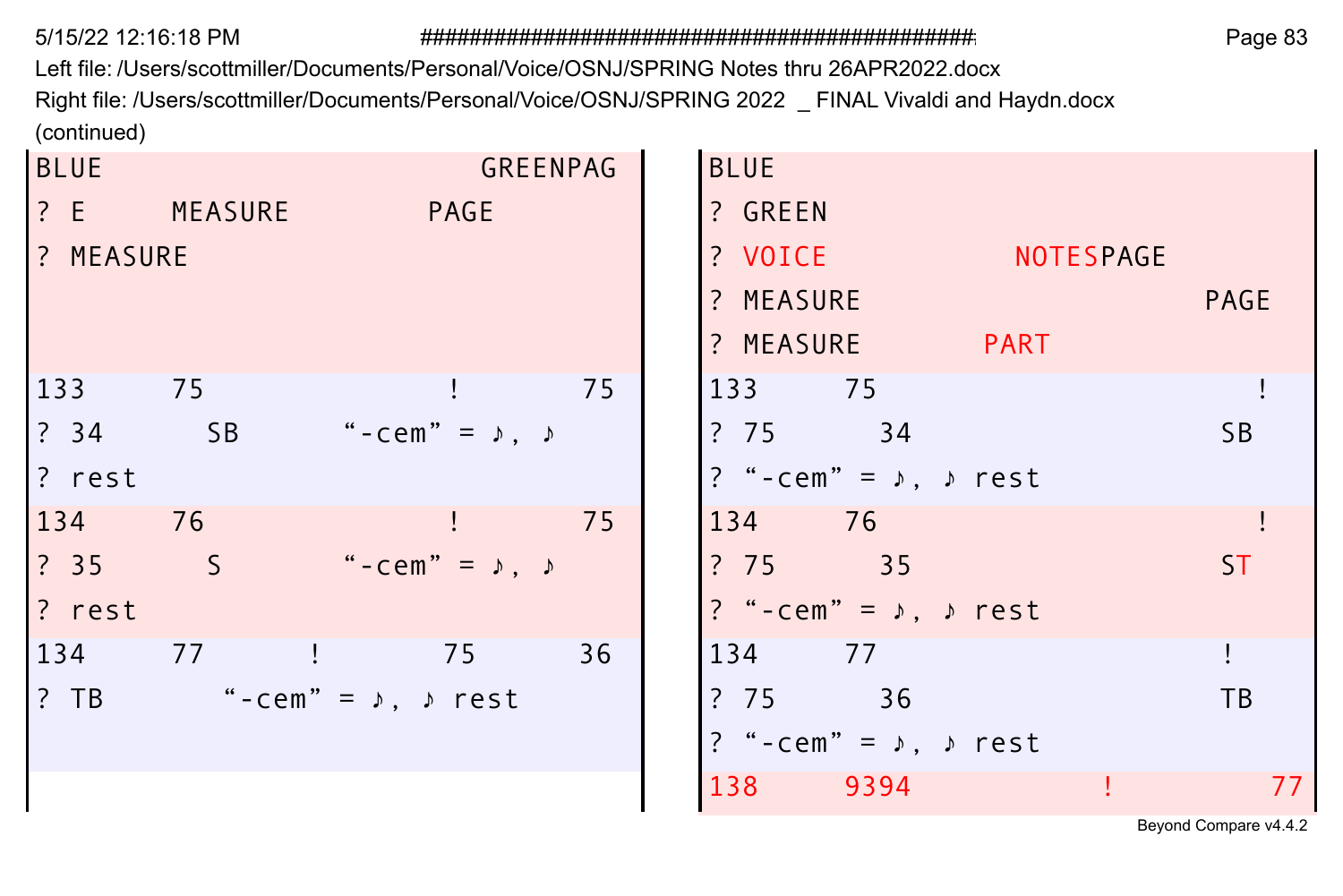Left file: /Users/scottmiller/Documents/Personal/Voice/OSNJ/SPRING Notes thru 26APR2022.docx Right file: /Users/scottmiller/Documents/Personal/Voice/OSNJ/SPRING 2022 \_ FINAL Vivaldi and Haydn.docx (continued)

| <b>BLUE</b> |             | GREENPAG                                             |    | <b>BLUE</b>                                   |
|-------------|-------------|------------------------------------------------------|----|-----------------------------------------------|
|             | ? E MEASURE | PAGE                                                 |    | ? GREEN                                       |
| ? MEASURE   |             |                                                      |    | ? VOICE<br><b>NOTESPAGE</b>                   |
|             |             |                                                      |    | ? MEASURE<br><b>PAGE</b>                      |
|             |             |                                                      |    | ? MEASURE PART                                |
| 133 75      |             |                                                      | 75 | 133 75                                        |
| ? 34 SB     |             | " - $\mathsf{cem}$ " = $\rightarrow$ , $\rightarrow$ |    | ?7534<br>SB.                                  |
| ? rest      |             |                                                      |    | ? "-cem" = $\lambda$ , $\lambda$ rest         |
| 134 76      |             |                                                      | 75 | 134 76                                        |
| ?35S        |             | "-cem" = $\lambda$ , $\lambda$                       |    | ?75335<br>ST.                                 |
| ? rest      |             |                                                      |    | ? "-cem" = $\rightarrow$ , $\rightarrow$ rest |
| 134 77      |             | 75                                                   | 36 | 134 77                                        |
|             |             | ? TB $" - cem" = \sqrt{2}$ , $\rho$ rest             |    | ? 75 36<br><b>TB</b>                          |
|             |             |                                                      |    | ? "-cem" = $\lambda$ , $\lambda$ rest         |
|             |             |                                                      |    | 138 9394<br>77                                |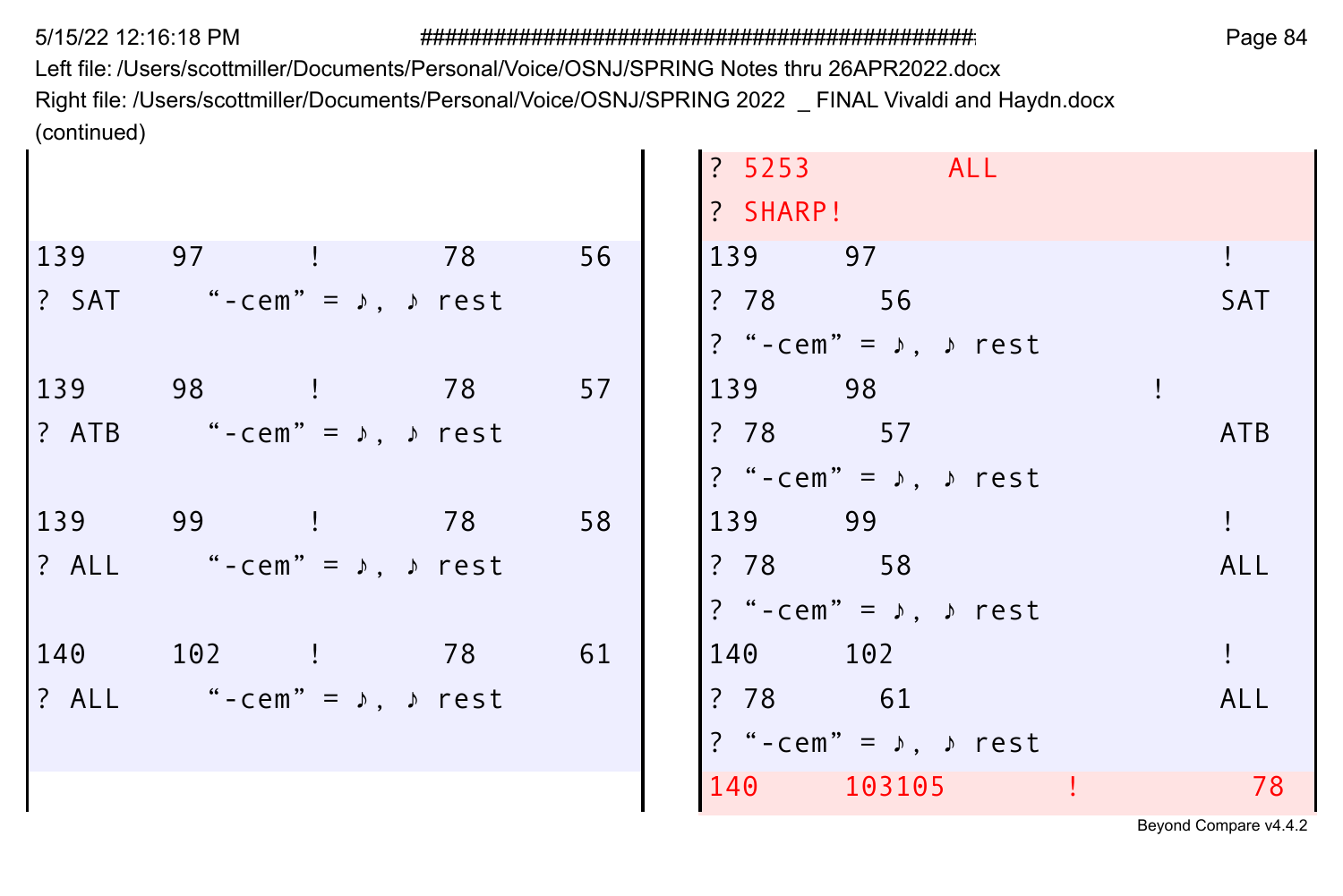Left file: /Users/scottmiller/Documents/Personal/Voice/OSNJ/SPRING Notes thru 26APR2022.docx Right file: /Users/scottmiller/Documents/Personal/Voice/OSNJ/SPRING 2022 \_ FINAL Vivaldi and Haydn.docx (continued) ÷

|                                           |  |    | ? 5253 ALL                              |  |            |
|-------------------------------------------|--|----|-----------------------------------------|--|------------|
|                                           |  |    | ? SHARP!                                |  |            |
| 139 97 ! 78                               |  | 56 | 139 97                                  |  |            |
| ? SAT "-cem" = $\lambda$ , $\lambda$ rest |  |    | ? 78 56                                 |  | <b>SAT</b> |
|                                           |  |    | ? "-cem" = $\lambda$ , $\lambda$ rest   |  |            |
| 139 98 ! 78                               |  | 57 | 139 98                                  |  |            |
| ? ATB "-cem" = $\lambda$ , $\lambda$ rest |  |    | ? 78 57                                 |  | <b>ATB</b> |
|                                           |  |    | ? "-cem" = $\sqrt{ }$ , $\sqrt{ }$ rest |  |            |
| 139 99 ! 78                               |  | 58 | 139 99                                  |  | L          |
| ? ALL "-cem" = $\lambda$ , $\lambda$ rest |  |    | ? 78 58                                 |  | ALL        |
|                                           |  |    | ? "-cem" = $\lambda$ , $\lambda$ rest   |  |            |
| 140 102 ! 78                              |  | 61 | 140 102                                 |  |            |
| ? ALL "-cem" = $\lambda$ , $\lambda$ rest |  |    | ? 78 61                                 |  | ALL        |
|                                           |  |    | ? "-cem" = $\lambda$ , $\lambda$ rest   |  |            |
|                                           |  |    | 140 103105 !                            |  | 78         |
|                                           |  |    |                                         |  |            |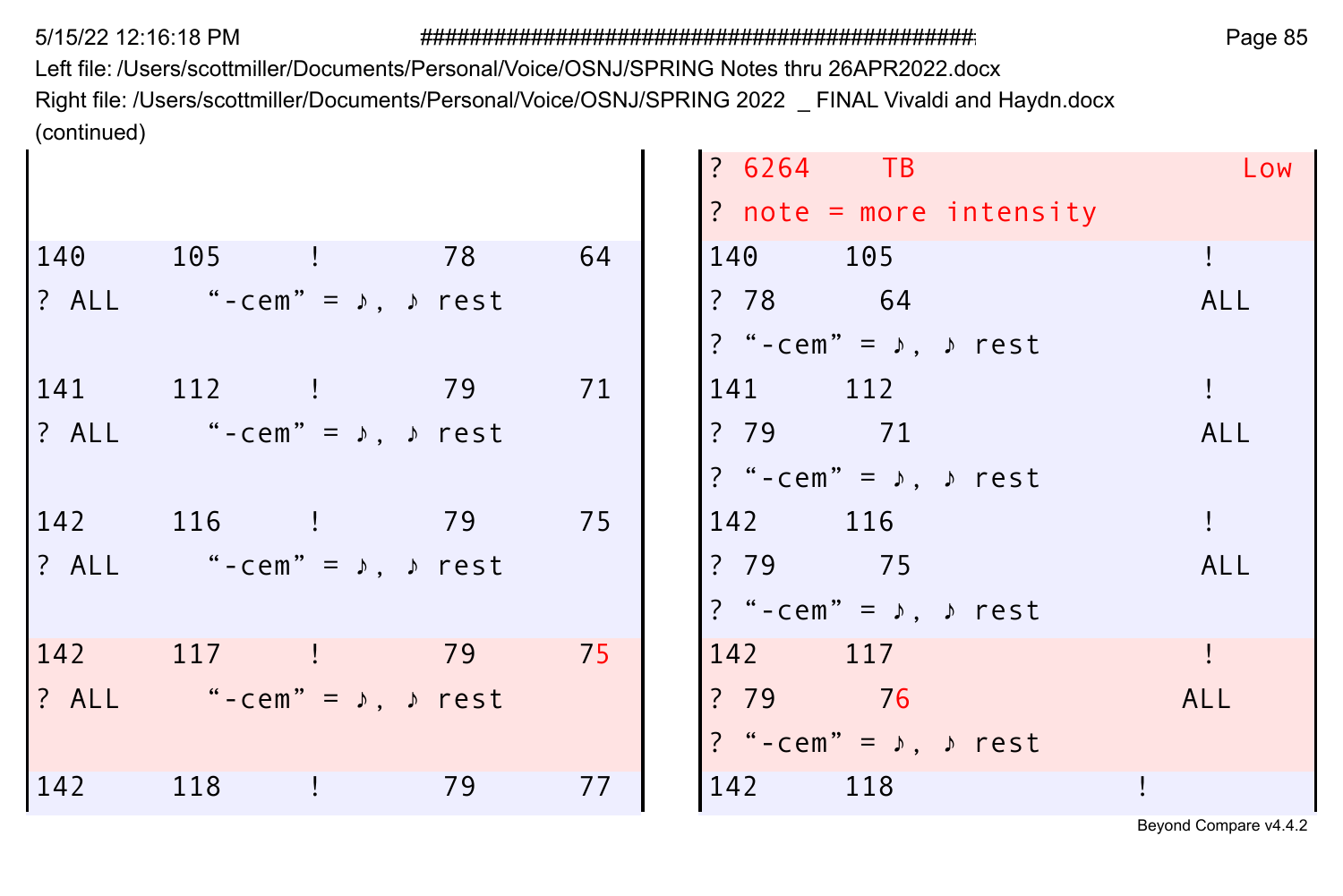Left file: /Users/scottmiller/Documents/Personal/Voice/OSNJ/SPRING Notes thru 26APR2022.docx Right file: /Users/scottmiller/Documents/Personal/Voice/OSNJ/SPRING 2022 \_ FINAL Vivaldi and Haydn.docx (continued)

| $? 6264$ TB<br>Low                            |      |                                           |     |
|-----------------------------------------------|------|-------------------------------------------|-----|
| $?$ note = more intensity                     |      |                                           |     |
| 140 105                                       | - 64 | 140 105 ! 78                              |     |
| ? 78 64<br><b>ALL</b>                         |      | ? ALL "-cem" = $\lambda$ , $\lambda$ rest |     |
| ? "-cem" = $\rightarrow$ , $\rightarrow$ rest |      |                                           |     |
| 141 112                                       | 71   | 141 112 ! 79                              |     |
| ? 79 71<br>ALL                                |      | ? ALL "-cem" = $\lambda$ , $\lambda$ rest |     |
| ? "-cem" = $\lambda$ , $\lambda$ rest         |      |                                           |     |
| 142 116                                       | 75   | 142 116 ! 79                              |     |
| ? 79 75<br>ALL                                |      | ? ALL "-cem" = $\lambda$ , $\lambda$ rest |     |
| ? "-cem" = $\rightarrow$ , $\rightarrow$ rest |      |                                           |     |
| 142 117                                       | 75   | 142 117 ! 79                              |     |
| ? 79 76<br>ALL                                |      | ? ALL "-cem" = $\lambda$ , $\lambda$ rest |     |
| ? "-cem" = $\sqrt{ }$ , $\sqrt{ }$ rest       |      |                                           |     |
| 77<br>142 118                                 | 79   | 118<br>$\bigoplus$                        | 142 |
|                                               |      |                                           |     |